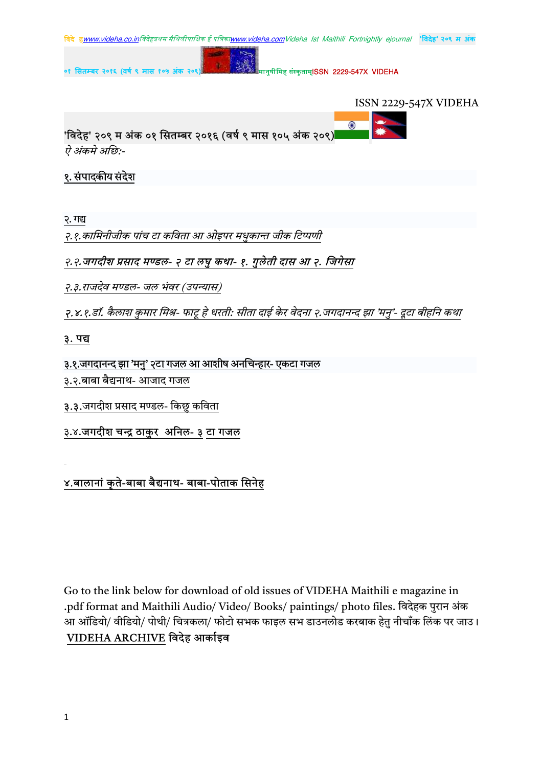



 $\bigodot$ 

'विदेह' २०९ म अंक ०१ सितम्बर २०१६ (वर्ष ९ मास १०५ अंक २०९)

ऐ अंकमे अछि:-

## १. संपादकीय संदेश

२. गद्य

२.१.कामिनीजीक पांच टा कविता आ ओइपर मधुकान्त जीक टिप्पणी

## २.२.जगदीश प्रसाद मण्डल- २ टा लघु कथा- १. गुलेती दास आ २. जिगेसा

२.३.राजदेव मण्डल- जल भंवर (उपन्यास)

२.४.१.डॉ. कैलाश कुमार मिश्र- फाटू हे धरती: सीता दाई केर वेदना २.जगदानन्द झा 'मनु'- दूटा बीहनि कथा

#### ३. पद्य

#### ३.१.जगदानन्द झा 'मनु' २टा गजल आ आशीष अनचिन्हार- एकटा गजल

- ३.२.बाबा बैद्यनाथ- आजाद गजल
- ३.३.जगदीश प्रसाद मण्डल- किछु कविता
- ३.४.जगदीश चन्द्र ठाकुर अनिल- ३ टा गजल

## ४.बालानां कृते-बाबा बैद्यनाथ- बाबा-पोताक सिनेह

Go to the link below for download of old issues of VIDEHA Maithili e magazine in .pdf format and Maithili Audio/ Video/ Books/ paintings/ photo files. विदेहक पुरान अंक आ ऑडियो/ वीडियो/ पोथी/ चित्रकला/ फोटो सभक फाइल सभ डाउनलोड करबाक हेतु नीचाँक लिंक पर जाउ। VIDEHA ARCHIVE विदेह आर्काइव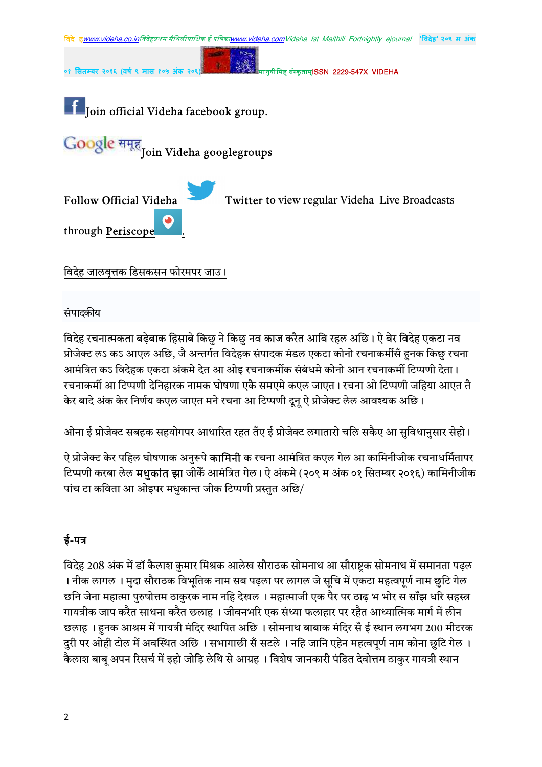

संपादकीय

विदेह रचनात्मकता बढेबाक हिसाबे किछु ने किछु नव काज करैत आबि रहल अछि। ऐ बेर विदेह एकटा नव प्रोजेक्ट लऽ कऽ आएल अछि, जै अन्तर्गत विदेहक संपादक मंडल एकटा कोनो रचनाकर्मीसँ हुनक किछु रचना आमंत्रित कऽ विदेहक एकटा अंकमे देत आ ओइ रचनाकर्मीक संबंधमे कोनो आन रचनाकर्मी टिप्पणी देता। रचनाकर्मी आ टिप्पणी देनिहारक नामक घोषणा एकै समएमे कएल जाएत। रचना ओ टिप्पणी जहिया आएत तै केर बादे अंक केर निर्णय कएल जाएत मने रचना आ टिप्पणी दूनू ऐ प्रोजेक्ट लेल आवश्यक अछि।

ओना ई प्रोजेक्ट सबहक सहयोगपर आधारित रहत तँए ई प्रोजेक्ट लगातारो चलि सकैए आ सुविधानुसार सेहो।

ऐ प्रोजेक्ट केर पहिल घोषणाक अनुरूपे **कामिनी** क रचना आमंत्रित कएल गेल आ कामिनीजीक रचनाधर्मितापर टिप्पणी करबा लेल **मधुकांत झा** जीकेँ आमंत्रित गेल। ऐ अंकमे (२०९ म अंक ०१ सितम्बर २०१६) कामिनीजीक पांच टा कविता आ ओइपर मधुकान्त जीक टिप्पणी प्रस्तुत अछि/

# ई-पत्र

विदेह 208 अंक में डॉ कैलाश कुमार मिश्रक आलेख सौराठक सोमनाथ आ सौराष्टक सोमनाथ में समानता पढ़ल । नीक लागल । मुदा सौराठक विभूतिक नाम सब पढ़ला पर लागल जे सूचि में एकटा महत्वपूर्ण नाम छुटि गेल छनि जेना महात्मा पुरुषोत्तम ठाकुरक नाम नहि देखल । महात्माजी एक पैर पर ठाढ़ भ भोर स साँझ धरि सहस्त्र गायत्रीक जाप करैत साधना करैत छलाह । जीवनभरि एक संध्या फलाहार पर रहैत आध्यात्मिक मार्ग में लीन छलाह । हनक आश्रम में गायत्री मंदिर स्थापित अछि । सोमनाथ बाबाक मंदिर सँ ई स्थान लगभग 200 मीटरक दुरी पर ओही टोल में अवस्थित अछि । सभागाछी सँ सटले । नहि जानि एहेन महत्वपूर्ण नाम कोना छुटि गेल । कैलाश बाबू अपन रिसर्च में इहो जोड़ि लेथि से आग्रह । विशेष जानकारी पंडित देवोत्तम ठाकुर गायत्री स्थान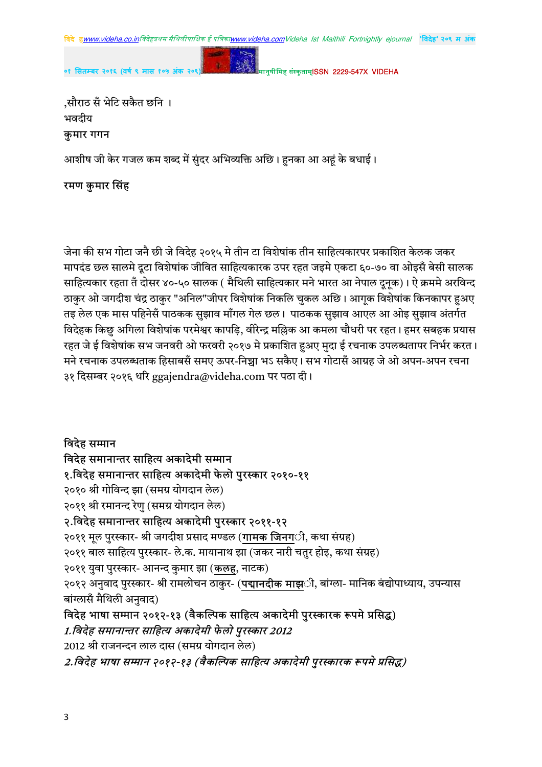

मानुषीमिह संस्कृताम्**ISSN 2229-547X VIDEHA** 

,सौराठ सँ भेटि सकैत छनि । भवदीय

०१ सितम्बर २०१६ (वर्ष ९ मास १

कुमार गगन

आशीष जी केर गजल कम शब्द में सुंदर अभिव्यक्ति अछि। हनका आ अहं के बधाई।

#### रमण कुमार सिंह

जेना की सभ गोटा जनै छी जे विदेह २०१५ मे तीन टा विशेषांक तीन साहित्यकारपर प्रकाशित केलक जकर मापदंड छल सालमे दूटा विशेषांक जीवित साहित्यकारक उपर रहत जइमे एकटा ६०-७० वा ओइसँ बेसी सालक साहित्यकार रहता तँ दोसर ४०-५० सालक ( मैथिली साहित्यकार मने भारत आ नेपाल दूनक)। ऐ क्रममे अरविन्द ठाकुर ओ जगदीश चंद्र ठाकुर "अनिल"जीपर विशेषांक निकलि चुकल अछि। आगूक विशेषांक किनकापर हुअए तइ लेल एक मास पहिनेसँ पाठकक सुझाव माँगल गेल छल। पाठकक सुझाव आएल आ ओइ सुझाव अंतर्गत विदेहक किछु अगिला विशेषांक परमेश्वर कापड़ि, वीरेन्द्र मल्लिक आ कमला चौधरी पर रहत। हमर सबहक प्रयास रहत जे ई विशेषांक सभ जनवरी ओ फरवरी २०१७ मे प्रकाशित हअए मुदा ई रचनाक उपलब्धतापर निर्भर करत। मने रचनाक उपलब्धताक हिसाबसँ समए ऊपर-निच्चा भऽ सकैए। सभ गोटासँ आग्रह जे ओ अपन-अपन रचना ३१ दिसम्बर २०१६ धरि ggajendra@videha.com पर पठा दी।

विदेह सम्मान विदेह समानान्तर साहित्य अकादेमी सम्मान १.विदेह समानान्तर साहित्य अकादेमी फेलो पुरस्कार २०१०-११ २०१० श्री गोविन्द झा (समग्र योगदान लेल) २०११ श्री रमानन्द रेणु (समग्र योगदान लेल) २.विदेह समानान्तर साहित्य अकादेमी पुरस्कार २०११-१२ २०११ मूल पुरस्कार- श्री जगदीश प्रसाद मण्डल (**गामक जिनग**ी, कथा संग्रह) २०११ बाल साहित्य पुरस्कार- ले.क. मायानाथ झा (जकर नारी चतुर होइ, कथा संग्रह) २०११ युवा पुरस्कार- आनन्द कुमार झा (कलह, नाटक) २०१२ अनुवाद पुरस्कार- श्री रामलोचन ठाकुर- (**पद्मानदीक माझ**ी, बांग्ला- मानिक बंद्योपाध्याय, उपन्यास बांग्लासँ मैथिली अनुवाद) विदेह भाषा सम्मान २०१२-१३ (वैकल्पिक साहित्य अकादेमी पुरस्कारक रूपमे प्रसिद्ध) 1.विदेह समानान्तर साहित्य अकादेमी फेलो पुरस्कार 2012 2012 श्री राजनन्दन लाल दास (समग्र योगदान लेल)

2.विदेह भाषा सम्मान २०१२-१३ (वैकल्पिक साहित्य अकादेमी पुरस्कारक रूपमे प्रसिद्ध)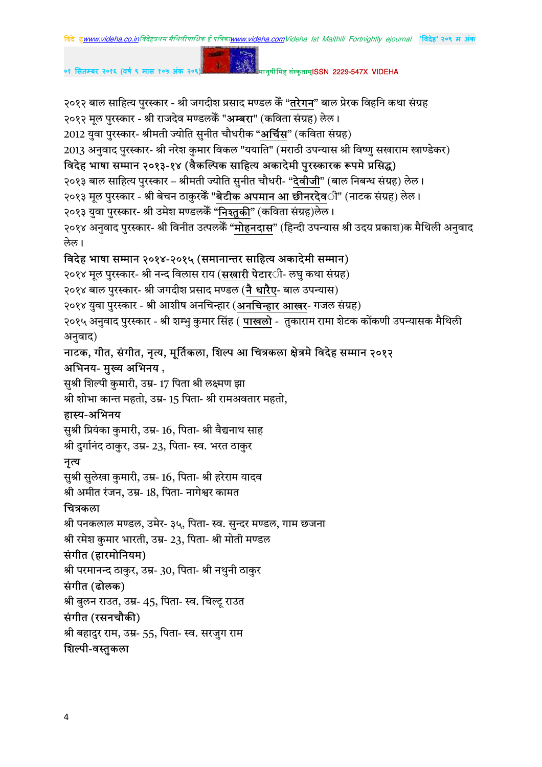२०१२ बाल साहित्य पुरस्कार - श्री जगदीश प्रसाद मण्डल केँ "**तरेगन**" बाल प्रेरक विहनि कथा संग्रह

२०१२ मूल पुरस्कार - श्री राजदेव मण्डलकेँ "**अम्बरा**" (कविता संग्रह) लेल।

2012 युवा पुरस्कार- श्रीमती ज्योति सुनीत चौधरीक "अ**र्चिस**" (कविता संग्रह)

2013 अनुवाद पुरस्कार- श्री नरेश कुमार विकल "ययाति" (मराठी उपन्यास श्री विष्णु सखाराम खाण्डेकर)

# विदेह भाषा सम्मान २०१३-१४ (वैकल्पिक साहित्य अकादेमी पुरस्कारक रूपमे प्रसिद्ध)

२०१३ बाल साहित्य पुरस्कार – श्रीमती ज्योति सुनीत चौधरी- "**देवीजी**" (बाल निबन्ध संग्रह) लेल।

२०१३ मूल पुरस्कार - श्री बेचन ठाकुरकें "**बेटीक अपमान आ छीनरदेव**ी" (नाटक संग्रह) लेल।

२०१३ युवा पुरस्कार- श्री उमेश मण्डलकेँ "**निश्तुकी**" (कविता संग्रह)लेल।

२०१४ अनुवाद पुरस्कार- श्री विनीत उत्पलकेँ "**मोहनदास**" (हिन्दी उपन्यास श्री उदय प्रकाश)क मैथिली अनुवाद लेल।

# विदेह भाषा सम्मान २०१४-२०१५ (समानान्तर साहित्य अकादेमी सम्मान)

२०१४ मूल पुरस्कार- श्री नन्द विलास राय (**सखारी पेटार**ी- लघु कथा संग्रह)

२०१४ बाल पुरस्कार- श्री जगदीश प्रसाद मण्डल (**नै धारैए**- बाल उपन्यास)

२०१४ युवा पुरस्कार - श्री आशीष अनचिन्हार (**अनचिन्हार आखर**- गजल संग्रह)

२०१५ अनुवाद पुरस्कार - श्री शम्भु कुमार सिंह ( **पाखलो** - तुकाराम रामा शेटक कोंकणी उपन्यासक मैथिली अनुवाद)

# नाटक, गीत, संगीत, नृत्य, मूर्तिकला, शिल्प आ चित्रकला क्षेत्रमे विदेह सम्मान २०१२ अभिनय- मुख्य अभिनय ,

सुश्री शिल्पी कुमारी, उम्र- 17 पिता श्री लक्ष्मण झा श्री शोभा कान्त महतो, उम्र- 15 पिता- श्री रामअवतार महतो,

# हास्य-अभिनय

सुश्री प्रियंका कुमारी, उम्र- 16, पिता- श्री वैद्यनाथ साह श्री दुर्गानंद ठाकुर, उम्र- 23, पिता- स्व. भरत ठाकुर

# नृत्य

सुश्री सुलेखा कुमारी, उम्र- 16, पिता- श्री हरेराम यादव श्री अमीत रंजन, उम्र- 18, पिता- नागेश्वर कामत

# चित्रकला

श्री पनकलाल मण्डल, उमेर- ३५, पिता- स्व. सुन्दर मण्डल, गाम छजना श्री रमेश कुमार भारती, उम्र- 23, पिता- श्री मोती मण्डल

# संगीत (हारमोनियम)

श्री परमानन्द ठाकुर, उम्र- 30, पिता- श्री नथुनी ठाकुर

# संगीत (ढोलक)

श्री बुलन राउत, उम्र- 45, पिता- स्व. चिल्टू राउत

# संगीत (रसनचौकी)

श्री बहादुर राम, उम्र- 55, पिता- स्व. सरजुग राम

# शिल्पी-वस्तुकला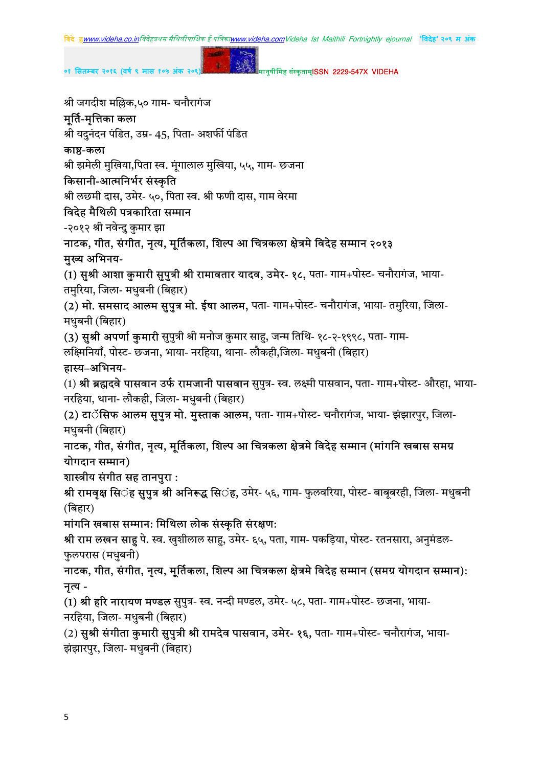

०१ सितम्बर २०१६ (वर्ष ९ मास १०५ )

मानुषीमिह संस्कृताम्**ISSN 2229-547X VIDEHA** 

श्री जगदीश मल्लिक,५० गाम- चनौरागंज

#### मूर्ति-मृत्तिका कला

श्री यदुनंदन पंडित, उम्र- 45, पिता- अशर्फी पंडित

#### काष्ठ-कला

श्री झमेली मुखिया,पिता स्व. मंगालाल मुखिया, ५५, गाम- छजना

#### किसानी-आत्मनिर्भर संस्कृति

श्री लछमी दास, उमेर- ५०, पिता स्व. श्री फणी दास, गाम वेरमा

#### विदेह मैथिली पत्रकारिता सम्मान

-२०१२ श्री नवेन्दु कुमार झा

नाटक, गीत, संगीत, नृत्य, मूर्तिकला, शिल्प आ चित्रकला क्षेत्रमे विदेह सम्मान २०१३ मुख्य अभिनय-

(1) सुश्री आशा कुमारी सुपुत्री श्री रामावतार यादव, उमेर- १८, पता- गाम+पोस्ट- चनौरागंज, भाया-तमुरिया, जिला- मधुबनी (बिहार)

(2) मो. समसाद आलम सुपुत्र मो. ईषा आलम, पता- गाम+पोस्ट- चनौरागंज, भाया- तमुरिया, जिला-मधुबनी (बिहार)

(3) सुश्री अपर्णा कुमारी सुपुत्री श्री मनोज कुमार साहु, जन्म तिथि- १८-२-१९९८, पता- गाम-लक्ष्मिनियाँ, पोस्ट- छजना, भाया- नरहिया, थाना- लौकही,जिला- मधुबनी (बिहार)

#### हास्य-अभिनय-

(1) श्री ब्रह्मद्**वे पासवान उर्फ रामजानी पासवान** सुपुत्र- स्व. लक्ष्मी पासवान, पता- गाम+पोस्ट- औरहा, भाया-नरहिया, थाना- लौकही, जिला- मधुबनी (बिहार)

(2) **टाॅसिफ आलम सुपुत्र मो. मुस्ताक आलम,** पता- गाम+पोस्ट- चनौरागंज, भाया- झंझारपुर, जिला-मधुबनी (बिहार)

नाटक, गीत, संगीत, नृत्य, मूर्तिकला, शिल्प आ चित्रकला क्षेत्रमे विदेह सम्मान (मांगनि खबास समग्र योगदान सम्मान)

शास्त्रीय संगीत सह तानपुरा:

श्री रामवृक्ष सि**ंह सुपुत्र श्री अनिरूद्ध सि**ंह, उमेर- ५६, गाम- फुलवरिया, पोस्ट- बाबुबरही, जिला- मधुबनी (बिहार)

मांगनि खबास सम्मान: मिथिला लोक संस्कृति संरक्षण:

**श्री राम लखन साहु** पे. स्व. खुशीलाल साहु, उमेर- ६५, पता, गाम- पकड़िया, पोस्ट- रतनसारा, अनुमंडल-फुलपरास (मधुबनी)

नाटक, गीत, संगीत, नृत्य, मूर्तिकला, शिल्प आ चित्रकला क्षेत्रमे विदेह सम्मान (समग्र योगदान सम्मान): नत्य -

(1) श्री हरि नारायण मण्डल सुपुत्र- स्व. नन्दी मण्डल, उमेर- ५८, पता- गाम+पोस्ट- छजना, भाया-नरहिया, जिला- मधुबनी (बिहार)

(2) सुश्री संगीता कुमारी सुपुत्री श्री रामदेव पासवान, उमेर- १६, पता- गाम+पोस्ट- चनौरागंज, भाया-झंझारपुर, जिला- मधुबनी (बिहार)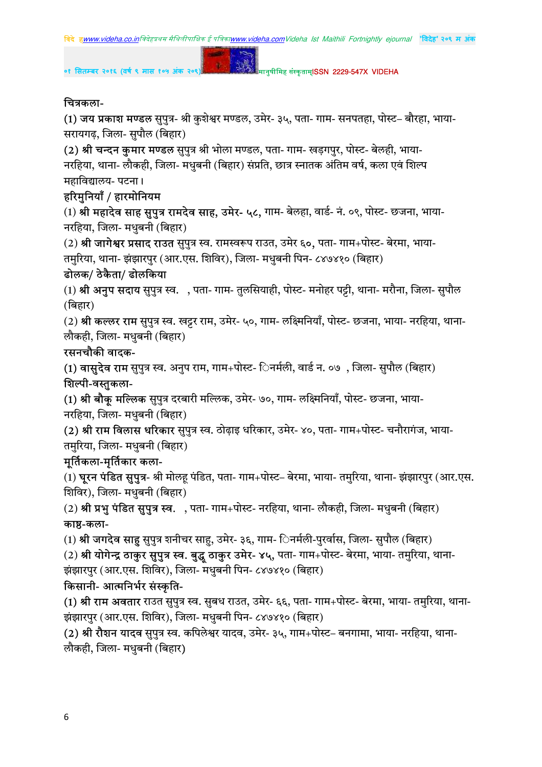

#### चित्रकला-

(1) **जय प्रकाश मण्डल** सुपुत्र- श्री कुशेश्वर मण्डल, उमेर- ३५, पता- गाम- सनपतहा, पोस्ट– बौरहा, भाया-सरायगढ़, जिला- सुपौल (बिहार)

(2) श्री चन्दन कुमार मण्डल सुपुत्र श्री भोला मण्डल, पता- गाम- खड़गपुर, पोस्ट- बेलही, भाया-नरहिया, थाना- लौकही, जिला- मधबनी (बिहार) संप्रति, छात्र स्नातक अंतिम वर्ष, कला एवं शिल्प महाविद्यालय- पटना।

# हरिमुनियाँ / हारमोनियम

(1) श्री महादेव साह सुपुत्र रामदेव साह, उमेर- ५८, गाम- बेलहा, वार्ड- नं. ०९, पोस्ट- छजना, भाया-नरहिया, जिला- मधुबनी (बिहार)

(2) श्री जागेश्वर प्रसाद राउत सुपुत्र स्व. रामस्वरूप राउत, उमेर ६०, पता- गाम+पोस्ट- बेरमा, भाया-तमुरिया, थाना- झंझारपुर (आर.एस. शिविर), जिला- मधुबनी पिन- ८४७४१० (बिहार)

## ढोलक/ ठेकैता/ ढोलकिया

(1) श्री अनुप सदाय सुपुत्र स्व. , पता- गाम- तुलसियाही, पोस्ट- मनोहर पट्टी, थाना- मरौना, जिला- सुपौल (बिहार)

(2) श्री कल्लर राम सुपुत्र स्व. खट्टर राम, उमेर- ५०, गाम- लक्ष्मिनियाँ, पोस्ट- छजना, भाया- नरहिया, थाना-लौकही, जिला- मधुबनी (बिहार)

## रसनचौकी वादक-

(1) वासुदेव राम सुपुत्र स्व. अनुप राम, गाम+पोस्ट- िनर्मली, वार्ड न. ०७), जिला- सुपौल (बिहार) शिल्पी-वस्तुकला-

(1) श्री बौकू मल्लिक सुपुत्र दरबारी मल्लिक, उमेर- ७०, गाम- लक्ष्मिनियाँ, पोस्ट- छजना, भाया-नरहिया, जिला- मधुबनी (बिहार)

(2) श्री राम विलास धरिकार सुपुत्र स्व. ठोढ़ाइ धरिकार, उमेर- ४०, पता- गाम+पोस्ट- चनौरागंज, भाया-तमुरिया, जिला- मधुबनी (बिहार)

# मूर्तिकला-मृर्तिकार कला-

(1) **घुरन पंडित सुपुत्र**- श्री मोलह पंडित, पता- गाम+पोस्ट– बेरमा, भाया- तमुरिया, थाना- झंझारपुर (आर.एस. शिविर), जिला- मधुबनी (बिहार)

(2) श्री प्रभु पंडित सुपुत्र स्व. , पता- गाम+पोस्ट- नरहिया, थाना- लौकही, जिला- मधुबनी (बिहार) काष्ठ-कला-

(1) **श्री जगदेव साहु** सुपुत्र शनीचर साहु, उमेर- ३६, गाम- िनर्मली-पुरर्वास, जिला- सुपौल (बिहार)

(2) श्री योगेन्द्र ठाकुर सुपुत्र स्व. बुद्धू ठाकुर उमेर- ४५, पता- गाम+पोस्ट- बेरमा, भाया- तमुरिया, थाना-झंझारपुर (आर.एस. शिविर), जिला- मधुबनी पिन- ८४७४१० (बिहार)

## किसानी- आत्मनिर्भर संस्कृति-

(1) श्री राम अवतार राउत सुपुत्र स्व. सुबध राउत, उमेर- ६६, पता- गाम+पोस्ट- बेरमा, भाया- तमुरिया, थाना-झंझारपुर (आर.एस. शिविर), जिला- मधुबनी पिन- ८४७४१० (बिहार)

(2) श्री रौशन यादव सुपुत्र स्व. कपिलेश्वर यादव, उमेर- ३५, गाम+पोस्ट– बनगामा, भाया- नरहिया, थाना- $\vec{v}$ लौकही, जिला- मधुबनी (बिहार)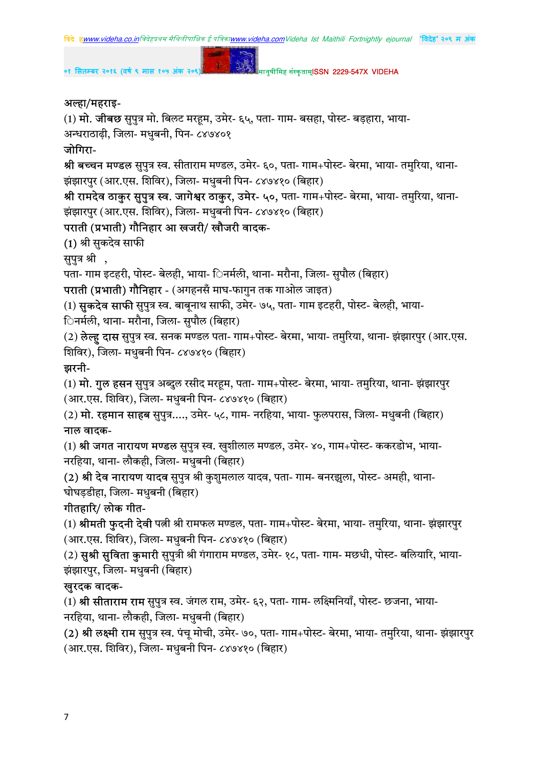#### अल्हा/महराइ-

(1)  $\overline{H}$ . जीबछ सुपुत्र मो. बिलट मरहूम, उमेर- ६५, पता- गाम- बसहा, पोस्ट- बड़हारा, भाया-

अन्धराठाढ़ी, जिला- मधुबनी, पिन- ८४७४०१

#### जोगिरा-

श्री बच्चन मण्डल सुपुत्र स्व. सीताराम मण्डल, उमेर- ६०, पता- गाम+पोस्ट- बेरमा, भाया- तमुरिया, थाना-झंझारपुर (आर.एस. शिविर), जिला- मधुबनी पिन- ८४७४१० (बिहार)

श्री रामदेव ठाकुर सुपुत्र स्व. जागेश्वर ठाकुर, उमेर- ५०, पता- गाम+पोस्ट- बेरमा, भाया- तमुरिया, थाना-झंझारपुर (आर.एस. शिविर), जिला- मधुबनी पिन- ८४७४१० (बिहार)

#### पराती (प्रभाती) गौनिहार आ खजरी/ खौजरी वादक-

(1) श्री सुकदेव साफी

सुपुत्र श्री ,

पता- गाम इटहरी, पोस्ट- बेलही, भाया- िनर्मली, थाना- मरौना, जिला- सुपौल (बिहार)

**पराती (प्रभाती) गौनिहार -** (अगहनसँ माघ-फागुन तक गाओल जाइत)

(1) **सुकदेव साफी** सुपुत्र स्व. बाबूनाथ साफी, उमेर- ७५, पता- गाम इटहरी, पोस्ट- बेलही, भाया-

िनर्मली, थाना- मरौना, जिला- सुपौल (बिहार)

(2) **लेल्ह दास** सुपुत्र स्व. सनक मण्डल पता- गाम+पोस्ट- बेरमा, भाया- तमुरिया, थाना- झंझारपुर (आर.एस. शिविर), जिला- मधुबनी पिन- ८४७४१० (बिहार)

#### झरनी-

(1) **मो. गुल हसन** सुपुत्र अब्दुल रसीद मरहूम, पता- गाम+पोस्ट- बेरमा, भाया- तमुरिया, थाना- झंझारपुर (आर.एस. शिविर), जिला- मधुबनी पिन- ८४७४१० (बिहार)

(2)  $\,$ मो. रहमान साहब सुपुत्र...., उमेर- ५८, गाम- नरहिया, भाया- फुलपरास, जिला- मधुबनी (बिहार) नाल वादक-

(1) श्री जगत नारायण मण्डल सुपुत्र स्व. खुशीलाल मण्डल, उमेर- ४०, गाम+पोस्ट- ककरडोभ, भाया-नरहिया, थाना- लौकही, जिला- मधुबनी (बिहार)

(2) श्री देव नारायण यादव सुपुत्र श्री कुशुमलाल यादव, पता- गाम- बनरझुला, पोस्ट- अमही, थाना-घोघड़डीहा, जिला- मधुबनी (बिहार)

#### गीतहारि/ लोक गीत-

(1) श्रीमती फुदनी देवी पत्नी श्री रामफल मण्डल, पता- गाम+पोस्ट- बेरमा, भाया- तमुरिया, थाना- झंझारपुर (आर.एस. शिविर), जिला- मधुबनी पिन- ८४७४१० (बिहार)

(2) स़श्री सुविता कुमारी सुपुत्री श्री गंगाराम मण्डल, उमेर- १८, पता- गाम- मछधी, पोस्ट- बलियारि, भाया-झंझारपुर, जिला- मधुबनी (बिहार)

#### खुरदक वादक-

(1) **श्री सीताराम राम** सुपुत्र स्व. जंगल राम, उमेर- ६२, पता- गाम- लक्ष्मिनियाँ, पोस्ट- छजना, भाया-नरहिया, थाना- लौकही, जिला- मधुबनी (बिहार)

(2) श्री लक्ष्मी राम सुपुत्र स्व. पंचु मोची, उमेर- ७०, पता- गाम+पोस्ट- बेरमा, भाया- तमुरिया, थाना- झंझारपुर (आर.एस. शिविर), जिला- मधुबनी पिन- ८४७४१० (बिहार)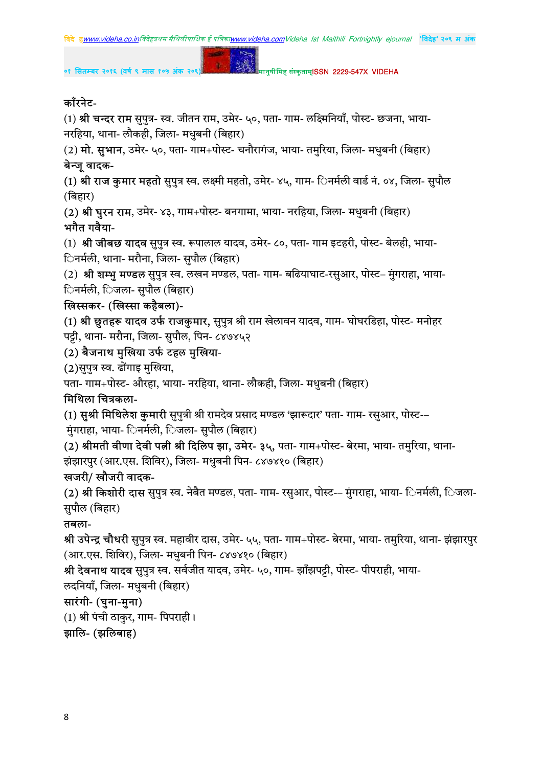

०१ सितम्बर २०१६ (वर्ष ९ मास १०५ अंक २०९

मानुषीमिह संस्कृताम्**ISSN 2229-547X VIDEHA** 

# काँरनेट-

(1) श्री चन्दर राम सुपुत्र- स्व. जीतन राम, उमेर- ५०, पता- गाम- लक्ष्मिनियाँ, पोस्ट- छजना, भाया-नरहिया, थाना- लौकही, जिला- मधुबनी (बिहार)

 $1 - 122$ 

(2) **मो. सुभान**, उमेर- ५०, पता- गाम+पोस्ट- चनौरागंज, भाया- तमुरिया, जिला- मधुबनी (बिहार) बेन्जु वादक-

(1) श्री राज कुमार महतो सुपुत्र स्व. लक्ष्मी महतो, उमेर- ४५, गाम- िनर्मली वार्ड नं. ०४, जिला- सपौल (बिहार)

(2) श्री घुरन राम, उमेर- ४३, गाम+पोस्ट- बनगामा, भाया- नरहिया, जिला- मधुबनी (बिहार) भगैत गवैया-

(1) श्री जीबछ यादव सुपुत्र स्व. रूपालाल यादव, उमेर- ८०, पता- गाम इटहरी, पोस्ट- बेलही, भाया-िनर्मली, थाना- मरौना, जिला- सुपौल (बिहार)

(2) श्री शम्भु मण्डल सुपुत्र स्व. लखन मण्डल, पता- गाम- बढियाघाट-रसुआर, पोस्ट– मुंगराहा, भाया-िनर्मली, िजला- सुपौल (बिहार)

## खिस्सकर- (खिस्सा कहैबला)-

(1) श्री छूतहरू यादव उर्फ राजकुमार, सुपुत्र श्री राम खेलावन यादव, गाम- घोघरडिहा, पोस्ट- मनोहर पट्टी, थाना- मरौना, जिला- सुपौल, पिन- ८४७४५२

#### (2) बैजनाथ मुखिया उर्फ टहल मुखिया-

(2)सुपुत्र स्व. ढोंगाइ मुखिया,

पता- गाम+पोस्ट- औरहा, भाया- नरहिया, थाना- लौकही, जिला- मधुबनी (बिहार)

#### मिथिला चित्रकला-

(1) सुश्री मिथिलेश कुमारी सुपुत्री श्री रामदेव प्रसाद मण्डल 'झारूदार' पता- गाम- रसुआर, पोस्ट--

मुंगराहा, भाया- िनर्मली, िजला- सुपौल (बिहार)

(2) श्रीमती वीणा देवी पत्नी श्री दिलिप झा, उमेर- ३५, पता- गाम+पोस्ट- बेरमा, भाया- तमुरिया, थाना-झंझारपुर (आर.एस. शिविर), जिला- मधुबनी पिन- ८४७४१० (बिहार)

## खजरी/ खौजरी वादक-

(2) **श्री किशोरी दास** सुपुत्र स्व. नेबैत मण्डल, पता- गाम- रसुआर, पोस्ट-– मुंगराहा, भाया- िनर्मली, िजला-सुपौल (बिहार)

## तबला-

श्री उपेन्द्र चौधरी सुपुत्र स्व. महावीर दास, उमेर- ५५, पता- गाम+पोस्ट- बेरमा, भाया- तमुरिया, थाना- झंझारपुर (आर.एस. शिविर), जिला- मधुबनी पिन- ८४७४१० (बिहार)

श्री देवनाथ यादव सुपुत्र स्व. सर्वजीत यादव, उमेर- ५०, गाम- झाँझपट्टी, पोस्ट- पीपराही, भाया-

लदनियाँ, जिला- मधुबनी (बिहार)

## सारंगी- (घुना-मुना)

(1) श्री पंची ठाकुर, गाम- पिपराही।

#### झालि- (झलिबाह)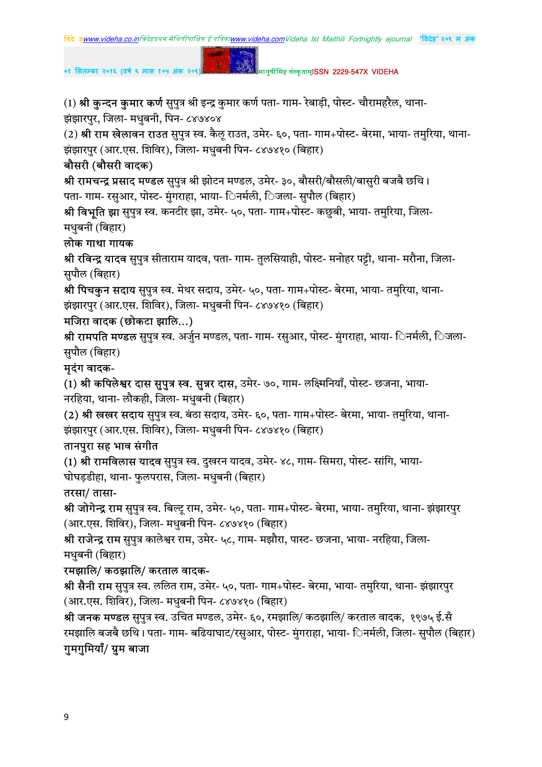(1) श्री कुन्दन कुमार कर्ण सुपुत्र श्री इन्द्र कुमार कर्ण पता- गाम- रेबाड़ी, पोस्ट- चौरामहरैल, थाना-झंझारपुर, जिला- मधुबनी, पिन- ८४७४०४

(2) **श्री राम खेलावन राउत** सुपुत्र स्व. कैलू राउत, उमेर- ६०, पता- गाम+पोस्ट- बेरमा, भाया- तमुरिया, थाना-झंझारपुर (आर.एस. शिविर), जिला- मधुबनी पिन- ८४७४१० (बिहार)

#### बौसरी (बौसरी वादक)

श्री रामचन्द्र प्रसाद मण्डल सुपुत्र श्री झोटन मण्डल, उमेर- ३०, बौसरी/बौसली/बासुरी बजबै छथि। पता- गाम- रसुआर, पोस्ट- मुंगराहा, भाया- िनर्मली, िजला- सुपौल (बिहार)

श्री विभूति झा सुपुत्र स्व. कनटीर झा, उमेर- ५०, पता- गाम+पोस्ट- कछुबी, भाया- तमुरिया, जिला-मधुबनी (बिहार)

#### लोक गाथा गायक

श्री रविन्द्र यादव सुपुत्र सीताराम यादव, पता- गाम- तुलसियाही, पोस्ट- मनोहर पट्टी, थाना- मरौना, जिला-सुपौल (बिहार)

श्री पिचकुन सदाय सुपुत्र स्व. मेथर सदाय, उमेर- ५०, पता- गाम+पोस्ट- बेरमा, भाया- तमुरिया, थाना-झंझारपुर (आर.एस. शिविर), जिला- मधुबनी पिन- ८४७४१० (बिहार)

#### मजिरा वादक (छोकटा झालि...)

श्री **रामपति मण्डल** सुपुत्र स्व. अर्जुन मण्डल, पता- गाम- रसुआर, पोस्ट- मुंगराहा, भाया- िनर्मली, िजला-सुपौल (बिहार)

#### मुदंग वादक-

(1) **श्री कपिलेश्वर दास सुपुत्र स्व. सुन्नर दास,** उमेर- ७०, गाम- लक्ष्मिनियाँ, पोस्ट- छजना, भाया-नरहिया, थाना- लौकही, जिला- मधुबनी (बिहार)

(2) श्री खखर सदाय सुपुत्र स्व. बंठा सदाय, उमेर- ६०, पता- गाम+पोस्ट- बेरमा, भाया- तमुरिया, थाना-झंझारपुर (आर.एस. शिविर), जिला- मधुबनी पिन- ८४७४१० (बिहार)

#### तानपुरा सह भाव संगीत

(1) श्री रामविलास यादव सुपुत्र स्व. दुखरन यादव, उमेर- ४८, गाम- सिमरा, पोस्ट- सांगि, भाया-घोघड़डीहा, थाना- फुलपरास, जिला- मधुबनी (बिहार)

#### तरसा/ तासा-

श्री **जोगेन्द्र राम** सुपुत्र स्व. बिल्ट् राम, उमेर- ५०, पता- गाम+पोस्ट- बेरमा, भाया- तमुरिया, थाना- झंझारपुर (आर.एस. शिविर), जिला- मधुबनी पिन- ८४७४१० (बिहार)

<mark>श्री राजेन्द्र राम</mark> सुपुत्र कालेश्वर राम, उमेर- ५८, गाम- मझौरा, पास्ट- छजना, भाया- नरहिया, जिला-मधुबनी (बिहार)

## रमझालि/ कठझालि/ करताल वादक-

श्री **सैनी राम** सुपुत्र स्व. ललित राम, उमेर- ५०, पता- गाम+पोस्ट- बेरमा, भाया- तमुरिया, थाना- झंझारपुर (आर.एस. शिविर), जिला- मधुबनी पिन- ८४७४१० (बिहार)

श्री **जनक मण्डल** सुपुत्र स्व. उचित मण्डल, उमेर- ६०, रमझालि/ कठझालि/ करताल वादक, १९७५ ई.सँ रमझालि बजबै छथि। पता- गाम- बढियाघाट/रसआर, पोस्ट- मंगराहा, भाया- िनर्मली, जिला- सपौल (बिहार)

## गुमगुमियाँ/ ग्रुम बाजा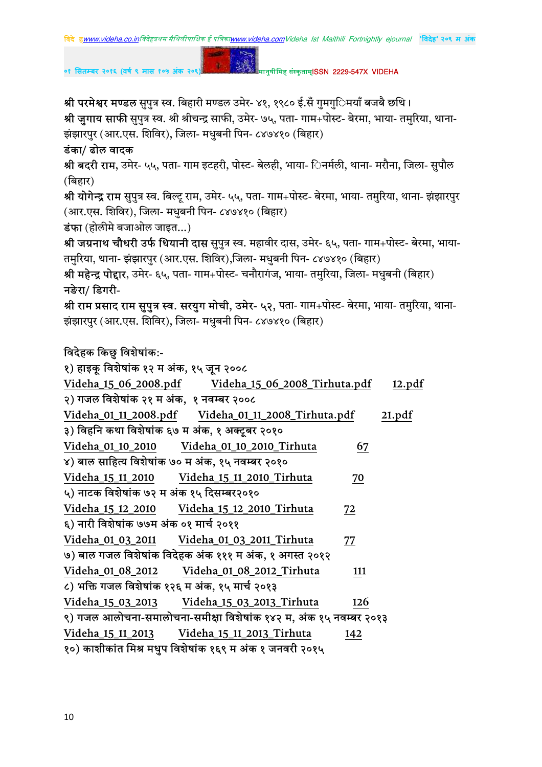०१ सितम्बर २०१६ (वर्ष ९ मास १०५ अंक २०

```
मानुषीमिह संस्कृताम्ISSN 2229-547X VIDEHA
```
श्री परमेश्वर मण्डल सुपुत्र स्व. बिहारी मण्डल उमेर- ४१, १९८० ई.सँ गुमगु**िमयाँ बजबै छथि।** श्री जुगाय साफी सुपुत्र स्व. श्री श्रीचन्द्र साफी, उमेर- ७५, पता- गाम+पोस्ट- बेरमा, भाया- तमुरिया, थाना-झंझारपुर (आर.एस. शिविर), जिला- मधुबनी पिन- ८४७४१० (बिहार)

 $\mathbf{g}$  .

#### डंका/ ढोल वादक

श्री बदरी राम, उमेर- ५५, पता- गाम इटहरी, पोस्ट- बेलही, भाया- िनर्मली, थाना- मरौना, जिला- सुपौल (बिहार)

श्री योगेन्द्र राम सुपुत्र स्व. बिल्टू राम, उमेर- ५५, पता- गाम+पोस्ट- बेरमा, भाया- तमुरिया, थाना- झंझारपुर (आर.एस. शिविर), जिला- मधुबनी पिन- ८४७४१० (बिहार)

डंफा (होलीमे बजाओल जाइत...)

श्री जग्रनाथ चौधरी उर्फ धियानी दास सुपुत्र स्व. महावीर दास, उमेर- ६५, पता- गाम+पोस्ट- बेरमा, भाया-तमुरिया, थाना- झंझारपुर (आर.एस. शिविर),जिला- मधुबनी पिन- ८४७४१० (बिहार)

श्री महेन्द्र पोद्दार, उमेर- ६५, पता- गाम+पोस्ट- चनौरागंज, भाया- तमुरिया, जिला- मधुबनी (बिहार) नङेरा/ डिगरी-

श्री राम प्रसाद राम सुपुत्र स्व. सरयुग मोची, उमेर- ५२, पता- गाम+पोस्ट- बेरमा, भाया- तमुरिया, थाना-झंझारपुर (आर.एस. शिविर), जिला- मधुबनी पिन- ८४७४१० (बिहार)

# विदेहक किछु विशेषांक:-

| १) हाइकू विशेषांक १२ म अंक, १५ जून २००८                           |                                                     |     |        |
|-------------------------------------------------------------------|-----------------------------------------------------|-----|--------|
|                                                                   | Videha_15_06_2008.pdf Videha_15_06_2008_Tirhuta.pdf |     | 12.pdf |
| २) गजल विशेषांक २१ म अंक, १ नवम्बर २००८                           |                                                     |     |        |
|                                                                   | Videha_01_11_2008.pdf Videha_01_11_2008_Tirhuta.pdf |     | 21.pdf |
| ३) विहनि कथा विशेषांक ६७ म अंक, १ अक्टूबर २०१०                    |                                                     |     |        |
|                                                                   |                                                     | 67  |        |
| ४) बाल साहित्य विशेषांक ७० म अंक, १५ नवम्बर २०१०                  |                                                     |     |        |
| Videha_15_11_2010    Videha_15_11_2010_Tirhuta                    |                                                     | 70  |        |
| ५) नाटक विशेषांक ७२ म अंक १५ दिसम्बर२०१०                          |                                                     |     |        |
| Videha_15_12_2010 Videha_15_12_2010_Tirhuta                       |                                                     | 72  |        |
| ६) नारी विशेषांक ७७म अंक ०१ मार्च २०११                            |                                                     |     |        |
|                                                                   |                                                     | 77  |        |
| ७) बाल गजल विशेषांक विदेहक अंक १११ म अंक, १ अगस्त २०१२            |                                                     |     |        |
| Videha_01_08_2012                                                 | Videha_01_08_2012_Tirhuta                           | 111 |        |
| ८) भक्ति गजल विशेषांक १२६ म अंक, १५ मार्च २०१३                    |                                                     |     |        |
| Videha_15_03_2013                                                 | Videha_15_03_2013_Tirhuta                           | 126 |        |
| ९) गजल आलोचना-समालोचना-समीक्षा विशेषांक १४२ म, अंक १५ नवम्बर २०१३ |                                                     |     |        |
| Videha_15_11_2013                                                 | Videha_15_11_2013_Tirhuta                           | 142 |        |
| १०) काशीकांत मिश्र मधुप विशेषांक १६९ म अंक १ जनवरी २०१५           |                                                     |     |        |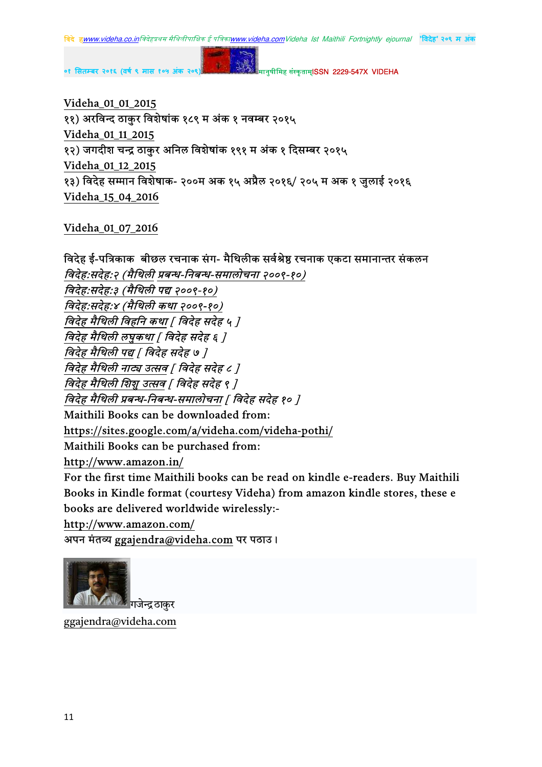Videha\_01\_01\_2015 ११) अरविन्द ठाकुर विशेषांक १८९ म अंक १ नवम्बर २०१५ Videha\_01\_11\_2015 १२) जगदीश चन्द्र ठाकुर अनिल विशेषांक १९१ म अंक १ दिसम्बर २०१५ Videha\_01\_12\_2015 १३) विदेह सम्मान विशेषाक- २००म अक १५ अप्रैल २०१६/ २०५ म अक १ जुलाई २०१६ Videha\_15\_04\_2016

Videha\_01\_07\_2016

विदेह ई-पत्रिकाक बीछल रचनाक संग- मैथिलीक सर्वश्रेष्ठ रचनाक एकटा समानान्तर संकलन विदेह:सदेह:२ (मैथिली प्रबन्ध-निबन्ध-समालोचना २००९-१०) विदेह:सदेह:३ (मैथिली पद्य २००९-१०) विदेह:सदेह:४ (मैथिली कथा २००९-१०) विदेह मैथिली विहनि कथा | विदेह सदेह ५ ] विदेह मैथिली लघुकथा [ विदेह सदेह ६ ] विदेह मैथिली पद्य [ विदेह सदेह ७ ] विदेह मैथिली नाट्य उत्सव | विदेह सदेह ८ ] विदेह मैथिली शिशु उत्सव | विदेह सदेह ९ ] विदेह मैथिली प्रबन्ध-निबन्ध-समालोचना [ विदेह सदेह १० ] Maithili Books can be downloaded from: https://sites.google.com/a/videha.com/videha-pothi/ Maithili Books can be purchased from: http://www.amazon.in/ For the first time Maithili books can be read on kindle e-readers. Buy Maithili Books in Kindle format (courtesy Videha) from amazon kindle stores, these e books are delivered worldwide wirelessly: http://www.amazon.com/

अपन मंतव्य ggajendra@videha.com पर पठाउ।



ggajendra@videha.com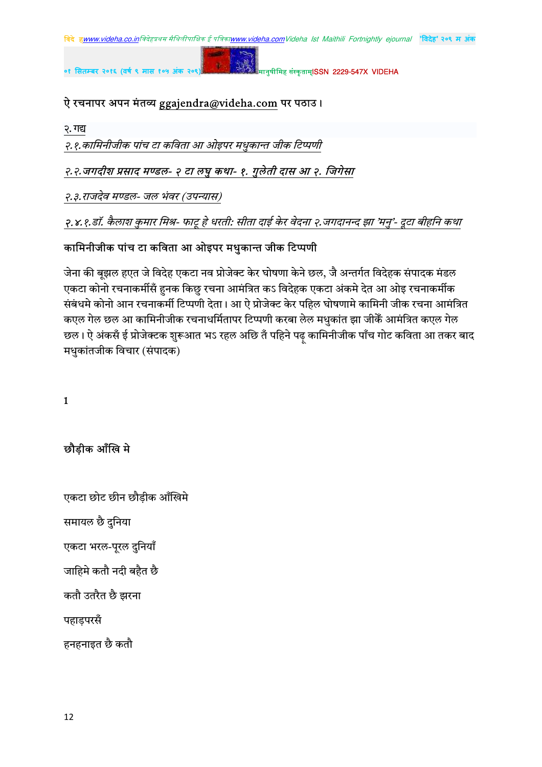#### ऐ रचनापर अपन मंतव्य ggajendra@videha.com पर पठाउ।

२. गद्य

२.१.कामिनीजीक पांच टा कविता आ ओइपर मधुकान्त जीक टिप्पणी

#### २.२.जगदीश प्रसाद मण्डल- २ टा लघु कथा- १. गुलेती दास आ २. जिगेसा

२.३.राजदेव मण्डल- जल भंवर (उपन्यास)

२.४.१.डॉ. कैलाश कुमार मिश्र- फाटू हे धरती: सीता दाई केर वेदना २.जगदानन्द झा 'मनु'- दूटा बीहनि कथा

#### कामिनीजीक पांच टा कविता आ ओइपर मधुकान्त जीक टिप्पणी

जेना की बूझल हएत जे विदेह एकटा नव प्रोजेक्ट केर घोषणा केने छल, जै अन्तर्गत विदेहक संपादक मंडल एकटा कोनो रचनाकर्मीसँ हनक किछु रचना आमंत्रित कऽ विदेहक एकटा अंकमे देत आ ओइ रचनाकर्मीक संबंधमे कोनो आन रचनाकर्मी टिप्पणी देता। आ ऐ प्रोजेक्ट केर पहिल घोषणामे कामिनी जीक रचना आमंत्रित कएल गेल छल आ कामिनीजीक रचनाधर्मितापर टिप्पणी करबा लेल मधुकांत झा जीकेँ आमंत्रित कएल गेल छल। ऐ अंकसँ ई प्रोजेक्टक शुरूआत भऽ रहल अछि तँ पहिने पढ़ कामिनीजीक पाँच गोट कविता आ तकर बाद मधुकांतजीक विचार (संपादक)

1

छौडीक आँखि मे

एकटा छोट छीन छौडीक आँखिमे समायल छै दुनिया एकटा भरल-पूरल दुनियाँ जाहिमे कतौ नदी बहैत छै

कतौ उतरैत छै झरना

पहाड़परसँ

हनहनाइत छै कतौ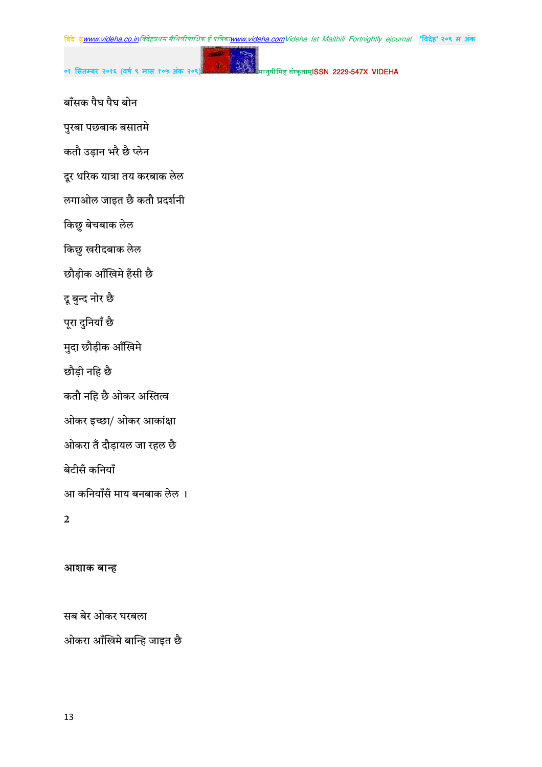०१ सितम्बर २०१६ (वर्ष ९ मास १

मानुषीमिह संस्कृताम्**ISSN 2229-547X VIDEHA** 

- बाँसक पैघ पैघ बोन
- पुरबा पछबाक बसातमे
- कतौ उड़ान भरै छै प्लेन
- दूर धरिक यात्रा तय करबाक लेल
- लगाओल जाइत छै कतौ प्रदर्शनी
- किछु बेचबाक लेल
- किछु खरीदबाक लेल
- छौड़ीक आँखिमे हँसी छै
- दू बुन्द नोर छै
- पूरा दुनियाँ छै
- मुदा छौड़ीक आँखिमे
- छौड़ी नहि छै
- कतौ नहि छै ओकर अस्तित्व
- ओकर इच्छा/ ओकर आकांक्षा
- ओकरा तँ दौड़ायल जा रहल छै
- बेटीसँ कनियाँ
- आ कनियाँसँ माय बनबाक लेल ।
- $\mathbf{2}$

#### आशाक बान्ह

सब बेर ओकर घरबला ओकरा आँखिमे बान्हि जाइत छै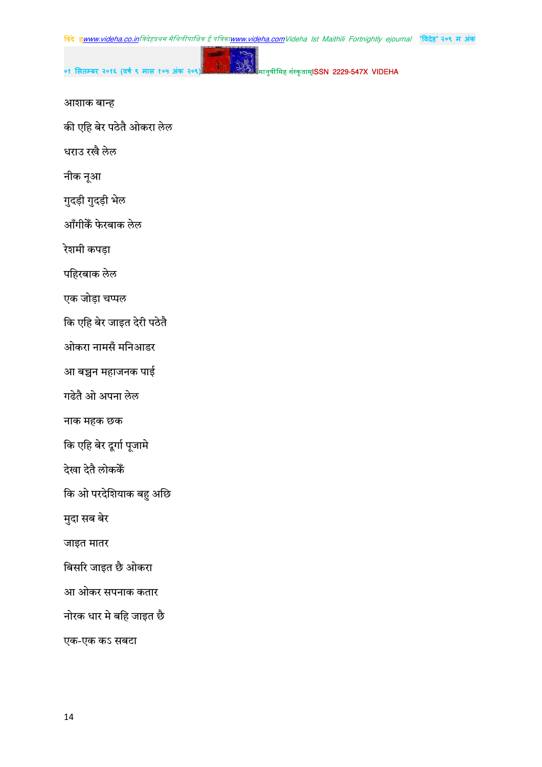विदे हwww.videha.co.inविदेहप्रथम मैथिलीपाक्षिक ई पत्रिका<u>www.videha.com</u>Videha Ist Maithili Fortnightly ejournal <mark>'विदेह' २०९ म अंक</mark>

मानुषीमिह संस्कृताम्**ISSN 2229-547X VIDEHA** 

आशाक बान्ह

की एहि बेर पठेतै ओकरा लेल

०१ सितम्बर २०१६ (वर्ष ९ मास १

धराउ रखै लेल

नीक नूआ

गुदड़ी गुदड़ी भेल

आँगीकैं फेरबाक लेल

रेशमी कपड़ा

पहिरबाक लेल

एक जोड़ा चप्पल

कि एहि बेर जाइत देरी पठेतै

ओकरा नामसँ मनिआडर

आ बच्चन महाजनक पाई

गढेतै ओ अपना लेल

नाक महक छक

कि एहि बेर दूर्गा पूजामे

देखा देतै लोककेँ

कि ओ परदेशियाक बहु अछि

मुदा सब बेर

जाइत मातर

बिसरि जाइत छै ओकरा

आ ओकर सपनाक कतार

नोरक धार मे बहि जाइत छै

एक-एक कऽ सबटा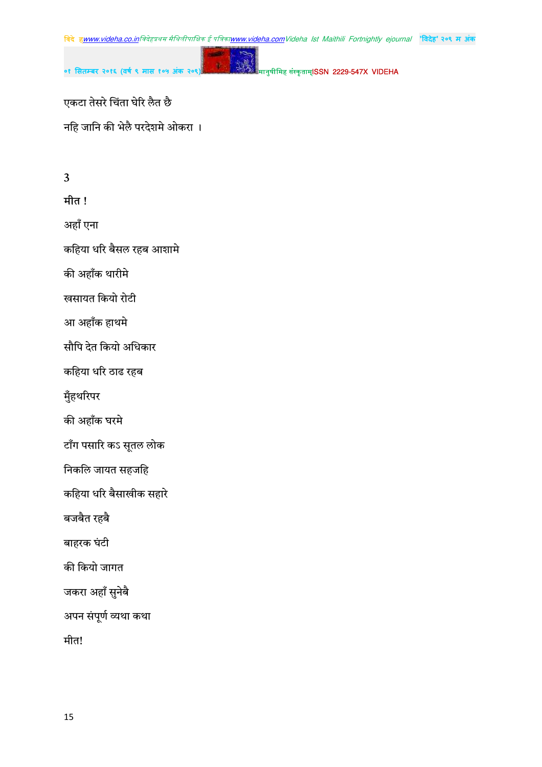

ú

मानुषीमिह संस्कृताम्**ISSN 2229-547X VIDEHA** 

एकटा तेसरे चिंता घेरि लैत छै नहि जानि की भेलै परदेशमे ओकरा ।

०१ सितम्बर २०१६ (वर्ष ९ मास १

# $\overline{\mathbf{3}}$

मीत !

अहाँ एना

कहिया धरि बैसल रहब आशामे

की अहाँक थारीमे

खसायत कियो रोटी

आ अहाँक हाथमे

सौपि देत कियो अधिकार

कहिया धरि ठाढ रहब

मुँहथरिपर

की अहाँक घरमे

टाँग पसारि कऽ सूतल लोक

निकलि जायत सहजहि

कहिया धरि बैसाखीक सहारे

बजबैत रहबै

बाहरक घंटी

की कियो जागत

जकरा अहाँ सुनेबै

अपन संपूर्ण व्यथा कथा

मीत!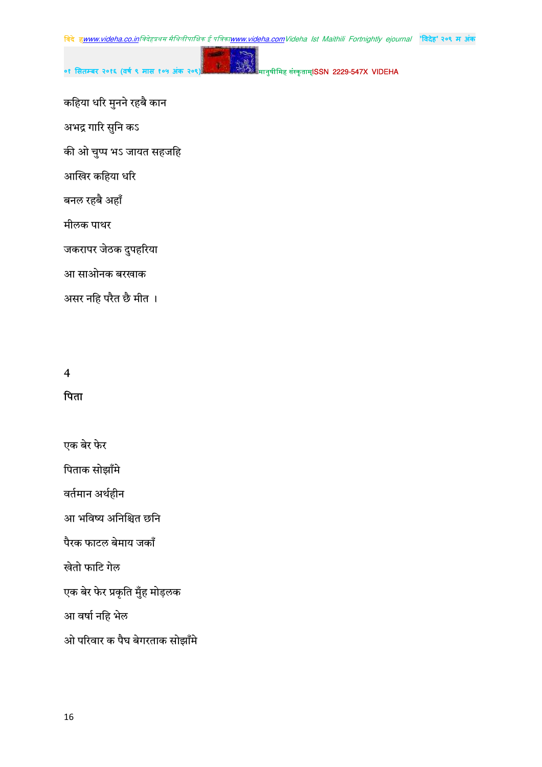०१ सितम्बर २०१६ (वर्ष ९ मास १

मानुषीमिह संस्कृताम्**ISSN 2229-547X VIDEHA** 

कहिया धरि मुनने रहबै कान

अभद्र गारि सुनि कऽ

की ओ चुप्प भऽ जायत सहजहि

आखिर कहिया धरि

बनल रहबै अहाँ

मीलक पाथर

जकरापर जेठक दुपहरिया

आ साओनक बरखाक

असर नहि परैत छै मीत ।

#### $\overline{\mathbf{4}}$

#### पिता

एक बेर फेर

पिताक सोझाँमे

वर्तमान अर्थहीन

आ भविष्य अनिश्चित छनि

पैरक फाटल बेमाय जकाँ

खेतो फाटि गेल

एक बेर फेर प्रकृति मुँह मोड़लक

आ वर्षा नहि भेल

ओ परिवार क पैघ बेगरताक सोझाँमे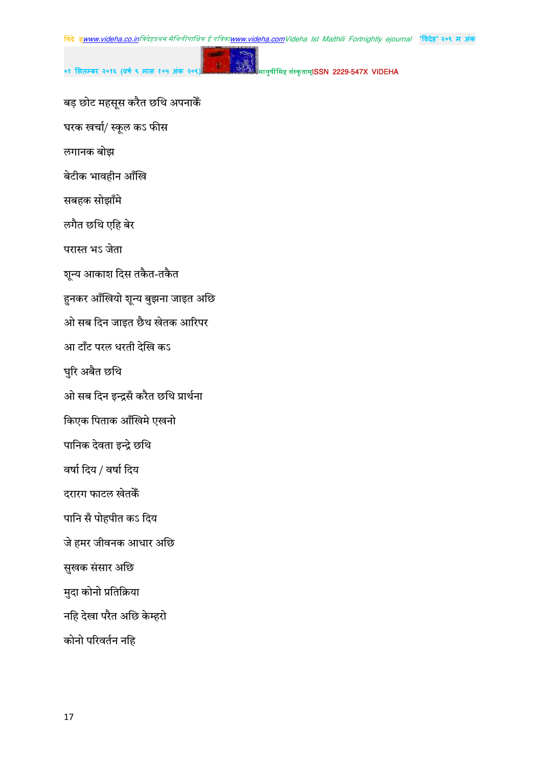०१ सितम्बर २०१६ (वर्ष ९ मास

मानुषीमिह संस्कृताम्**ISSN 2229-547X VIDEHA** 

बड़ छोट महसूस करैत छथि अपनाकेँ

घरक खर्चा/ स्कूल कऽ फीस

लगानक बोझ

बेटीक भावहीन आँखि

सबहक सोझाँमे

लगैत छथि एहि बेर

परास्त भऽ जेता

शून्य आकाश दिस तकैत-तकैत

हुनकर आँखियो शून्य बुझना जाइत अछि

ओ सब दिन जाइत छैथ खेतक आरिपर

आ टाँट परल धरती देखि कऽ

घुरि अबैत छथि

ओ सब दिन इन्द्रसँ करैत छथि प्रार्थना

किएक पिताक आँखिमे एखनो

पानिक देवता इन्द्रे छथि

वर्षा दिय / वर्षा दिय

दरारग फाटल खेतकें

पानि सँ पोहपीत कऽ दिय

जे हमर जीवनक आधार अछि

सुखक संसार अछि

मुदा कोनो प्रतिक्रिया

नहि देखा परैत अछि केम्हरो

कोनो परिवर्तन नहि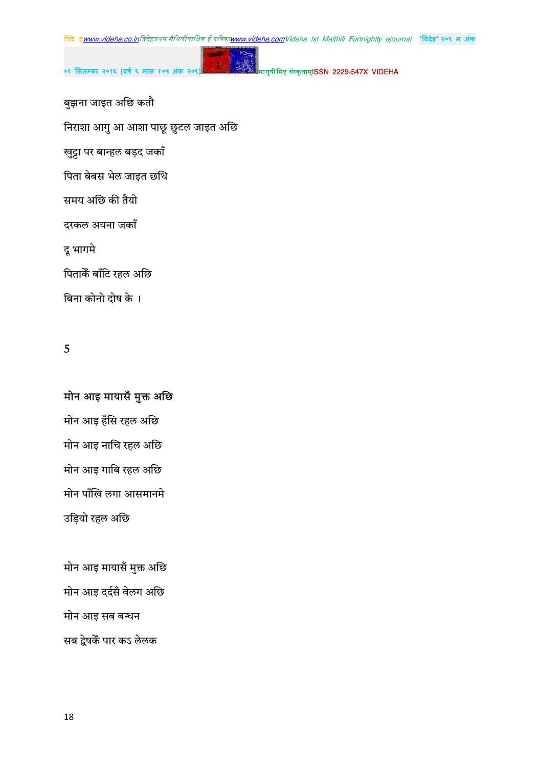



बुझना जाइत अछि कतौ

निराशा आगु आ आशा पाछू छुटल जाइत अछि

खुट्टा पर बान्हल बड़द जकाँ

पिता बेबस भेल जाइत छथि

समय अछि की तैयो

दरकल अयना जकाँ

दू भागमे

पिताकेँ बाँटि रहल अछि

बिना कोनो दोष के ।

5

## मोन आइ मायासँ मुक्त अछि

मोन आइ हँसि रहल अछि मोन आइ नाचि रहल अछि मोन आइ गाबि रहल अछि मोन पाँखि लगा आसमानमे उड़ियो रहल अछि

मोन आइ मायासँ मुक्त अछि मोन आइ दर्दसँ वेलग अछि मोन आइ सब बन्धन सब द्वेषकें पार कऽ लेलक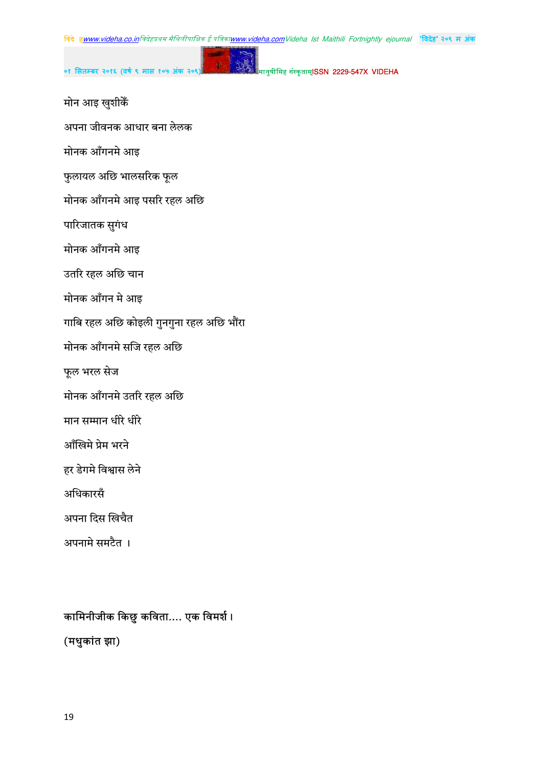- मोन आइ खुशीकें
- अपना जीवनक आधार बना लेलक
- मोनक आँगनमे आइ
- फुलायल अछि भालसरिक फूल
- मोनक आँगनमे आइ पसरि रहल अछि
- पारिजातक सुगंध
- मोनक आँगनमे आइ
- उतरि रहल अछि चान
- मोनक आँगन मे आइ
- गाबि रहल अछि कोइली गुनगुना रहल अछि भौंरा
- मोनक आँगनमे सजि रहल अछि
- फूल भरल सेज
- मोनक आँगनमे उतरि रहल अछि
- मान सम्मान धीरे धीरे
- आँखिमे प्रेम भरने
- हर डेगमे विश्वास लेने
- अधिकारसँ
- अपना दिस खिचैत
- अपनामे समटैत ।

# कामिनीजीक किछु कविता.... एक विमर्श।

(मधुकांत झा)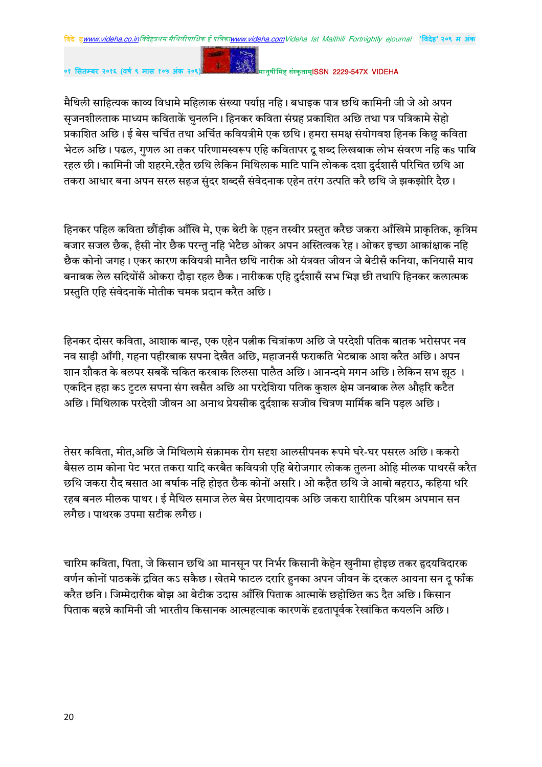०१ सितम्बर २०१६ (वर्ष ९ मास १०५ अंक २०९

#### मानुषीमिह संस्कृताम्**ISSN 2229-547X VIDEHA**

मैथिली साहित्यक काव्य विधामे महिलाक संख्या पर्याप्त नहि। बधाइक पात्र छथि कामिनी जी जे ओ अपन सजनशीलताक माध्यम कविताकें चनलनि । हिनकर कविता संग्रह प्रकाशित अछि तथा पत्र पत्रिकामे सेहो प्रकाशित अछि। ई बेस चर्चित तथा अर्चित कवियत्रीमे एक छथि। हमरा समक्ष संयोगवश हिनक किछु कविता भेटल अछि। पढल, गुणल आ तकर परिणामस्वरूप एहि कवितापर दु शब्द लिखबाक लोभ संवरण नहि कs पाबि रहल छी। कामिनी जी शहरमे.रहैत छथि लेकिन मिथिलाक माटि पानि लोकक दशा दर्दशासँ परिचित छथि आ तकरा आधार बना अपन सरल सहज संदर शब्दसँ संवेदनाक एहेन तरंग उत्पति करै छथि जे झकझोरि दैछ।

हिनकर पहिल कविता छौंड़ीक आँखि मे, एक बेटी के एहन तस्वीर प्रस्तुत करैछ जकरा आँखिमे प्राकृतिक, कृत्रिम बजार सजल छैक, हँसी नोर छैक परन्तु नहि भेटैछ ओकर अपन अस्तित्वक रेह। ओकर इच्छा आकांक्षाक नहि छैक कोनो जगह। एकर कारण कवियत्री मानैत छथि नारीक ओ यंत्रवत जीवन जे बेटीसँ कनिया, कनियासँ माय बनाबक लेल सदियोंसँ ओकरा दौडा रहल छैक। नारीकक एहि दुर्दशासँ सभ भिज्ञ छी तथापि हिनकर कलात्मक प्रस्तति एहि संवेदनाकें मोतीक चमक प्रदान करैत अछि।

हिनकर दोसर कविता, आशाक बान्ह, एक एहेन पत्नीक चित्रांकण अछि जे परदेशी पतिक बातक भरोसपर नव नव साड़ी आँगी, गहना पहीरबाक सपना देखैत अछि, महाजनसँ फराकति भेटबाक आश करैत अछि। अपन शान शौकत के बलपर सबकें चकित करबाक लिलसा पालैत अछि। आनन्दमे मगन अछि। लेकिन सभ झठ । एकदिन हहा कऽ टुटल सपना संग खसैत अछि आ परदेशिया पतिक कुशल क्षेम जनबाक लेल औहरि कटैत अछि। मिथिलाक परदेशी जीवन आ अनाथ प्रेयसीक दुर्दशाक सजीव चित्रण मार्मिक बनि पडल अछि।

तेसर कविता, मीत,अछि जे मिथिलामे संक्रामक रोग सदृश आलसीपनक रूपमे घरे-घर पसरल अछि। ककरो बैसल ठाम कोना पेट भरत तकरा यादि करबैत कवियत्री एहि बेरोजगार लोकक तुलना ओहि मीलक पाथरसँ करैत छथि जकरा रौद बसात आ बर्षाक नहि होइत छैक कोनों असरि। ओ कहैत छथि जे आबो बहराउ. कहिया धरि रहब बनल मीलक पाथर। ई मैथिल समाज लेल बेस प्रेरणादायक अछि जकरा शारीरिक परिश्रम अपमान सन लगैछ। पाथरक उपमा सटीक लगैछ।

चारिम कविता, पिता, जे किसान छथि आ मानसन पर निर्भर किसानी केहेन खुनीमा होइछ तकर हृदयविदारक वर्णन कोनों पाठककें द्रवित कऽ सकैछ। खेतमे फाटल दरारि हनका अपन जीवन कें दरकल आयना सन दू फाँक करैत छनि। जिम्मेदारीक बोझ आ बेटीक उदास आँखि पिताक आत्माकें छहोछित कऽ दैत अछि। किसान पिताक बहन्ने कामिनी जी भारतीय किसानक आत्महत्याक कारणकें दृढतापूर्वक रेखांकित कयलनि अछि।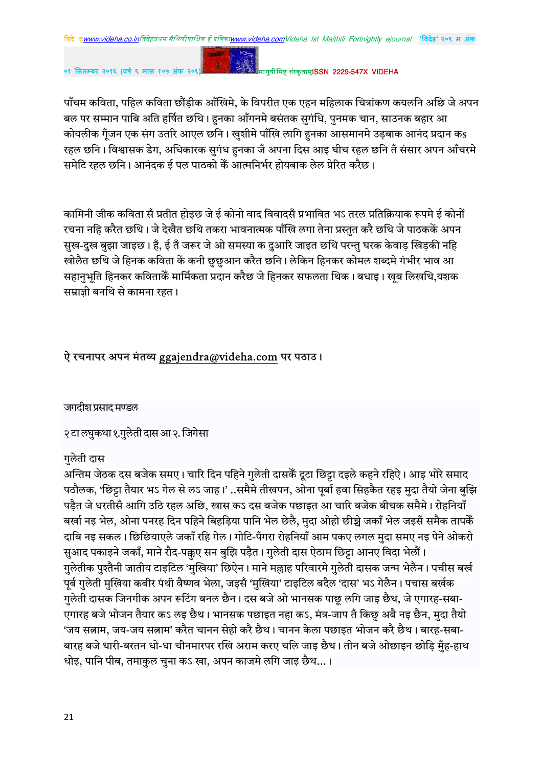०१ सितम्बर २०१६ (वर्ष ९ मास १०

#### मानुषीमिह संस्कृताम्**ISSN 2229-547X VIDEHA**

पाँचम कविता, पहिल कविता छौंड़ीक आँखिमे, के विपरीत एक एहन महिलाक चित्रांकण कयलनि अछि जे अपन बल पर सम्मान पाबि अति हर्षित छथि। हनका आँगनमे बसंतक सुगंधि, पुनमक चान, साउनक बहार आ कोयलीक गुँजन एक संग उतरि आएल छनि । खुशीमे पाँखि लागि हुनका आसमानमे उड़बाक आनंद प्रदान कs रहल छनि। विश्वासक डेग, अधिकारक सुगंध हुनका जँ अपना दिस आइ घीच रहल छनि तँ संसार अपन आँचरमे समेटि रहल छनि। आनंदक ई पल पाठको कैं आत्मनिर्भर होयबाक लेल प्रेरित करैछ।

कामिनी जीक कविता सँ प्रतीत होइछ जे ई कोनो वाद विवादसँ प्रभावित भऽ तरल प्रतिक्रियाक रूपमे ई कोनों रचना नहि करैत छथि। जे देखैत छथि तकरा भावनात्मक पाँखि लगा तेना प्रस्तुत करै छथि जे पाठककें अपन सुख-दुख बुझा जाइछ। हैं, ई तँ जरूर जे ओ समस्या क दुआरि जाइत छथि परन्तु घरक केवाड खिडकी नहि खोलैत छथि जे हिनक कविता कें कनी छुछुआन करैत छनि। लेकिन हिनकर कोमल शब्दमे गंभीर भाव आ सहानभति हिनकर कविताकेँ मार्मिकता प्रदान करैछ जे हिनकर सफलता थिक। बधाइ। खब लिखथि,यशक सम्राज्ञी बनथि से कामना रहत।

#### ऐ रचनापर अपन मंतव्य ggajendra@videha.com पर पठाउ।

जगदीश प्रसाद मण्डल

२ टा लघुकथा १.गुलेती दास आ २. जिगेसा

#### गुलेती दास

अन्तिम जेठक दस बजेक समए। चारि दिन पहिने गुलेती दासकें दूटा छिट्टा दइले कहने रहिऐ। आइ भोरे समाद पठौलक, 'छिट्टा तैयार भऽ गेल से लऽ जाह।' ..समैमे तीखपन, ओना पूर्बा हवा सिहकैत रहइ मुदा तैयो जेना बुझि पड़ैत जे धरतीसँ आगि उठि रहल अछि, खास कऽ दस बजेक पछाइत आ चारि बजेक बीचक समैमे। रोहनियाँ बर्खा नइ भेल, ओना पनरह दिन पहिने बिहड़िया पानि भेल छेलै, मुदा ओहो छीच्चे जकाँ भेल जइसँ समैक तापकेँ .<br>दाबि नइ सकल। छिछियाएले जकाँ रहि गेल। गोटि-पँगरा रोहनियाँ आम पकए लगल मुदा समए नइ पेने ओकरो सुआद पकाइने जकाँ, माने रौद-पक्कुए सन बुझि पड़ैत। गुलेती दास ऐठाम छिट्टा आनए विदा भेलौं। गुलेतीक पुश्तैनी जातीय टाइटिल 'मुखिया' छिऐन। माने मल्लाह परिवारमे गुलेती दासक जन्म भेलैन। पचीस बर्ख पूर्ब गुलेती मुखिया कबीर पंथी वैष्णव भेला, जइसँ 'मुखिया' टाइटिल बदैल 'दास' भऽ गेलैन। पचास बर्खक गुलेती दासक जिनगीक अपन रूटिंग बनल छैन। दस बजे ओ भानसक पाछू लगि जाइ छैथ, जे एगारह-सबा-एगारह बजे भोजन तैयार कऽ लइ छैथ। भानसक पछाइत नहा कऽ, मंत्र-जाप तँ किछु अबै नइ छैन, मुदा तैयो 'जय सत्नाम, जय-जय सत्नाम' करैत चानन सेहो करै छैथ। चानन केला पछाइत भोजन करै छैथ। बारह-सबा-बारह बजे थारी-बरतन धो-धा चीनमारपर रखि अराम करए चलि जाइ छैथ। तीन बजे ओछाइन छोडि मँह-हाथ धोइ, पानि पीब, तमाकुल चुना कऽ खा, अपन काजमे लगि जाइ छैथ... ।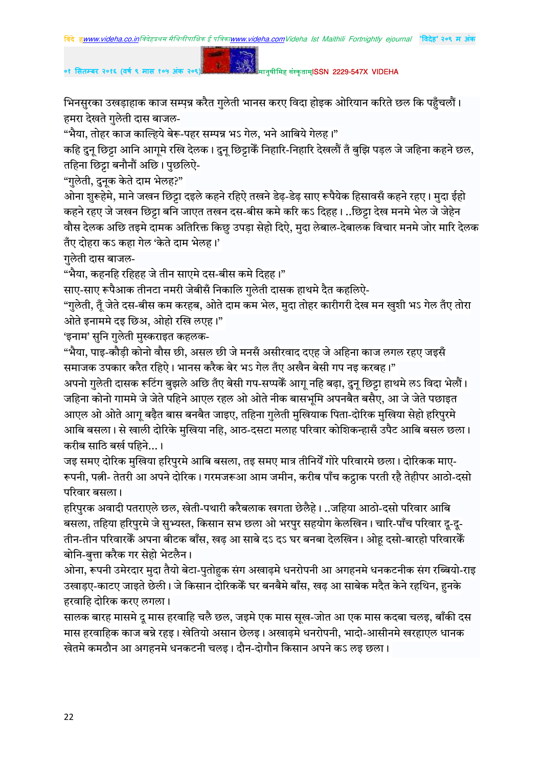०१ सितम्बर २०१६ (वर्ष ९ मास १०५ अंक २०९

#### मानुषीमिह संस्कृताम्**ISSN 2229-547X VIDEHA**

भिनसुरका उखड़ाहाक काज सम्पृन्न करैत गुलेती भानस करए विदा होइक ओरियान करिते छल कि पहुँचलौं। हमरा देखते गुलेती दास बाजल-

"भैया, तोहर काज काल्हिये बेरू-पहर सम्पन्न भऽ गेल, भने आबिये गेलह।"

कहि दुनू छिट्टा आनि आगूमे रखि देलक। दुनू छिट्टाकैं निहारि-निहारि देखलौं तँ बुझि पड़ल जे जहिना कहने छल, तहिना छिट्टा बनौनौं अछि। पुछलिऐ-

"गुलेती, दुनक केते दाम भेलह?"

ओना शुरूहेमे, माने जखन छिट्टा दइले कहने रहिऐ तखने डेढ़-डेढ़ साए रूपैयेक हिसावसँ कहने रहए। मुदा ईहो कहने रहए जे जखन छिट्टा बनि जाएत तखन दस-बीस कमे करि कऽ दिहह। ..छिट्टा देख मनमे भेल जे जेहेन वौस देलक अछि तइमे दामक अतिरिक्त किछु उपड़ा सेहो दिऐ, मुदा लेबाल-देबालक विचार मनमे जोर मारि देलक तँए दोहरा कऽ कहा गेल 'केते दाम भेलह।'

गुलेती दास बाजल-

"भैया, कहनहि रहिहह जे तीन साएमे दस-बीस कमे दिहह।"

साए-साए रूपैआक तीनटा नमरी जेबीसँ निकालि गुलेती दासक हाथमे दैत कहलिऐ-

"गुलेती, तूँ जेते दस-बीस कम करहब, ओते दाम कम भेल, मुदा तोहर कारीगरी देख मन खुशी भऽ गेल तँए तोरा ओते इनाममे दइ छिअ, ओहो रखि लएह।"

'इनाम' सुनि गुलेती मुस्कराइत कहलक-

"भैया, पाइ-कौड़ी कोनो वौस छी, असल छी जे मनसँ असीरवाद दएह जे अहिना काज लगल रहए जइसँ समाजक उपकार करैत रहिऐ। भानस करैक बेर भऽ गेल तँए अखैन बेसी गप नइ करबह।"

अपनो गुलेती दासक रूटिंग बुझले अछि तँए बेसी गप-सप्पकैं आगु नहि बढ़ा, दुन् छिट्टा हाथमे लऽ विदा भेलौं। जहिना कोनो गाममे जे जेते पहिने आएल रहल ओ ओते नीक बासभूमि अपनबैत बसैए, आ जे जेते पछाइत आएल ओ ओते आगू बढ़ैत बास बनबैत जाइए, तहिना गुलेती मुखियाक पिता-दोरिक मुखिया सेहो हरिपुरमे आबि बसला। से खाली दोरिके मुखिया नहि, आठ-दसटा मलाह परिवार कोशिकन्हासँ उपैट आबि बसल छला। करीब साठि बर्ख पहिने...।

जइ समए दोरिक मुखिया हरिपुरमे आबि बसला, तइ समए मात्र तीनियेँ गोरे परिवारमे छला। दोरिकक माए-रूपनी, पत्नी- तेतरी आ अपने दोरिक। गरमजरूआ आम जमीन, करीब पाँच कट्टाक परती रहै तेहीपर आठो-दसो परिवार बसला।

हरिपुरक अवादी पतराएले छल, खेती-पथारी करैबलाक खगता छेलैहे। ..जहिया आठो-दसो परिवार आबि बसला, तहिया हरिपुरमे जे सुभ्यस्त, किसान सभ छला ओ भरपुर सहयोग केलखिन। चारि-पाँच परिवार दु-दु-तीन-तीन परिवारकेँ अपना बीटक बाँस, खढ़ आ साबे दऽ दऽ घर बनबा देलखिन। ओहू दसो-बारहो परिवारकेँ बोनि-बुत्ता करैक गर सेहो भेटलैन।

ओना, रूपनी उमेरदार मुदा तैयो बेटा-पुतोहुक संग अखाढ़मे धनरोपनी आ अगहनमे धनकटनीक संग रब्बियो-राइ उखाड़ए-काटए जाइते छेली। जे किसान दोरिककें घर बनबैमे बाँस, खढ़ आ साबेक मदैत केने रहथिन, हुनके हरवाहि दोरिक करए लगला।

सालक बारह मासमे दु मास हरवाहि चलै छल, जइमे एक मास सुख-जोत आ एक मास कदबा चलइ, बाँकी दस मास हरवाहिक काज बन्ने रहइ। खेतियो असान छेलइ। अखाढमे धनरोपनी, भादो-आसीनमे खरहाएल धानक खेतमे कमठौन आ अगहनमे धनकटनी चलइ। दौन-दोगौन किसान अपने कऽ लइ छला।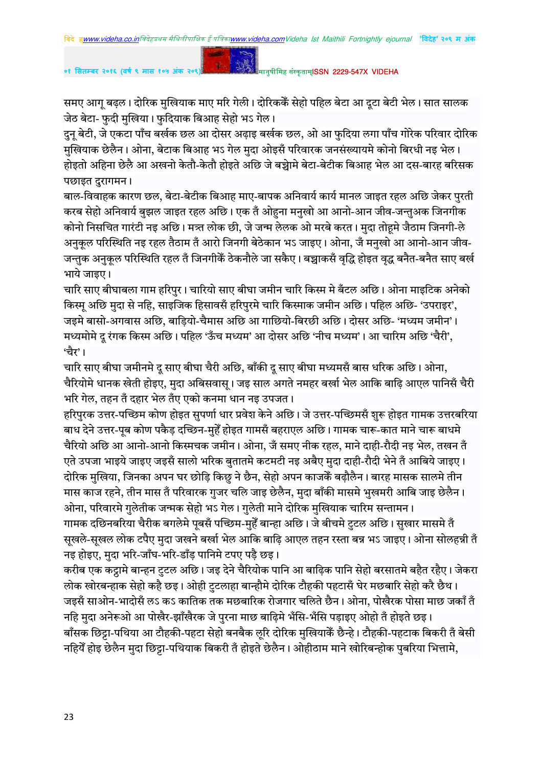समए आगू बढ़ल। दोरिक मुखियाक माए मरि गेली। दोरिककें सेहो पहिल बेटा आ दूटा बेटी भेल। सात सालक जेठ बेटा- फुदी मुखिया। फुदियाक बिआह सेहो भऽ गेल।

दुन् बेटी, जे एकटा पाँच बर्खक छल आ दोसर अढ़ाइ बर्खक छल, ओ आ फुदिया लगा पाँच गोरेक परिवार दोरिक मुखियाक छेलैन। ओना, बेटाक बिआह भऽ गेल मुदा ओइसँ परिवारक जनसंख्यायमे कोनो बिरधी नइ भेल। होइतो अहिना छेलै आ अखनो केतौ-केतौ होइते अछि जे बच्चेामे बेटा-बेटीक बिआह भेल आ दस-बारह बरिसक पछाइत दुरागमन।

बाल-विवाहक कारण छल, बेटा-बेटीक बिआह माए-बापक अनिवार्य कार्य मानल जाइत रहल अछि जेकर पुरती करब सेहो अनिवार्य बुझल जाइत रहल अछि। एक तँ ओहना मनुखो आ आनो-आन जीव-जन्तुअक जिनगीक कोनो निसचित गारंटी नइ अछि। मन्त्र लोक छी, जे जन्म लेलक ओ मरबे करत। मुदा तोहमे जैठाम जिनगी-ले अनुकूल परिस्थिति नइ रहल तैठाम तँ आरो जिनगी बेठेकान भऽ जाइए। ओना, जँ मनुखो आ आनो-आन जीव-.<br>जन्तुक अनुकूल परिस्थिति रहल तँ जिनगीकैं ठेकनौले जा सकैए। बच्चाकसँ वृद्धि होइत वृद्ध बनैत-बनैत साए बर्ख भाये जाइए।

चारि साए बीघाबला गाम हरिपुर। चारियो साए बीघा जमीन चारि किस्म मे बँटल अछि। ओना माइटिक अनेको किस्म अछि मुदा से नहि, साइजिक हिसावसँ हरिपुरमे चारि किस्माक जमीन अछि। पहिल अछि- 'उपराइर', जइमे बासो-अगवास अछि, बाडियो-चैमास अछि आ गाछियो-बिरछी अछि। दोसर अछि- 'मध्यम जमीन'। मध्यमोमे दु रंगक किस्म अछि। पहिल 'ऊँच मध्यम' आ दोसर अछि 'नीच मध्यम'। आ चारिम अछि 'चैरी', 'चैर'।

चारि साए बीघा जमीनमे दू साए बीघा चैरी अछि, बाँकी दू साए बीघा मध्यमसँ बास धरिक अछि। ओना, चैरियोमे धानक खेती होइए, मुदा अबिसवास् । जइ साल अगते नमहर बर्खा भेल आकि बाढि आएल पानिसँ चैरी भरि गेल, तहन तँ दहार भेल तँए एको कनमा धान नइ उपजत।

हरिपुरक उत्तर-पच्छिम कोण होइत सुपर्णा धार प्रवेश केने अछि। जे उत्तर-पच्छिमसँ शुरू होइत गामक उत्तरबरिया बाध देने उत्तर-पुब कोण पकैड़ दच्छिन-मुहेँ होइत गामसँ बहराएल अछि। गामक चारू-कात माने चारू बाधमे चैरियो अछि आ आनो-आनो किस्मचक जमीन। ओना, जँ समए नीक रहल, माने दाही-रौदी नड भेल, तखन तँ .<br>एते उपजा भाइये जाइए जइसँ सालो भरिक बुतातमे कटमटी नइ अबैए मुदा दाही-रौदी भेने तँ आबिये जाइए। दोरिक मुखिया, जिनका अपन घर छोड़ि किछु ने छैन, सेहो अपन काजकैं बढ़ौलैन। बारह मासक सालमे तीन .<br>मास काज रहने, तीन मास तँ परिवारक गुजर चलि जाइ छेलैन, मुदा बाँकी मासमे भुखमरी आबि जाइ छेलैन। ओना, परिवारमे गुलेतीक जन्मक सेहो भऽ गेल। गुलेती माने दोरिक मुखियाक चारिम सन्तामन। गामक दछिनबरिया चैरीक बगलेमे पुबसँ पच्छिम-मुहँ बान्हा अछि। जे बीचमे टुटल अछि। सुखार मासमे तँ सूखले-सूखल लोक टपैए मुदा जखने बर्खा भेल आकि बाढ़ि आएल तहन रस्ता बन्न भऽ जाइए। ओना सोलहन्नी तँ नइ होइए, मदा भरि-जाँघ-भरि-डाँड पानिमे टपए पडै छइ।

करीब एक कट्ठामे बान्हन टुटल अछि। जइ देने चैरियोक पानि आ बाढ़िक पानि सेहो बरसातमे बहैत रहैए। जेकरा लोक खोरबन्हाक सेहो कहै छइ। ओही टुटलाहा बान्हौमे दोरिक टौहकी पहटासँ घेर मछबारि सेहो करै छैथ। जइसँ साओन-भादोसँ लऽ कऽ कातिक तक मछबारिक रोजगार चलिते छैन। ओना, पोखैरक पोसा माछ जकाँ तँ नहि मुदा अनेरूओ आ पोखैर-झाँखैरक जे पुरना माछ बाढिमे भँसि-भँसि पड़ाइए ओहो तँ होइते छइ। बाँसक छिट्टा-पथिया आ टौहकी-पहटा सेहो बनबैक लूरि दोरिक मुखियाकैं छैन्हे। टौहकी-पहटाक बिकरी तँ बेसी नहियेँ होइ छेलैन मुदा छिट्टा-पथियाक बिकरी तँ होइते छेलैन। ओहीठाम माने खोरिबन्होक पुबरिया भित्तामे,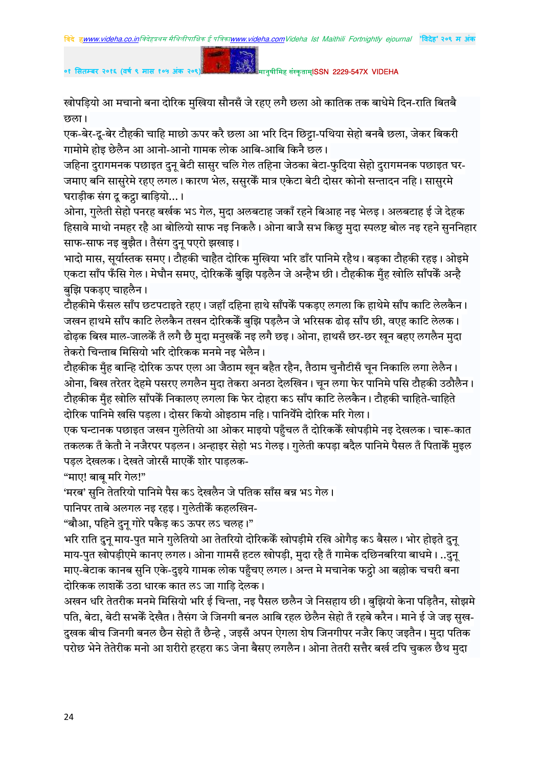रवोपड़ियो आ मचानो बना दोरिक मुखिया सौनसँ जे रहए लगै छला ओ कातिक तक बाधेमे दिन-राति बितबै हरुला $\overline{D}$ 

एक-बेर-दू-बेर टौहकी चाहि माछो ऊपर करै छला आ भरि दिन छिट्टा-पथिया सेहो बनबै छला, जेकर बिकरी गामोमे होइ छेलैन आ आनो-आनो गामक लोक आबि-आबि किनै छल।

जहिना दरागमनक पछाइत दन बेटी सासर चलि गेल तहिना जेठका बेटा-फदिया सेहो दरागमनक पछाइत घर-जमाए बनि सासुरेमे रहए लगल। कारण भेल, ससुरकैं मात्र एकेटा बेटी दोसर कोनो सन्तादन नहि। सासुरमे घराड़ीक संग दू कट्ठा बाड़ियो...।

ओना, गुलेती सेहो पनरह बर्खक भऽ गेल, मुदा अलबटाह जकाँ रहने बिआह नइ भेलइ। अलबटाह ई जे देहक हिसावे माथो नमहर रहै आ बोलियो साफ नइ निकलै। ओना बाजै सभ किछु मुदा स्पलष्ट बोल नइ रहने सुननिहार साफ-साफ नइ बुझैत। तैसंग दुनू पएरो झखाइ।

भादो मास, सुर्यास्तक समए। टौहकी चाहैत दोरिक मुखिया भरि डाँर पानिमे रहैथ। बड़का टौहकी रहइ। ओइमे एकटा साँप फँसि गेल। मेघौन समए, दोरिककें बझि पडलैन जे अन्हैभ छी। टौहकीक मँह खोलि साँपकें अन्है बुझि पकड़ए चाहलैन।

टौहकीमे फँसल साँप छटपटाइते रहए। जहाँ दहिना हाथे साँपकेँ पकडए लगला कि हाथेमे साँप काटि लेलकैन। जखन हाथमे साँप काटि लेलकैन तखन दोरिककें बुझि पड़लैन जे भरिसक ढोढ़ साँप छी, वएह काटि लेलक। ढोढक बिख माल-जालकें तँ लगै छै मुदा मनुखकें नइ लगै छइ। ओना, हाथसँ छर-छर खुन बहुए लगलैन मुदा तेकरो चिन्ताब मिसियो भरि दोरिकक मनमे नइ भेलैन।

टौहकीक मुँह बान्हि दोरिक ऊपर एला आ जैठाम खुन बहैत रहैन, तैठाम चुनौटीसँ चुन निकालि लगा लेलैन। ओना, बिख तरेतर देहमे पसरए लगलैन मुदा तेकरा अनठा देलखिन। चुन लगा फेर पानिमे पसि टौहकी उठौलैन। टौहकीक मँह खोलि साँपकें निकालए लगला कि फेर दोहरा कऽ साँप काटि लेलकैन। टौहकी चाहिते-चाहिते दोरिक पानिमे खसि पडला। दोसर कियो ओइठाम नहि। पानियेँमे दोरिक मरि गेला।

एक घन्टानक पछाइत जखन गुलेतियो आ ओकर माइयो पहँचल तँ दोरिककेँ खोपडीमे नइ देखलक। चारू-कात तकलक तँ केतौ ने नजैरपर पडलन। अन्हाइर सेहो भऽ गेलड। गलेती कपडा बदैल पानिमे पैसल तँ पिताकैँ मइल पड़ल देखलक। देखते जोरसँ माएकैं शोर पाड़लक-

"माए! बाब मरि गेल!"

'मरब' सुनि तेतरियो पानिमे पैस कऽ देखलैन जे पतिक साँस बन्न भऽ गेल।

पानिपर ताबे अलगल नइ रहइ। गुलेतीकेँ कहलखिन-

 $\cdot$  "बौआ. पहिने दन गोरे पकैड कऽ ऊपर लऽ चलह।"

भरि राति दुनू माय-पुत माने गुलेतियो आ तेतरियो दोरिककेॅ खोपड़ीमे रखि ओगैड़ कऽ बैसल। भोर होइते दुनू माय-पुत खोपड़ीएमे कानए लगल। ओना गामसँ हटल खोपड़ी, मुदा रहै तँ गामेक दछिनबरिया बाधमे। ..दुन् माए-बेटाक कानब सुनि एके-दुइये गामक लोक पहुँचए लगल। अन्त मे मचानेक फट्ठो आ बल्लोक चचरी बना दोरिकक लाशकें उठा धारक कात लऽ जा गाडि देलक।

अखन धरि तेतरीक मनमे मिसियो भरि ई चिन्ता, नइ पैसल छलैन जे निसहाय छी। बुझियो केना पडितैन, सोझमे पति, बेटा, बेटी सभकें देखैत। तैसंग जे जिनगी बनल आबि रहल छेलैन सेहो तँ रहबे करैन। माने ई जे जइ सुख-दखक बीच जिनगी बनल छैन सेहो तँ छैन्हे , जइसँ अपन ऐगला शेष जिनगीपर नजैर किए जइतैन। मदा पतिक परोछ भेने तेतेरीक मनो आ शरीरो हरहरा कऽ जेना बैसए लगलैन। ओना तेतरी सत्तैर बर्ख टपि चकल छैथ मदा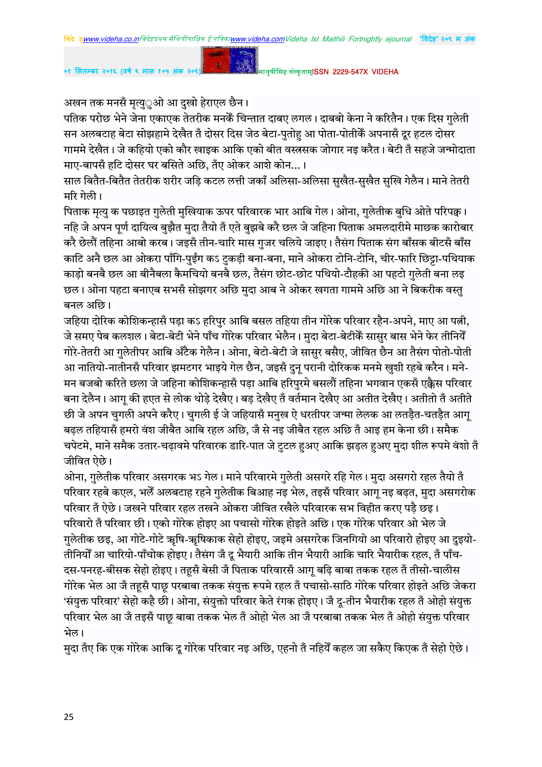अखन तक मनसँ मृत्यु**्ओ आ दुखो हेराएल छैन**।

पतिक परोछ भेने जेना एकाएक तेतरीक मनकैं चिन्तात दाबए लगल। दाबबो केना ने करितैन। एक दिस गुलेती .<br>सन अलबटाह बेटा सोझहामे देखैत तॅं दोसर दिस जेठ बेटा-पुतोह आ पोता-पोतीकेॅ अपनासॅं दूर हटल दोसर गाममे देखैत। जे कहियो एको कौर खाइक आकि एको बीत वस्त्रसक जोगार नइ करैत। बेटी तँ सहजे जन्मोदाता माए-बापसँ हटि दोसर घर बसिते अछि. तँए ओकर आशे कोन...।

साल बितैत-बितैत तेतरीक शरीर जडि कटल लत्ती जकाँ अलिसा-अलिसा सुखैत-सुखैत सुखि गेलैन। माने तेतरी मरि गेली।

पिताक मृत्यु क पछाइत गुलेती मुखियाक ऊपर परिवारक भार आबि गेल। ओना, गुलेतीक बुधि ओते परिपक्व। नहि जे अपन पूर्ण दायित्व बुझैत मुदा तैयो तँ एते बुझबे करै छल जे जहिना पिताक अमलदारीमे माछक कारोबार करै छेलौं तहिना आबो करब। जइसँ तीन-चारि मास गुजर चलिये जाइए। तैसंग पिताक संग बाँसक बीटसँ बाँस काटि अनै छल आ ओकरा पाँगि-पुईंग कऽ टुकड़ी बना-बना, माने ओकरा टोनि-टोनि, चीर-फारि छिट्टा-पथियाक काडो बनबै छल आ बीनैबला कैमचियो बनबै छल, तैसंग छोट-छोट पथियो-टौहकी आ पहटो गलेती बना लड़ छल। ओना पहटा बनाएब सभसँ सोझगर अछि मुदा आब ने ओकर खगता गाममे अछि आ ने बिकरीक वस्तु बनल $\frac{3}{5}$ ।

जहिया दोरिक कोशिकन्हासँ पड़ा कऽ हरिपुर आबि बसल तहिया तीन गोरेक परिवार रहैन-अपने, माए आ पत्नी, जे समए पेब कलशल। बेटा-बेटी भेने पाँच गोरेक परिवार भेलैन। मुदा बेटा-बेटीकेँ सासुर बास भेने फेर तीनियेँ गोरे-तेतरी आ गुलेतीपर आबि अँटैक गेलैन। ओना, बेटो-बेटी जे सासुर बसैए, जीवित छैन आ तैसंग पोतो-पोती आ नातियो-नातीनसँ परिवार झमटगर भाइये गेल छैन, जइसँ दुन् परानी दोरिकक मनमे खुशी रहबे करैन। मने-मन बजबो करिते छला जे जहिना कोशिकन्हासँ पडा आबि हरिपुरमे बसलौं तहिना भगवान एकसँ एक्कैस परिवार बना देलैन। आगु की हएत से लोक थोड़े देखैए। बड़ देखैए तँ वर्तमान देखैए आ अतीत देखैए। अतीतो तँ अतीते छी जे अपन चुगली अपने करैए। चुगली ई जे जहियासँ मनुख ऐ धरतीपर जन्मा लेलक आ लतडैत-चतडैत आगु बढल तहियासँ हमरो वंश जीबैत आबि रहल अछि, जँ से नइ जीबैत रहल अछि तँ आइ हम केना छी। समैक चपेटमे, माने समैक उतार-चढावमे परिवारक डारि-पात जे टुटल हअए आकि झडल हअए मुदा शील रूपमे वंशो तँ जीवित ऐछे।

ओना, गुलेतीक परिवार असगरक भऽ गेल। माने परिवारमे गुलेती असगरे रहि गेल। मुदा असगरो रहल तैयो तँ परिवार रहबे कएल, भलेँ अलबटाह रहने गुलेतीक बिआह नइ भेल, तइसँ परिवार आगू नइ बढ़त, मुदा असगरोक परिवार तँ ऐछे। जखने परिवार रहल तखने ओकरा जीवित रखैले परिवारक सभ विहीत करए पड़ै छइ। परिवारो तँ परिवार छी। एको गोरेक होइए आ पचासो गोरेक होइते अछि। एक गोरेक परिवार ओ भेल जे गुलेतीक छइ, आ गोटे-गोटे ऋषि-ऋषिकाक सेहो होइए, जइमे असगरेक जिनगियो आ परिवारो होइए आ दुइयो-तीनियोँ आ चारियो-पाँचोक होइए। तैसंग जँ दू भैयारी आकि तीन भैयारी आकि चारि भैयारीक रहल, तँ पाँच-दस-पनरह-बीसक सेहो होइए। तहूसँ बेसी जँ पिताक परिवारसँ आगू बढ़ि बाबा तकक रहल तँ तीसो-चालीस गोरेक भेल आ जँ तहूसँ पाछू परबाबा तकक संयुक्त रूपमे रहल तँ पचासो-साठि गोरेक परिवार होइते अछि जेकरा 'संयुक्त परिवार' सेहो कहै छी। ओना, संयुक्तो परिवार केते रंगक होइए। जँ दू-तीन भैयारीक रहल तँ ओहो संयुक्त .<br>परिवार भेल आ जँ तइसँ पाछ बाबा तकक भेल तँ ओहो भेल आ जँ परबाबा तकक भेल तँ ओहो संयुक्त परिवार भेल।

.<br>मुदा तँए कि एक गोरेक आकि दू गोरेक परिवार नइ अछि, एहनो तँ नहियेँ कहल जा सकैए किएक तँ सेहो ऐछे।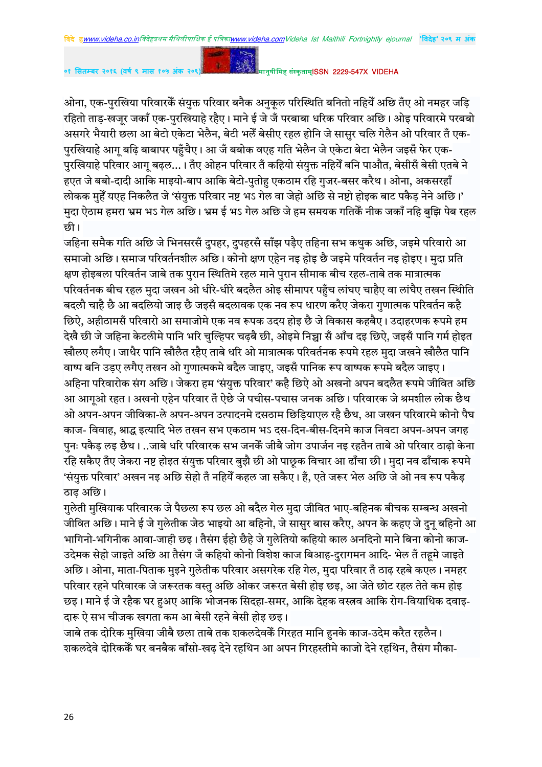०१ सितम्बर २०१६ (वर्ष ९ मास १०५ अंक २०९

मानुषीमिह संस्कृताम्**ISSN 2229-547X VIDEHA** 

ओना, एक-पुरखिया परिवारकें संयुक्त परिवार बनैक अनुकूल परिस्थिति बनितो नहियें अछि तँए ओ नमहर जड़ि रहितो ताड-खजर जकाँ एक-परखियाहे रहैए। माने ई जे जँ परबाबा धरिक परिवार अछि। ओइ परिवारमे परबबो असगरे भैयारी छला आ बेटो एकेटा भेलैन, बेटी भलेँ बेसीए रहल होनि जे सासुर चलि गेलैन ओ परिवार तँ एक-.<br>पुरखियाहे आगू बढ़ि बाबापर पहुँचैए। आ जँ बबोक वएह गति भेलैन जे एकेटा बेटा भेलैन जइसँ फेर एक-परखियाहे परिवार आग बढल...। तँए ओहन परिवार तँ कहियो संयक्त नहियेँ बनि पाऔत. बेसीसँ बेसी एतबे ने हएत जे बबो-दादी आकि माइयो-बाप आकि बेटो-पुतोह एकठाम रहि गुजर-बसर करैथ। ओना, अकसरहाँ लोकक महेँ यएह निकलैत जे 'संयक्त परिवार नष्ट भऽ गेल वा जेहो अछि से नष्टो होइक बाट पकैड नेने अछि।' मदा ऐठाम हमरा भ्रम भऽ गेल अछि। भ्रम ई भऽ गेल अछि जे हम समयक गतिकैं नीक जकाँ नहि बझि पेब रहल छी।

जहिना समैक गति अछि जे भिनसरसँ दुपहर, दुपहरसँ साँझ पड़ैए तहिना सभ कथुक अछि, जइमे परिवारो आ समाजो अछि। समाज परिवर्तनशील अछि। कोनो क्षण एहेन नइ होइ छै जइमे परिवर्तन नइ होइए। मुदा प्रति क्षण होइबला परिवर्तन जाबे तक परान स्थितिमे रहल माने परान सीमाक बीच रहल-ताबे तक मात्रात्मक परिवर्तनक बीच रहल मदा जखन ओ धीरे-धीरे बदलैत ओइ सीमापर पहँच लांघए चाहैए वा लांघैए तखन स्थिति बदलौ चाहै छै आ बदलियो जाइ छै जइसँ बदलावक एक नव रूप धारण करैए जेकरा गणात्मक परिवर्तन कहै छिऐ, अहीठामसँ परिवारो आ समाजोमे एक नव रूपक उदय होइ छै जे विकास कहबैए। उदाहरणक रूपमे हम देखै छी जे जहिना केटलीमे पानि भरि चुल्हिपर चढ़बै छी, ओइमे निच्चा सँ आँच दइ छिऐ, जइसँ पानि गर्म होइत खौलए लगैए। जाधैर पानि खौलैत रहैए ताबे धरि ओ मात्रात्मक परिवर्तनक रूपमे रहल मुदा जखने खौलैत पानि वाष्प बनि उडए लगैए तखन ओ गुणात्मकमे बदैल जाइए, जइसँ पानिक रूप वाष्पक रूपमे बदैल जाइए। अहिना परिवारोक संग अछि। जेकरा हम 'संयुक्त परिवार' कहै छिऐ ओ अखनो अपन बदलैत रूपमे जीवित अछि आ आगओ रहत। अखनो एहेन परिवार तँ ऐछे जे पचीस-पचास जनक अछि। परिवारक जे श्रमशील लोक छैथ ओ अपन-अपन जीविका-ले अपन-अपन उत्पादनमे दसठाम छिडियाएल रहै छैथ. आ जखन परिवारमे कोनो पैघ काज- विवाह, श्राद्ध इत्यादि भेल तखन सभ एकठाम भऽ दस-दिन-बीस-दिनमे काज निवटा अपन-अपन जगह पनः पकैड लड छैथ। ..जाबे धरि परिवारक सभ जनकें जीबै जोग उपार्जन नड रहतैन ताबे ओ परिवार ठाढो केना रहि सकैए तँए जेकरा नष्ट होइत संयुक्त परिवार बुझै छी ओ पाछूक विचार आ ढाँचा छी। मुदा नव ढाँचाक रूपमे 'संयुक्त परिवार' अखन नइ अछि सेहो तँ नहियेँ कहल जा सकैए। हँ, एते जरूर भेल अछि जे ओ नव रूप पकैड ठाढ अछि।

गुलेती मुखियाक परिवारक जे पैछला रूप छल ओ बदैल गेल मुदा जीवित भाए-बहिनक बीचक सम्बन्ध अखनो जीवित अछि। माने ई जे गलेतीक जेठ भाइयो आ बहिनो. जे सासर बास करैए. अपन के कहए जे दन बहिनो आ भागिनो-भगिनीक आवा-जाही छड़। तैसंग ईहो छैहे जे गलेतियो कहियो काल अनदिनो माने बिना कोनो काज-उदेमक सेहो जाइते अछि आ तैसंग जँ कहियो कोनो विशेश काज बिआह-दुरागमन आदि- भेल तँ तहमे जाइते अछि। ओना, माता-पिताक मुइने गुलेतीक परिवार असगरेक रहि गेल, मुदा परिवार तँ ठाढ़ रहबे कएल। नमहर परिवार रहने परिवारक जे जरूरतक वस्तु अछि ओकर जरूरत बेसी होइ छइ, आ जेते छोट रहल तेते कम होइ :छइ। माने ई जे रहैक घर हअए आकि भोजनक सिद्हा-समर, आकि देहक वस्त्रव आकि रोग-वियाधिक दवाइ दारू ऐ सभ चीजक खगता कम आ बेसी रहने बेसी होड़ छड़।

जाबे तक दोरिक मखिया जीबै छला ताबे तक शकलदेवकेँ गिरहत मानि हनके काज-उदेम करैत रहलैन। शकलदेवे दोरिककेॅ घर बनबैक बाँसो-खढ देने रहथिन आ अपन गिरहस्तीमे काजो देने रहथिन, तैसंग मौका-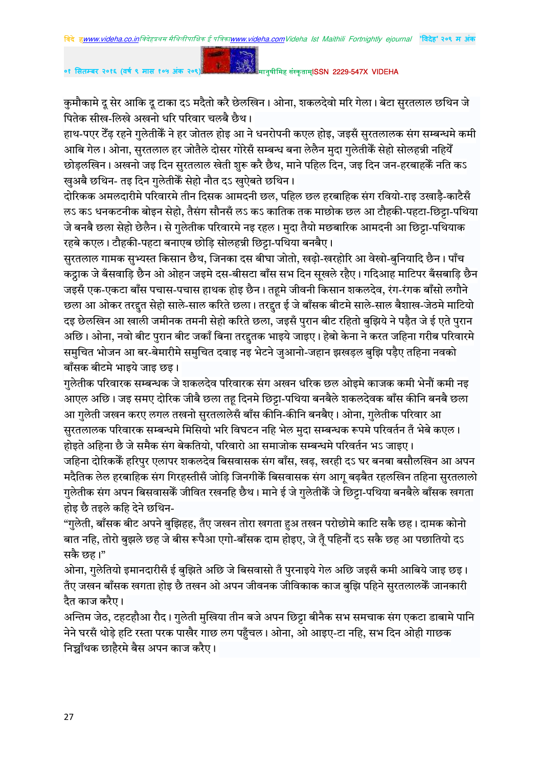कुमौकामे दू सेर आकि दू टाका दऽ मदैतो करै छेलखिन। ओना, शकलदेवो मरि गेला। बेटा सुरतलाल छथिन जे पितेक सीख-लिखे अखनो धरि परिवार चलबै छैथ।

हाथ-पएर टैंढ़ रहने गुलेतीकें ने हर जोतल होइ आ ने धनरोपनी कएल होइ, जइसँ सुरतलालक संग सम्बन्धमे कमी आबि गेल। ओना, सुरतलाल हर जोतैले दोसर गोरेसँ सम्बन्ध बना लेलैन मुदा गुलेतीकैं सेहो सोलहन्नी नहियेँ . छोडलखिन। अखनो जड़ दिन सरतलाल खेती शरू करै छैथ. माने पहिल दिन. जड़ दिन जन-हरबाहकैं नति कऽ खुअबै छथिन- तइ दिन गुलेतीकेँ सेहो नौत दऽ खुऐबते छथिन।

दोरिकक अमलदारीमे परिवारमे तीन दिसक आमदनी छल, पहिल छल हरबाहिक संग रवियो-राइ उखाड़ै-काटैसँ ल5 कऽ धनकटनीक बोइन सेहो, तैसंग सौनसँ लऽ कऽ कातिक तक माछोक छल आ टौहकी-पहटा-छिट्टा-पथिया जे बनबै छला सेहो छेलैन। से गुलेतीक परिवारमे नइ रहल। मुदा तैयो मछबारिक आमदनी आ छिट्टा-पथियाक रहबे कएल। टौहकी-पहटा बनाएब छोड़ि सोलहन्नी छिट्टा-पथिया बनबैए।

सुरतलाल गामक सुभ्यस्त किसान छैथ, जिनका दस बीघा जोतो, खढ़ो-खरहोरि आ वेखो-बुनियादि छैन। पाँच कट्ठाक जे बँसवाड़ि छैन ओ ओहन जइमे दस-बीसटा बाँस सभ दिन सुखले रहैए। गदिआह माटिपर बँसबाड़ि छैन जइसँ एक-एकटा बाँस पचास-पचास हाथक होइ छैन। तहूमे जीवनी किसान शकलदेव, रंग-रंगक बाँसो लगौने , छला आ ओकर तरद्दत सेहो साले-साल करिते छला। तरद्दत ई जे बाँसक बीटमे साले-साल बैशाख-जेठमे माटियो दइ छेलखिन आ खाली जमीनक तमनी सेहो करिते छला, जइसँ पुरान बीट रहितो बुझिये ने पड़ैत जे ई एते पुरान अछि। ओना, नवो बीट पुरान बीट जकाँ बिना तरद्दतक भाइये जाइए। हेबो केना ने करत जहिना गरीब परिवारमे समुचित भोजन आ बर-बेमारीमे समुचित दवाइ नइ भेटने जुआनो-जहान झखडल बुझि पडैए तहिना नवको बाँसक बीटमे भाइये जाइ छइ।

गुलेतीक परिवारक सम्बन्धक जे शकलदेव परिवारक संग अखन धरिक छल ओइमे काजक कमी भेनौं कमी नइ आएल अछि। जइ समए दोरिक जीबै छला तहू दिनमे छिट्टा-पथिया बनबैले शकलदेवक बाँस कीनि बनबै छला आ गुलेती जखन करए लगल तखनो सुरतलालेसँ बाँस कीनि-कीनि बनबैए। ओना, गुलेतीक परिवार आ सुरतलालक परिवारक सम्बन्धमे मिसियो भरि विघटन नहि भेल मुदा सम्बन्धक रूपमे परिवर्तन तँ भेबे कएल। होइते अहिना छै जे समैक संग बेकतियो. परिवारो आ समाजोक सम्बन्धमे परिवर्तन भऽ जाइए।

जहिना दोरिककें हरिपुर एलापर शकलदेव बिसवासक संग बाँस, खढ़, खरही दऽ घर बनबा बसौलखिन आ अपन मदैतिक लेल हरबाहिक संग गिरहस्तीसँ जोडि जिनगीकैं बिसवासक संग आग बढबैत रहलखिन तहिना सुरतलालो गुलेतीक संग अपन बिसवासकें जीवित रखनहि छैथ। माने ई जे गुलेतीकें जे छिट्टा-पथिया बनबैले बाँसक खगता होइ छै तइले कहि देने छथिन-

"गुलेती, बाँसक बीट अपने बुझिहह, तँए जखन तोरा खगता हअ तखन परोछोमे काटि सकै छह। दामक कोनो बात नहि, तोरो बुझले छह जे बीस रूपैआ एगो-बाँसक दाम होइए, जे तूँ पहिनौं दऽ सकै छह आ पछातियो दऽ सकै छह।"

ओना, गुलेतियो इमानदारीसँ ई बुझिते अछि जे बिसवासो तँ पुरनाइये गेल अछि जइसँ कमी आबिये जाइ छइ। तॅए जखन बाँसक खगता होइ छै तखन ओ अपन जीवनक जीविकाक काज बुझि पहिने सुरतलालकेँ जानकारी दैत काज करैए।

अन्तिम जेठ, टहटहौआ रौद। गुलेती मुखिया तीन बजे अपन छिट्टा बीनैक सभ समचाक संग एकटा डाबामे पानि नेने घरसँ थोड़े हटि रस्ता परक पाखैर गाछ लग पहँचल। ओना, ओ आइए-टा नहि, सभ दिन ओही गाछक निच्चाँथक छाहैरमे बैस अपन काज करैए।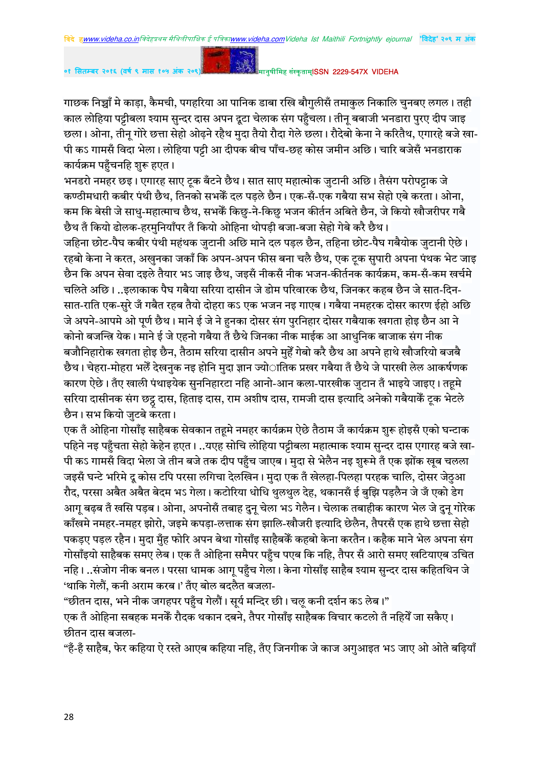गाछक निच्चाँ मे काड़ा, कैमची, पगहरिया आ पानिक डाबा रखि बौगुलीसँ तमाकुल निकालि चुनबए लगल। तही काल लोहिया पट्टीबला श्याम सुन्दर दास अपन दूटा चेलाक संग पहुँचला। तीन् बबाजी भनडारा पुरए दीप जाइ छला। ओना, तीन् गोरे छत्ता सेहो ओढ़ने रहैथ मुदा तैयो रौदा गेले छला। रौदेबो केना ने करितैथ, एगारहे बजे खा-पी कऽ गामसँ विदा भेला। लोहिया पट्टी आ दीपक बीच पाँच-छह कोस जमीन अछि। चारि बजेसँ भनडाराक कार्यक्रम पहुँचनहि शुरू हुएत ।

भनडरो नमहर छइ। एगारह साए ट्क बँटने छैथ। सात साए महात्मोक जुटानी अछि। तैसंग परोपट्टाक जे कण्ठीमधारी कबीर पंथी छैथ, तिनको सभकेँ दल पडले छैन। एक-सँ-एक गबैया सभ सेहो एबे करता। ओना, कम कि बेसी जे साधु-महात्माच छैथ, सभकें किछु-ने-किछु भजन कीर्तन अबिते छैन. जे कियो खौजरीपर गबै छैथ तँ कियो ढोलक-हरमुनियाँपर तँ कियो ओहिना थोपडी बजा-बजा सेहो गेबे करै छैथ।

जहिना छोट-पैघ कबीर पंथी महंथक जुटानी अछि माने दल पड़ल छैन, तहिना छोट-पैघ गबैयोक जुटानी ऐछे। रहबो केना ने करत, अखुनका जकाँ कि अपन-अपन फीस बना चलै छैथ, एक ट्क सुपारी अपना पंथक भेट जाइ छैन कि अपन सेवा दइले तैयार भऽ जाइ छैथ, जइसँ नीकसँ नीक भजन-कीर्तनक कार्यक्रम, कम-सँ-कम खर्चमे चलिते अछि। ..इलाकाक पैघ गबैया सरिया दासीन जे डोम परिवारक छैथ, जिनकर कहब छैन जे सात-दिन-सात-राति एक-सरे जँ गबैत रहब तैयो दोहरा कऽ एक भजन नइ गाएब। गबैया नमहरक दोसर कारण ईहो अछि जे अपने-आपमे ओ पूर्ण छैथ। माने ई जे ने हुनका दोसर संग पुरनिहार दोसर गबैयाक खगता होइ छैन आ ने कोनो बजन्त्रि येक। माने ई जे एहनो गबैया तँ छैथे जिनका नीक माईक आ आधुनिक बाजाक संग नीक बजौनिहारोक खगता होइ छैन, तैठाम सरिया दासीन अपने मुहें गेबो करै छैथ आ अपने हाथे खौजरियो बजबै छैथ। चेहरा-मोहरा भलेँ देखनुक नइ होनि मुदा ज्ञान ज्योातिक प्रखर गबैया तँ छैथे जे पारखी लेल आकर्षणक कारण ऐछे। तँए खाली पंथाइयेक सुननिहारटा नहि आनो-आन कला-पारखीक जुटान तँ भाइये जाइए। तहमे सरिया दासीनक संग छट्टू दास, हिताइ दास, राम अशीष दास, रामजी दास इत्यादि अनेको गर्बैयार्क टूक भेटले<br>- $\overrightarrow{B}$ न। सभ कियो जुटबे करता।

एक तँ ओहिना गोसाँइ साहैबक सेवकान तहमे नमहर कार्यक्रम ऐछे तैठाम जँ कार्यक्रम शुरू होइसँ एको घन्टाक पहिने नइ पहँचता सेहो केहेन हएत। ..यएह सोचि लोहिया पट्टीबला महात्माक श्याम सुन्दर दास एगारह बजे खा-पी कऽ गामसँ विदा भेला जे तीन बजे तक दीप पहुँच जाएब। मुदा से भेलैन नइ शुरूमे तँ एक झोंक खुब चलला जइसँ घन्टे भरिमे दु कोस टपि परसा लगिचा देलखिन। मुदा एक तँ खेलहा-पिलहा परहक चालि, दोसर जेठुआ रौद, परसा अबैत अबैत बेदम भऽ गेला। कटोरिया धोधि थुलथुल देह, थकानसँ ई बुझि पड़लैन जे जँ एको डेग आगू बढ़ब तँ खसि पड़ब। ओना, अपनोसँ तबाह दुन् चेला भऽ गेलैन। चेलाक तबाहीक कारण भेल जे दुन् गोरेक काँखमे नमहर-नमहर झोरो. जड़मे कपडा-लत्ताक संग झालि-खौजरी इत्यादि छेलैन. तैपरसँ एक हाथे छत्ता सेहो पकड़ए पड़ल रहैन। मुदा मुँह फोरि अपन बेथा गोसाँइ साहैबकें कहबो केना करतैन। कहैक माने भेल अपना संग गोसाँइयो साहैबक समए लेब। एक तँ ओहिना समैपर पहुँच पएब कि नहि, तैपर सँ आरो समए खटियाएब उचित नहि। ..संजोग नीक बनल। परसा धामक आगू पहुँच गेला। केना गोसाँइ साहैब श्याम सुन्दर दास कहितथिन जे 'थाकि गेलौं, कनी अराम करब।' तँए बोल बदलैत बजला-

"छीतन दास, भने नीक जगहपर पहँच गेलौं। सुर्य मन्दिर छी। चल कनी दर्शन कऽ लेब।"

एक तँ ओहिना सबहक मनकेँ रौदक थकान दबने. तैपर गोसाँड साहैबक विचार कटलो तँ नहियेँ जा सकैए। छीतन दास बजला-

"हँ-हँ साहैब, फेर कहिया ऐ रस्ते आएब कहिया नहि, तँए जिनगीक जे काज अगआइत भऽ जाए ओ ओते बढियाँ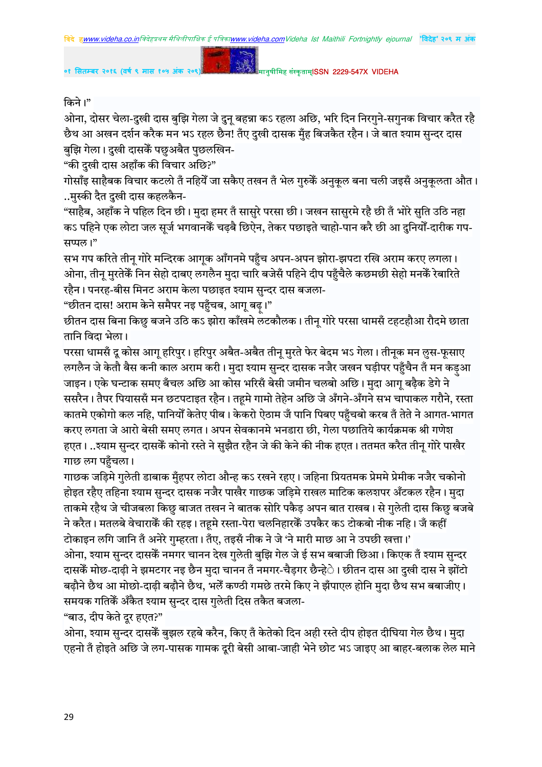

## किने।"

ओना, दोसर चेला-दुखी दास बुझि गेला जे दुन् बहन्ना कऽ रहला अछि, भरि दिन निरगुने-सगुनक विचार करैत रहै छैथ आ अखन दर्शन करैक मन भऽ रहल छैन! तँए दुखी दासक मुँह बिजकैत रहैन। जे बात श्याम सुन्दर दास बुझि गेला। दुखी दासकें पछुअबैत पुछलखिन-

"की दुखी दास अहाँक की विचार अछि?"

गोसाँइ साहैबक विचार कटलो तँ नहियेँ जा सकैए तखन तँ भेल गुरुकेँ अनुकुल बना चली जइसँ अनुकुलता औत। ..मुस्की दैत दुखी दास कहलकैन-

"साहैब, अहाँक ने पहिल दिन छी। मुदा हमर तँ सासुरे परसा छी। जखन सासुरमे रहै छी तँ भोरे सुति उठि नहा कऽ पहिने एक लोटा जल सूर्ज भगवानकें चढ़बै छिऐन, तेकर पछाइते चाहो-पान करै छी आ दुनियोँ-दारीक गप-सप्पल।"

सभ गप करिते तीनू गोरे मन्दिरक आगूक आँगनमे पहुँच अपन-अपन झोरा-झपटा रखि अराम करए लगला। ओना, तीन मुरतेकें निन सेहो दाबए लगलैन मुदा चारि बजेसँ पहिने दीप पहँचैले कछमछी सेहो मनकेँ रेबारिते रहैन। पनरह-बीस मिनट अराम केला पछाइत श्याम सुन्दर दास बजला-

"छीतन दास! अराम केने समैपर नइ पहुँचब, आगु बढ़।"

छीतन दास बिना किछु बजने उठि कऽ झोरा काँखमे लटकौलक। तीनू गोरे परसा धामसँ टहटहौआ रौदमे छाता तानि विदा भेला।

परसा धामसँ दू कोस आगू हरिपुर। हरिपुर अबैत-अबैत तीनू मुरते फेर बेदम भऽ गेला। तीनूक मन लुस-फूसाए लगलैन जे केतौ बैस कनी काल अराम करी। मुदा श्याम सुन्दर दासक नजैर जखन घड़ीपर पहुँचैन तँ मन कड़आ जाइन। एके घन्टाक समए बँचल अछि आ कोस भरिसँ बेसी जमीन चलबो अछि। मुदा आगू बढ़ैक डेगे ने ससरैन। तैपर पियाससँ मन छटपटाइत रहैन। तहूमे गामो तेहेन अछि जे अँगने-अँगने सभ चापाकल गरौने, रस्ता कातमे एकोगो कल नहि, पानियोँ केतेए पीब। केकरो ऐठाम जँ पानि पिबए पहुँचबो करब तँ तेते ने आगत-भागत करए लगता जे आरो बेसी समए लगत। अपन सेवकानमे भनडारा छी, गेला पछातिये कार्यक्रमक श्री गणेश .<br>हएत। ..श्याम सुन्दर दासकें कोनो रस्ते ने सुझैत रहैन जे की केने की नीक हएत। ततमत करैत तीन गोरे पाखैर गाछ लग पहुँचला।

गाछक जड़िमे गुलेती डाबाक मुँहपर लोटा औन्ह कऽ रखने रहए। जहिना प्रियतमक प्रेममे प्रेमीक नजैर चकोनो होइत रहैए तहिना श्याम सुन्दर दासक नजैर पाखैर गाछक जड़िमे राखल माटिक कलशपर अँटकल रहैन। मुदा ताकमे रहैथ जे चीजबला किछु बाजत तखन ने बातक सोरि पकैड़ अपन बात राखब। से गुलेती दास किछु बजबे ने करैत। मतलबे वेचाराकें की रहइ। तहमे रस्ता-पेरा चलनिहारकें उपकैर कऽ टोकबो नीक नहि। जँ कहीं

टोकाइन लगि जानि तँ अनेरे गुम्हरता। तँए, तइसँ नीक ने जे 'ने मारी माछ आ ने उपछी खत्ता।' ओना, श्याम सुन्दर दासकें नमगर चानन देख गुलेती बुझि गेल जे ई सभ बबाजी छिआ। किएक तँ श्याम सुन्दर दासकें मोछ-दाढ़ी ने झमटगर नइ छैन मुदा चानन तँ नमगर-चैड़गर छैन्हे**े। छीतन दास आ दुखी दास ने झोंटो** बढ़ौने छैथ आ मोछो-दाढ़ी बढ़ौने छैथ, भलेँ कण्ठी गमछे तरमे किए ने झँपाएल होनि मुदा छैथ सभ बबाजीए। समयक गतिकें अँकैत श्याम सुन्दर दास गुलेती दिस तकैत बजला-

"बाउ, दीप केते दूर हएत?"

ओना, श्याम सुन्दर दासकें बुझल रहबे करैन, किए तँ केतेको दिन अही रस्ते दीप होइत दीघिया गेल छैथ। मुदा एहनो तँ होइते अछि जे लग-पासक गामक दूरी बेसी आबा-जाही भेने छोट भऽ जाइए आ बाहर-बलाक लेल माने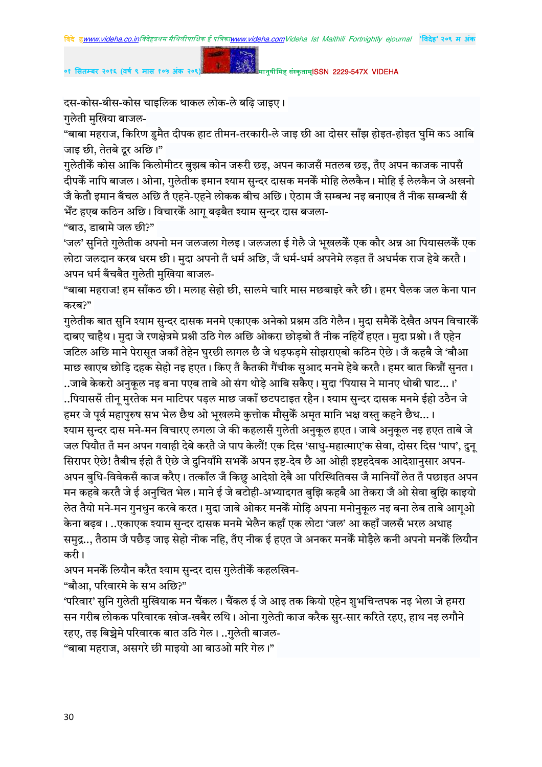दस-कोस-बीस-कोस चाइलिक थाकल लोक-ले बढ़ि जाइए।

गुलेती मुखिया बाजल-

"बाबा महराज, किरिण डुमैत दीपक हाट तीमन-तरकारी-ले जाइ छी आ दोसर साँझ होइत-होइत घुमि कऽ आबि जाइ छी, तेतबे दूर अछि।"

गलेतीकें कोस आकि किलोमीटर बुझब कोन जरूरी छइ, अपन काजसँ मतलब छइ, तँए अपन काजक नापसँ दीपकें नापि बाजल। ओना, गुलेतीक इमान श्याम सुन्दर दासक मनकें मोहि लेलकैन। मोहि ई लेलकैन जे अखनो जें केतौ इमान बँचल अछि तँ एहने-एहने लोकक बीच अछि। ऐठाम जँ सम्बन्ध नइ बनाएब तँ नीक सम्बन्धी सँ भेँट हएब कठिन अछि। विचारकेँ आग् बढ़बैत श्याम सुन्दर दास बजला-

"बाउ, डाबामे जल छी?"

'जल' सुनिते गुलेतीक अपनो मन जलजला गेलइ। जलजला ई गेलै जे भूखलकेँ एक कौर अन्न आ पियासलकेँ एक लोटा जलदान करब धरम छी। मुदा अपनो तँ धर्म अछि, जँ धर्म-धर्म अपनेमे लड़त तँ अधर्मक राज हेबे करतै। अपन धर्म बँचबैत गुलेती मुखिया बाजल-

"बाबा महराज! हम साँकठ छी। मलाह सेहो छी, सालमे चारि मास मछबाइरे करै छी। हमर घैलक जल केना पान करब?"

गुलेतीक बात सुनि श्याम सुन्दर दासक मनमे एकाएक अनेको प्रश्नम उठि गेलैन। मुदा समैकॅ देखैत अपन विचारकॅ दाबए चाहैथ। मुदा जे रणक्षेत्रमे प्रश्नी उठि गेल अछि ओकरा छोड़बो तॅं नीक नहियेँ हएत। मुदा प्रश्नो। तॅं एहेन जटिल अछि माने पेरासुत जकाँ तेहेन घुरछी लागल छै जे धड़फड़मे सोझराएबो कठिन ऐछे। जँ कहबै जे 'बौआ माछ खाएब छोड़ि दहक सेहो नइ हएत। किए तँ कैतकी गैंचीक सुआद मनमे हेबे करतै। हमर बात किन्नौं सुनत। ..जाबे केकरो अनुकुल नइ बना पएब ताबे ओ संग थोडे आबि सकैए। मुदा 'पियास ने मानए धोबी घाट…।'

..पियाससँ तीन् मुरतेक मन माटिपर पड़ल माछ जकाँ छटपटाइत रहैन। श्याम सुन्दर दासक मनमे ईहो उठैन जे हमर जे पूर्व महापुरुष सभ भेल छैथ ओ भूखलमे कुत्तोक मौसुकैं अमृत मानि भक्ष वस्तु कहने छैथ...।

रयाम सुन्दर दास मने-मन विचारए लगला जे की कहलासँ गुलेती अनुकुल हएत। जाबे अनुकुल नइ हएत ताबे जे जल पियौत तँ मन अपन गवाही देबे करतै जे पाप केलौं! एक दिस 'साधु-महात्माए'क सेवा, दोसर दिस 'पाप', दुन्

सिरापर ऐछे! तैबीच ईहो तँ ऐछे जे दुनियाँमे सभकेँ अपन इष्ट-देव छै आ ओही इष्टहदेवक आदेशानुसार अपन-अपन बुधि-विवेकसँ काज करैए। तत्काँल जँ किछु आदेशो देबै आ परिस्थितिवस जँ मानियोँ लेत तँ पछाइत अपन मन कहबे करतै जे ई अनुचित भेल। माने ई जे बटोही-अभ्यादगत बुझि कहबै आ तेकरा जँ ओ सेवा बुझि काइयो लेत तैयो मने-मन गुनधुन करबे करत। मुदा जाबे ओकर मनकैं मोड़ि अपना मनोनुकूल नइ बना लेब ताबे आगूओ

केना बढब। ..एकाएक श्याम सुन्दर दासक मनमे भेलैन कहाँ एक लोटा 'जल' आ कहाँ जलसँ भरल अथाह समुद्र.., तैठाम जँ पछैड़ जाइ सेहो नीक नहि, तँए नीक ई हएत जे अनकर मनकेँ मोड़ैले कनी अपनो मनकेँ लियौन करी।

अपन मनकें लियौन करैत श्याम सुन्दर दास गुलेतीकें कहलखिन-

"बौआ, परिवारमे के सभ अछि?"

'परिवार' सुनि गुलेती मुखियाक मन चैंकल। चैंकल ई जे आइ तक कियो एहेन शुभचिन्तपक नइ भेला जे हमरा .<br>सन गरीब लोकक परिवारक खोज-खबैर लथि। ओना गुलेती काज करैक सुर-सार करिते रहए, हाथ नइ लगौने  $\overline{\mathbf{R}}$ रहए, तइ बिच्चेमे परिवारक बात उठि गेल। ..गलेती बाजल-

 $^{\prime\prime}$ बाबा महराज, असगरे छी माइयो आ बाउओ मरि गेल।"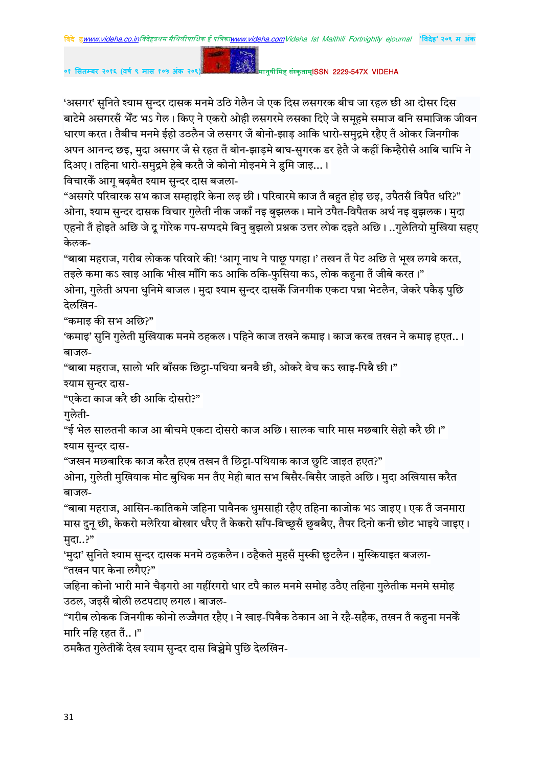'असगर' सुनिते श्याम सुन्दर दासक मनमे उठि गेलैन जे एक दिस लसगरक बीच जा रहल छी आ दोसर दिस बाटेमे असगरसँ भेँट भऽ गेल। किए ने एकरो ओही लसगरमे लसका दिऐ जे समूहमे समाज बनि समाजिक जीवन धारण करत। तैबीच मनमे ईहो उठलैन जे लसगर जँ बोनो-झाड़ आकि धारो-समुद्रमे रहैए तँ ओकर जिनगीक अपन आनन्द छइ, मुदा असगर जँ से रहत तँ बोन-झाड़मे बाघ-सुगरक डर हेतै जे कहीं किम्हैरोसँ आबि चाभि ने दिअए। तहिना धारो-समुद्रमे हेबे करतै जे कोनो मोइनमे ने डुमि जाइ...।

विचारकें आग बढबैत श्याम सुन्दर दास बजला-

"असगरे परिवारक सभ काज सम्हाइरि केना लइ छी। परिवारमे काज तँ बहुत होइ छइ, उपैतसँ विपैत धरि?" ओना, श्याम सुन्दर दासक विचार गुलेती नीक जकाँ नइ बुझलक। माने उपैत-विपैतक अर्थ नइ बुझलक। मुदा एहनो तॅ होइते अछि जे दू गोरेक गप-सप्पदमे बिनु बुझलो प्रश्नक उत्तर लोक दइते अछि। ..गुलेतियो मुखिया सहए केलक-

"बाबा महराज, गरीब लोकक परिवारे की! 'आगु नाथ ने पाछू पगहा।' तखन तँ पेट अछि ते भूख लगबे करत, तइले कमा कऽ खाइ आकि भीख माँगि कऽ आकि ठकि-फुसिया कऽ, लोक कहना तँ जीबे करत।"

ओना, गुलेती अपना धुनिमे बाजल। मुदा श्याम सुन्दर दासकें जिनगीक एकटा पन्ना भेटलैन, जेकरे पकैड़ पुछि देलखिन-

"कमाइ की सभ अछि?"

'कमाइ' सुनि गुलेती मुखियाक मनमे ठहकल। पहिने काज तखने कमाइ। काज करब तखन ने कमाइ हएत..। बाजल-

"बाबा महराज, सालो भरि बाँसक छिट्टा-पथिया बनबै छी, ओकरे बेच कऽ खाइ-पिबै छी।"

श्याम सुन्दर दास-

"एकेटा काज करै छी आकि दोसरो?"

गुलेती-

"ई भेल सालतनी काज आ बीचमे एकटा दोसरो काज अछि। सालक चारि मास मछबारि सेहो करै छी।" श्याम सुन्दर दास-

"जखन मछबारिक काज करैत हएब तखन तँ छिट्टा-पथियाक काज छुटि जाइत हएत?"

ओना, गुलेती मुखियाक मोट बुधिक मन तँए मेही बात सभ बिसैर-बिसैर जाइते अछि। मुदा अखियास करैत बाजल-

"बाबा महराज, आसिन-कातिकमे जहिना पावैनक धुमसाही रहैए तहिना काजोक भऽ जाइए। एक तँ जनमारा मास दुनू छी, केकरो मलेरिया बोखार धरैए तँ केकरो साँप-बिच्छ्सँ छूबबैए, तैपर दिनो कनी छोट भाइये जाइए। मदा..?"

'मुदा' सुनिते श्याम सुन्दर दासक मनमे ठहकलैन। ठहैकते मुहसँ मुस्की छुटलैन। मुस्कियाइत बजला-"तखन पार केना लगैए?"

जहिना कोनो भारी माने चैड़गरो आ गहींरगरो धार टपै काल मनमे समोह उठैए तहिना गुलेतीक मनमे समोह उठल, जइसँ बोली लटपटाए लगल। बाजल-

"गरीब लोकक जिनगीक कोनो लज्जैगत रहैए। ने खाइ-पिबैक ठेकान आ ने रहै-सहैक, तखन तँ कहना मनकेँ मारि नहि रहत तँ $\ldots$ ।"

ठमकैत गुलेतीकें देख श्याम सुन्दर दास बिच्चेमे पुछि देलखिन-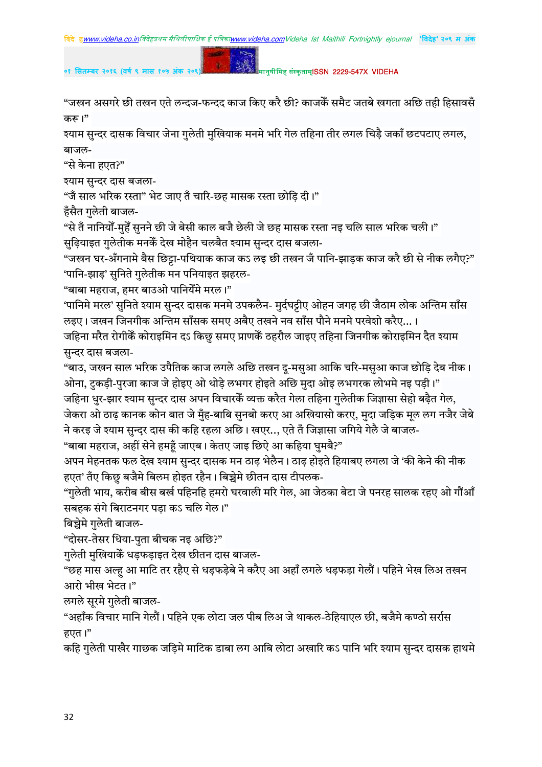०१ सितम्बर २०१६ (वर्ष ९ मास १०५

मानुषीमिह संस्कृताम्**ISSN 2229-547X VIDEHA** 

"जखन असगरे छी तखन एते लन्दज-फन्दद काज किए करै छी? काजकैं समैट जतबे खगता अछि तही हिसावसँ करू।"

श्याम सुन्दर दासक विचार जेना गुलेती मुखियाक मनमे भरि गेल तहिना तीर लगल चिड़ै जकाँ छटपटाए लगल, बाजल-

"से केना हएत?"

श्याम सुन्दर दास बजला-

"जै साल भरिक रस्ता" भेट जाए तँ चारि-छह मासक रस्ता छोडि दी।"

हँसैत गुलेती बाजल-

"से तँ नानियोँ-मुहेँ सुनने छी जे बेसी काल बजै छेली जे छह मासक रस्ता नइ चलि साल भरिक चली।" सुढ़ियाइत गुलेतीक मनकेँ देख मोहैन चलबैत श्याम सुन्दर दास बजला-

"जखन घर-अँगनामे बैस छिट्टा-पथियाक काज कऽ लड़ छी तखन जँ पानि-झाड़क काज करै छी से नीक लगैए?" 'पानि-झाड़' सुनिते गुलेतीक मन पनियाइत झहरल-

"बाबा महराज, हमर बाउओ पानियेँमे मरल।"

'पानिमे मरल' सुनिते श्याम सुन्दर दासक मनमे उपकलैन- मुर्दघट्टीए ओहन जगह छी जैठाम लोक अन्तिम साँस लइए। जखन जिनगीक अन्तिम साँसक समए अबैए तखने नव साँस पौने मनमे परवेशो करैए...।

जहिना मरैत रोगीकेॅ कोराइमिन दऽ किछु समए प्राणकेॅ ठहरौल जाइए तहिना जिनगीक कोराइमिन दैत श्याम सुन्दर दास बजला-

"बाउ, जखन साल भरिक उपैतिक काज लगले अछि तखन दू-मसुआ आकि चरि-मसुआ काज छोड़ि देब नीक। ओना, टुकड़ी-पुरजा काज जे होइए ओ थोड़े लभगर होइते अछि मुदा ओइ लभगरक लोभमे नइ पड़ी।" जहिना धुर-झार श्याम सुन्दर दास अपन विचारकें व्यक्त करैत गेला तहिना गुलेतीक जिज्ञासा सेहो बढ़ैत गेल, जेकरा ओ ठाढ़ कानक कोन बात जे मुँह-बाबि सुनबो करए आ अखियासो करए, मुदा जड़िक मूल लग नजैर जेबे ने करइ जे श्याम सुन्दर दास की कहि रहला अछि। खएर... एते तँ जिज्ञासा जगिये गेलै जे बाजल-

"बाबा महराज, अहीं सेने हमहँ जाएब। केतए जाइ छिऐ आ कहिया घुमबै?"

अपन मेहनतक फल देख श्याम सुन्दर दासक मन ठाढ़ भेलैन। ठाढ़ होइते हियाबए लगला जे 'की केने की नीक हएत' तँए किछु बजैमे बिलम होइत रहैन। बिच्चेमे छीतन दास टीपलक-

"गुलेती भाय, करीब बीस बर्ख पहिनहि हमरो घरवाली मरि गेल, आ जेठका बेटा जे पनरह सालक रहए ओ गौंआँ सबहक संगे बिराटनगर पड़ा कऽ चलि गेल।"

बिच्चेमे गुलेती बाजल-

"दोसर-तेसर धिया-पुता बीचक नइ अछि?"

गुलेती मुखियाकैँ धड़फड़ाइत देख छीतन दास बाजल-

"छह मास अल्ह आ माटि तर रहैए से धड़फड़ेबे ने करैए आ अहाँ लगले धड़फड़ा गेलौं। पहिने भेख लिअ तखन आरो भीख भेटत।"

लगले सुरमे गुलेती बाजल-

"अहाँक विचार मानि गेलौं। पहिने एक लोटा जल पीब लिअ जे थाकल-ठेहियाएल छी, बजैमे कण्ठो सर्रास हएत।"

कहि गुलेती पाखैर गाछक जड़िमे माटिक डाबा लग आबि लोटा अखारि कऽ पानि भरि श्याम सुन्दर दासक हाथमे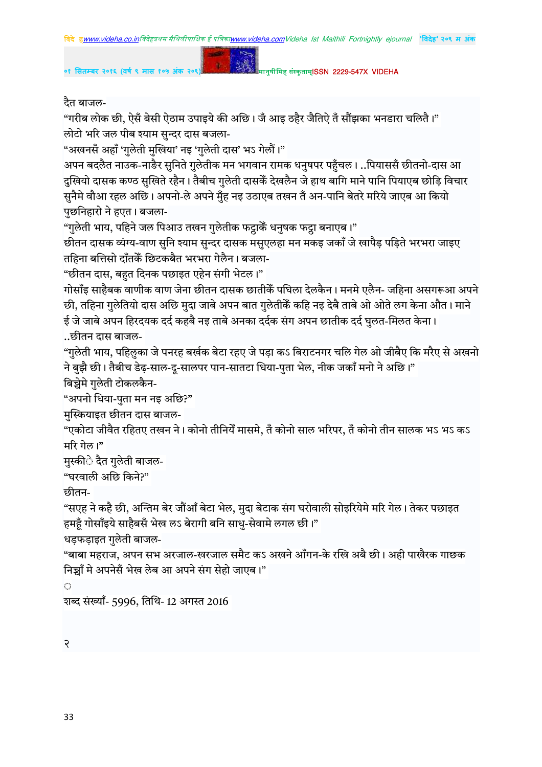०१ सितम्बर २०१६ (वर्ष ९ मास १०५ )

मानुषीमिह संस्कृताम्**ISSN 2229-547X VIDEHA** 

दैत बाजल-

"गरीब लोक छी, ऐसँ बेसी ऐठाम उपाइये की अछि। जँ आइ ठहैर जैतिऐ तँ सौंझका भनडारा चलितै।" लोटो भरि जल पीब श्याम सुन्दर दास बजला-

"अखनसँ अहाँ 'गुलेती मुखिया' नइ 'गुलेती दास' भऽ गेलौं।"

अपन बदलैत नाउक-नाडैर सनिते गुलेतीक मन भगवान रामक धनुषपर पहुँचल। ..पियाससँ छीतनो-दास आ दुखियो दासक कण्ठ सुखिते रहैन। तैबीच गुलेती दासकेँ देखलैन जे हाथ बागि माने पानि पियाएब छोड़ि विचार सनैमे वौआ रहल अछि। अपनो-ले अपने मँह नइ उठाएब तखन तँ अन-पानि बेतरे मरिये जाएब आ कियो पुछनिहारो ने हएत। बजला-

"गुलेती भाय, पहिने जल पिआउ तखन गुलेतीक फट्ठाकेँ धनुषक फट्ठा बनाएब।"

छीतन दासक व्यंग्य-वाण सुनि श्याम सुन्दर दासक मसुएलहा मन मकइ जकाँ जे खापैड़ पड़िते भरभरा जाइए तहिना बत्तिसो दाँतकें छिटकबैत भरभरा गेलैन। बजला-

"छीतन दास, बहुत दिनक पछाइत एहेन संगी भेटल।"

गोसाँइ साहैबक वाणीक वाण जेना छीतन दासक छातीकेँ पघिला देलकैन। मनमे एलैन- जहिना असगरूआ अपने छी, तहिना गुलेतियो दास अछि मुदा जाबे अपन बात गुलेतीकैं कहि नइ देबै ताबे ओ ओते लग केना औत। माने ई जे जाबे अपन हिरदयक दर्द कहबै नइ ताबे अनका दर्दक संग अपन छातीक दर्द घुलत-मिलत केना। ..छीतन दास बाजल-

"गुलेती भाय, पहिलुका जे पनरह बर्खक बेटा रहए जे पड़ा कऽ बिराटनगर चलि गेल ओ जीबैए कि मरैए से अखनो ने बुझै छी। तैबीच डेढ़-साल-दू-सालपर पान-सातटा धिया-पुता भेल, नीक जकाँ मनो ने अछि।"

बिच्चेमे गुलेती टोकलकैन-

"अपनो धिया-पुता मन नइ अछि?"

मुस्कियाइत छीतन दास बाजल-

"एकोटा जीवैत रहितए तखन ने। कोनो तीनियेँ मासमे, तँ कोनो साल भरिपर, तँ कोनो तीन सालक भऽ भऽ कऽ मरि गेल।"

मुस्कीे दैत गुलेती बाजल-

"घरवाली अछि किने?"

छीतन-

"सएह ने कहै छी, अन्तिम बेर जौंआँ बेटा भेल, मुदा बेटाक संग घरोवाली सोइरियेमे मरि गेल। तेकर पछाइत हमहँ गोसाँडये साहैबसँ भेख लऽ बेरागी बनि साध-सेवामे लगल छी।"

धडफड़ाइत गुलेती बाजल-

"बाबा महराज, अपन सभ अरजाल-खरजाल समैट कऽ अखने आँगन-के रखि अबै छी। अही पाखैरक गाछक निच्चाँ मे अपनेसँ भेख लेब आ अपने संग सेहो जाएब।"

शब्द संख्याँ- 5996, तिथि- 12 अगस्त 2016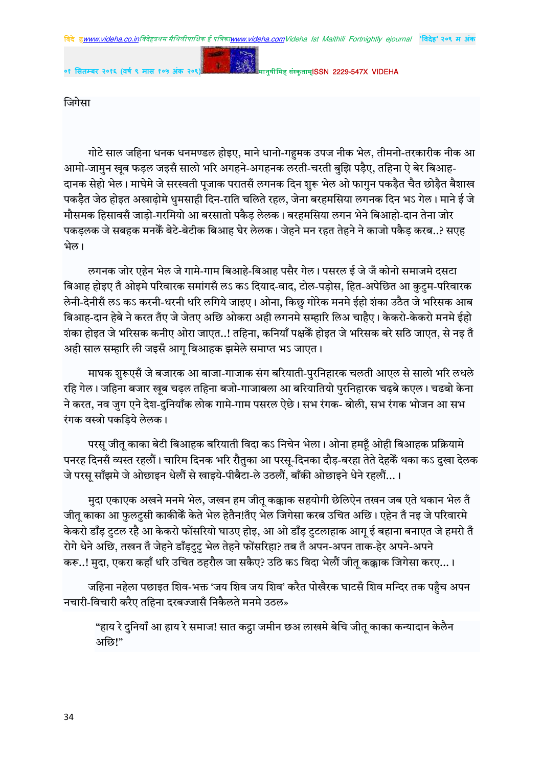जिगेसा

गोटे साल जहिना धनक धनमण्डल होइए, माने धानो-गहुमक उपज नीक भेल, तीमनो-तरकारीक नीक आ आमो-जामुन खुब फड़ल जइसँ सालो भरि अगहने-अगहनक लरती-चरती बुझि पड़ैए, तहिना ऐ बेर बिआह-दानक सेहो भेल। माघेमे जे सरस्वती पूजाक परातसँ लगनक दिन शुरू भेल ओ फागुन पकड़ैत चैत छोड़ैत बैशाख पकड़ैत जेठ होइत अखाढ़ोमे धुमसाही दिन-राति चलिते रहल, जेना बरहमसिया लगनक दिन भऽ गेल। माने ई जे मौसमक हिसावसँ जाड़ो-गरमियो आ बरसातो पकैड़ लेलक। बरहमसिया लगन भेने बिआहो-दान तेना जोर पकडलक जे सबहक मनकें बेटे-बेटीक बिआह घेर लेलक। जेहने मन रहत तेहने ने काजो पकैड करब..? सएह भेल।

लगनक जोर एहेन भेल जे गामे-गाम बिआहे-बिआह पसैर गेल। पसरल ई जे जँ कोनो समाजमे दसटा बिआह होइए तँ ओइमे परिवारक समांगसँ लऽ कऽ दियाद-वाद, टोल-पडोस, हित-अपेछित आ कटम-परिवारक लेनी-देनीसँ लऽ कऽ करनी-धरनी धरि लगिये जाइए। ओना, किछु गोरेक मनमे ईहो शंका उठैत जे भरिसक आब बिआह-दान हेबे ने करत तँए जे जेतए अछि ओकरा अही लगनमे सम्हारि लिअ चाहैए। केकरो-केकरो मनमे ईहो शंका होइत जे भरिसक कनीए ओरा जाएत..! तहिना, कनियाँ पक्षकेँ होइत जे भरिसक बरे सठि जाएत, से नइ तँ अही साल सम्हारि ली जइसँ आगू बिआहक झमेले समाप्त भऽ जाएत।

माघक शुरूएसँ जे बजारक आ बाजा-गाजाक संग बरियाती-पुरनिहारक चलती आएल से सालो भरि लधले रहि गेल। जहिना बजार खुब चढ़ल तहिना बजो-गाजाबला आ बरियातियो पुरनिहारक चढ़बे कएल। चढबो केना ने करत, नव जुग एने देश-दुनियाँक लोक गामे-गाम पसरल ऐछे। सभ रंगक- बोली, सभ रंगक भोजन आ सभ रंगक वस्त्रो पकड़िये लेलक।

परस जीत काका बेटी बिआहक बरियाती विदा कऽ निचेन भेला। ओना हमहँ ओही बिआहक प्रक्रियामे पनरह दिनसँ व्यस्त रहलौं। चारिम दिनक भरि रौतुका आ परसू-दिनका दौड़-बरहा तेते देहकेँ थका कऽ दुखा देलक जे परस साँझमे जे ओछाइन धेलौं से खाइये-पीबैटा-ले उठलौं, बाँकी ओछाइने धेने रहलौं...।

मुदा एकाएक अखने मनमे भेल, जखन हम जीतू कक्काक सहयोगी छेलिऐन तखन जब एते थकान भेल तँ जीतू काका आ फुलटुसी काकीकेँ केते भेल हेतैन!तँए भेल जिगेसा करब उचित अछि। एहेन तँ नइ जे परिवारमे केकरो डाँड़ टुटल रहै आ केकरो फोंसरियो घाउए होइ, आ ओ डाँड़ टुटलाहाक आगू ई बहाना बनाएत जे हमरो तँ रोगे धेने अछि, तखन तँ जेहने डाँड़टुटु भेल तेहने फोंसरिहा? तब तँ अपन-अपन ताक-हेर अपने-अपने करू..! मुदा, एकरा कहाँ धरि उचित ठहरौल जा सकैए? उठि कऽ विदा भेलौं जीत् कक्काक जिगेसा करए...।

जहिना नहेला पछाइत शिव-भक्त 'जय शिव जय शिव' करैत पोखैरक घाटसँ शिव मन्दिर तक पहुँच अपन नचारी-विचारी करैए तहिना दरबज्जासँ निकैलते मनमे उठल»

"हाय रे दुनियाँ आ हाय रे समाज! सात कट्ठा जमीन छअ लाखमे बेचि जीतू काका कन्यादान केलैन अछि!"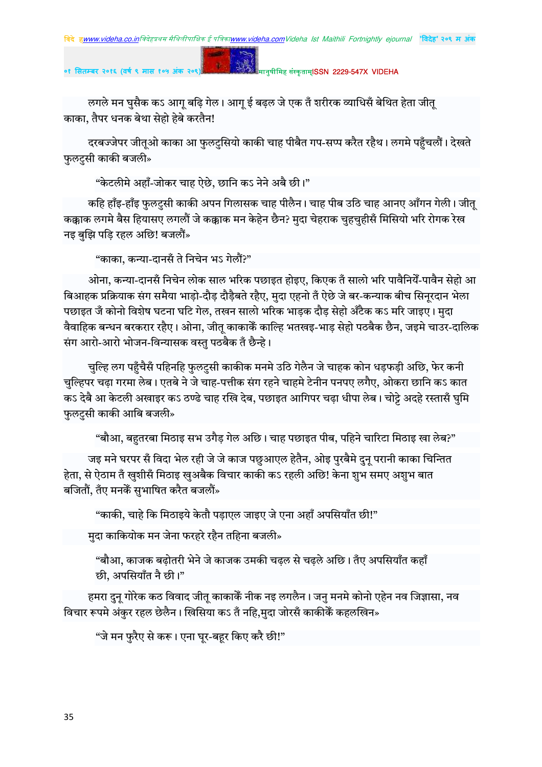लगले मन घुसैक कऽ आग् बढ़ि गेल। आग् ई बढ़ल जे एक तँ शरीरक व्याधिसँ बेथित हेता जीत् काका, तैपर धनक बेथा सेहो हेबे करतैन!

दरबज्जेपर जीतूओ काका आ फुलटुसियो काकी चाह पीबैत गप-सप्प करैत रहैथ। लगमे पहुँचलौं। देखते फुलटुसी काकी बजली»

"केटलीमे अहाँ-जोकर चाह ऐछे, छानि कऽ नेने अबै छी।"

कहि हाँइ-हाँइ फुलटुसी काकी अपन गिलासक चाह पीलैन। चाह पीब उठि चाह आनए आँगन गेली। जीत् कक्काक लगमे बैस हियासए लगलौं जे कक्काक मन केहेन छैन? मुदा चेहराक चुहचुहीसँ मिसियो भरि रोगक रेख नइ बुझि पडि रहल अछि! बजलौं»

"काका, कन्या-दानसँ ते निचेन भऽ गेलौं?"

ओना, कन्या-दानसँ निचेन लोक साल भरिक पछाइत होइए, किएक तँ सालो भरि पावैनियेँ-पावैन सेहो आ बिआहक प्रक्रियाक संग समैया भाड़ो-दौड़ दौड़ैबते रहैए, मुदा एहनो तँ ऐछे जे बर-कन्याक बीच सिनुरदान भेला पछाइत जँ कोनो विशेष घटना घटि गेल, तखन सालो भरिक भाड़क दौड़ सेहो अँटैक कऽ मरि जाइए। मुदा वैवाहिक बन्धन बरकरार रहैए। ओना, जीत् काकाकेँ काल्हि भतखइ-भाड़ सेहो पठबैक छैन, जइमे चाउर-दालिक संग आरो-आरो भोजन-विन्यासक वस्तु पठबैक तँ छैन्हे।

चुल्हि लग पहुँचैसँ पहिनहि फुलटुसी काकीक मनमे उठि गेलैन जे चाहक कोन धड़फड़ी अछि, फेर कनी चुल्हिपर चढ़ा गरमा लेब। एतबे ने जे चाह-पत्तीक संग रहने चाहमे टेनीन पनपए लगैए, ओकरा छानि कऽ कात कऽ देबै आ केटली अखाइर कऽ ठण्ढे चाह रखि देब, पछाइत आगिपर चढ़ा धीपा लेब। चोट्टे अदहे रस्तासँ घुमि फुलटुसी काकी आबि बजली»

"बौआ, बहतरबा मिठाइ सभ उगैड़ गेल अछि। चाह पछाइत पीब, पहिने चारिटा मिठाइ खा लेब?"

जइ मने घरपर सँ विदा भेल रही जे जे काज पछुआएल हेतैन, ओइ पुरबैमे दुनृ परानी काका चिन्तित हेता, से ऐठाम तँ खुशीसँ मिठाइ खुअबैक विचार काकी कऽ रहली अछि! केना शुभ समए अशुभ बात बजितौं, तँए मनकेँ सुभाषित करैत बजलौं»

"काकी. चाहे कि मिठाइये केतौ पडाएल जाइए जे एना अहाँ अपसियाँत छी!"

मदा काकियोक मन जेना फरहरे रहैन तहिना बजली»

"बौआ, काजक बढ़ोतरी भेने जे काजक उमकी चढ़ल से चढ़ले अछि। तँए अपसियाँत कहाँ छी, अपसियाँत नै छी।"

हमरा दुन गोरेक कठ विवाद जीत काकाकेँ नीक नइ लगलैन। जन मनमे कोनो एहेन नव जिज्ञासा, नव विचार रूपमे अंकुर रहल छेलैन। खिसिया कऽ तँ नहि,मुदा जोरसँ काकीकेँ कहलखिन»

"जे मन फुरैए से करू। एना घुर-बहुर किए करै छी!"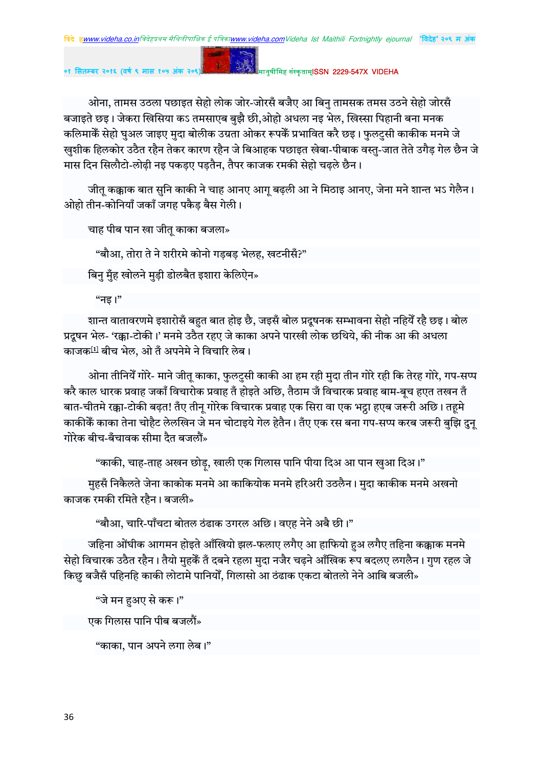ओना, तामस उठला पछाइत सेहो लोक जोर-जोरसँ बजैए आ बिनु तामसक तमस उठने सेहो जोरसँ बजाइते छइ। जेकरा खिसिया कऽ तमसाएब बुझै छी,ओहो अधला नइ भेल, खिस्सा पिहानी बना मनक कलिमाकेँ सेहो घुअल जाइए मुदा बोलीक उग्रता ओकर रूपकेँ प्रभावित करै छइ। फुलटुसी काकीक मनमे जे खुशीक हिलकोर उठैत रहैन तेकर कारण रहैन जे बिआहक पछाइत खेबा-पीबाक वस्तु-जात तेते उगैड गेल छैन जे मास दिन सिलौटो-लोढी नड पकडए पडतैन. तैपर काजक रमकी सेहो चढले छैन।

जीत् कक्काक बात सुनि काकी ने चाह आनए आग् बढ़ली आ ने मिठाइ आनए, जेना मने शान्त भऽ गेलैन। ओहो तीन-कोनियाँ जकाँ जगह पकैड बैस गेली।

चाह पीब पान खा जीतू काका बजला»

"बौआ, तोरा ते ने शरीरमे कोनो गड़बड़ भेलह, खटनीसँ?"

<u>बिन म</u>ँह खोलने मुडी डोलबैत इशारा केलिऐन»

"नड ।"

शान्त वातावरणमे इशारोसँ बहुत बात होइ छै, जइसँ बोल प्रदूषनक सम्भावना सेहो नहियेँ रहै छइ। बोल प्रदुषन भेल- 'रक्का-टोकी।' मनमे उठैत रहए जे काका अपने पारखी लोक छथिये, की नीक आ की अधला काजक<sup>[1]</sup> बीच भेल. ओ तँ अपनेमे ने विचारि लेब।

ओना तीनियेँ गोरे- माने जीत् काका, फुलटुसी काकी आ हम रही मुदा तीन गोरे रही कि तेरह गोरे, गप-सप्प करै काल धारक प्रवाह जकाँ विचारोक प्रवाह तँ होइते अछि, तैठाम जँ विचारक प्रवाह बाम-बूच हएत तखन तँ बात-चीतमे रक्का-टोकी बढ़त! तँए तीन् गोरेक विचारक प्रवाह एक सिरा वा एक भट्ठा हएब जरूरी अछि। तहमे काकीकें काका तेना चोहैट लेलखिन जे मन चोटाइये गेल हेतैन। तँए एक रस बना गप-सप्प करब जरूरी बुझि दुनू गोरेक बीच-बँचावक सीमा दैत बजलौं $\ast$ 

"काकी, चाह-ताह अखन छोड़, खाली एक गिलास पानि पीया दिअ आ पान खुआ दिअ।"

महसँ निकैलते जेना काकोक मनमे आ काकियोक मनमे हरिअरी उठलैन। मदा काकीक मनमे अखनो काजक रमकी रमिते रहैन। बजली»

"बौआ. चारि-पाँचटा बोतल ठंढाक उगरल अछि। वएह नेने अबै छी।"

जहिना ओंघीक आगमन होइते आँखियो झल-फलाए लगैए आ हाफियो हुअ लगैए तहिना कक्काक मनमे सेहो विचारक उठैत रहैन। तैयो मुहकें तँ दबने रहला मुदा नजैर चढ़ने आँखिक रूप बदलए लगलैन। गुण रहल जे किछु बजैसँ पहिनहि काकी लोटामे पानियोँ, गिलासो आ ठंढाक एकटा बोतलो नेने आबि बजली»

"जे मन हुअए से करू।"

एक गिलास पानि पीब बजलौं»

"काका, पान अपने लगा लेब।"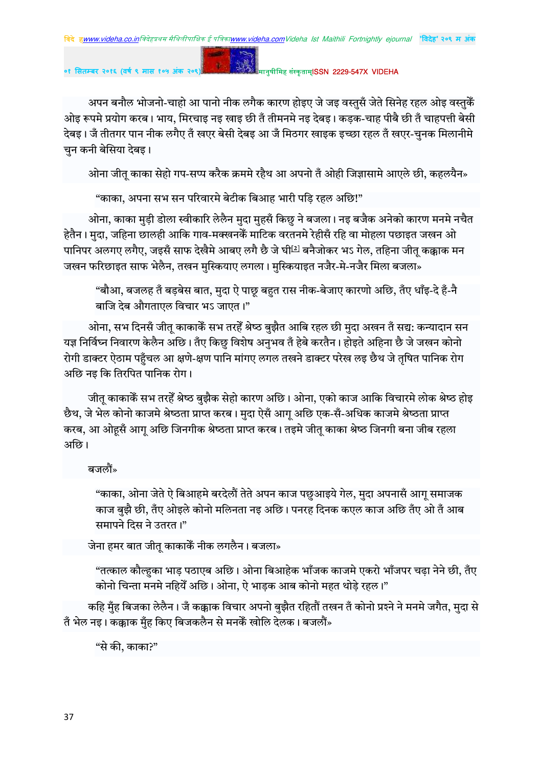मानुषीमिह संस्कृताम्**ISSN 2229-547X VIDEHA** 

अपन बनौल भोजनो-चाहो आ पानो नीक लगैक कारण होइए जे जइ वस्तुसँ जेते सिनेह रहल ओइ वस्तुकैं ओइ रूपमे प्रयोग करब। भाय, मिरचाइ नइ खाइ छी तँ तीमनमे नइ देबइ। कडक-चाह पीबै छी तँ चाहपत्ती बेसी देबइ। जँ तीतगर पान नीक लगैए तँ खएर बेसी देबइ आ जँ मिठगर खाइक इच्छा रहल तँ खएर-चुनक मिलानीमे चुन कनी बेसिया देबइ।

ओना जीत् काका सेहो गप-सप्प करैक क्रममे रहैथ आ अपनो तँ ओही जिज्ञासामे आएले छी, कहलयैन»

"काका, अपना सभ सन परिवारमे बेटीक बिआह भारी पडि रहल अछि!"

ओना, काका मुड़ी डोला स्वीकारि लेलैन मुदा मुहसँ किछु ने बजला। नइ बजैक अनेको कारण मनमे नचैत हेतैन। मुदा, जहिना छालही आकि गाव-मक्खनकेँ माटिक वरतनमे रेहीसँ रहि वा मोहला पछाइत जखन ओ पानिपर अलगए लगैए. जइसँ साफ देखैमे आबए लगै छै जे घी<sup>[2]</sup> बनैजोकर भऽ गेल. तहिना जीत कक्काक मन जखन फरिछाइत साफ भेलैन, तखन मस्कियाए लगला। मस्कियाइत नजैर-मे-नजैर मिला बजला»

"बौआ, बजलह तँ बड़बेस बात, मुदा ऐ पाछू बहुत रास नीक-बेजाए कारणो अछि, तँए धाँइ-दे हँ-नै बाजि देब औगताएल विचार भऽ जाएत।"

ओना, सभ दिनसँ जीत् काकाकेँ सभ तरहेँ श्रेष्ठ बुझैत आबि रहल छी मुदा अखन तँ सद्य: कन्यादान सन यज्ञ निर्विघ्न निवारण केलैन अछि। तँए किछु विशेष अनुभव तँ हेबे करतैन। होइते अहिना छै जे जखन कोनो रोगी डाक्टर ऐठाम पहँचल आ क्षणे-क्षण पानि मांगए लगल तखने डाक्टर परेख लड़ छैथ जे तषित पानिक रोग अछि नइ कि तिरपित पानिक रोग।

जीतू काकाकेँ सभ तरहेँ श्रेष्ठ बुझैक सेहो कारण अछि। ओना, एको काज आकि विचारमे लोक श्रेष्ठ होइ छैथ, जे भेल कोनो काजमे श्रेष्ठता प्राप्त करब। मुदा ऐसँ आग अछि एक-सँ-अधिक काजमे श्रेष्ठता प्राप्त करब, आ ओहसँ आग अछि जिनगीक श्रेष्ठता प्राप्त करब। तइमे जीत काका श्रेष्ठ जिनगी बना जीब रहला अछि।

बजलौं»

"काका, ओना जेते ऐ बिआहमे बरदेलौं तेते अपन काज पछुआइये गेल, मुदा अपनासँ आगु समाजक काज बुझै छी, तँए ओइले कोनो मलिनता नइ अछि। पनरह दिनक कएल काज अछि तँए ओ तँ आब समापने दिस ने उतरत।"

जेना हमर बात जीतु काकाकेँ नीक लगलैन। बजला»

"तत्काल कौल्हका भाड़ पठाएब अछि। ओना बिआहेक भाँजक काजमे एकरो भाँजपर चढ़ा नेने छी, तँए कोनो चिन्ता मनमे नहियेँ अछि। ओना, ऐ भाड़क आब कोनो महत थोड़े रहल।"

कहि मुँह बिजका लेलैन। जँ कक्काक विचार अपनो बुझैत रहितौं तखन तँ कोनो प्रश्ने ने मनमे जगैत, मुदा से तँ भेल नइ। कक्काक मँह किए बिजकलैन से मनकेँ खोलि देलक। बजलौं»

"से की, काका?"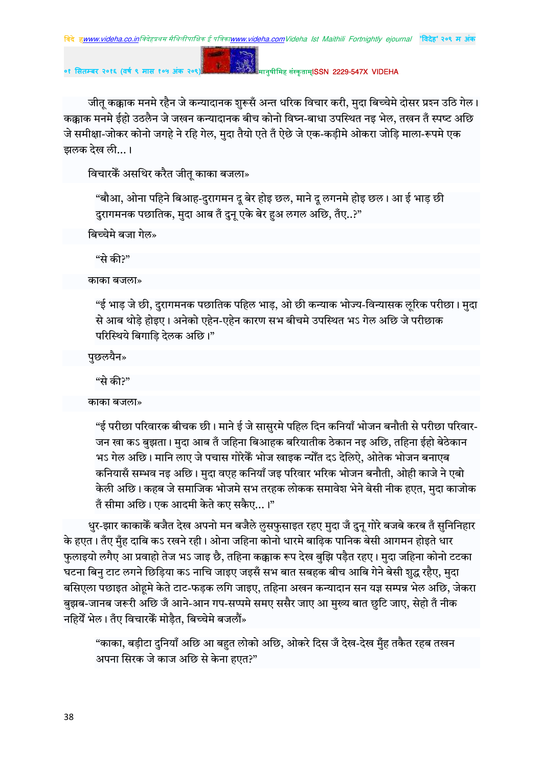**०१ सतबर २०१६ (वष ९ मास १०५ अंक २०९)** !" #\$ISSN 2229-547X VIDEHA

जीत् कक्काक मनमे रहैन जे कन्यादानक शुरूसँ अन्त धरिक विचार करी, मुदा बिच्चेमे दोसर प्रश्न उठि गेल। कक्काक मनमे ईहो उठलैन जे जखन कन्यादानक बीच कोनो विघ्न-बाधा उपस्थित नइ भेल. तखन तँ स्पष्ट अछि जे समीक्षा-जोकर कोनो जगहे ने रहि गेल, मुदा तैयो एते तँ ऐछे जे एक-कड़ीमे ओकरा जोड़ि माला-रूपमे एक झलक देख ली... ।

विचारकैं असथिर करैत जीत् काका बजला»

"बौआ, ओना पहिने बिआह-दुरागमन दू बेर होइ छल, माने दू लगनमे होइ छल। आ ई भाड़ छी दुरागमनक पछातिक, मुदा आब तँ दुन् एके बेर हुअ लगल अछि, तँए..?"

बिच्चेमे बजा गेल»

"से की?"

काका बजला»

"ई भाड़ जे छी, दुरागमनक पछातिक पहिल भाड़, ओ छी कन्याक भोज्य-विन्यासक लृरिक परीछा। मुदा से आब थोड़े होइए। अनेको एहेन-एहेन कारण सभ बीचमे उपस्थित भऽ गेल अछि जे परीछाक परिस्थिये बिगाडि देलक अछि।"

पुछलयैन»

"से की?"

काका बजला»

"ई परीछा परिवारक बीचक छी। माने ई जे सासुरमे पहिल दिन कनियाँ भोजन बनौती से परीछा परिवार-जन खा कऽ बुझता। मुदा आब तँ जहिना बिआहक बरियातीक ठेकान नइ अछि, तहिना ईहो बेठेकान भऽ गेल अछि। मानि लाए जे पचास गोरेकैं भोज खाइक न्योँत दऽ देलिऐ, ओतेक भोजन बनाएब कनियासँ सम्भव नइ अछि। मदा वएह कनियाँ जइ परिवार भरिक भोजन बनौती. ओही काजे ने एबो केली अछि। कहब जे समाजिक भोजमे सभ तरहक लोकक समावेश भेने बेसी नीक हएत, मुदा काजोक तँ सीमा अछि। एक आदमी केते कए सकैए...।"

धुर-झार काकाकेँ बजैत देख अपनो मन बजैले लुसफुसाइत रहए मुदा जँ दुन् गोरे बजबे करब तँ सुनिनिहार के हएत। तँए मुँह दाबि कऽ रखने रही। ओना जहिना कोनो धारमे बाढ़िक पानिक बेसी आगमन होइते धार फुलाइयो लगैए आ प्रवाहो तेज भऽ जाइ छै, तहिना कक्काक रूप देख बुझि पड़ैत रहए। मुदा जहिना कोनो टटका घटना बिन टाट लगने छिड़िया कऽ नाचि जाइए जइसँ सभ बात सबहक बीच आबि गेने बेसी शुद्ध रहैए, मुदा बसिएला पछाइत ओहमे केते टाट-फड़क लगि जाइए, तहिना अखन कन्यादान सन यज्ञ सम्पन्न भेल अछि, जेकरा बुझब-जानब जरूरी अछि जँ आने-आन गप-सप्पमे समए ससैर जाए आ मुख्य बात छुटि जाए, सेहो तँ नीक नहियेँ भेल। तँए विचारकेँ मोड़ैत, बिच्चेमे बजलौं»

"काका, बड़ीटा दुनियाँ अछि आ बहुत लोको अछि, ओकरे दिस जँ देख-देख मुँह तकैत रहब तखन अपना सिरक जे काज अछि से केना हएत?"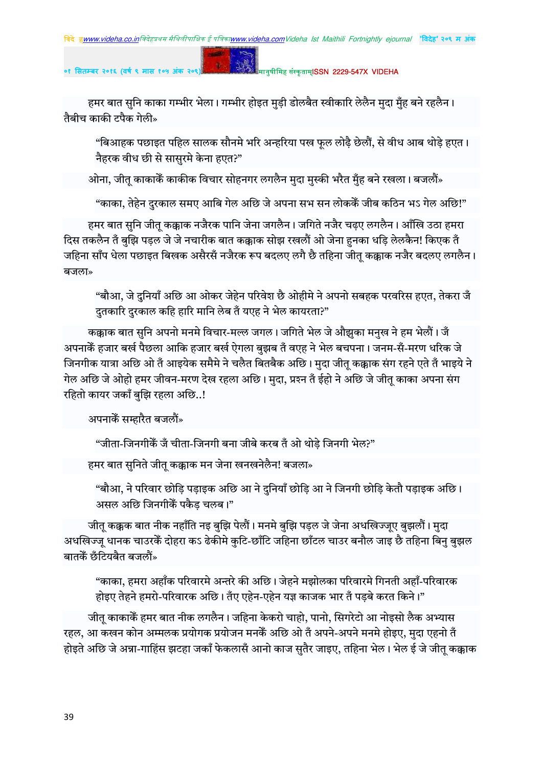### मानुषीमिह संस्कृताम्**ISSN 2229-547X VIDEHA**

हमर बात सुनि काका गम्भीर भेला। गम्भीर होइत मुड़ी डोलबैत स्वीकारि लेलैन मुदा मुँह बने रहलैन। तैबीच काकी टपैक गेली»

"बिआहक पछाइत पहिल सालक सौनमे भरि अन्हरिया पख फूल लोढ़ै छेलौं, से वीध आब थोड़े हएत। नैहरक वीध छी से सासुरमे केना हएत?"

ओना, जीत् काकाकेँ काकीक विचार सोहनगर लगलैन मुदा मुस्की भरैत मुँह बने रखला। बजलौं»

"काका, तेहेन दुरकाल समए आबि गेल अछि जे अपना सभ सन लोककें जीब कठिन भऽ गेल अछि!"

हमर बात सुनि जीत् कक्काक नजैरक पानि जेना जगलैन। जगिते नजैर चढ़ए लगलैन। आँखि उठा हमरा दिस तकलैन तँ बुझि पडल जे जे नचारीक बात कक्काक सोझ रखलौं ओ जेना हनका धडि लेलकैन! किएक तँ जहिना साँप धेला पछाइत बिखक असैरसँ नजैरक रूप बदलए लगै छै तहिना जीत कक्काक नजैर बदलए लगलैन। बजला»

"बौआ, जे दुनियाँ अछि आ ओकर जेहेन परिवेश छै ओहीमे ने अपनो सबहक परवरिस हएत, तेकरा जँ दुतकारि दुरकाल कहि हारि मानि लेब तँ यएह ने भेल कायरता?"

कक्काक बात सुनि अपनो मनमे विचार-मल्ल जगल। जगिते भेल जे औझुका मनुख ने हम भेलौं। जँ अपनाकेँ हजार बर्ख पैछला आकि हजार बर्ख ऐगला बुझब तँ वएह ने भेल बचपना। जनम-सँ-मरण धरिक जे जिनगीक यात्रा अछि ओ तँ आइयेक समैमे ने चलैत बितबैक अछि। मदा जीत कक्काक संग रहने एते तँ भाइये ने गेल अछि जे ओहो हमर जीवन-मरण देख रहला अछि। मुदा, प्रश्न तँ ईहो ने अछि जे जीत् काका अपना संग रहितो कायर जकाँ बुझि रहला अछि..!

अपनाकेँ सम्हारैत बजलौं»

"जीता-जिनगीकेँ जँ चीता-जिनगी बना जीबे करब तँ ओ थोड़े जिनगी भेल?"

हमर बात सुनिते जीतू कक्काक मन जेना खनखनेलैन! बजला»

"बौआ, ने परिवार छोड़ि पड़ाइक अछि आ ने दुनियाँ छोड़ि आ ने जिनगी छोड़ि केतौ पड़ाइक अछि। असल अछि जिनगीकैं पकैड चलब।"

जीत् कक्कक बात नीक नहाँति नइ बुझि पेलौं। मनमे बुझि पड़ल जे जेना अधखिज्जूए बुझलौं। मुदा अधखिज्जु धानक चाउरकें दोहरा कऽ ढेकीमे कुटि-छाँटि जहिना छाँटल चाउर बनौल जाइ छै तहिना बिनु बुझल बातकें छँटियबैत बजलौं»

"काका, हमरा अहाँक परिवारमे अन्तरे की अछि। जेहने मझोलका परिवारमे गिनती अहाँ-परिवारक होइए तेहने हमरो-परिवारक अछि। तँए एहेन-एहेन यज्ञ काजक भार तँ पडबे करत किने।"

जीत् काकाकेँ हमर बात नीक लगलैन। जहिना केकरो चाहो, पानो, सिगरेटो आ नोइसो लैक अभ्यास रहल, आ कखन कोन अम्मलक प्रयोगक प्रयोजन मनकैं अछि ओ तँ अपने-अपने मनमे होइए, मदा एहनो तँ होइते अछि जे अन्ना-गाहिंस झटहा जकाँ फेकलासँ आनो काज सुतैर जाइए, तहिना भेल। भेल ई जे जीतू कक्काक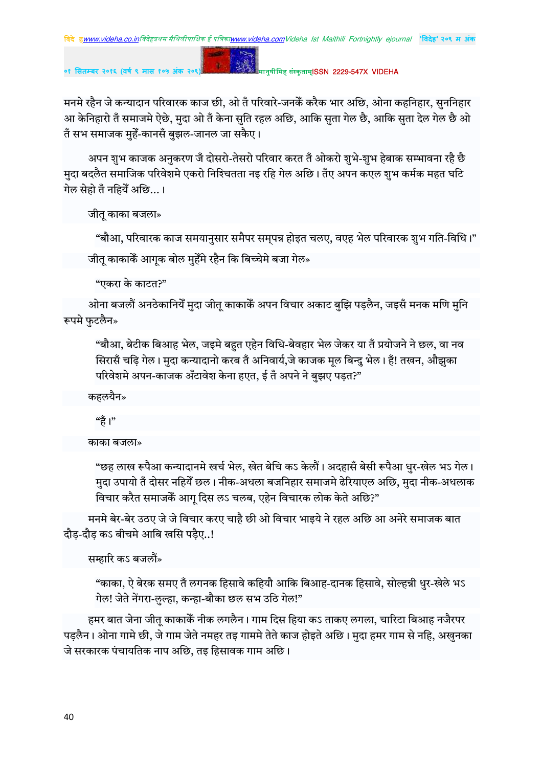**०१ सतबर २०१६ (वष ९ मास १०५ अंक २०९)** !" #\$ISSN 2229-547X VIDEHA

मनमे रहैन जे कन्यादान परिवारक काज छी, ओ तँ परिवारे-जनकेँ करैक भार अछि, ओना कहनिहार, सुननिहार आ केनिहारो तँ समाजमे ऐछे, मुदा ओ तँ केना सुति रहल अछि, आकि सुता गेल छै, आकि सुता देल गेल छै ओ तँ सभ समाजक मुहेँ-कानसँ बुझल-जानल जा सकैए।

अपन शुभ काजक अनुकरण जँ दोसरो-तेसरो परिवार करत तँ ओकरो शुभे-शुभ हेबाक सम्भावना रहै छै मुदा बदलैत समाजिक परिवेशमे एकरो निश्चितता नइ रहि गेल अछि। तँए अपन कएल शुभ कर्मक महत घटि गेल सेहो तँ नहियेँ अछि...।

जीतु काका बजला»

"बौआ, परिवारक काज समयानुसार समैपर सम्पन्न होइत चलए, वएह भेल परिवारक शुभ गति-विधि।" जीत काकाकैं आगक बोल मुहेँमे रहैन कि बिच्चेमे बजा गेल»

"एकरा के काटत?"

ओना बजलौं अनठेकानियेँ मुदा जीत् काकाकेँ अपन विचार अकाट बुझि पड़लैन, जइसँ मनक मणि मुनि रूपमे फुटलैन»

"बौआ, बेटीक बिआह भेल, जइमे बहुत एहेन विधि-बेवहार भेल जेकर या तँ प्रयोजने ने छल, वा नव सिरासँ चढि गेल। मुदा कन्यादानो करब तँ अनिवार्य,जे काजक मुल बिन्दु भेल। हँ! तखन, औझुका परिवेशमे अपन-काजक अँटावेश केना हएत, ई तँ अपने ने बुझए पड़त?"

कहलयैन»

"हैं ।"

काका बजला»

"छह लाख रूपैआ कन्यादानमे खर्च भेल, खेत बेचि कऽ केलौं। अदहासँ बेसी रूपैआ धुर-खेल भऽ गेल। मुदा उपायो तँ दोसर नहियेँ छल। नीक-अधला बजनिहार समाजमे ढेरियाएल अछि, मुदा नीक-अधलाक विचार करैत समाजकें आग दिस लऽ चलब, एहेन विचारक लोक केते अछि?"

मनमे बेर-बेर उठए जे जे विचार करए चाहै छी ओ विचार भाइये ने रहल अछि आ अनेरे समाजक बात दौड-दौड कऽ बीचमे आबि खसि पडैए..!

सम्हारि कऽ बजलौं»

"काका, ऐ बेरक समए तँ लगनक हिसावे कहियौ आकि बिआह-दानक हिसावे, सोल्हन्नी धुर-खेले भऽ गेल! जेते नेंगरा-लुल्हा, कन्हा-बौका छल सभ उठि गेल!"

हमर बात जेना जीत् काकाकें नीक लगलैन। गाम दिस हिया कऽ ताकए लगला, चारिटा बिआह नजैरपर पड़लैन। ओना गामे छी, जे गाम जेते नमहर तइ गाममे तेते काज होइते अछि। मुदा हमर गाम से नहि, अखुनका जे सरकारक पंचायतिक नाप अछि, तइ हिसावक गाम अछि।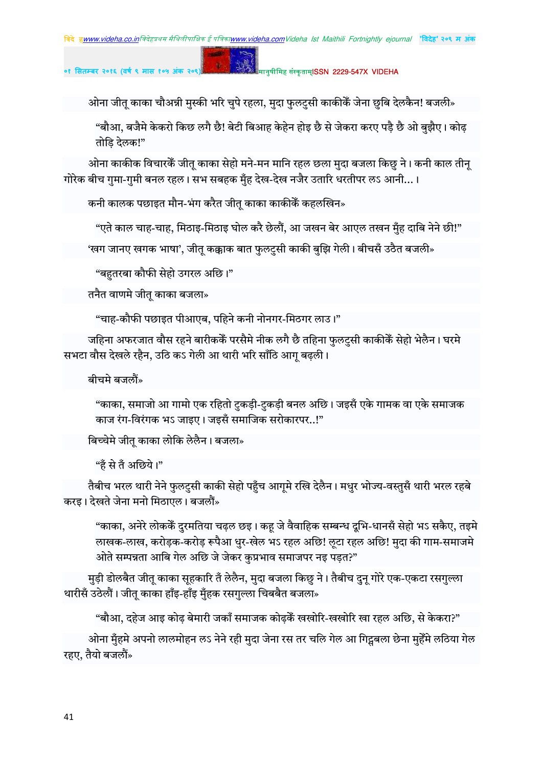मानुषीमिह संस्कृताम्**ISSN 2229-547X VIDEHA** 

ओना जीतू काका चौअन्नी मुस्की भरि चुपे रहला, मुदा फुलटुसी काकीकेँ जेना छुबि देलकैन! बजली»

"बौआ, बजैमे केकरो किछ लगै छै! बेटी बिआह केहेन होइ छै से जेकरा करए पड़ै छै ओ बुझैए। कोढ़ तोडि़ देलक!"

ओना काकीक विचारकें जीत काका सेहो मने-मन मानि रहल छला मुदा बजला किछु ने। कनी काल तीन् गोरेक बीच गुमा-गुमी बनल रहल। सभ सबहक मुँह देख-देख नजैर उतारि धरतीपर लऽ आनी...।

कनी कालक पछाइत मौन-भंग करैत जीत् काका काकीकेँ कहलखिन»

"एते काल चाह-चाह, मिठाइ-मिठाइ घोल करै छेलौं, आ जखन बेर आएल तखन मुँह दाबि नेने छी!"

'खग जानए खगक भाषा', जीतू कक्काक बात फुलटुसी काकी बुझि गेली। बीचसँ उठैत बजली»

"बहुतरबा कौफी सेहो उगरल अछि।"

तनैत वाणमे जीत् काका बजला»

"चाह-कौफी पछाइत पीआएब, पहिने कनी नोनगर-मिठगर लाउ।"

जहिना अफरजात वौस रहने बारीककें परसैमे नीक लगै छै तहिना फुलटुसी काकीकें सेहो भेलैन। घरमे सभटा वौस देखले रहैन, उठि कऽ गेली आ थारी भरि साँठि आग बढली।

बीचमे बजलौं»

"काका, समाजो आ गामो एक रहितो टुकड़ी-टुकड़ी बनल अछि। जइसँ एके गामक वा एके समाजक काज रंग-विरंगक भऽ जाइए। जइसँ समाजिक सरोकारपर..!"

बिच्चेमे जीत् काका लोकि लेलैन। बजला»

"हँ से तँ अछिये।"

तैबीच भरल थारी नेने फुलटुसी काकी सेहो पहुँच आगुमे रखि देलैन। मधुर भोज्य-वस्तुसँ थारी भरल रहबे करइ। देखते जेना मनो मिठाएल। बजलौं»

"काका, अनेरे लोककें दुरमतिया चढ़ल छइ। कहू जे वैवाहिक सम्बन्ध दूभि-धानसँ सेहो भऽ सकैए, तइमे लाखक-लाख, करोड़क-करोड़ रूपैआ धुर-खेल भऽ रहल अछि! लूटा रहल अछि! मुदा की गाम-समाजमे ओते सम्पन्नता आबि गेल अछि जे जेकर कुप्रभाव समाजपर नइ पड़त?"

मुड़ी डोलबैत जीतू काका सूहकारि तँ लेलैन, मुदा बजला किछु ने। तैबीच दुनू गोरे एक-एकटा रसगुल्ला थारीसँ उठेलौं। जीत् काका हाँइ-हाँइ मुँहक रसगुल्ला चिबबैत बजला»

"बौआ, दहेज आइ कोढ़ बेमारी जकाँ समाजक कोढ़केँ खखोरि-खखोरि खा रहल अछि, से केकरा?"

ओना मुँहमे अपनो लालमोहन लऽ नेने रही मुदा जेना रस तर चलि गेल आ गिट्सबला छेना मुहेँमे लठिया गेल रहए, तैयो बजलौं»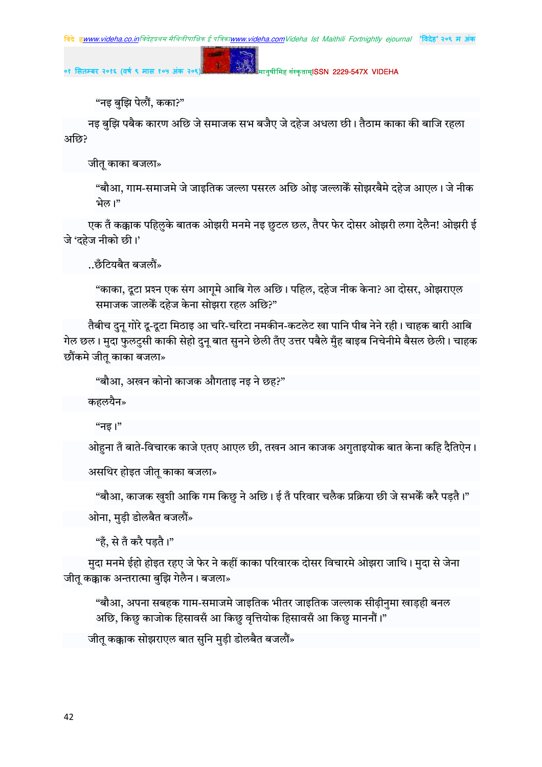मानुषीमिह संस्कृताम्**ISSN 2229-547X VIDEHA** 

"नइ बुझि पेलौं, कका?"

नइ बुझि पबैक कारण अछि जे समाजक सभ बजैए जे दहेज अधला छी। तैठाम काका की बाजि रहला अछि?

जीत काका बजला»

"बौआ, गाम-समाजमे जे जाइतिक जल्ला पसरल अछि ओइ जल्लाकैं सोझरबैमे दहेज आएल। जे नीक भेल।"

एक तँ कक्काक पहिलुके बातक ओझरी मनमे नइ छुटल छल, तैपर फेर दोसर ओझरी लगा देलैन! ओझरी ई जे 'दहेज नीको छी।'

..छँटियबैत बजलौं»

"काका, दूटा प्रश्न एक संग आगृमे आबि गेल अछि। पहिल, दहेज नीक केना? आ दोसर, ओझराएल समाजक जालकें दहेज केना सोझरा रहल अछि?"

तैबीच दुन् गोरे दु-दुटा मिठाइ आ चरि-चरिटा नमकीन-कटलेट खा पानि पीब नेने रही। चाहक बारी आबि गेल छल। मुदा फुलट्सी काकी सेहो दुन बात सुनने छेली तँए उत्तर पबैले मुँह बाइब निचेनीमे बैसल छेली। चाहक छौंकमे जीत काका बजला»

"बौआ, अखन कोनो काजक औगताइ नइ ने छह?"

कहलयैन»

"नड।"

ओहना तँ बाते-विचारक काजे एतए आएल छी, तखन आन काजक अगुताइयोक बात केना कहि दैतिऐन।

असथिर होइत जीतू काका बजला»

"बौआ, काजक खुशी आकि गम किछु ने अछि। ई तँ परिवार चलैक प्रक्रिया छी जे सभकेँ करै पड़तै।" ओना, मुडी डोलबैत बजलौं»

"हँ, से तँ करै पडतै।"

मुदा मनमे ईहो होइत रहए जे फेर ने कहीं काका परिवारक दोसर विचारमे ओझरा जाथि। मुदा से जेना जीत कक्काक अन्तरात्मा बुझि गेलैन। बजला»

"बौआ, अपना सबहक गाम-समाजमे जाइतिक भीतर जाइतिक जल्लाक सीढीनमा खाडही बनल अछि, किछु काजोक हिसावसँ आ किछु वृत्तियोक हिसावसँ आ किछु माननौं।"

जीतू कक्काक सोझराएल बात सुनि मुड़ी डोलबैत बजलौं»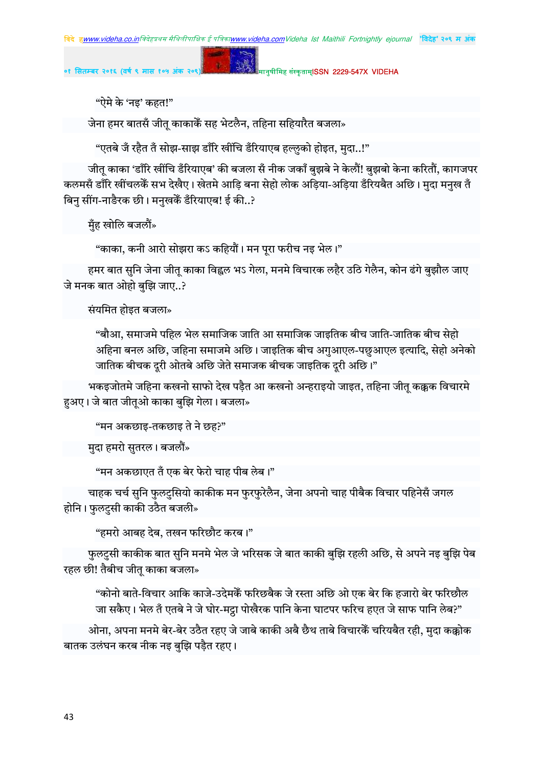मानुषीमिह संस्कृताम्**ISSN 2229-547X VIDEHA** 

"ऐमे के 'नइ' कहत!"

जेना हमर बातसँ जीत् काकाकेँ सह भेटलैन, तहिना सहियारैत बजला»

"एतबे जँ रहैत तँ सोझ-साझ डाँरि खींचि डँरियाएब हल्लुको होइत, मुदा..!"

जीत् काका 'डाँरि खींचि डँरियाएब' की बजला सँ नीक जकाँ बुझबे ने केलौं! बुझबो केना करितौं, कागजपर कलमसँ डाँरि खींचलकेँ सभ देखैए। खेतमे आडि बना सेहो लोक अडिया-अडिया डँरियबैत अछि। मदा मनख तँ बिनु सींग-नाङैरक छी। मनुखकेँ डँरियाएब! ई की..?

<u>मुँ</u>ह खोलि बजलौं»

"काका, कनी आरो सोझरा कऽ कहियौं। मन पूरा फरीच नइ भेल।"

हमर बात सुनि जेना जीत् काका विह्वल भऽ गेला, मनमे विचारक लहैर उठि गेलैन, कोन ढंगे बुझौल जाए जे मनक बात ओहो बझि जाए..?

संयमित होइत बजला»

"बौआ. समाजमे पहिल भेल समाजिक जाति आ समाजिक जाडतिक बीच जाति-जातिक बीच सेहो अहिना बनल अछि, जहिना समाजमे अछि। जाइतिक बीच अगुआएल-पछुआएल इत्यादि, सेहो अनेको जातिक बीचक दूरी ओतबे अछि जेते समाजक बीचक जाइतिक दूरी अछि।"

भकइजोतमे जहिना कखनो साफो देख पड़ैत आ कखनो अन्हराइयो जाइत, तहिना जीतू कक्कक विचारमे हअए। जे बात जीतुओ काका बुझि गेला। बजला»

"मन अकछाड-तकछाड ते ने छह?"

मुदा हमरो सुतरल। बजलौं»

"मन अकछाएत तँ एक बेर फेरो चाह पीब लेब।"

चाहक चर्च सुनि फुलटुसियो काकीक मन फुरफुरेलैन, जेना अपनो चाह पीबैक विचार पहिनेसँ जगल होनि। फुलटुसी काकी उठैत बजली»

"हमरो आबह देब, तखन फरिछौट करब।"

फुलटुसी काकीक बात सुनि मनमे भेल जे भरिसक जे बात काकी बुझि रहली अछि, से अपने नइ बुझि पेब रहल छी! तैबीच जीत काका बजला»

"कोनो बाते-विचार आकि काजे-उदेमकेँ फरिछबैक जे रस्ता अछि ओ एक बेर कि हजारो बेर फरिछौल जा सकैए। भेल तँ एतबे ने जे घोर-मट्ठा पोखैरक पानि केना घाटपर फरिच हएत जे साफ पानि लेब?"

ओना, अपना मनमे बेर-बेर उठैत रहए जे जाबे काकी अबै छैथ ताबे विचारकेँ चरियबैत रही, मुदा कक्कोक बातक उलंघन करब नीक नइ बुझि पड़ैत रहए।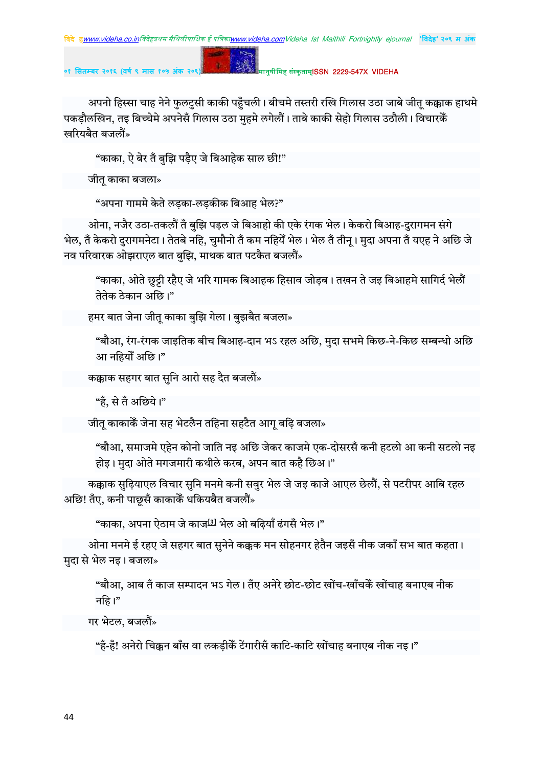**०१ सतबर २०१६ (वष ९ मास १०५ अंक २०९)** !" #\$ISSN 2229-547X VIDEHA

अपनो हिस्सा चाह नेने फुलटुसी काकी पहुँचली। बीचमे तस्तरी रखि गिलास उठा जाबे जीत् कक्काक हाथमे पकड़ौलखिन, तइ बिच्चेमे अपनेसँ गिलास उठा मुहमे लगेलौं। ताबे काकी सेहो गिलास उठौली। विचारकेँ खरियबैत बजलौं»

"काका, ऐ बेर तँ बुझि पड़ैए जे बिआहेक साल छी!"

जीतु काका बजला»

"अपना गाममे केते लड़का-लड़कीक बिआह भेल?"

ओना, नजैर उठा-तकलौं तँ बुझि पड़ल जे बिआहो की एके रंगक भेल। केकरो बिआह-दुरागमन संगे भेल, तँ केकरो दुरागमनेटा। तेतबे नहि, चुमौनो तँ कम नहियेँ भेल। भेल तँ तीन्। मुदा अपना तँ यएह ने अछि जे नव परिवारक ओझराएल बात बझि. माथक बात पटकैत बजलौं $\ast$ 

"काका, ओते छुट्टी रहैए जे भरि गामक बिआहक हिसाव जोड़ब। तखन ते जइ बिआहमे सागिर्द भेलौं तेतेक ठेकान अछि।"

हमर बात जेना जीतू काका बुझि गेला। बुझबैत बजला»

"बौआ, रंग-रंगक जाइतिक बीच बिआह-दान भऽ रहल अछि, मुदा सभमे किछ-ने-किछ सम्बन्धो अछि आ नहियोँ अछि।"

कक्काक सहगर बात सुनि आरो सह दैत बजलौं»

"हैं, से तँ अछिये।"

जीतू काकाकेँ जेना सह भेटलैन तहिना सहटैत आगू बढ़ि बजला»

"बौआ, समाजमे एहेन कोनो जाति नइ अछि जेकर काजमे एक-दोसरसँ कनी हटलो आ कनी सटलो नइ होइ। मुदा ओते मगजमारी कथीले करब, अपन बात कहै छिअ।"

कक्काक सुढ़ियाएल विचार सुनि मनमे कनी सवुर भेल जे जइ काजे आएल छेलौं, से पटरीपर आबि रहल अछि! तँए, कनी पाछुसँ काकाकेँ धकियबैत बजलौं»

"काका, अपना ऐठाम जे काज<sup>[3]</sup> भेल ओ बढियाँ ढंगसँ भेल।"

ओना मनमे ई रहए जे सहगर बात सुनेने कक्कक मन सोहनगर हेतैन जइसँ नीक जकाँ सभ बात कहता। मदा से भेल नइ। बजला»

"बौआ, आब तँ काज सम्पादन भऽ गेल। तँए अनेरे छोट-छोट खोंच-खाँचकेँ खोंचाह बनाएब नीक नहि।"

गर भेटल, बजलौं»

"हँ-हँ! अनेरो चिक्कन बाँस वा लकडीकेँ टेंगारीसँ काटि-काटि खोंचाह बनाएब नीक नड।"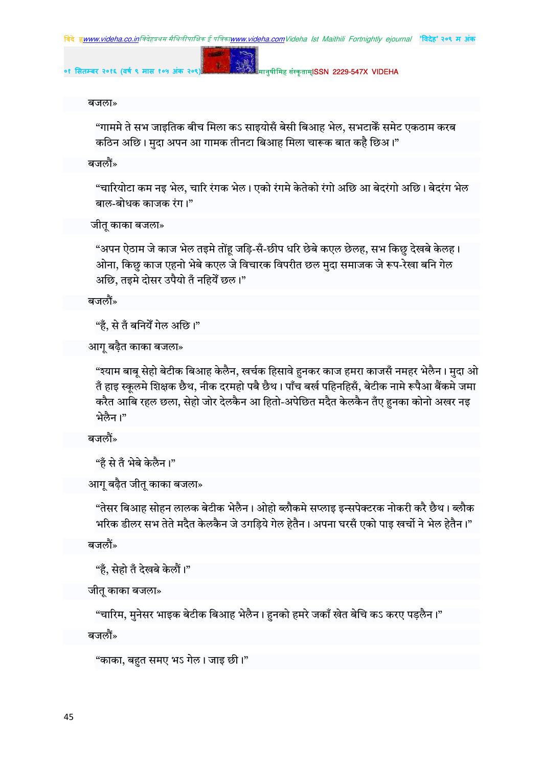**०१ सतबर २०१६ (वष ९ मास १०५ अंक २०९)** !" #\$ISSN 2229-547X VIDEHA

बजला»

"गाममे ते सभ जाइतिक बीच मिला कऽ साइयोसँ बेसी बिआह भेल, सभटाकैँ समेट एकठाम करब कठिन अछि। मुदा अपन आ गामक तीनटा बिआह मिला चारूक बात कहै छिअ।"

बजलौं»

"चारियोटा कम नइ भेल, चारि रंगक भेल। एको रंगमे केतेको रंगो अछि आ बेदरंगो अछि। बेदरंग भेल बाल-बोधक काजक रंग।"

जीतू काका बजला»

"अपन ऐठाम जे काज भेल तइमे तोंहू जड़ि-सँ-छीप धरि छेबे कएल छेलह, सभ किछु देखबे केलह। ओना, किछु काज एहनो भेबे कएल जे विचारक विपरीत छल मुदा समाजक जे रूप-रेखा बनि गेल अछि, तइमे दोसर उपैयो तँ नहियेँ छल।"

बजलौं»

"हैं, से तँ बनियेँ गेल अछि।"

आग् बढ़ैत काका बजला»

"श्याम बाबू सेहो बेटीक बिआह केलैन, खर्चक हिसावे हुनकर काज हमरा काजसँ नमहर भेलैन। मुदा ओ तँ हाइ स्कूलमे शिक्षक छैथ, नीक दरमहो पबै छैथ। पाँच बर्ख पहिनहिसँ, बेटीक नामे रूपैआ बैंकमे जमा करैत आबि रहल छला, सेहो जोर देलकैन आ हितो-अपेछित मदैत केलकैन तँए हुनका कोनो अखर नइ भेलैन।"

बजलौं»

```
"हँ से तँ भेबे केलैन।"
```

```
आग बढ़ैत जीत काका बजला»
```
"तेसर बिआह सोहन लालक बेटीक भेलैन। ओहो ब्लौकमे सप्लाइ इन्सपेक्टरक नोकरी करै छैथ। ब्लौक भरिक डीलर सभ तेते मदैत केलकैन जे उगडिये गेल हेतैन। अपना घरसँ एको पाइ खर्चो ने भेल हेतैन।"

बजलौं»

"हँ, सेहो तँ देखबे केलौं।"

जीतू काका बजला»

"चारिम, मुनेसर भाइक बेटीक बिआह भेलैन। हुनको हमरे जकाँ खेत बेचि कऽ करए पड़लैन।"

बजलौं»

"काका, बहुत समए भऽ गेल। जाइ छी।"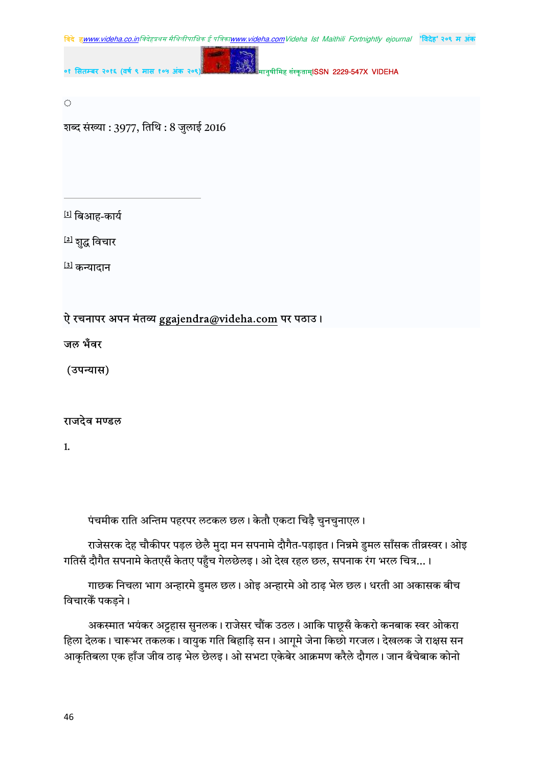

 $\langle \cdot \rangle$ 

शब्द संख्या: 3977, तिथि: 8 जुलाई 2016

[1] बिआह-कार्य

<sup>[2]</sup> शुद्ध विचार

[3] कन्यादान

# ऐ रचनापर अपन मंतव्य ggajendra@videha.com पर पठाउ।

जल भँवर

(उपन्यास)

# राजदेव मण्डल

 $\mathbf{1}$ 

पंचमीक राति अन्तिम पहरपर लटकल छल। केतौ एकटा चिड़ै चुनचुनाएल।

राजेसरक देह चौकीपर पड़ल छेलै मुदा मन सपनामे दौगैत-पड़ाइत। निन्नमे डुमल साँसक तीव्रस्वर। ओइ गतिसँ दौगैत सपनामे केतएसँ केतए पहुँच गेलछेलइ। ओ देख रहल छल, सपनाक रंग भरल चित्र...।

गाछक निचला भाग अन्हारमे डुमल छल। ओइ अन्हारमे ओ ठाढ भेल छल। धरती आ अकासक बीच विचारकें पकड़ने ।

अकस्मात भयंकर अट्टहास सुनलक। राजेसर चौंक उठल। आकि पाछूसँ केकरो कनबाक स्वर ओकरा हिला देलक। चारूभर तकलक। वायुक गति बिहाड़ि सन। आगूमे जेना किछो गरजल। देखलक जे राक्षस सन आकृतिबला एक हाँज जीव ठाढ़ भेल छेलइ। ओ सभटा एकेबेर आक्रमण करैले दौगल। जान बँचेबाक कोनो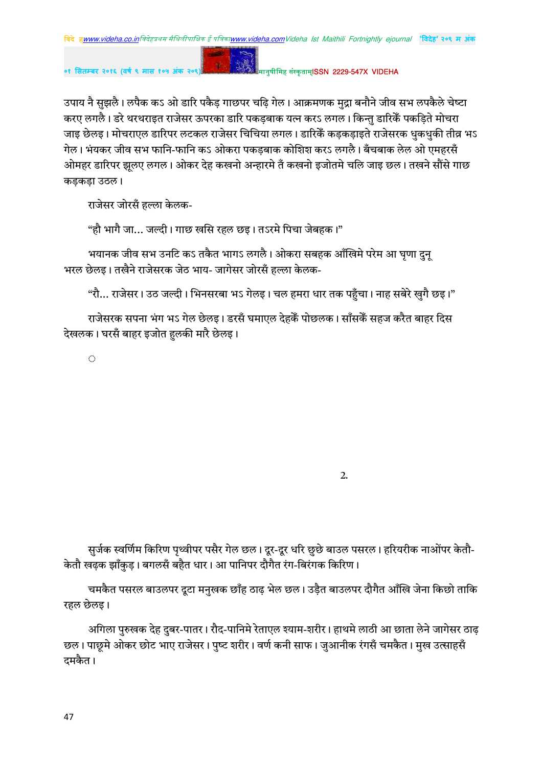# मानुषीमिह संस्कृताम्**ISSN 2229-547X VIDFHA**

उपाय नै सुझलै। लपैक कऽ ओ डारि पकैड़ गाछपर चढ़ि गेल। आक्रमणक मुद्रा बनौने जीव सभ लपकैले चेष्टा करए लगलै। डरे थरथराइत राजेसर ऊपरका डारि पकड़बाक यत्न करऽ लगल। किन्तु डारिकैं पकड़िते मोचरा जाइ छेलइ। मोचराएल डारिपर लटकल राजेसर चिचिया लगल। डारिकैं कड़कड़ाइते राजेसरक धुकधुकी तीव्र भऽ गेल। भंयकर जीव सभ फानि-फानि कऽ ओकरा पकड़बाक कोशिश करऽ लगलै। बँचबाक लेल ओ एमहरसँ ओमहर डारिपर झलए लगल। ओकर देह कखनो अन्हारमे तँ कखनो इजोतमे चलि जाड छल। तखने सौंसे गाछ कडकडा उठल।

राजेसर जोरसँ हल्ला केलक-

"हौ भागै जा… जल्दी। गाछ खसि रहल छइ। तऽरमे पिचा जेबहक।"

 $\mathbf{g}$ 

भयानक जीव सभ उनटि कऽ तकैत भागऽ लगलै। ओकरा सबहक आँखिमे परेम आ घणा दुन् भरल छेलइ। तखैने राजेसरक जेठ भाय- जागेसर जोरसँ हल्ला केलक-

"रौ... राजेसर। उठ जल्दी। भिनसरबा भऽ गेलइ। चल हमरा धार तक पहुँचा। नाह सबेरे खुगै छइ।"

राजेसरक सपना भंग भऽ गेल छेलइ। डरसँ घमाएल देहकैं पोछलक। साँसकैं सहज करैत बाहर दिस देखलक। घरसँ बाहर इजोत हलकी मारै छेलइ।

 $\langle \cdot \rangle$ 

सुर्जक स्वर्णिम किरिण पृथ्वीपर पसैर गेल छल। दूर-दूर धरि छुछे बाउल पसरल। हरियरीक नाओंपर केतौ-केतौ खढक झाँकुड। बगलसँ बहैत धार। आ पानिपर दौगैत रंग-बिरंगक किरिण।

चमकैत पसरल बाउलपर दुटा मनुखक छाँह ठाढ़ भेल छल। उड़ैत बाउलपर दौगैत आँखि जेना किछो ताकि रहल छेलइ।

अगिला पुरुखक देह दुबर-पातर। रौद-पानिमे रेताएल श्याम-शरीर। हाथमे लाठी आ छाता लेने जागेसर ठाढ छल। पाछुमे ओकर छोट भाए राजेसर। पुष्ट शरीर। वर्ण कनी साफ। जुआनीक रंगसँ चमकैत। मुख उत्साहसँ दमकैत।

 $\overline{2}$ .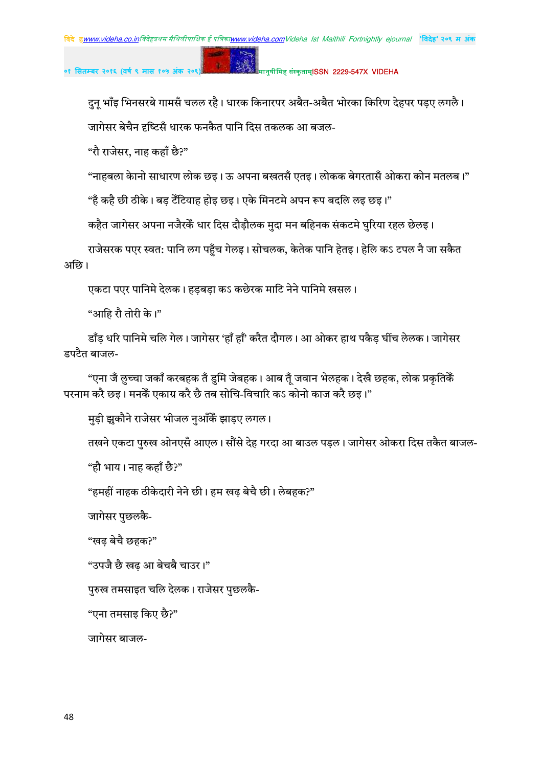## मानुषीमिह संस्कृताम्**ISSN 2229-547X VIDEHA**

दुन् भाँइ भिनसरबे गामसँ चलल रहै। धारक किनारपर अबैत-अबैत भोरका किरिण देहपर पड़ए लगलै। जागेसर बेचैन दृष्टिसँ धारक फनकैत पानि दिस तकलक आ बजल-

"रौ राजेसर, नाह कहाँ छै?"

"नाहबला केानो साधारण लोक छइ। ऊ अपना बखतसँ एतइ। लोकक बेगरतासँ ओकरा कोन मतलब।"

"हँ कहै छी ठीके। बड़ टेँटियाह होइ छइ। एके मिनटमे अपन रूप बदलि लइ छइ।"

p.

कहैत जागेसर अपना नजैरकेँ धार दिस दौडौलक मुदा मन बहिनक संकटमे घुरिया रहल छेलइ।

राजेसरक पएर स्वत: पानि लग पहुँच गेलइ। सोचलक, केतेक पानि हेतइ। हेलि कऽ टपल नै जा सकैत अछि।

एकटा पएर पानिमे देलक। हड़बड़ा कऽ कछेरक माटि नेने पानिमे खसल।

"आहि रौ तोरी के।"

डाँड़ धरि पानिमे चलि गेल। जागेसर 'हाँ हाँ' करैत दौगल। आ ओकर हाथ पकैड़ घींच लेलक। जागेसर डपटैत बाजल-

"एना जँ लुच्चा जकाँ करबहक तँ डुमि जेबहक। आब तूँ जवान भेलहक। देखै छहक, लोक प्रकृतिकेँ परनाम करै छड़। मनकें एकाग्र करै छै तब सोचि-विचारि कऽ कोनो काज करै छड़।"

मुड़ी झुकौने राजेसर भीजल नुआँकैं झाडए लगल।

तखने एकटा पुरुख ओनएसँ आएल। सौंसे देह गरदा आ बाउल पडल। जागेसर ओकरा दिस तकैत बाजल-

"हौ भाय। नाह कहाँ छै?"

"हमहीं नाहक ठीकेदारी नेने छी। हम खढ बेचै छी। लेबहक?"

जागेसर पुछलकै-

"खढ़ बेचै छहक?"

"उपजै छै खढ आ बेचबै चाउर।"

पुरुख तमसाइत चलि देलक। राजेसर पुछलकै-

"एना तमसाइ किए छै?"

जागेसर बाजल-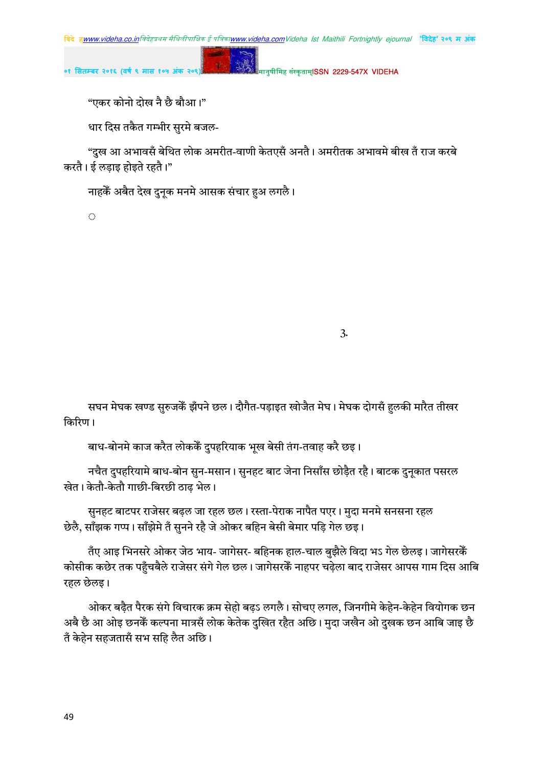

"एकर कोनो दोख नै छै बौआ।"

धार दिस तकैत गम्भीर सुरमे बजल-

"दुख आ अभावसँ बेथित लोक अमरीत-वाणी केतएसँ अनतै। अमरीतक अभावमे बीख तँ राज करबे करतै। ई लडाइ होइते रहतै।"

नाहकें अबैत देख दुनुक मनमे आसक संचार हुअ लगलै।

 $\langle \cdot \rangle$ 

 $3.$ 

सघन मेघक खण्ड सुरुजकेँ झँपने छल। दौगैत-पड़ाइत खोजैत मेघ। मेघक दोगसँ हुलकी मारैत तीखर किरिण ।

बाध-बोनमे काज करैत लोककैं दुपहरियाक भूख बेसी तंग-तवाह करै छइ।

नचैत दुपहरियामे बाध-बोन सुन-मसान । सुनहट बाट जेना निसाँस छोड़ैत रहै । बाटक दुनूकात पसरल खेत। केतौ-केतौ गाछी-बिरछी ठाढ भेल।

सुनहट बाटपर राजेसर बढ़ल जा रहल छल। रस्ता-पेराक नापैत पएर। मुदा मनमे सनसना रहल छेलै, साँझक गप्प। साँझेमे तँ सुनने रहै जे ओकर बहिन बेसी बेमार पड़ि गेल छइ।

तँए आइ भिनसरे ओकर जेठ भाय- जागेसर- बहिनक हाल-चाल बुझैले विदा भऽ गेल छेलइ। जागेसरकेँ कोसीक कछेर तक पहुँचबैले राजेसर संगे गेल छल। जागेसरकैं नाहपर चढ़ेला बाद राजेसर आपस गाम दिस आबि रहल छेलइ।

ओकर बढ़ैत पैरक संगे विचारक क्रम सेहो बढ़ऽ लगलै। सोचए लगल, जिनगीमे केहेन-केहेन वियोगक छन अबै छै आ ओइ छनकेँ कल्पना मात्रसँ लोक केतेक दुखित रहैत अछि। मुदा जखैन ओ दुखक छन आबि जाइ छै तँ केहेन सहजतासँ सभ सहि लैत अछि।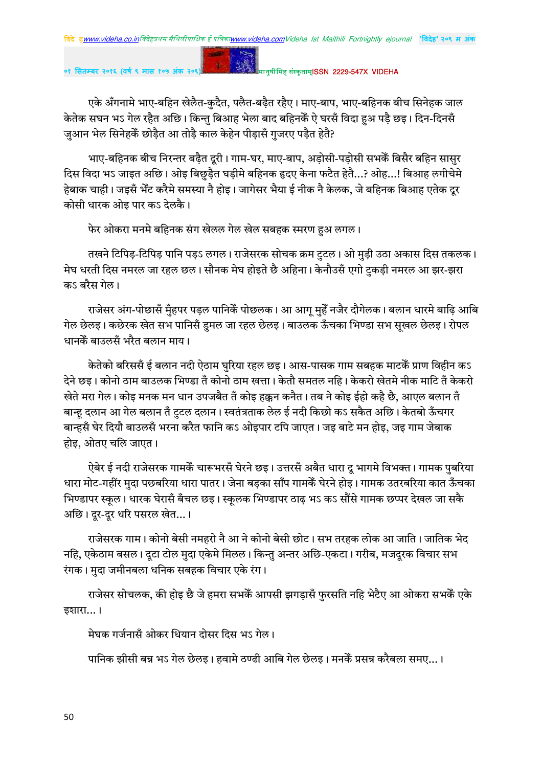मानुषीमिह संस्कृताम्**ISSN 2229-547X VIDEHA** 

एके अँगनामे भाए-बहिन खेलैत-कुदैत, पलैत-बढ़ैत रहैए। माए-बाप, भाए-बहिनक बीच सिनेहक जाल केतेक सघन भऽ गेल रहैत अछि। किन्त बिआह भेला बाद बहिनकैं ऐ घरसँ विदा हअ पडै छइ। दिन-दिनसँ जुआन भेल सिनेहकें छोड़ैत आ तोड़ै काल केहेन पीड़ासँ गुजरए पड़ैत हेतै?

भाए-बहिनक बीच निरन्तर बढ़ैत दूरी। गाम-घर, माए-बाप, अड़ोसी-पड़ोसी सभकेंं बिसैर बहिन सासुर दिस विदा भऽ जाइत अछि। ओइ बिछुड़ैत घड़ीमे बहिनक हृदए केना फटैत हेतै...? ओह...! बिआह लगीचेमे हेबाक चाही। जइसँ भेँट करैमे समस्या नै होइ। जागेसर भैया ई नीक नै केलक, जे बहिनक बिआह एतेक दुर कोसी धारक ओड पार कऽ देलकै।

फेर ओकरा मनमे बहिनक संग खेलल गेल खेल सबहक स्मरण हुअ लगल।

तखने टिपिड़-टिपिड़ पानि पड़ऽ लगल। राजेसरक सोचक क्रम टुटल। ओ मुड़ी उठा अकास दिस तकलक। मेघ धरती दिस नमरल जा रहल छल। सौनक मेघ होइते छै अहिना। केनौउसँ एगो टुकड़ी नमरल आ झर-झरा कऽ बरैस गेल।

राजेसर अंग-पोछासँ मुँहपर पड़ल पानिकैं पोछलक। आ आगू मुहेँ नजैर दौगेलक। बलान धारमे बाढ़ि आबि गेल छेलइ। कछेरक खेत सभ पानिसँ डमल जा रहल छेलइ। बाउलक ऊँचका भिण्डा सभ सखल छेलइ। रोपल धानकें बाउलसँ भरैत बलान माय।

केतेको बरिससँ ई बलान नदी ऐठाम घुरिया रहल छइ। आस-पासक गाम सबहक माटकैं प्राण विहीन कऽ देने छइ। कोनो ठाम बाउलक भिण्डा तँ कोनो ठाम खत्ता। केतौ समतल नहि। केकरो खेतमे नीक माटि तँ केकरो खेते मरा गेल। कोड़ मनक मन धान उपजबैत तँ कोड़ हक्कन कनैत। तब ने कोड़ ईहो कहै छै. आएल बलान तँ बान्हू दलान आ गेल बलान तँ टुटल दलान। स्वतंत्रताक लेल ई नदी किछो कऽ सकैत अछि। केतबो ऊँचगर बान्हसँ घेर दियौ बाउलसँ भरना करैत फानि कऽ ओइपार टपि जाएत। जइ बाटे मन होइ, जइ गाम जेबाक होइ, ओतए चलि जाएत।

ऐबेर ई नदी राजेसरक गामकें चारूभरसँ घेरने छइ। उत्तरसँ अबैत धारा दू भागमे विभक्त। गामक पुबरिया धारा मोट-गहींर मदा पछबरिया धारा पातर। जेना बडका साँप गामकेँ घेरने होड़। गामक उतरबरिया कात ऊँचका भिण्डापर स्कूल। धारक घेरासँ बँचल छइ। स्कूलक भिण्डापर ठाढ़ भऽ कऽ सौंसे गामक छप्पर देखल जा सकै अछि। दुर-दुर धरि पसरल खेत...।

राजेसरक गाम। कोनो बेसी नमहरो नै आ ने कोनो बेसी छोट। सभ तरहक लोक आ जाति। जातिक भेद नहि, एकेठाम बसल। दूटा टोल मुदा एकेमे मिलल। किन्तु अन्तर अछि-एकटा। गरीब, मजदूरक विचार सभ रंगक। मुदा जमीनबला धनिक सबहक विचार एके रंग।

राजेसर सोचलक, की होइ छै जे हमरा सभकेँ आपसी झगडासँ फरसति नहि भेटैए आ ओकरा सभकेँ एके इशारा... ।

मेघक गर्जनासँ ओकर धियान दोसर दिस भऽ गेल।

पानिक झीसी बन्न भऽ गेल छेलइ। हवामे ठण्ढी आबि गेल छेलइ। मनकेँ प्रसन्न करैबला समए...।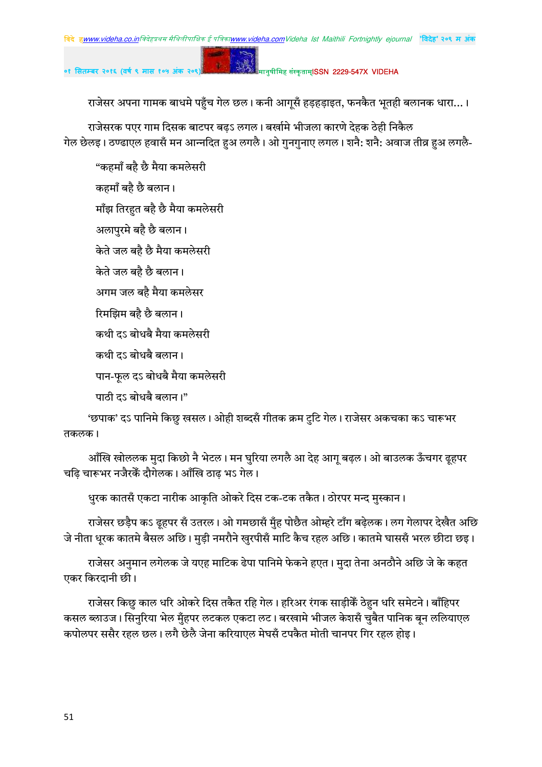राजेसर अनुमान लगेलक जे यएह माटिक ढेपा पानिमे फेकने हएत। मुदा तेना अनठौने अछि जे के कहत एकर किरदानी छी। राजेसर किछु काल धरि ओकरे दिस तकैत रहि गेल। हरिअर रंगक साड़ीकैं ठेहन धरि समेटने। बाँहिपर

कसल ब्लाउज। सिनुरिया भेल मुँहपर लटकल एकटा लट। बरखामे भीजल केशसँ चुबैत पानिक बन ललियाएल कपोलपर ससैर रहल छल। लगै छेलै जेना करियाएल मेघसँ टपकैत मोती चानपर गिर रहल होइ।

धुरक कातसँ एकटा नारीक आकृति ओकरे दिस टक-टक तकैत। ठोरपर मन्द मुस्कान।

जे नीता धूरक कातमे बैसल अछि। मुड़ी नमरौने खुरपीसँ माटि कैच रहल अछि। कातमे घाससँ भरल छीटा छइ।

आँखि खोललक मुदा किछो नै भेटल। मन घुरिया लगलै आ देह आगू बढ़ल। ओ बाउलक ऊँचगर ढूहपर

राजेसर छड़ैप कऽ ढृहपर सँ उतरल। ओ गमछासँ मुँह पोछैत ओम्हरे टाँग बढ़ेलक। लग गेलापर देखैत अछि

'छपाक' दऽ पानिमे किछु खसल। ओही शब्दसँ गीतक क्रम टुटि गेल। राजेसर अकचका कऽ चारूभर तकलक।

कथी दऽ बोधबै बलान।

पाठी दऽ बोधबै बलान।"

पान-फूल दऽ बोधबै मैया कमलेसरी

चढि चारूभर नजैरकैं दौगेलक। आँखि ठाढ भऽ गेल।

कथी दऽ बोधबै मैया कमलेसरी

रिमझिम बहै छै बलान।

अगम जल बहै मैया कमलेसर

अलापुरमे बहै छै बलान। केते जल बहै छै मैया कमलेसरी

केते जल बहै छै बलान।

माँझ तिरहुत बहै छै मैया कमलेसरी

कहमाँ बहै छै बलान।

"कहमाँ बहै छै मैया कमलेसरी

राजेसरक पएर गाम दिसक बाटपर बढऽ लगल। बर्खामे भीजला कारणे देहक ठेही निकैल गेल छेलइ। ठण्ढाएल हवासँ मन आन्नदित हुअ लगलै। ओ गुनगुनाए लगल। शनै: शनै: अवाज तीव्र हुअ लगलै-

राजेसर अपना गामक बाधमे पहुँच गेल छल। कनी आगूसँ हड़हड़ाइत, फनकैत भूतही बलानक धारा...।

०१ सितम्बर २०१६ (वर्ष ९ मास १

मानुषीमिह संस्कृताम्**ISSN 2229-547X VIDEHA**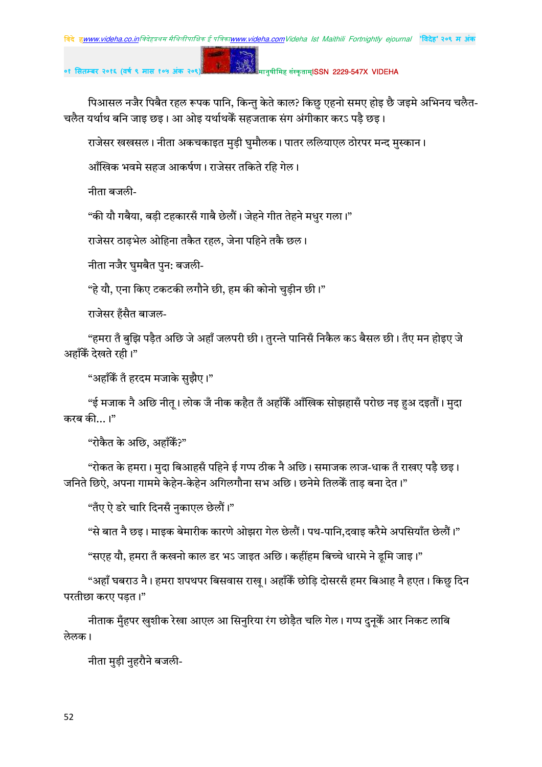# मानुषीमिह संस्कृताम्**ISSN 2229-547X VIDFHA**

पिआसल नजैर पिबैत रहल रूपक पानि, किन्तु केते काल? किछु एहनो समए होइ छै जइमे अभिनय चलैत-चलैत यर्थाथ बनि जाइ छइ। आ ओइ यर्थाथकैं सहजताक संग अंगीकार करऽ पडै छइ।

राजेसर खखसल। नीता अकचकाइत मुड़ी घुमौलक। पातर ललियाएल ठोरपर मन्द मुस्कान।

आँखिक भवमे सहज आकर्षण। राजेसर तकिते रहि गेल।

नीता बजली-

"की यौ गबैया, बडी टहकारसँ गाबै छेलौं। जेहने गीत तेहने मधर गला।"

राजेसर ठाढ़भेल ओहिना तकैत रहल, जेना पहिने तकै छल।

नीता नजैर घुमबैत पुन: बजली-

"हे यौ, एना किए टकटकी लगौने छी, हम की कोनो चुड़ीन छी।"

राजेसर हँसैत बाजल-

"हमरा तँ बुझि पड़ैत अछि जे अहाँ जलपरी छी। तुरन्ते पानिसँ निकैल कऽ बैसल छी। तँए मन होइए जे अहाँकैं देखते रही।"

"अहाँकैं तँ हरदम मजाके सुझैए।"

"ई मजाक नै अछि नीत् । लोक जँ नीक कहैत तँ अहाँकैं आँखिक सोझहासँ परोछ नइ हुअ दइतौं । मुदा करब की...।"

"रोकैत के अछि. अहाँकैं?"

"रोकत के हमरा। मुदा बिआहसँ पहिने ई गप्प ठीक नै अछि। समाजक लाज-धाक तँ राखए पड़ै छइ। जनिते छिऐ, अपना गाममे केहेन-केहेन अगिलगौना सभ अछि। छनेमे तिलकेँ ताड बना देत।"

"तँए ऐ डरे चारि दिनसँ नुकाएल छेलौं।"

"से बात नै छइ। माइक बेमारीक कारणे ओझरा गेल छेलौं। पथ-पानि,दवाइ करैमे अपसियाँत छेलौं।"

"सएह यौ, हमरा तँ कखनो काल डर भऽ जाइत अछि। कहींहम बिच्चे धारमे ने डूमि जाइ।"

"अहाँ घबराउ नै। हमरा शपथपर बिसवास राखू। अहाँकैं छोड़ि दोसरसँ हमर बिआह नै हएत। किछु दिन परतीछा करए पड़त।"

नीताक मुँहपर खुशीक रेखा आएल आ सिनुरिया रंग छोड़ैत चलि गेल। गप्प दुनुकैं आर निकट लाबि लेलक।

नीता मुड़ी नुहरौने बजली-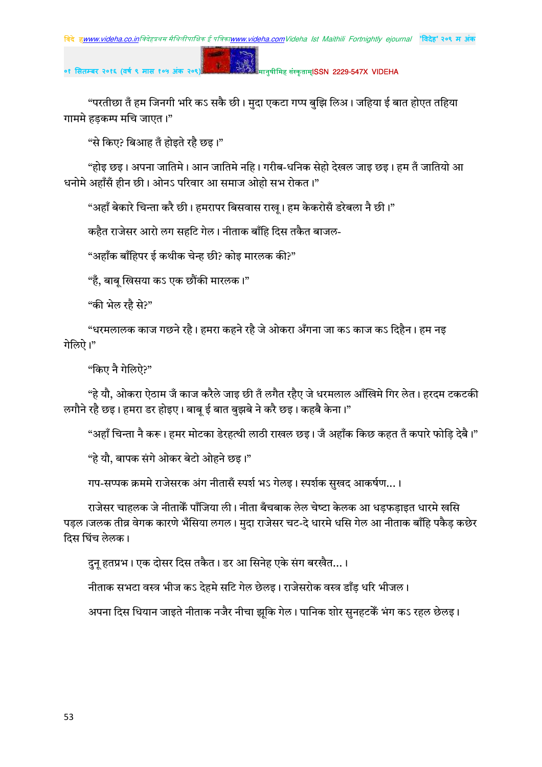#### मानुषीमिह संस्कृताम्**ISSN 2229-547X VIDEHA**

"परतीछा तँ हम जिनगी भरि कऽ सकै छी। मुदा एकटा गप्प बुझि लिअ। जहिया ई बात होएत तहिया गाममे हडकम्प मचि जाएत।"

"से किए? बिआह तँ होइते रहै छइ।"

"होड़ छड़। अपना जातिमे। आन जातिमे नहि। गरीब-धनिक सेहो देखल जाड़ छड़। हम तँ जातियो आ धनोमे अहाँसँ हीन छी। ओनऽ परिवार आ समाज ओहो सभ रोकत।"

"अहाँ बेकारे चिन्ता करै छी। हमरापर बिसवास राख़। हम केकरोसँ डरेबला नै छी।"

कहैत राजेसर आरो लग सहटि गेल। नीताक बाँहि दिस तकैत बाजल-

p.

"अहाँक बाँहिपर ई कथीक चेन्ह छी? कोइ मारलक की?"

"हँ, बाब खिसया कऽ एक छौंकी मारलक।"

"की भेल रहै से?"

"धरमलालक काज गछने रहै। हमरा कहने रहै जे ओकरा अँगना जा कऽ काज कऽ दिहैन। हम नड गेलिऐ।"

"किए नै गेलिऐ?"

"हे यौ, ओकरा ऐठाम जँ काज करैले जाइ छी तँ लगैत रहैए जे धरमलाल आँखिमे गिर लेत। हरदम टकटकी लगौने रहै छइ। हमरा डर होइए। बाब ई बात बुझबे ने करै छइ। कहबै केना।"

"अहाँ चिन्ता नै करू। हमर मोटका डेरहत्थी लाठी राखल छइ। जँ अहाँक किछ कहत तँ कपारे फोड़ि देबै।"

"हे यौ, बापक संगे ओकर बेटो ओहने छइ।"

गप-सप्पक क्रममे राजेसरक अंग नीतासँ स्पर्श भऽ गेलइ। स्पर्शक सखद आकर्षण...।

राजेसर चाहलक जे नीताकेँ पाँजिया ली। नीता बँचबाक लेल चेष्टा केलक आ धड़फड़ाइत धारमे खसि पडल।जलक तीव्र वेगक कारणे भँसिया लगल। मदा राजेसर चट-दे धारमे धसि गेल आ नीताक बाँहि पकैड कछेर दिस घिंच लेलक।

दन हतप्रभ। एक दोसर दिस तकैत। डर आ सिनेह एके संग बरखैत…।

नीताक सभटा वस्त्र भीज कऽ देहमे सटि गेल छेलइ। राजेसरोक वस्त्र डाँड धरि भीजल।

अपना दिस धियान जाइते नीताक नजैर नीचा झूकि गेल। पानिक शोर सुनहटकेँ भंग कऽ रहल छेलइ।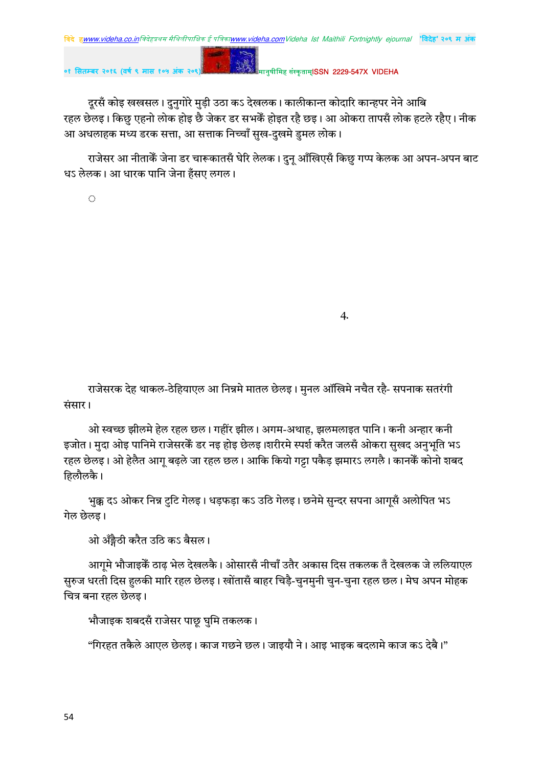मानुषीमिह संस्कृताम्**ISSN 2229-547X VIDFHA** 

दूरसँ कोइ खखसल। दुनुगोरे मुड़ी उठा कऽ देखलक। कालीकान्त कोदारि कान्हपर नेने आबि रहल छेलइ। किछु एहनो लोक होइ छै जेकर डर सभकें होइत रहै छइ। आ ओकरा तापसँ लोक हटले रहैए। नीक आ अधलाहक मध्य डरक सत्ता, आ सत्ताक निच्चाँ सुख-दुखमे डुमल लोक।

राजेसर आ नीताकेँ जेना डर चारूकातसँ घेरि लेलक। दुनू आँखिएसँ किछु गप्प केलक आ अपन-अपन बाट धऽ लेलक। आ धारक पानि जेना हँसए लगल।

 $\langle \cdot \rangle$ 

 $\overline{4}$ 

राजेसरक देह थाकल-ठेहियाएल आ निन्नमे मातल छेलइ। मुनल ऑखिमे नचैत रहै- सपनाक सतरंगी संसार।

ओ स्वच्छ झीलमे हेल रहल छल। गहींर झील। अगम-अथाह, झलमलाइत पानि। कनी अन्हार कनी इजोत। मुदा ओइ पानिमे राजेसरकेँ डर नइ होइ छेलइ।शरीरमे स्पर्श करैत जलसँ ओकरा सुखद अनुभूति भऽ रहल छेलइ। ओ हेलैत आगू बढ़ले जा रहल छल। आकि कियो गट्टा पकैड़ झमारऽ लगलै। कानकैं कोनो शबद हिलौलकै।

भुक्क दऽ ओकर निन्न टुटि गेलइ। धड़फड़ा कऽ उठि गेलइ। छनेमे सुन्दर सपना आगूसँ अलोपित भऽ गेल छेलड़।

ओ अँङ्गैठी करैत उठि कऽ बैसल।

आगमे भौजाइकें ठाढ़ भेल देखलकै। ओसारसँ नीचाँ उतैर अकास दिस तकलक तँ देखलक जे ललियाएल सुरुज धरती दिस हुलकी मारि रहल छेलइ। खोंतासँ बाहर चिड़ै-चुनमुनी चुन-चुना रहल छल। मेघ अपन मोहक चित्र बना रहल छेलइ।

भौजाइक शबदसँ राजेसर पाछू घुमि तकलक।

"गिरहत तकैले आएल छेलड़। काज गछने छल। जाइयौ ने। आइ भाइक बदलामे काज कऽ देबै।"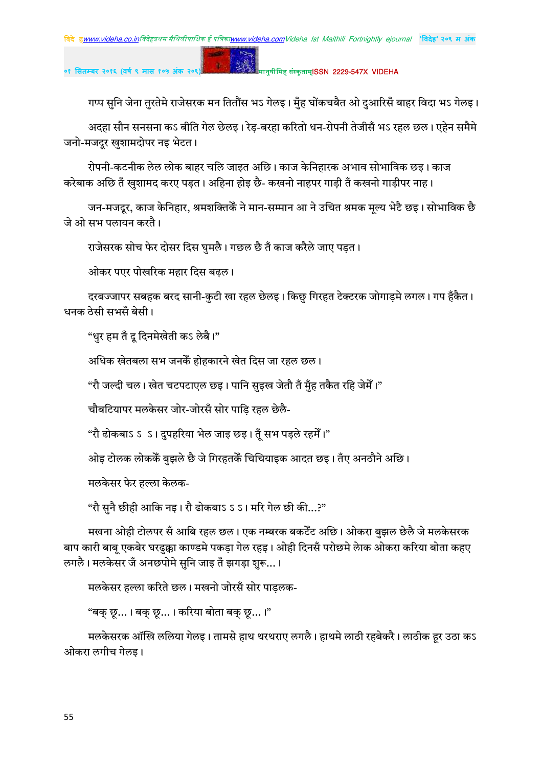## मानुषीमिह संस्कृताम्**ISSN 2229-547X VIDEHA**

गप्प सुनि जेना तुरतेमे राजेसरक मन तितौंस भऽ गेलइ। मुँह घोंकचबैत ओ दुआरिसँ बाहर विदा भऽ गेलइ।

अदहा सौन सनसना कऽ बीति गेल छेलइ। रेड-बरहा करितो धन-रोपनी तेजीसँ भऽ रहल छल। एहेन समैमे जनो-मजदुर खुशामदोपर नइ भेटत।

रोपनी-कटनीक लेल लोक बाहर चलि जाइत अछि। काज केनिहारक अभाव सोभाविक छइ। काज करेबाक अछि तँ खुशामद करए पड़त। अहिना होइ छै- कखनो नाहपर गाड़ी तँ कखनो गाड़ीपर नाह।

जन-मजदूर, काज केनिहार, श्रमशक्तिकेँ ने मान-सम्मान आ ने उचित श्रमक मुल्य भेटै छइ। सोभाविक छै जे ओ सभ पलायन करते।

राजेसरक सोच फेर दोसर दिस घुमलै। गछल छै तँ काज करैले जाए पड़त।

 $\mathbf{g}$  .

ओकर पएर पोखरिक महार दिस बढ़ल।

दरबज्जापर सबहक बरद सानी-कटी खा रहल छेलइ। किछ गिरहत टेक्टरक जोगाडमे लगल। गप हँकैत। धनक ठेसी सभसँ बेसी।

"धुर हम तँ दू दिनमेखेती कऽ लेबै।"

अधिक खेतबला सभ जनकें होहकारने खेत दिस जा रहल छल।

"रौ जल्दी चल। खेत चटपटाएल छइ। पानि सइख जेतौ तँ मँह तकैत रहि जेमेँ।"

चौबटियापर मलकेसर जोर-जोरसँ सोर पाडि रहल छेलै-

"रौ ढोकबाऽ ऽ ऽ। दपहरिया भेल जाइ छइ। तँ सभ पडले रहमेँ।"

ओइ टोलक लोककें बुझले छै जे गिरहतकें चिचियाइक आदत छइ। तँए अनठौने अछि।

मलकेसर फेर हल्ला केलक-

"रौ सुनै छीही आकि नइ। रौ ढोकबाऽ ऽ ऽ। मरि गेल छी की…?"

मखना ओही टोलपर सँ आबि रहल छल। एक नम्बरक बकटेँट अछि। ओकरा बुझल छेलै जे मलकेसरक बाप कारी बाबू एकबेर घरढुक्का काण्डमे पकड़ा गेल रहइ। ओही दिनसँ परोछमे लेाक ओकरा करिया बोता कहए लगलै। मलकेसर जँ अनछपोमे सनि जाइ तँ झगडा शरू...।

मलकेसर हल्ला करिते छल। मखनो जोरसँ सोर पाडलक-

"बक् छ्...। बक् छ्...। करिया बोता बक् छ्...।"

मलकेसरक ऑखि ललिया गेलइ। तामसे हाथ थरथराए लगलै। हाथमे लाठी रहबेकरै। लाठीक हूर उठा कऽ ओकरा लगीच गेलड़।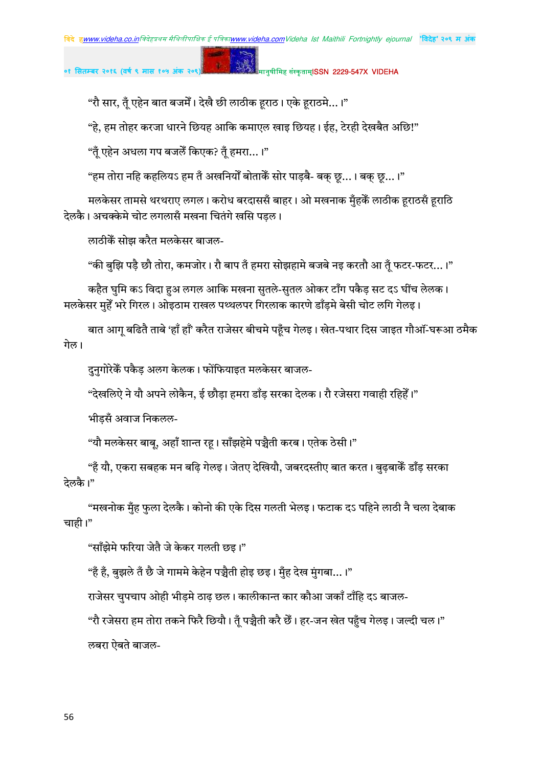मानुषीमिह संस्कृताम्**ISSN 2229-547X VIDEHA** 

"रौ सार, तुँ एहेन बात बजमेँ। देखै छी लाठीक हराठ। एके हराठमे...।"

"हे, हम तोहर करजा धारने छियह आकि कमाएल खाइ छियह। ईह, टेरही देखबैत अछि!"

"तूँ एहेन अधला गप बजलेँ किएक? तूँ हमरा…।"

"हम तोरा नहि कहलियऽ हम तँ अखनियोँ बोताकेँ सोर पाड़बै- बक् छू…। बक् छू…।"

मलकेसर तामसे थरथराए लगल। करोध बरदाससँ बाहर। ओ मखनाक मुँहकेँ लाठीक हराठसँ हराठि देलकै। अचक्केमे चोट लगलासँ मखना चितंगे खसि पडल।

लाठीकें सोझ करैत मलकेसर बाजल-

"की बझि पड़ै छौ तोरा, कमजोर। रौ बाप तँ हमरा सोझहामे बजबे नइ करतौ आ तँ फटर-फटर…।"

कहैत घुमि कऽ विदा हुअ लगल आकि मखना सुतले-सुतल ओकर टाँग पकैड़ सट दऽ घींच लेलक। मलकेसर महेँ भरे गिरल। ओइठाम राखल पथ्थलपर गिरलाक कारणे डाँडमे बेसी चोट लगि गेलड।

बात आग बढितै ताबे 'हाँ हाँ' करैत राजेसर बीचमे पहुँच गेलइ। खेत-पथार दिस जाइत गौऑ-ंघरूआ ठमैक गेल।

दुनगोरेकैँ पकैड अलग केलक। फोंफियाइत मलकेसर बाजल-

"देखलिऐ ने यौ अपने लोकैन, ई छौड़ा हमरा डाँड सरका देलक। रौ रजेसरा गवाही रहिहेँ।"

भीडसँ अवाज निकलल-

"यौ मलकेसर बाबु, अहाँ शान्त रह। साँझहेमे पञ्चैती करब। एतेक ठेसी।"

"हँ यौ, एकरा सबहक मन बढ़ि गेलइ। जेतए देखियौ, जबरदस्तीए बात करत। बुढ़बाकेँ डाँड़ सरका देलकै।"

"मखनोक मुँह फुला देलकै। कोनो की एके दिस गलती भेलइ। फटाक दऽ पहिने लाठी नै चला देबाक चाही।"

"साँझेमे फरिया जेतै जे केकर गलती छड।"

"हैं हैं, बुझले तैं छै जे गाममे केहेन पञ्चैती होइ छइ। मुँह देख मुंगबा...।"

राजेसर चुपचाप ओही भीडमे ठाढ़ छल। कालीकान्त कार कौआ जकाँ टाँहि दऽ बाजल-

"रौ रजेसरा हम तोरा तकने फिरै छियौ। तुँ पञ्चैती करै छैँ। हर-जन खेत पहुँच गेलइ। जल्दी चल।" लबरा ऐबते बाजल-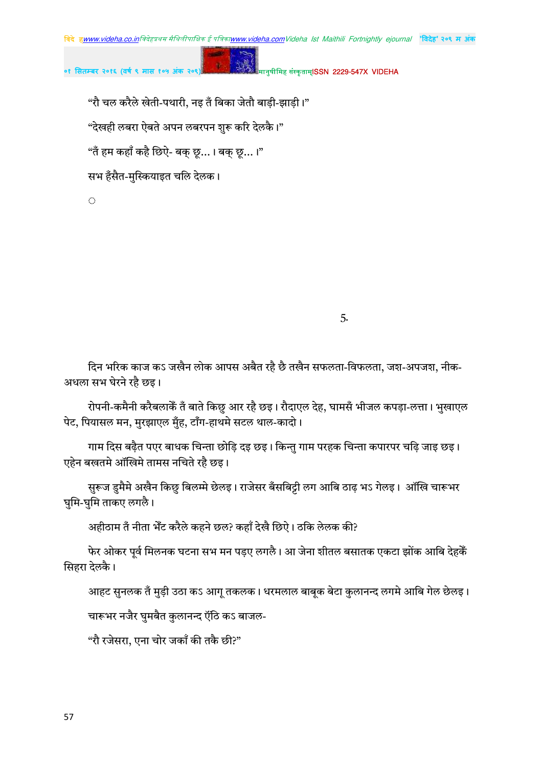मानुषीमिह संस्कृताम्**ISSN 2229-547X VIDEHA** 

"रौ चल करैले खेती-पथारी, नइ तँ बिका जेतौ बाड़ी-झाड़ी।"

"देखही लबरा ऐबते अपन लबरपन शुरू करि देलकै।"

"तँ हम कहाँ कहै छिऐ- बक् छू…। बक् छू…।"

सभ हँसैत-मुस्कियाइत चलि देलक।

 $\mathcal{L}$ 

5.

दिन भरिक काज कऽ जखैन लोक आपस अबैत रहै छै तखैन सफलता-विफलता, जश-अपजश, नीक-अधला सभ घेरने रहै छइ।

रोपनी-कमैनी करैबलाकेँ तँ बाते किछु आर रहै छइ। रौदाएल देह, घामसँ भीजल कपड़ा-लत्ता। भुखाएल पेट, पियासल मन, मुरझाएल मुँह, टाँग-हाथमे सटल थाल-कादो।

गाम दिस बढ़ैत पएर बाधक चिन्ता छोड़ि दइ छइ। किन्तु गाम परहक चिन्ता कपारपर चढ़ि जाइ छइ। एहेन बखतमे ऑखिमे तामस नचिते रहै छइ।

सुरूज डुमैमे अखैन किछु बिलम्मे छेलइ। राजेसर बँसबिट्टी लग आबि ठाढ़ भऽ गेलइ। ऑखि चारूभर घुमि-घुमि ताकए लगलै।

अहीठाम तँ नीता भेँट करैले कहने छल? कहाँ देखै छिऐ। ठकि लेलक की?

फेर ओकर पूर्व मिलनक घटना सभ मन पड़ए लगलै। आ जेना शीतल बसातक एकटा झोंक आबि देहकें सिहरा देलकै।

आहट सुनलक तँ मुड़ी उठा कऽ आगु तकलक। धरमलाल बाबूक बेटा कुलानन्द लगमे आबि गेल छेलइ।

चारूभर नजैर घुमबैत कुलानन्द ऍठि कऽ बाजल-

"रौ रजेसरा, एना चोर जकाँ की तकै छी?"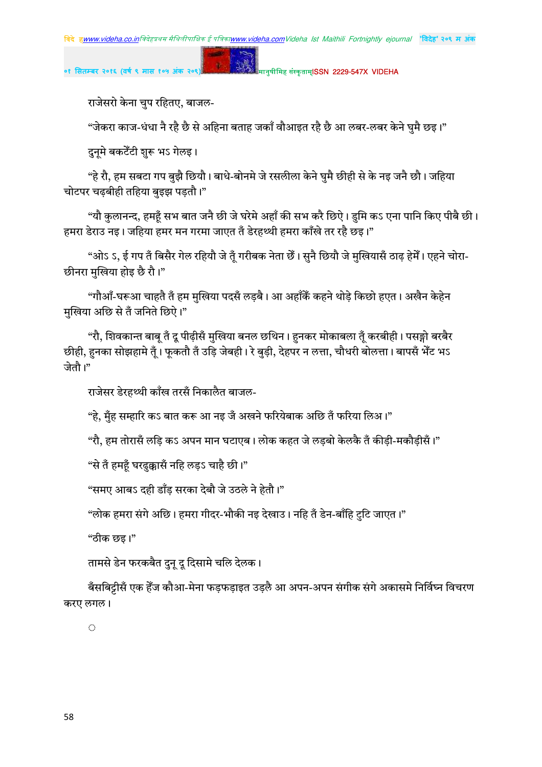मानुषीमिह संस्कृताम्**ISSN 2229-547X VIDEHA** 

राजेसरो केना चुप रहितए, बाजल-

"जेकरा काज-धंधा नै रहै छै से अहिना बताह जकाँ वौआइत रहै छै आ लबर-लबर केने घुमै छइ।"

दुनूमे बकटेँटी शुरू भऽ गेलइ।

"हे रौ, हम सबटा गप बुझै छियौ। बाधे-बोनमे जे रसलीला केने घुमै छीही से के नइ जनै छौ। जहिया चोटपर चढबीही तहिया बइझ पडतौ।"

"यौ कलानन्द, हमहँ सभ बात जनै छी जे घरेमे अहाँ की सभ करै छिऐ। डमि कऽ एना पानि किए पीबै छी। हमरा डेराउ नइ। जहिया हमर मन गरमा जाएत तँ डेरहथ्थी हमरा काँखे तर रहै छइ।"

"ओऽ ऽ, ई गप तँ बिसैर गेल रहियौ जे तूँ गरीबक नेता छैं। सुनै छियौ जे मुखियासँ ठाढ़ हेमेँ। एहने चोरा-छीनरा मुखिया होइ छै रौ।"

"गौआँ-घरूआ चाहतै तँ हम मखिया पदसँ लडबै। आ अहाँकैं कहने थोडे किछो हएत। अखैन केहेन मुखिया अछि से तँ जनिते छिऐ।"

"रौ, शिवकान्त बाबू तँ दू पीढ़ीसँ मुखिया बनल छथिन। हुनकर मोकाबला तूँ करबीही। पसङ्गो बरबैर छीही, हुनका सोझहामे तृँ। फुकतौ तँ उड़ि जेबही। रे बुड़ी, देहपर न लत्ता, चौधरी बोलत्ता। बापसँ भेँट भऽ जेतौ।"

राजेसर डेरहथ्थी काँख तरसँ निकालैत बाजल-

"हे. मँह सम्हारि कऽ बात करू आ नइ जँ अखने फरियेबाक अछि तँ फरिया लिअ।"

"रौ, हम तोरासँ लड़ि कऽ अपन मान घटाएब। लोक कहत जे लड़बो केलकै तँ कीड़ी-मकौड़ीसँ।"

"से तँ हमहँ घरढुक्कासँ नहि लड़ऽ चाहै छी।"

"समए आबऽ दही डाँड सरका देबौ जे उठले ने हेतौ।"

"लोक हमरा संगे अछि। हमरा गीदर-भौकी नइ देखाउ। नहि तँ डेन-बाँहि टटि जाएत।"

"ठीक छइ।"

तामसे डेन फरकबैत दन दु दिसामे चलि देलक।

बँसबिट्टीसँ एक हेँज कौआ-मेना फड़फड़ाइत उड़लै आ अपन-अपन संगीक संगे अकासमे निर्विघ्न विचरण करए लगल।

 $\hat{\mathcal{O}}$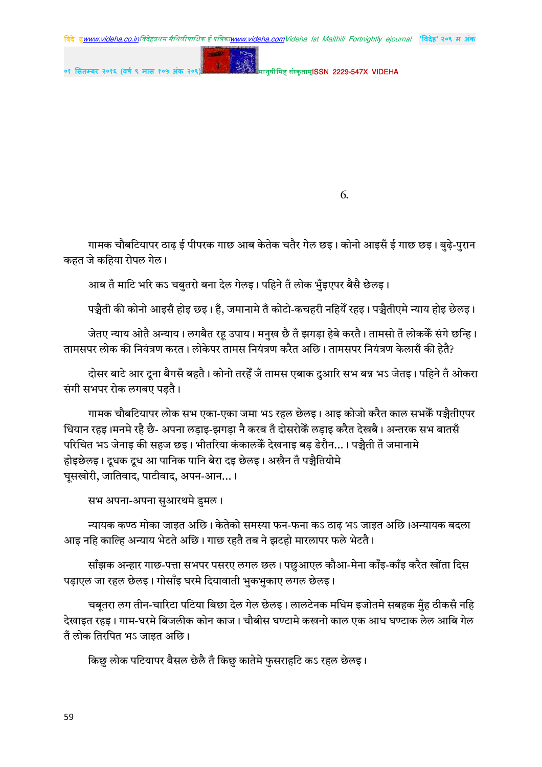मानुषीमिह संस्कृताम्**ISSN 2229-547X VIDEHA** ०१ सितम्बर २०१६ (वर्ष ९ मास १

6.

गामक चौबटियापर ठाढ़ ई पीपरक गाछ आब केतेक चतैर गेल छइ। कोनो आइसँ ई गाछ छइ। बुढे-पुरान कहत जे कहिया रोपल गेल।

आब तँ माटि भरि कऽ चबुतरो बना देल गेलइ। पहिने तँ लोक भुँइएपर बैसै छेलइ।

पञ्चैती की कोनो आइसँ होइ छइ। हँ. जमानामे तँ कोटो-कचहरी नहियेँ रहइ। पञ्चैतीएमे न्याय होइ छेलइ।

जेतए न्याय ओतै अन्याय। लगबैत रहू उपाय। मनुख छै तँ झगड़ा हेबे करतै। तामसो तँ लोककैँ संगे छन्हि। तामसपर लोक की नियंत्रण करत। लोकेपर तामस नियंत्रण करैत अछि। तामसपर नियंत्रण केलासँ की हेतै?

दोसर बाटे आर दुना बैगसँ बहतै। कोनो तरहेँ जँ तामस एबाक दुआरि सभ बन्न भऽ जेतइ। पहिने तँ ओकरा संगी सभपर रोक लगबए पड़तै।

गामक चौबटियापर लोक सभ एका-एका जमा भऽ रहल छेलइ। आइ कोजो करैत काल सभकें पञ्चैतीएपर धियान रहड़।मनमे रहै छै- अपना लडाइ-झगडा नै करब तँ दोसरोकेँ लडाइ करैत देखबै। अन्तरक सभ बातसँ परिचित भऽ जेनाइ की सहज छइ। भीतरिया कंकालकैं देखनाइ बड डेरौन...। पञ्चैती तँ जमानामे होइछेलइ। दुधक दुध आ पानिक पानि बेरा दइ छेलइ। अखैन तँ पञ्चैतियोमे घूसखोरी, जातिवाद, पाटीवाद, अपन-आन... ।

सभ अपना-अपना सुआरथमे डुमल।

न्यायक कण्ठ मोका जाइत अछि। केतेको समस्या फन-फना कऽ ठाढ भऽ जाइत अछि।अन्यायक बदला आइ नहि काल्हि अन्याय भेटते अछि। गाछ रहतै तब ने झटहो मारलापर फले भेटतै।

साँझक अन्हार गाछ-पत्ता सभपर पसरए लगल छल। पछुआएल कौआ-मेना काँइ-काँइ करैत खोंता दिस पड़ाएल जा रहल छेलड़। गोसाँइ घरमे दियावाती भुकभुकाए लगल छेलइ।

चबूतरा लग तीन-चारिटा पटिया बिछा देल गेल छेलइ। लालटेनक मधिम इजोतमे सबहक मुँह ठीकसँ नहि देखाइत रहइ। गाम-घरमे बिजलीक कोन काज। चौबीस घण्टामे कखनो काल एक आध घण्टाक लेल आबि गेल तँ लोक तिरपित भऽ जाइत अछि।

किछु लोक पटियापर बैसल छेलै तँ किछु कातेमे फुसराहटि कऽ रहल छेलइ।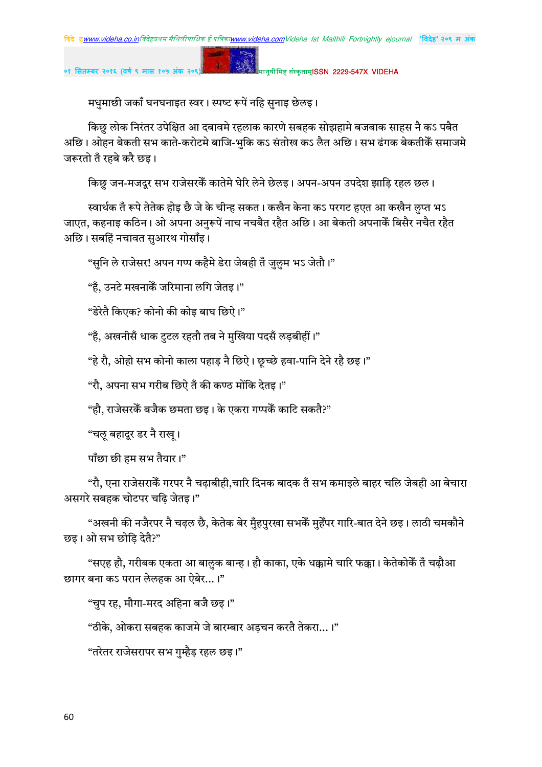मानुषीमिह संस्कृताम्**ISSN 2229-547X VIDEHA** 

मधुमाछी जकाँ घनघनाइत स्वर। स्पष्ट रूपें नहि सुनाइ छेलइ।

 $\mathbf{g}$  .

किछ लोक निरंतर उपेक्षित आ दबावमे रहलाक कारणे सबहक सोझहामे बजबाक साहस नै कऽ पबैत अछि। ओहन बेकती सभ काते-करोटमे बाजि-भुकि कऽ संतोख कऽ लैत अछि। सभ ढंगक बेकतीकैँ समाजमे जरूरतो तँ रहबे करै छइ।

किछु जन-मजदुर सभ राजेसरकैं कातेमे घेरि लेने छेलइ। अपन-अपन उपदेश झाड़ि रहल छल।

स्वार्थक तँ रूपे तेतेक होइ छै जे के चीन्ह सकत। कखैन केना कऽ परगट हएत आ कखैन लुप्त भऽ जाएत, कहनाइ कठिन। ओ अपना अनुरूपें नाच नचबैत रहैत अछि। आ बेकती अपनाकें बिसैर नचैत रहैत अछि। सबहिं नचावत सआरथ गोसाँइ।

"सुनि ले राजेसर! अपन गप्प कहैमे डेरा जेबही तँ जुल़ुम भऽ जेतौ।"

"हँ. उनटे मखनाकेँ जरिमाना लगि जेतड।"

"डेरेतै किएक? कोनो की कोइ बाघ छिऐ।"

"हैं, अखनीसँ धाक टटल रहतौ तब ने मखिया पदसँ लडबीहीं।"

"हे रौ, ओहो सभ कोनो काला पहाड़ नै छिऐ। छुच्छे हवा-पानि देने रहै छइ।"

"रौ, अपना सभ गरीब छिऐ तँ की कण्ठ मोंकि देतइ।"

"हौ. राजेसरकें बजैक छमता छड। के एकरा गप्पकें काटि सकतै?"

"चल बहादुर डर नै राख।

पाँछा छी हम सभ तैयार।"

"रौ, एना राजेसराकेँ गरपर नै चढाबीही,चारि दिनक बादक तँ सभ कमाइले बाहर चलि जेबही आ बेचारा असगरे सबहक चोटपर चढ़ि जेतइ।"

"अखनी की नजैरपर नै चढल छै, केतेक बेर मँहपरखा सभकेँ महेँपर गारि-बात देने छइ। लाठी चमकौने छड़। ओ सभ छोड़ि देतै?"

"सएह हौ, गरीबक एकता आ बालक बान्ह। हौ काका, एके धक्कामे चारि फक्का। केतेकोकेँ तँ चढौआ छागर बना कऽ परान लेलहक आ ऐबेर...।"

"चुप रह, मौगा-मरद अहिना बजै छइ।"

"ठीके, ओकरा सबहक काजमे जे बारम्बार अड़चन करतै तेकरा…।"

"तरेतर राजेसरापर सभ गुम्हैड रहल छइ।"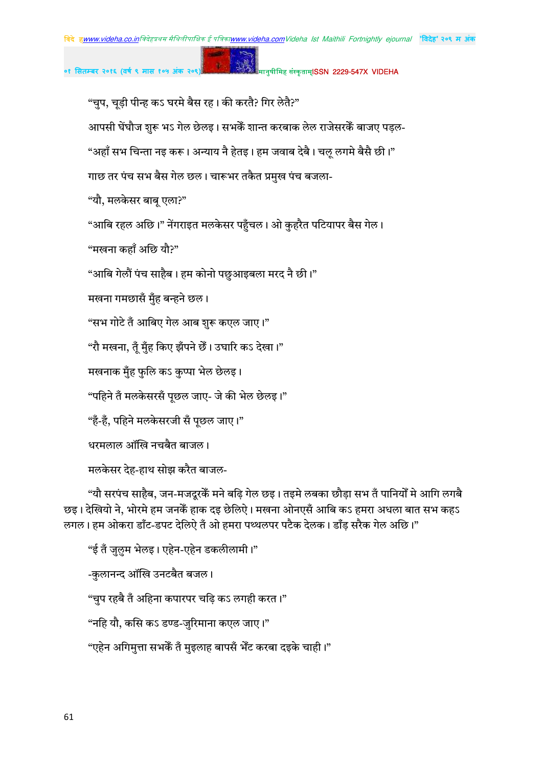मानुषीमिह संस्कृताम्**ISSN 2229-547X VIDEHA** 

"चुप, चूड़ी पीन्ह कऽ घरमे बैस रह। की करतै? गिर लेतै?"

आपसी घेंघौज शुरू भऽ गेल छेलइ। सभकेँ शान्त करबाक लेल राजेसरकेँ बाजए पडल-

"अहाँ सभ चिन्ता नइ करू। अन्याय नै हेतइ। हम जवाब देबै। चलू लगमे बैसै छी।"

गाछ तर पंच सभ बैस गेल छल। चारूभर तकैत प्रमुख पंच बजला-

"यौ, मलकेसर बाब एला?"

"आबि रहल अछि।" नेंगराइत मलकेसर पहुँचल। ओ कुहरैत पटियापर बैस गेल।

"मखना कहाँ अछि यौ?"

"आबि गेलौं पंच साहैब। हम कोनो पछआइबला मरद नै छी।"

मखना गमछासँ मुँह बन्हने छल।

"सभ गोटे तँ आबिए गेल आब शुरू कएल जाए।"

"रौ मखना, तुँ मुँह किए झँपने छैँ। उघारि कऽ देखा।"

मखनाक मुँह फुलि कऽ कुप्पा भेल छेलइ।

"पहिने तँ मलकेसरसँ पछल जाए- जे की भेल छेलड़।"

"हँ-हँ, पहिने मलकेसरजी सँ पूछल जाए।"

धरमलाल ऑखि नचबैत बाजल।

मलकेसर देह-हाथ सोझ करैत बाजल-

"यौ सरपंच साहैब, जन-मजदुरकेँ मने बढि गेल छइ। तइमे लबका छौडा सभ तँ पानियोँ मे आगि लगबै छइ। देखियो ने, भोरमे हम जनकेँ हाक दइ छेलिऐ। मखना ओनएसँ आबि कऽ हमरा अधला बात सभ कहऽ लगल। हम ओकरा डाँट-डपट देलिऐ तँ ओ हमरा पथ्थलपर पटैक देलक। डाँड़ सरैक गेल अछि।"

"ई तँ जुलुम भेलइ। एहेन-एहेन डकलीलामी।" -कुलानन्द ऑखि उनटबैत बजल। "चुप रहबै तँ अहिना कपारपर चढ़ि कऽ लगही करत।" "नहि यौ, कसि कऽ डण्ड-जरिमाना कएल जाए।" "एहेन अगिमुत्ता सभकेँ तँ मुइलाह बापसँ भेँट करबा दइके चाही।"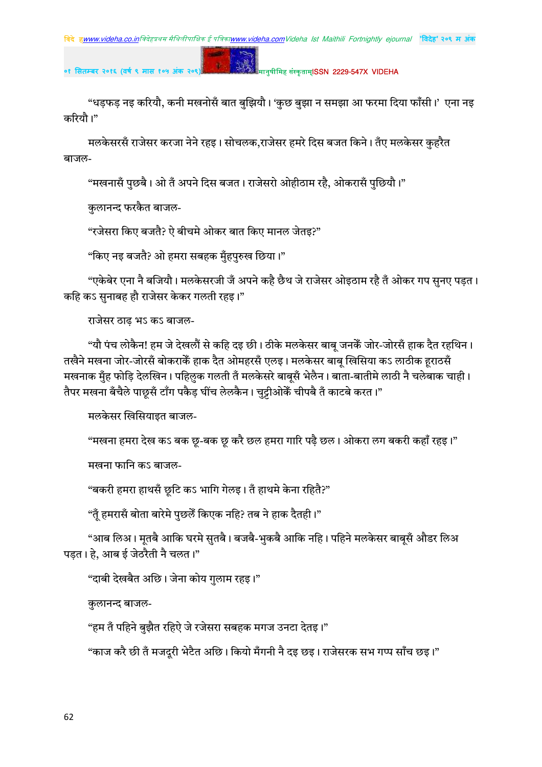# **०१ सतबर २०१६ (वष ९ मास १०५ अंक २०९)** !" #\$ISSN 2229-547X VIDEHA

"धड़फड़ नइ करियौ, कनी मखनोसँ बात बुझियौ। 'कुछ बुझा न समझा आ फरमा दिया फाँसी।' एना नइ करियौ।"

मलकेसरसँ राजेसर करजा नेने रहइ। सोचलक,राजेसर हमरे दिस बजत किने। तँए मलकेसर कुहरैत बाजल-

"मखनासँ पुछबै। ओ तँ अपने दिस बजत। राजेसरो ओहीठाम रहै, ओकरासँ पुछियौ।"

कुलानन्द फरकैत बाजल-

"रजेसरा किए बजतै? ऐ बीचमे ओकर बात किए मानल जेतइ?"

"किए नइ बजतै? ओ हमरा सबहक मुँहपुरुख छिया।"

"एकेबेर एना नै बजियौ। मलकेसरजी जँ अपने कहै छैथ जे राजेसर ओइठाम रहै तँ ओकर गप सुनए पड़त। कहि कऽ सनाबह हौ राजेसर केकर गलती रहइ।"

राजेसर ठाढ भऽ कऽ बाजल-

"यौ पंच लोकैन! हम जे देखलौं से कहि दइ छी। ठीके मलकेसर बाब् जनकेॅ जोर-जोरसँ हाक दैत रहथिन। तखैने मखना जोर-जोरसँ बोकराकेँ हाक दैत ओमहरसँ एलइ। मलकेसर बाबू खिसिया कऽ लाठीक हराठसँ मखनाक मुँह फोड़ि देलखिन। पहिलुक गलती तँ मलकेसरे बाबूसँ भेलैन। बाता-बातीमे लाठी नै चलेबाक चाही। तैपर मखना बँचैले पाछूसँ टाँग पकैड़ घींच लेलकैन। चुट्टीओकेॅ चीपबै तँ काटबे करत।"

मलकेसर खिसियाइत बाजल-

"मखना हमरा देख कऽ बक छृ-बक छृ करै छल हमरा गारि पढ़ै छल। ओकरा लग बकरी कहाँ रहइ।"

मखना फानि कऽ बाजल-

"बकरी हमरा हाथसँ छुटि कऽ भागि गेलइ। तँ हाथमे केना रहितै?"

"तुँ हमरासँ बोता बारेमे पुछलैँ किएक नहि? तब ने हाक दैतही।"

"आब लिअ। मतबै आकि घरमे सुतबै। बजबै-भुकबै आकि नहि। पहिने मलकेसर बाबुसँ औडर लिअ पडत। हे, आब ई जेठरैती नै चलत।"

"दाबी देखबैत अछि। जेना कोय गुलाम रहइ।"

कुलानन्द बाजल-

"हम तँ पहिने बुझैत रहिऐ जे रजेसरा सबहक मगज उनटा देतइ।"

"काज करै छी तँ मजदुरी भेटैत अछि। कियो मँगनी नै दइ छइ। राजेसरक सभ गप्प साँच छइ।"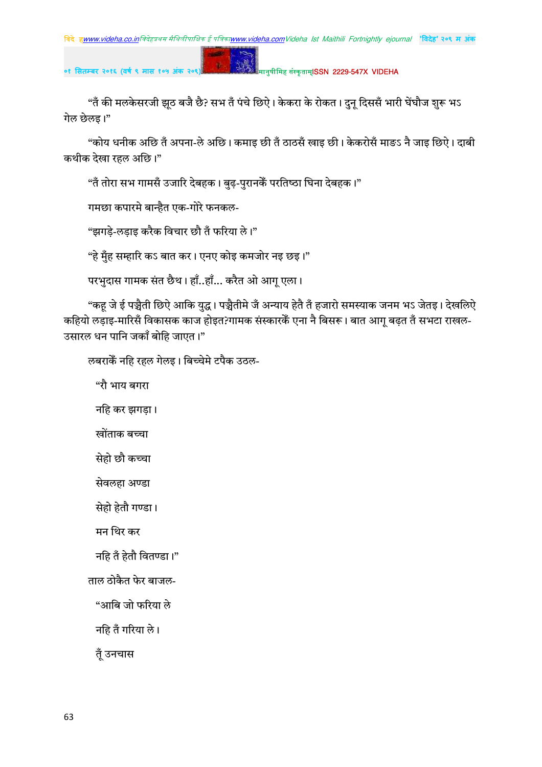### मानुषीमिह संस्कृताम्**ISSN 2229-547X VIDEHA**

"तँ की मलकेसरजी झूठ बजै छै? सभ तँ पंचे छिऐ। केकरा के रोकत। दुनू दिससँ भारी घेंघौज शुरू भऽ गेल छेलड़।"

"कोय धनीक अछि तँ अपना-ले अछि। कमाइ छी तँ ठाठसँ खाइ छी। केकरोसँ माङऽ नै जाइ छिऐ। दाबी कथीक देखा रहल अछि।"

"तँ तोरा सभ गामसँ उजारि देबहक। बुढ-पुरानकैँ परतिष्ठा घिना देबहक।"

गमछा कपारमे बान्हैत एक-गोरे फनकल-

"झगड़े-लड़ाइ करैक विचार छौ तँ फरिया ले।"

"हे मुँह सम्हारि कऽ बात कर। एनए कोइ कमजोर नइ छइ।"

परभुदास गामक संत छैथ। हाँ..हाँ... करैत ओ आगू एला।

"कह जे ई पञ्चैती छिऐ आकि युद्ध। पञ्चैतीमे जँ अन्याय हेतै तँ हजारो समस्याक जनम भऽ जेतइ। देखलिऐ कहियो लड़ाइ-मारिसँ विकासक काज होइत?गामक संस्कारकैं एना नै बिसरू। बात आगू बढ़त तँ सभटा राखल-उसारल धन पानि जकाँ बोहि जाएत।"

लबराकें नहि रहल गेलइ। बिच्चेमे टपैक उठल-

"रौ भाय बगरा

नहि कर झगड़ा।

खोंताक बच्चा

सेहो छौ कच्चा

सेवलहा अण्डा

सेहो हेतौ गण्डा।

मन थिर कर

नहि तँ हेतौ वितण्डा।"

ताल ठोकैत फेर बाजल-

"आबि जो फरिया ले

नहि तँ गरिया ले।

तुँ उनचास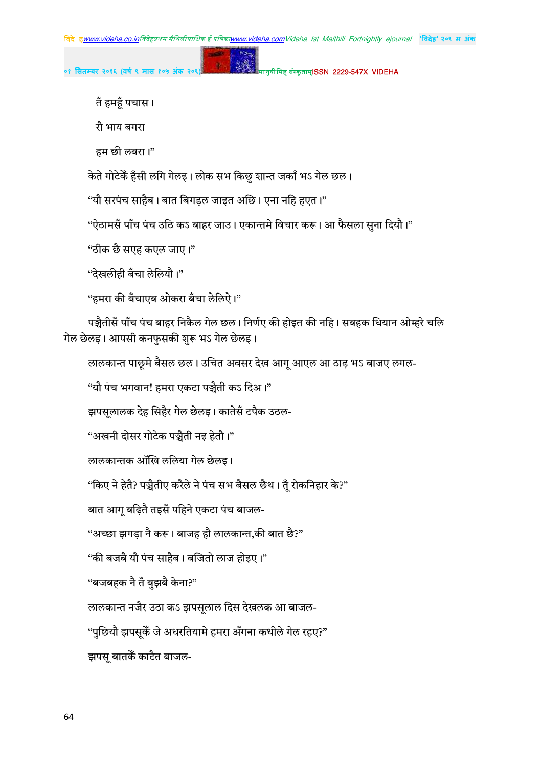मानुषीमिह संस्कृताम्**ISSN 2229-547X VIDEHA** 

तँ हमहूँ पचास।

रौ भाय बगरा

हम छी लबरा।"

केते गोटेकेँ हँसी लगि गेलइ। लोक सभ किछु शान्त जकाँ भऽ गेल छल।

"यौ सरपंच साहैब। बात बिगडल जाइत अछि। एना नहि हएत।"

"ऐठामसँ पाँच पंच उठि कऽ बाहर जाउ। एकान्तमे विचार करू। आ फैसला सुना दियौ।"

"ठीक छै सएह कएल जाए।"

"देखलीही बँचा लेलियौ।"

"हमरा की बँचाएब ओकरा बँचा लेलिऐ।"

पञ्चैतीसँ पाँच पंच बाहर निकैल गेल छल। निर्णए की होइत की नहि। सबहक धियान ओम्हरे चलि गेल छेलइ। आपसी कनफुसकी शुरू भऽ गेल छेलइ।

लालकान्त पाछूमे बैसल छल। उचित अवसर देख आगू आएल आ ठाढ़ भऽ बाजए लगल-

"यौ पंच भगवान! हमरा एकटा पञ्चैती कऽ दिअ।"

झपसूलालक देह सिहैर गेल छेलइ। कातेसँ टपैक उठल-

"अखनी दोसर गोटेक पञ्चैती नइ हेतौ।"

लालकान्तक ऑखि ललिया गेल छेलइ।

"किए ने हेतै? पञ्चैतीए करैले ने पंच सभ बैसल छैथ। तुँ रोकनिहार के?"

बात आगू बढ़ितै तइसँ पहिने एकटा पंच बाजल-

"अच्छा झगड़ा नै करू। बाजह हौ लालकान्त,की बात छै?"

"की बजबै यौ पंच साहैब। बजितो लाज होइए।"

"बजबहक नै तँ बुझबै केना?"

लालकान्त नजैर उठा कऽ झपसूलाल दिस देखलक आ बाजल-

"पुछियौ झपसुकेँ जे अधरतियामे हमरा अँगना कथीले गेल रहए?"

झपसू बातकें काटैत बाजल-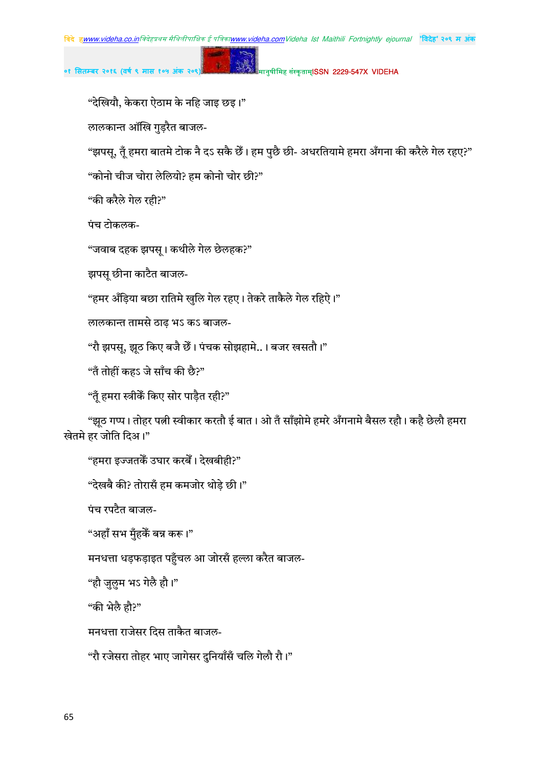मानुषीमिह संस्कृताम्**ISSN 2229-547X VIDEHA** 

"देखियौ, केकरा ऐठाम के नहि जाइ छइ।"

लालकान्त ऑखि गुड़रैत बाजल-

"झपसू, तूँ हमरा बातमे टोक नै दऽ सकै छैँ। हम पुछै छी- अधरतियामे हमरा अँगना की करैले गेल रहए?"

"कोनो चीज चोरा लेलियो? हम कोनो चोर छी?"

"की करैले गेल रही?"

पंच टोकलक-

"जवाब दहक झपस् । कथीले गेल छेलहक?"

झपस् छीना काटैत बाजल-

"हमर अँड़िया बछा रातिमे खुलि गेल रहए। तेकरे ताकैले गेल रहिऐ।"

लालकान्त तामसे ठाढ़ भऽ कऽ बाजल-

"रौ झपस्, झूठ किए बजै छेँ। पंचक सोझहामे..। बजर खसतौ।"

"तँ तोहीं कहऽ जे साँच की छै?"

"तुँ हमरा स्त्रीकेँ किए सोर पाड़ैत रही?"

"झूठ गप्प। तोहर पत्नी स्वीकार करतौ ई बात। ओ तँ साँझोमे हमरे अँगनामे बैसल रहौ। कहै छेलौ हमरा खेतमे हर जोति दिअ।"

"हमरा इज्जतकेँ उघार करबेँ। देखबीही?"

"देखबै की? तोरासँ हम कमजोर थोड़े छी।"

पंच रपटैत बाजल-

"अहाँ सभ मुँहकें बन्न करू।"

मनधत्ता धड़फड़ाइत पहुँचल आ जोरसँ हल्ला करैत बाजल-

"हौ जुलुम भऽ गेलै हौ।"

"की भेलै हौ?"

मनधत्ता राजेसर दिस ताकैत बाजल-

"रौ रजेसरा तोहर भाए जागेसर दुनियाँसँ चलि गेलौ रौ।"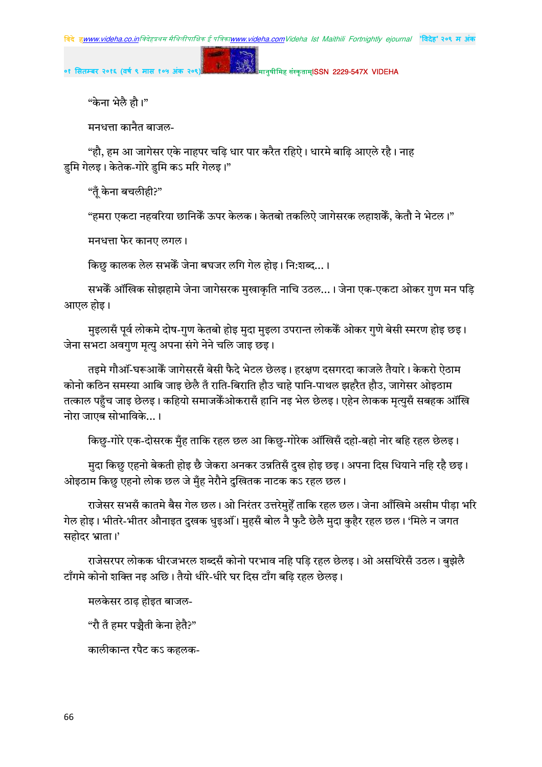मानुषीमिह संस्कृताम्**ISSN 2229-547X VIDEHA** 

"केना भेलै हौ।"

मनधत्ता कानैत बाजल-

"हौ, हम आ जागेसर एके नाहपर चढ़ि धार पार करैत रहिऐ। धारमे बाढ़ि आएले रहै। नाह डुमि गेलइ। केतेक-गोरे डुमि कऽ मरि गेलइ।"

"तँ केना बचलीही?"

"हमरा एकटा नहवरिया छानिकेॅ ऊपर केलक। केतबो तकलिऐ जागेसरक लहाशकेॅ, केतौ ने भेटल।"

मनधत्ता फेर कानए लगल।

किछ कालक लेल सभकेँ जेना बघजर लगि गेल होइ। नि:शब्द... ।

सभकेँ ऑखिक सोझहामे जेना जागेसरक मुखाकृति नाचि उठल…। जेना एक-एकटा ओकर गुण मन पड़ि आएल होड़।

मुइलासँ पूर्व लोकमे दोष-गुण केतबो होइ मुदा मुइला उपरान्त लोककैं ओकर गुणे बेसी स्मरण होइ छइ। जेना सभटा अवगुण मृत्यु अपना संगे नेने चलि जाइ छड़।

तइमे गौऑं-घरूआकेॅ जागेसरसँ बेसी फैदे भेटल छेलइ। हरक्षण दसगरदा काजले तैयारे। केकरो ऐठाम कोनो कठिन समस्या आबि जाइ छेलै तँ राति-बिराति हौउ चाहे पानि-पाथल झहरैत हौउ, जागेसर ओइठाम तत्काल पहँच जाइ छेलइ। कहियो समाजकैंओकरासँ हानि नइ भेल छेलइ। एहेन लेाकक मृत्युसँ सबहक ऑखि नोरा जाएब सोभाविके... ।

किछु-गोरे एक-दोसरक मुँह ताकि रहल छल आ किछु-गोरेक ऑखिसँ दहो-बहो नोर बहि रहल छेलइ।

मुदा किछु एहनो बेकती होइ छै जेकरा अनकर उन्नतिसँ दुख होइ छइ। अपना दिस धियाने नहि रहै छइ। ओइठाम किछु एहनो लोक छल जे मुँह नेरौने दुखितक नाटक कऽ रहल छल।

राजेसर सभसँ कातमे बैस गेल छल। ओ निरंतर उत्तरेमुहेँ ताकि रहल छल। जेना आँखिमे असीम पीड़ा भरि गेल होइ। भीतरे-भीतर औनाइत दुखक धुइऑं। मुहसँ बोल नै फुटै छेलै मुदा कुहैर रहल छल। 'मिले न जगत सहोदर भ्राता।'

राजेसरपर लोकक धीरजभरल शब्दसँ कोनो परभाव नहि पड़ि रहल छेलइ। ओ असथिरेसँ उठल। बुझेलै टाँगमे कोनो शक्ति नइ अछि। तैयो धीरे-धीरे घर दिस टाँग बढि रहल छेलइ।

मलकेसर ठाढ़ होइत बाजल-

"रौ तँ हमर पञ्जैती केना हेतै?"

कालीकान्त रपैट कऽ कहलक-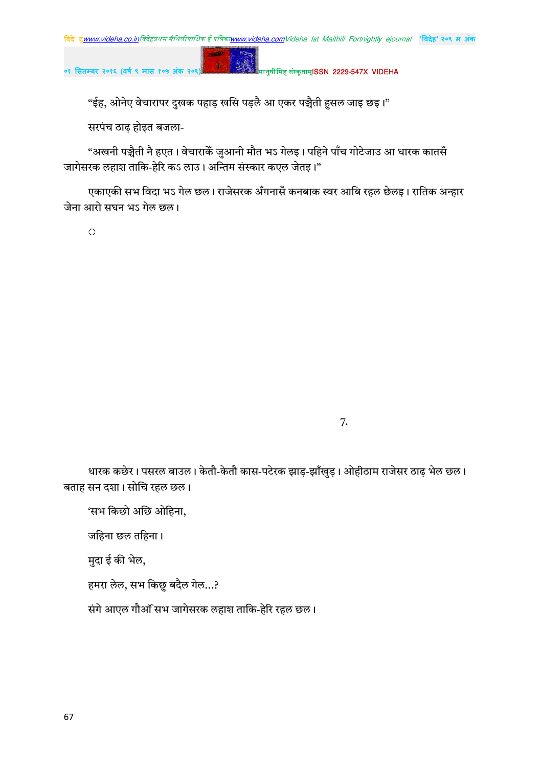

"ईह, ओनेए वेचारापर दुखक पहाड़ खसि पड़लै आ एकर पञ्चैती हुसल जाइ छइ।"

सरपंच ठाढ़ होइत बजला-

"अखनी पञ्चैती नै हएत। वेचाराकेँ जुआनी मौत भऽ गेलइ। पहिने पाँच गोटेजाउ आ धारक कातसँ जागेसरक लहाश ताकि-हेरि कऽ लाउ। अन्तिम संस्कार कएल जेतइ।"

एकाएकी सभ विदा भऽ गेल छल। राजेसरक अँगनासँ कनबाक स्वर आबि रहल छेलइ। रातिक अन्हार जेना आरो सघन भऽ गेल छल।

 $\hat{\mathcal{L}}$ 

7.

धारक कछेर। पसरल बाउल। केतौ-केतौ कास-पटेरक झाड़-झाँखुड़। ओहीठाम राजेसर ठाढ़ भेल छल। बताह सन दशा। सोचि रहल छल।

'सभ किछो अछि ओहिना,

जहिना छल तहिना।

मुदा ई की भेल,

हमरा लेल, सभ किछु बदैल गेल…?

संगे आएल गौऑं सभ जागेसरक लहाश ताकि-हेरि रहल छल।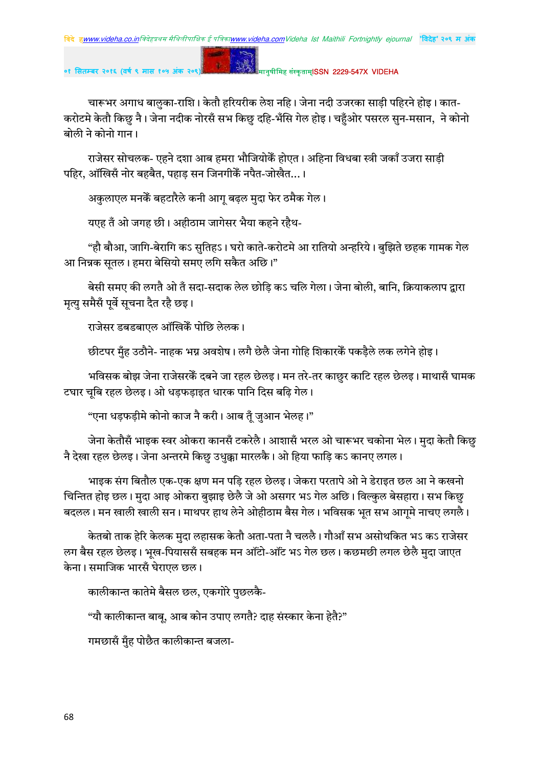मानुषीमिह संस्कृताम्**ISSN 2229-547X VIDEHA** 

चारूभर अगाध बालुका-राशि। केतौ हरियरीक लेश नहि। जेना नदी उजरका साड़ी पहिरने होइ। कात-करोटमे केतौ किछु नै। जेना नदीक नोरसँ सभ किछु दहि-भँसि गेल होइ। चहँओर पसरल सुन-मसान, ने कोनो बोली ने कोनो गान।

राजेसर सोचलक- एहने दशा आब हमरा भौजियोकेॅ होएत। अहिना विधबा स्त्री जकाँ उजरा साड़ी पहिर, ऑखिसँ नोर बहबैत, पहाड़ सन जिनगीकेँ नपैत-जोखैत...।

अकुलाएल मनकें बहटारैले कनी आगू बढ़ल मुदा फेर ठमैक गेल।

 $\mathbf{r}$ 

यएह तँ ओ जगह छी। अहीठाम जागेसर भैया कहने रहैथ-

"हौ बौआ, जागि-बेरागि कऽ सुतिहऽ। घरो काते-करोटमे आ रातियो अन्हरिये। बुझिते छहक गामक गेल आ निन्नक सूतल। हमरा बेसियो समए लगि सकैत अछि।"

बेसी समए की लगतै ओ तँ सदा-सदाक लेल छोडि कऽ चलि गेला। जेना बोली. बानि. क्रियाकलाप द्वारा मृत्यु समैसँ पूर्वे सूचना दैत रहै छइ।

राजेसर डबडबाएल ऑखिकेँ पोछि लेलक।

छीटपर मुँह उठौने- नाहक भग्न अवशेष। लगै छेलै जेना गोहि शिकारकेँ पकड़ैले लक लगेने होइ।

भविसक बोझ जेना राजेसरकें दबने जा रहल छेलइ। मन तरे-तर काछुर काटि रहल छेलइ। माथासँ घामक टघार चूबि रहल छेलइ। ओ धड़फड़ाइत धारक पानि दिस बढ़ि गेल।

"एना धड़फड़ीमे कोनो काज नै करी। आब तुँ जुआन भेलह।"

जेना केतौसँ भाइक स्वर ओकरा कानसँ टकरेलै। आशासँ भरल ओ चारूभर चकोना भेल। मुदा केतौ किछु नै देखा रहल छेलइ। जेना अन्तरमे किछु उधुक्का मारलकै। ओ हिया फाड़ि कऽ कानए लगल।

भाइक संग बितौल एक-एक क्षण मन पड़ि रहल छेलइ। जेकरा परतापे ओ ने डेराइत छल आ ने कखनो चिन्तित होइ छल। मुदा आइ ओकरा बुझाइ छेलै जे ओ असगर भऽ गेल अछि। विल्कुल बेसहारा। सभ किछु बदलल। मन खाली खाली सन। माथपर हाथ लेने ओहीठाम बैस गेल। भविसक भृत सभ आगमे नाचए लगलै।

केतबो ताक हेरि केलक मुदा लहासक केतौ अता-पता नै चललै। गौआँ सभ असोथकित भऽ कऽ राजेसर लग बैस रहल छेलइ। भूख-पियाससँ सबहक मन ऑटो-ऑट भऽ गेल छल। कछमछी लगल छेलै मुदा जाएत केना। समाजिक भारसँ घेराएल छल।

कालीकान्त कातेमे बैसल छल, एकगोरे पुछलकै-

"यौ कालीकान्त बाबु, आब कोन उपाए लगतै? दाह संस्कार केना हेतै?"

गमछासँ मुँह पोछैत कालीकान्त बजला-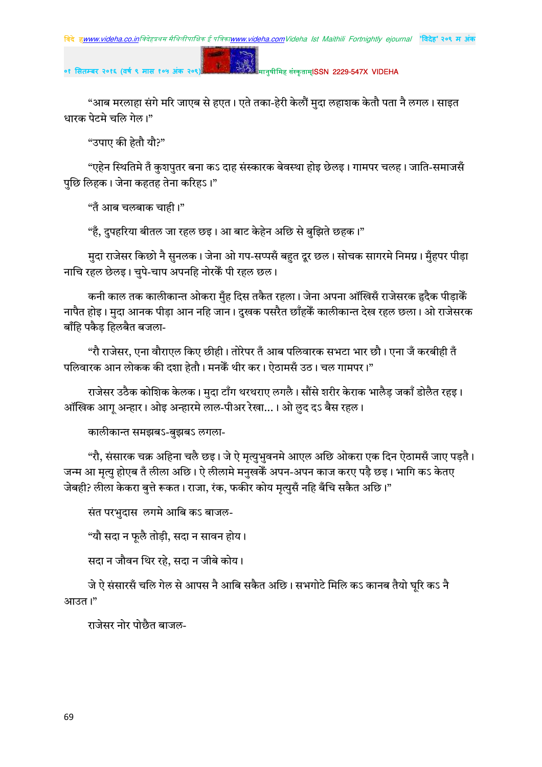# मानुषीमिह संस्कृताम्**ISSN 2229-547X VIDEHA**

"आब मरलाहा संगे मरि जाएब से हएत। एते तका-हेरी केलौं मुदा लहाशक केतौ पता नै लगल। साइत धारक पेटमे चलि गेल।"

"उपाए की हेतौ यौ?"

"एहेन स्थितिमे तँ कुशपुतर बना कऽ दाह संस्कारक बेवस्था होइ छेलइ। गामपर चलह। जाति-समाजसँ पुछि लिहक। जेना कहतह तेना करिहऽ।"

"तँ आब चलबाक चाही।"

"हँ, दुपहरिया बीतल जा रहल छइ। आ बाट केहेन अछि से बुझिते छहक।"

 $\mathbf{g}$  .

मुदा राजेसर किछो नै सुनलक। जेना ओ गप-सप्पसँ बहुत दूर छल। सोचक सागरमे निमग्न। मुँहपर पीड़ा नाचि रहल छेलइ। चुपे-चाप अपनहि नोरकेँ पी रहल छल।

कनी काल तक कालीकान्त ओकरा मुँह दिस तकैत रहला। जेना अपना ऑखिसँ राजेसरक हृदैक पीडाकेँ नापैत होइ। मुदा आनक पीड़ा आन नहि जान। दुखक पसरैत छाँहकेँ कालीकान्त देख रहल छला। ओ राजेसरक बाँहि पकैड़ हिलबैत बजला-

"रौ राजेसर, एना वौराएल किए छीही। तोरेपर तँ आब पलिवारक सभटा भार छौ। एना जँ करबीही तँ पलिवारक आन लोकक की दशा हेतौ। मनकेँ थीर कर। ऐठामसँ उठ। चल गामपर।"

राजेसर उठैक कोशिक केलक। मुदा टाँग थरथराए लगलै। सौंसे शरीर केराक भालैड़ जकाँ डोलैत रहइ। ऑखिक आग अन्हार। ओइ अन्हारमे लाल-पीअर रेखा…। ओ लुद दऽ बैस रहल।

कालीकान्त समझबऽ-बुझबऽ लगला-

"रौ, संसारक चक्र अहिना चलै छइ। जे ऐ मृत्युभुवनमे आएल अछि ओकरा एक दिन ऐठामसँ जाए पड़तै। जन्म आ मृत्यु होएब तँ लीला अछि। ऐ लीलामे मनुखकैं अपन-अपन काज करए पड़ै छइ। भागि कऽ केतए जेबही? लीला केकरा बुत्ते रूकत। राजा, रंक, फकीर कोय मृत्युसँ नहि बँचि सकैत अछि।"

संत परभुदास लगमे आबि कऽ बाजल-

"यौ सदा न फुलै तोड़ी, सदा न सावन होय।

सदा न जौवन थिर रहे, सदा न जीबे कोय।

जे ऐ संसारसँ चलि गेल से आपस नै आबि सकैत अछि। सभगोटे मिलि कऽ कानब तैयो घृरि कऽ नै आउत।"

राजेसर नोर पोछैत बाजल-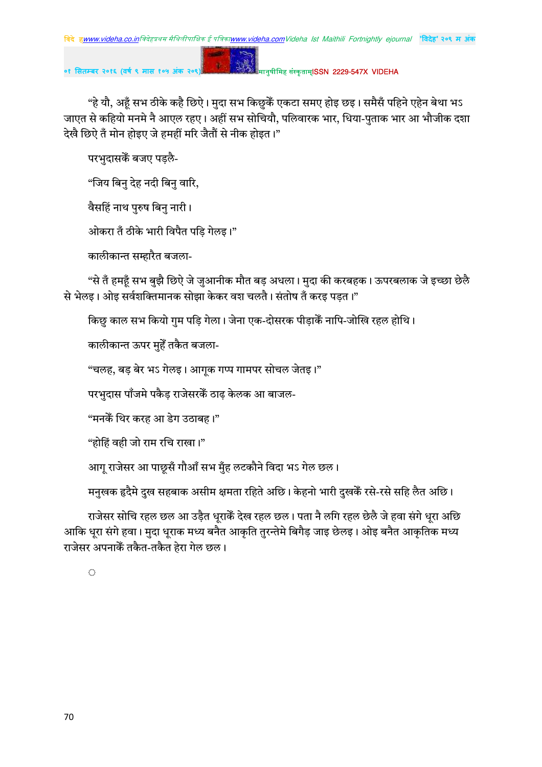

"हे यौ, अहूँ सभ ठीके कहै छिऐ। मुदा सभ किछुकैँ एकटा समए होइ छइ। समैसँ पहिने एहेन बेथा भऽ जाएत से कहियो मनमे नै आएल रहए। अहीं सभ सोचियौ, पलिवारक भार, धिया-पुताक भार आ भौजीक दशा देखै छिऐ तँ मोन होइए जे हमहीं मरि जैतौं से नीक होइत।"

परभुदासकें बजए पड़लै-

"जिय बिनु देह नदी बिनु वारि,

वैसहिं नाथ पुरुष बिनु नारी।

ओकरा तँ ठीके भारी विपैत पड़ि गेलइ।"

कालीकान्त सम्हारैत बजला-

"से तँ हमहूँ सभ बुझै छिऐ जे जुआनीक मौत बड़ अधला। मुदा की करबहक। ऊपरबलाक जे इच्छा छेलै से भेलइ। ओइ सर्वशक्तिमानक सोझा केकर वश चलतै। संतोष तँ करइ पडत।"

किछु काल सभ कियो गुम पड़ि गेला। जेना एक-दोसरक पीड़ाकैं नापि-जोखि रहल होथि।

कालीकान्त ऊपर मुहेँ तकैत बजला-

"चलह, बड़ बेर भऽ गेलइ। आगूक गप्प गामपर सोचल जेतइ।"

परभुदास पाँजमे पकैड़ राजेसरकेँ ठाढ़ केलक आ बाजल-

"मनकेँ थिर करह आ डेग उठाबह।"

"होहिं वही जो राम रचि राखा।"

आगू राजेसर आ पाछूसँ गौआँ सभ मुँह लटकौने विदा भऽ गेल छल।

मनुखक हृदैमे दुख सहबाक असीम क्षमता रहिते अछि। केहनो भारी दुखकैँ रसे-रसे सहि लैत अछि।

राजेसर सोचि रहल छल आ उड़ैत धूराकेँ देख रहल छल। पता नै लगि रहल छेलै जे हवा संगे धूरा अछि आकि धूरा संगे हवा। मुदा धूराक मध्य बनैत आकृति तुरन्तेमे बिगैड़ जाइ छेलइ। ओइ बनैत आकृतिक मध्य राजेसर अपनाकें तकैत-तकैत हेरा गेल छल।

 $\langle \cdot \rangle$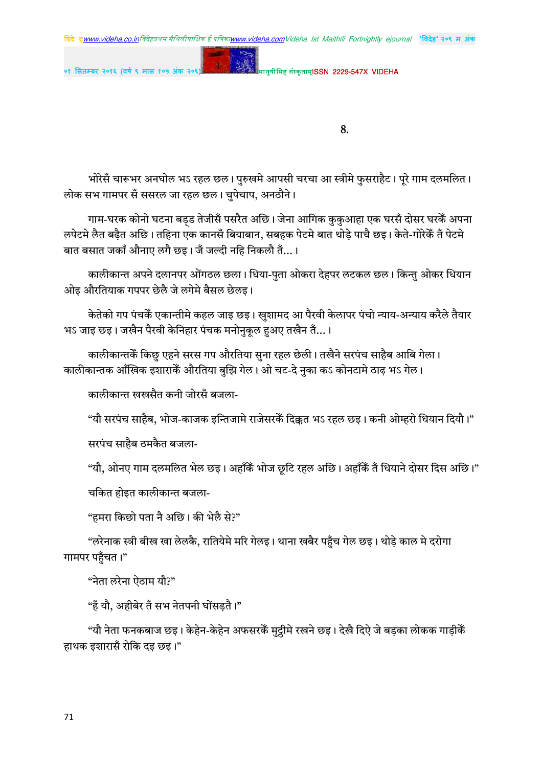मानुषीमिह संस्कृताम्**ISSN 2229-547X VIDEHA** 

०१ सितम्बर २०१६ (वर्ष ९ मास १०

8.

भोरेसँ चारूभर अनघोल भऽ रहल छल। पुरुखमे आपसी चरचा आ स्त्रीमे फुसराहैट। पूरे गाम दलमलित। लोक सभ गामपर सँ ससरल जा रहल छल। चुपेचाप, अनठौने।

गाम-घरक कोनो घटना बड़ड तेजीसँ पसरैत अछि। जेना आगिक कुकुआहा एक घरसँ दोसर घरकैं अपना लपेटमे लैत बढ़ैत अछि। तहिना एक कानसँ बियाबान, सबहक पेटमे बात थोड़े पाचै छइ। केते-गोरेकैँ तँ पेटमे बात बसात जकाँ औनाए लगै छइ। जँ जल्दी नहि निकलौ तँ... ।

कालीकान्त अपने दलानपर ओंगठल छला। धिया-पुता ओकरा देहपर लटकल छल। किन्तु ओकर धियान ओइ औरतियाक गपपर छेलै जे लगेमे बैसल छेलइ।

केतेको गप पंचकेँ एकान्तीमे कहल जाइ छइ। खुशामद आ पैरवी केलापर पंचो न्याय-अन्याय करैले तैयार भऽ जाइ छइ। जखैन पैरवी केनिहार पंचक मनोनुकुल हअए तखैन तँ...।

कालीकान्तकें किछु एहने सरस गप औरतिया सुना रहल छेली। तखैने सरपंच साहैब आबि गेला। कालीकान्तक आँखिक इशाराकें औरतिया बुझि गेल। ओ चट-दे नुका कऽ कोनटामे ठाढ़ भऽ गेल।

कालीकान्त खखसैत कनी जोरसँ बजला-

"यौ सरपंच साहैब, भोज-काजक इन्तिजामे राजेसरकेँ दिक्कत भऽ रहल छइ। कनी ओम्हरो धियान दियौ।"

सरपंच साहैब ठमकैत बजला-

"यौ, ओनए गाम दलमलित भेल छइ। अहाँकैं भोज छृटि रहल अछि। अहाँकैं तँ धियाने दोसर दिस अछि।"

चकित होइत कालीकान्त बजला-

"हमरा किछो पता नै अछि। की भेलै से?"

"लरेनाक स्त्री बीख खा लेलकै, रातियेमे मरि गेलइ। थाना खबैर पहुँच गेल छइ। थोड़े काल मे दरोगा गामपर पहुँचत।"

"नेता लरेना ऐठाम यौ?"

"हँ यौ, अहीबेर तँ सभ नेतपनी घोंसडतै।"

"यौ नेता फनकबाज छइ। केहेन-केहेन अफसरकैं मुट्ठीमे रखने छइ। देखै दिऐ जे बड़का लोकक गाड़ीकें हाथक इशारासँ रोकि दइ छइ।"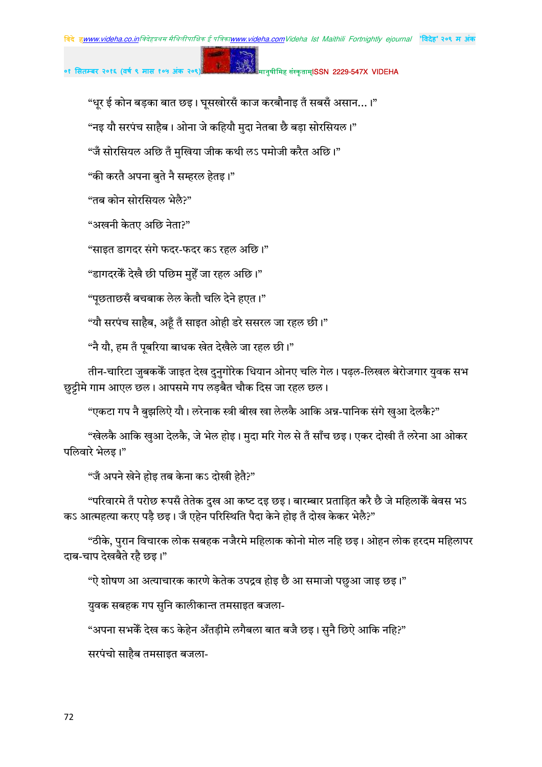## मानुषीमिह संस्कृताम्**ISSN 2229-547X VIDEHA**

"धूर ई कोन बड़का बात छइ। घूसखोरसँ काज करबौनाइ तँ सबसँ असान...।"

"नइ यौ सरपंच साहैब। ओना जे कहियौ मुदा नेतबा छै बड़ा सोरसियल।"

"जँ सोरसियल अछि तँ मुखिया जीक कथी लऽ पमोजी करैत अछि।"

"की करतै अपना बुते नै सम्हरल हेतइ।"

"तब कोन सोरसियल भेलै?"

"अखनी केतए अछि नेता?"

"साइत डागदर संगे फदर-फदर कऽ रहल अछि।"

"डागदरकेँ देखै छी पछिम मुहेँ जा रहल अछि।"

"पछताछसँ बचबाक लेल केतौ चलि देने हएत।"

"यौ सरपंच साहैब, अहँ तँ साइत ओही डरे ससरल जा रहल छी।"

"नै यौ, हम तँ पूबरिया बाधक खेत देखैले जा रहल छी।"

तीन-चारिटा जुबककें जाइत देख दुनुगोरेक धियान ओनए चलि गेल। पढ़ल-लिखल बेरोजगार युवक सभ छुट्टीमे गाम आएल छल। आपसमे गप लड़बैत चौक दिस जा रहल छल।

"एकटा गप नै बुझलिऐ यौ। लरेनाक स्त्री बीख खा लेलकै आकि अन्न-पानिक संगे खुआ देलकै?"

"खेलकै आकि खुआ देलकै, जे भेल होइ। मुदा मरि गेल से तँ साँच छइ। एकर दोखी तँ लरेना आ ओकर पलिवारे भेलइ।"

"जँ अपने खेने होइ तब केना कऽ दोखी हेतै?"

"परिवारमे तँ परोछ रूपसँ तेतेक दुख आ कष्ट दइ छइ। बारम्बार प्रताड़ित करै छै जे महिलाकैँ बेवस भऽ कऽ आत्महत्या करए पड़ै छइ। जँ एहेन परिस्थिति पैदा केने होइ तँ दोख केकर भेलै?"

"ठीके, पुरान विचारक लोक सबहक नजैरमे महिलाक कोनो मोल नहि छइ। ओहन लोक हरदम महिलापर दाब-चाप देखबैते रहै छइ।"

"ऐ शोषण आ अत्याचारक कारणे केतेक उपद्रव होइ छै आ समाजो पछुआ जाइ छइ।"

यवक सबहक गप सुनि कालीकान्त तमसाइत बजला-

"अपना सभकें देख कऽ केहेन अँतड़ीमे लगैबला बात बजै छइ। सुनै छिऐ आकि नहि?"

सरपंचो साहैब तमसाइत बजला-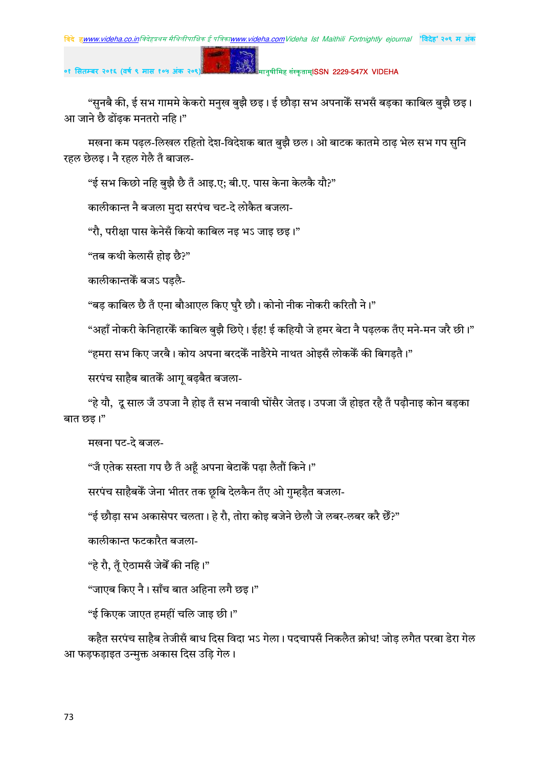#### मानुषीमिह संस्कृताम्**ISSN 2229-547X VIDEHA**

"सुनबै की, ई सभ गाममे केकरो मनुख बुझै छइ। ई छौड़ा सभ अपनाकेँ सभसँ बड़का काबिल बुझै छइ। आ जाने छै ढोंढक मनतरो नहि।"

मखना कम पढ़ल-लिखल रहितो देश-विदेशक बात बुझै छल। ओ बाटक कातमे ठाढ़ भेल सभ गप सुनि रहल छेलइ। नै रहल गेलै तँ बाजल-

"ई सभ किछो नहि बुझै छै तँ आइ.ए; बी.ए. पास केना केलकै यौ?"

कालीकान्त नै बजला मुदा सरपंच चट-दे लोकैत बजला-

"रौ, परीक्षा पास केनेसँ कियो काबिल नइ भऽ जाइ छइ।"

"तब कथी केलासँ होइ छै?"

कालीकान्तकें बजऽ पडलै-

"बड़ काबिल छै तँ एना बौआएल किए घुरै छौ। कोनो नीक नोकरी करितौ ने।"

"अहाँ नोकरी केनिहारकेँ काबिल बुझै छिऐ। ईह! ई कहियौ जे हमर बेटा नै पढ़लक तँए मने-मन जरै छी।"

"हमरा सभ किए जरबै। कोय अपना बरदकें नाडैरेमे नाथत ओइसँ लोककेँ की बिगडतै।"

सरपंच साहैब बातकें आग बढ़बैत बजला-

"हे यौ, दू साल जँ उपजा नै होइ तँ सभ नवावी घोंसैर जेतइ। उपजा जँ होइत रहै तँ पढ़ौनाइ कोन बड़का बात छड़।"

मखना पट-दे बजल-

"जँ एतेक सस्ता गप छै तँ अहँ अपना बेटाकेँ पढा लैतौं किने।"

सरपंच साहैबकें जेना भीतर तक छूबि देलकैन तँए ओ गुम्हड़ैत बजला-

"ई छौड़ा सभ अकासेपर चलता। हे रौ, तोरा कोइ बजेने छेलौ जे लबर-लबर करै छेँ?"

कालीकान्त फटकारैत बजला-

"हे रौ, तँ ऐठामसँ जेबेँ की नहि।"

"जाएब किए नै। साँच बात अहिना लगै छइ।"

"ई किएक जाएत हमहीं चलि जाइ छी।"

कहैत सरपंच साहैब तेजीसँ बाध दिस विदा भऽ गेला। पदचापसँ निकलैत क्रोध! जोड लगैत परबा डेरा गेल आ फड़फड़ाइत उन्मुक्त अकास दिस उड़ि गेल।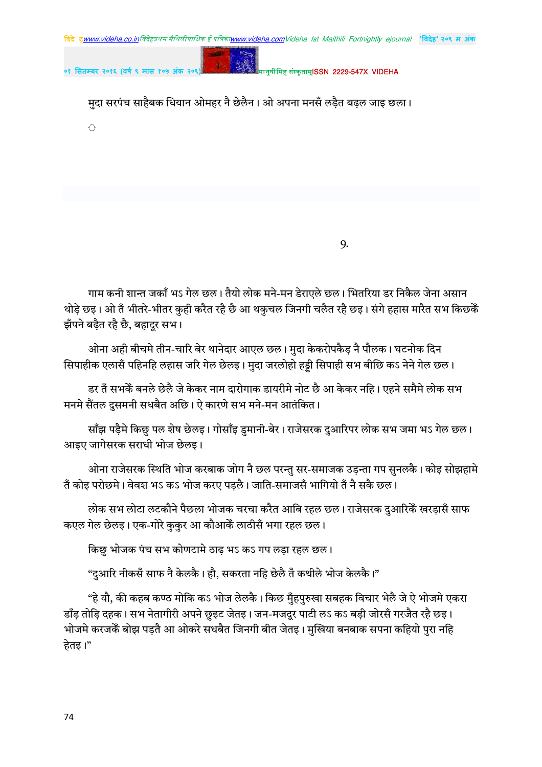मुदा सरपंच साहैबक धियान ओमहर नै छेलैन। ओ अपना मनसँ लड़ैत बढ़ल जाइ छला।

 $\hat{O}$ 

9.

मानुषीमिह संस्कृताम<mark>ISSN 2229-547X VIDFHA</mark>

गाम कनी शान्त जकाँ भऽ गेल छल। तैयो लोक मने-मन डेराएले छल। भितरिया डर निकैल जेना असान थोड़े छइ। ओ तँ भीतरे-भीतर कुही करैत रहै छै आ थकुचल जिनगी चलैत रहै छइ। संगे हहास मारैत सभ किछकेँ झँपने बढैत रहै छै, बहादुर सभ।

ओना अही बीचमे तीन-चारि बेर थानेदार आएल छल। मुदा केकरोपकैड़ नै पौलक। घटनोक दिन सिपाहीक एलासँ पहिनहि लहास जरि गेल छेलइ। मुदा जरलोहो हड्डी सिपाही सभ बीछि कऽ नेने गेल छल।

डर तँ सभकेँ बनले छेलै जे केकर नाम दारोगाक डायरीमे नोट छै आ केकर नहि। एहने समैमे लोक सभ मनमे सैंतल दुसमनी सधबैत अछि। ऐ कारणे सभ मने-मन आतंकित।

साँझ पड़ैमे किछु पल शेष छेलइ। गोसाँइ डुमानी-बेर। राजेसरक दुआरिपर लोक सभ जमा भऽ गेल छल। आइए जागेसरक सराधी भोज छेलड।

ओना राजेसरक स्थिति भोज करबाक जोग नै छल परन्तु सर-समाजक उड़न्ता गप सुनलकै। कोइ सोझहामे तँ कोइ परोछमे। वेवश भऽ कऽ भोज करए पड़लै। जाति-समाजसँ भागियो तँ नै सकै छल।

लोक सभ लोटा लटकौने पैछला भोजक चरचा करैत आबि रहल छल। राजेसरक दुआरिकैं खरड़ासँ साफ कएल गेल छेलइ। एक-गोरे कुकुर आ कौआकें लाठीसँ भगा रहल छल।

किछु भोजक पंच सभ कोणटामे ठाढ़ भऽ कऽ गप लड़ा रहल छल।

"दुआरि नीकसँ साफ नै केलकै। हौ, सकरता नहि छेलै तँ कथीले भोज केलकै।"

"हे यौ, की कहब कण्ठ मोकि कऽ भोज लेलकै। किछ मुँहपुरुखा सबहक विचार भेलै जे ऐ भोजमे एकरा डाँड तोडि दहक। सभ नेतागीरी अपने छुइट जेतइ। जन-मजदुर पाटी लऽ कऽ बडी जोरसँ गरजैत रहै छइ। भोजमे करजकेँ बोझ पडतै आ ओकरे सधबैत जिनगी बीत जेतइ। मुखिया बनबाक सपना कहियो पुरा नहि हेतइ।"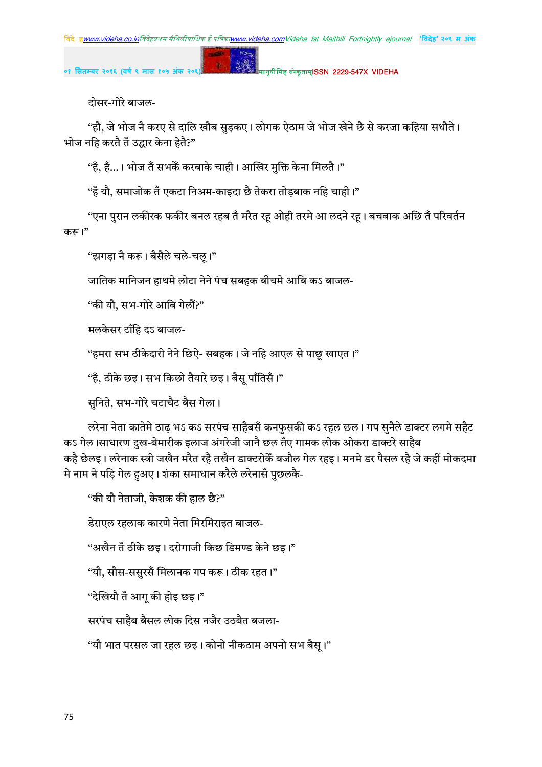मानुषीमिह संस्कृताम्**ISSN 2229-547X VIDEHA** 

दोसर-गोरे बाजल-

"हौ, जे भोज नै करए से दालि खौब सुडकए। लोगक ऐठाम जे भोज खेने छै से करजा कहिया सधौते। भोज नहि करतै तँ उद्धार केना हेतै?"

"है, हैं…। भोज तँ सभकेँ करबाके चाही। आखिर मुक्ति केना मिलतै।"

 $\mathbf{g}$  .

"हँ यौ, समाजोक तँ एकटा निअम-काइदा छै तेकरा तोड़बाक नहि चाही।"

"एना पुरान लकीरक फकीर बनल रहब तँ मरैत रहू ओही तरमे आ लदने रहू। बचबाक अछि तँ परिवर्तन करू।"

"झगड़ा नै करू। बैसैले चले-चल्।"

जातिक मानिजन हाथमे लोटा नेने पंच सबहक बीचमे आबि कऽ बाजल-

"की यौ. सभ-गोरे आबि गेलौं?"

मलकेसर टाँहि दऽ बाजल-

"हमरा सभ ठीकेदारी नेने छिऐ- सबहक। जे नहि आएल से पाछू खाएत।"

"हैं, ठीके छइ। सभ किछो तैयारे छइ। बैसू पाँतिसँ।"

सुनिते, सभ-गोरे चटाचैट बैस गेला।

लरेना नेता कातेमे ठाढ़ भऽ कऽ सरपंच साहैबसँ कनफुसकी कऽ रहल छल। गप सुनैले डाक्टर लगमे सहैट कऽ गेल।साधारण दुख-बेमारीक इलाज अंगरेजी जानै छल तँए गामक लोक ओकरा डाक्टरे साहैब कहै छेलइ। लरेनाक स्त्री जखैन मरैत रहै तखैन डाक्टरोकें बजौल गेल रहइ। मनमे डर पैसल रहै जे कहीं मोकदमा मे नाम ने पड़ि गेल हुअए। शंका समाधान करैले लरेनासँ पुछलकै-

"की यौ नेताजी, केशक की हाल छै?"

डेराएल रहलाक कारणे नेता मिरमिराइत बाजल-

"अखैन तँ ठीके छड़। दरोगाजी किछ डिमण्ड केने छड़।"

"यौ, सौस-ससुरसँ मिलानक गप करू। ठीक रहत।"

"देखियौ तँ आग् की होइ छइ।"

सरपंच साहैब बैसल लोक दिस नजैर उठबैत बजला-

"यौ भात परसल जा रहल छइ। कोनो नीकठाम अपनो सभ बैस्।"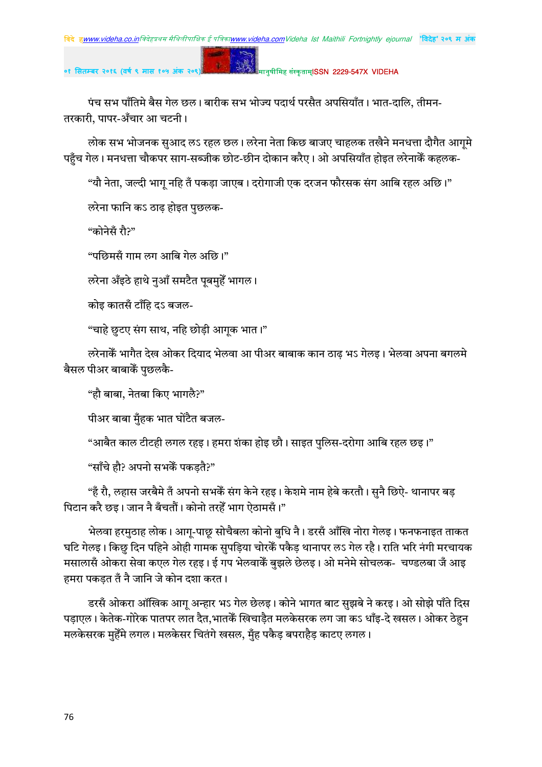#### मानुषीमिह संस्कृताम्**ISSN 2229-547X VIDEHA**

पंच सभ पाँतिमे बैस गेल छल। बारीक सभ भोज्य पदार्थ परसैत अपसियाँत। भात-दालि, तीमन-तरकारी, पापर-अँचार आ चटनी।

लोक सभ भोजनक सुआद लऽ रहल छल। लरेना नेता किछ बाजए चाहलक तखैने मनधत्ता दौगैत आगूमे पहुँच गेल। मनधत्ता चौकपर साग-सब्जीक छोट-छीन दोकान करैए। ओ अपसियाँत होइत लरेनाकेँ कहलक-

"यौ नेता, जल्दी भाग नहि तँ पकडा जाएब। दरोगाजी एक दरजन फौरसक संग आबि रहल अछि।"

लरेना फानि कऽ ठाढ़ होइत पुछलक-

"कोनेसँ रौ?"

"पछिमसँ गाम लग आबि गेल अछि।"

लरेना अँइठे हाथे नुआँ समटैत पूबमुहेँ भागल।

कोइ कातसँ टाँहि दऽ बजल-

"चाहे छुटए संग साथ, नहि छोड़ी आगुक भात।"

लरेनाकैँ भागैत देख ओकर दियाद भेलवा आ पीअर बाबाक कान ठाढ भऽ गेलइ। भेलवा अपना बगलमे बैसल पीअर बाबाकें पछलकै-

"हौ बाबा, नेतबा किए भागलै?"

पीअर बाबा मँहक भात घोंटैत बजल-

"आबैत काल टीटही लगल रहइ। हमरा शंका होइ छौ। साइत पुलिस-दरोगा आबि रहल छइ।"

"साँचे हौ? अपनो सभकेँ पकडतै?"

"हँ रौ, लहास जरबैमे तँ अपनो सभकेँ संग केने रहइ। केशमे नाम हेबे करतौ। सुनै छिऐ- थानापर बड़ पिटान करै छइ। जान नै बँचतौं। कोनो तरहेँ भाग ऐठामसँ।"

भेलवा हरमुठाह लोक। आगू-पाछू सोचैबला कोनो बुधि नै। डरसँ आँखि नोरा गेलइ। फनफनाइत ताकत घटि गेलइ। किछु दिन पहिने ओही गामक सुपड़िया चोरकेँ पकैड़ थानापर लऽ गेल रहै। राति भरि नंगी मरचायक मसालासँ ओकरा सेवा कएल गेल रहइ। ई गप भेलवाकेँ बझले छेलइ। ओ मनेमे सोचलक- चण्डलबा जँ आइ हमरा पकडत तँ नै जानि जे कोन दशा करत।

डरसँ ओकरा ऑखिक आगू अन्हार भऽ गेल छेलइ। कोने भागत बाट सुझबे ने करइ। ओ सोझे पाँते दिस पडाएल। केतेक-गोरेक पातपर लात दैत,भातकें खिचाडैत मलकेसरक लग जा कऽ धाँइ-दे खसल। ओकर ठेहन मलकेसरक मुहेँमे लगल। मलकेसर चितंगे खसल, मुँह पकैड बपराहैड काटए लगल।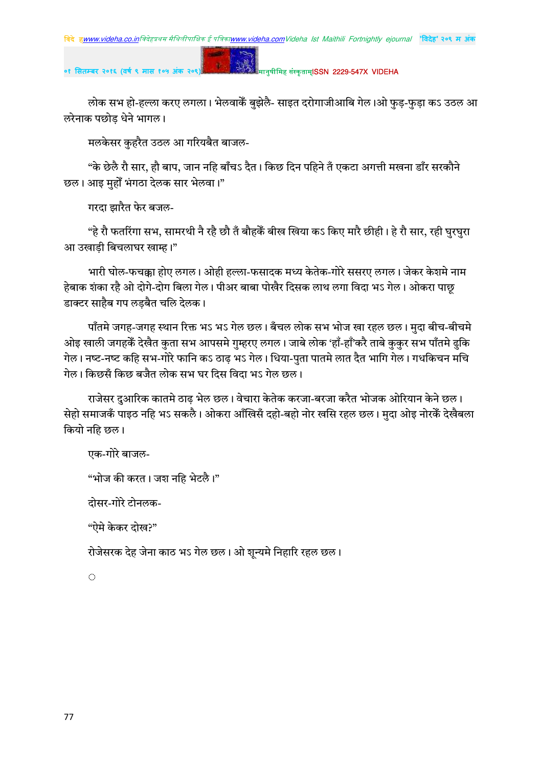$\mathbf{g}$ 

०१ सितम्बर २०१६ (वर्ष ९ मास १

#### मानुषीमिह संस्कृताम्**ISSN 2229-547X VIDEHA**

लोक सभ हो-हल्ला करए लगला। भेलवाकेँ बुझेलै- साइत दरोगाजीआबि गेल।ओ फुड़-फुड़ा कऽ उठल आ लरेनाक पछोड धेने भागल।

मलकेसर कुहरैत उठल आ गरियबैत बाजल-

"के छेलै रौ सार, हौ बाप, जान नहि बाँचऽ दैत। किछ दिन पहिने तँ एकटा अगत्ती मखना डाँर सरकौने छल। आइ मुहाँ भंगठा देलक सार भेलवा।"

गरदा झारैत फेर बजल-

"हे रौ फतरिंगा सभ, सामरथी नै रहै छौ तँ बौहकेँ बीख खिया कऽ किए मारै छीही। हे रौ सार, रही घुरघुरा आ उखाड़ी बिचलाघर खाम्ह।"

भारी घोल-फचक्का होए लगल। ओही हल्ला-फसादक मध्य केतेक-गोरे ससरए लगल। जेकर केशमे नाम हेबाक शंका रहै ओ दोगे-दोग बिला गेल। पीअर बाबा पोखैर दिसक लाथ लगा विदा भऽ गेल। ओकरा पाछ डाक्टर साहैब गप लडबैत चलि देलक।

पाँतमे जगह-जगह स्थान रिक्त भऽ भऽ गेल छल। बँचल लोक सभ भोज खा रहल छल। मुदा बीच-बीचमे ओइ खाली जगहकें देखैत कुता सभ आपसमे गुम्हरए लगल। जाबे लोक 'हाँ-हाँ'करै ताबे कुकुर सभ पाँतमे ढुकि गेल। नष्ट-नष्ट कहि सभ-गोरे फानि कऽ ठाढ़ भऽ गेल। धिया-पुता पातमे लात दैत भागि गेल। गधकिचन मचि गेल। किछसँ किछ बजैत लोक सभ घर दिस विदा भऽ गेल छल।

राजेसर दुआरिक कातमे ठाढ़ भेल छल। वेचारा केतेक करजा-बरजा करैत भोजक ओरियान केने छल। सेहो समाजकँ पाइठ नहि भऽ सकलै। ओकरा आँखिसँ दहो-बहो नोर खसि रहल छल। मुदा ओइ नोरकैं देखैबला कियो नहि छल।

एक-गोरे बाजल-

"भोज की करत। जश नहि भेटलै।"

दोसर-गोरे टोनलक-

"ऐमे केकर दोख?"

रोजेसरक देह जेना काठ भऽ गेल छल। ओ शुन्यमे निहारि रहल छल।

 $\hat{C}$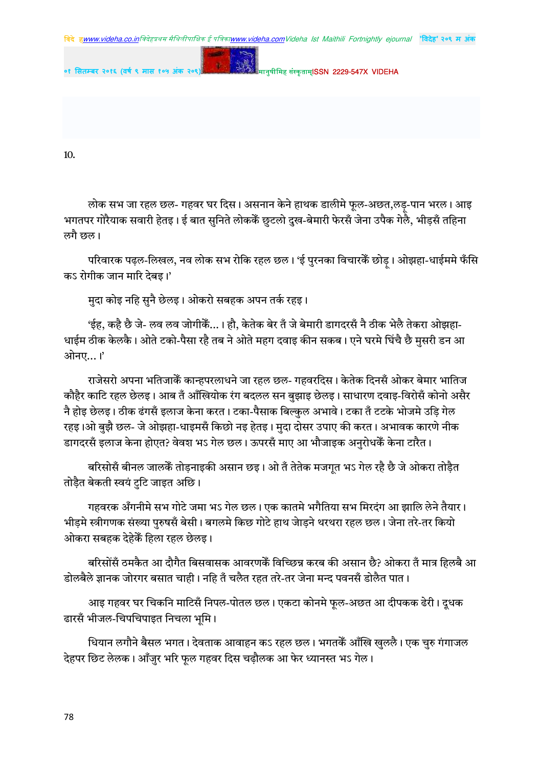

मानुषीमिह संस्कृताम्**ISSN 2229-547X VIDEHA** ०१ सितम्बर २०१६ (वर्ष ९ मास १०५

10.

लोक सभ जा रहल छल- गहवर घर दिस। असनान केने हाथक डालीमे फुल-अछत,लड़-पान भरल। आइ भगतपर गोरैयाक सवारी हेतइ। ई बात सुनिते लोककें छुटलो दुख-बेमारी फेरसँ जेना उपैक गेलेै, भीड़सँ तहिना लगै छल।

परिवारक पढ़ल-लिखल, नव लोक सभ रोकि रहल छल। 'ई पुरनका विचारकैं छोड़। ओझहा-धाईममे फँसि कऽ रोगीक जान मारि देबइ।'

मुदा कोइ नहि सुनै छेलइ। ओकरो सबहक अपन तर्क रहइ।

'ईह. कहै छै जे- लव लव जोगीकैं...। हौ. केतेक बेर तँ जे बेमारी डागदरसँ नै ठीक भेलै तेकरा ओझहा-धाईम ठीक केलकै। ओते टको-पैसा रहै तब ने ओते महग दवाइ कीन सकब। एने घरमे घिंचै छै मुसरी डन आ ओनए...।'

राजेसरो अपना भतिजाकेँ कान्हपरलाधने जा रहल छल- गहवरदिस। केतेक दिनसँ ओकर बेमार भातिज कौहैर काटि रहल छेलड़। आब तँ आँखियोक रंग बदलल सन बझाइ छेलड़। साधारण दवाइ-विरोसँ कोनो असैर नै होइ छेलइ। ठीक ढंगसँ इलाज केना करत। टका-पैसाक बिल्कुल अभावे। टका तँ टटके भोजमे उडि गेल रहइ।ओ बुझै छल- जे ओझहा-धाइमसँ किछो नइ हेतइ। मुदा दोसर उपाए की करत। अभावक कारणे नीक डागदरसँ इलाज केना होएत? वेवश भऽ गेल छल। ऊपरसँ माए आ भौजाइक अनुरोधकेँ केना टारैत।

बरिसोसँ बीनल जालकैं तोड़नाइकी असान छइ। ओ तँ तेतेक मजगूत भऽ गेल रहै छै जे ओकरा तोड़ैत तोड़ैत बेकती स्वयं टुटि जाइत अछि।

गहवरक अँगनीमे सभ गोटे जमा भऽ गेल छल। एक कातमे भगैतिया सभ मिरदंग आ झालि लेने तैयार। भीड़मे स्त्रीगणक संख्या पुरुषसँ बेसी। बगलमे किछ गोटे हाथ जेाडने थरथरा रहल छल। जेना तरे-तर कियो ओकरा सबहक देहेकैं हिला रहल छेलड़।

बरिसोंसँ ठमकैत आ दौगैत बिसवासक आवरणकेँ विच्छिन्न करब की असान छै? ओकरा तँ मात्र हिलबै आ डोलबैले ज्ञानक जोरगर बसात चाही। नहि तँ चलैत रहत तरे-तर जेना मन्द पवनसँ डोलैत पात।

आइ गहवर घर चिकनि माटिसँ निपल-पोतल छल। एकटा कोनमे फूल-अछत आ दीपकक ढेरी। दूधक ढारसँ भीजल-चिपचिपाइत निचला भूमि ।

धियान लगौने बैसल भगत। देवताक आवाहन कऽ रहल छल। भगतकें आँखि खुललै। एक चुरु गंगाजल देहपर छिट लेलक। आँज़ुर भरि फूल गहवर दिस चढ़ौलक आ फेर ध्यानस्त भऽ गेल।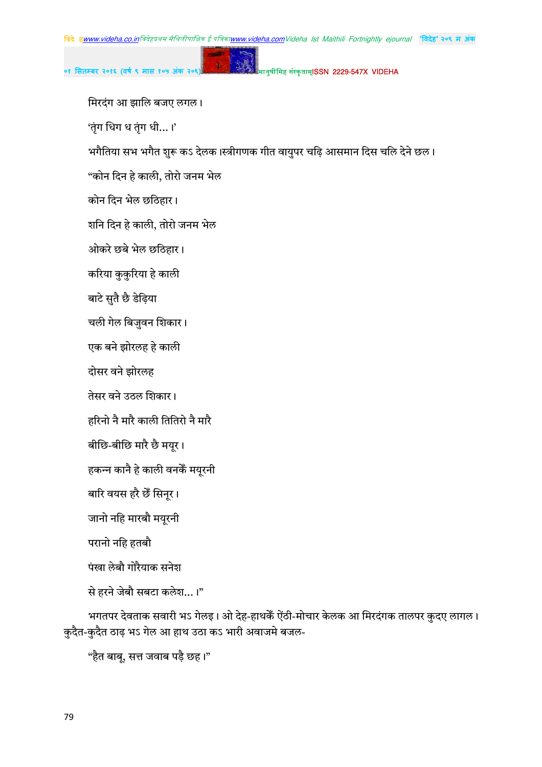०१ सितम्बर २०१६ (वर्ष ९ मास १०५ अंक २०९) <mark>अंस्क्रिके अ</mark>स्तुषीमिह संस्कृताम्**ISSN 2229-547X VIDEHA** 

मिरदंग आ झालि बजए लगल।

'तृंग धिग ध तृंग धी $\ldots$ ।'

भगैतिया सभ भगैत शुरू कऽ देलक।स्त्रीगणक गीत वायुपर चढ़ि आसमान दिस चलि देने छल।

"कोन दिन हे काली, तोरो जनम भेल

कोन दिन भेल छठिहार।

शनि दिन हे काली, तोरो जनम भेल

ओकरे छबे भेल छठिहार।

करिया कुकुरिया हे काली

बाटे सुतै छै डेढ़िया

चली गेल बिजुवन शिकार।

एक बने झोरलह हे काली

दोसर वने झोरलह

तेसर वने उठल शिकार।

हरिनो नै मारै काली तितिरो नै मारै

बीछि-बीछि मारै छै मयुर।

हकन्न कानै हे काली वनकैं मयुरनी

बारि वयस हरै छैं सिन्र ।

जानो नहि मारबौ मयूरनी

परानो नहि हतबौ

पंखा लेबौ गोरैयाक सनेश

से हरने जेबौ सबटा कलेश...।"

भगतपर देवताक सवारी भऽ गेलइ। ओ देह-हाथकेँ ऐंठी-मोचार केलक आ मिरदंगक तालपर कुदए लागल। कुदैत-कुदैत ठाढ़ भऽ गेल आ हाथ उठा कऽ भारी अवाजमे बजल-

"हैत बाबू, सत्त जवाब पड़ै छह।"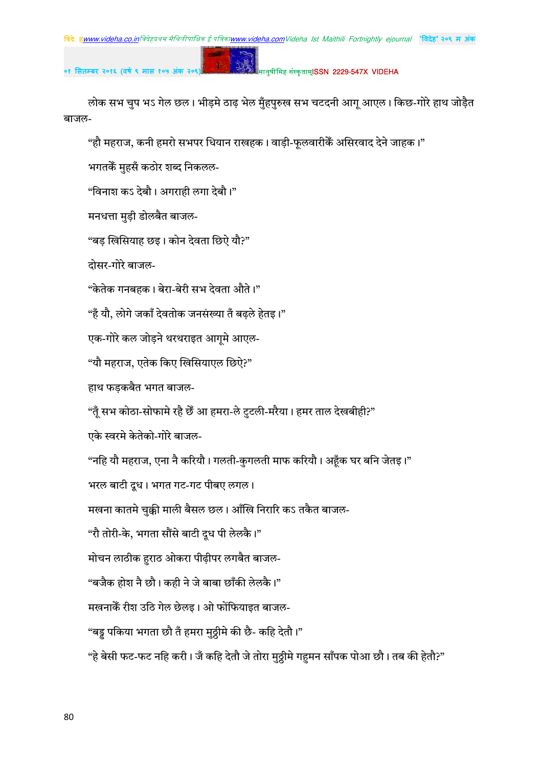#### मानुषीमिह संस्कृताम्**ISSN 2229-547X VIDEHA**

लोक सभ चुप भऽ गेल छल। भीड़मे ठाढ़ भेल मुँहपुरुख सभ चटदनी आगू आएल। किछ-गोरे हाथ जोड़ैत बाजल-

"हौ महराज, कनी हमरो सभपर धियान राखहक। वाड़ी-फूलवारीकैं असिरवाद देने जाहक।"

भगतकें मुहसँ कठोर शब्द निकलल-

"विनाश कऽ देबौ। अगराही लगा देबौ।"

मनधत्ता मुड़ी डोलबैत बाजल-

"बड़ खिसियाह छइ। कोन देवता छिऐ यौ?"

दोसर-गोरे बाजल-

"केतेक गनबहक। बेरा-बेरी सभ देवता औते।"

"हँ यौ, लोगे जकाँ देवतोक जनसंख्या तँ बढले हेतड।"

एक-गोरे कल जोड़ने थरथराइत आगमे आएल-

"यौ महराज, एतेक किए खिसियाएल छिऐ?"

हाथ फड़कबैत भगत बाजल-

"तूँ सभ कोठा-सोफामे रहै छैँ आ हमरा-ले टुटली-मरैया। हमर ताल देखबीही?"

एके स्वरमे केतेको-गोरे बाजल-

"नहि यौ महराज, एना नै करियौ। गलती-कुगलती माफ करियौ। अहूँक घर बनि जेतइ।"

भरल बाटी दूध। भगत गट-गट पीबए लगल।

मखना कातमे चुक्की माली बैसल छल। आँखि निरारि कऽ तकैत बाजल-

"रौ तोरी-के, भगता सौंसे बाटी दूध पी लेलकै।"

मोचन लाठीक हुराठ ओकरा पीढ़ीपर लगबैत बाजल-

"बजैक होश नै छौ। कही ने जे बाबा छाँकी लेलकै।"

मखनाकें रीश उठि गेल छेलड़। ओ फोंफियाइत बाजल-

"बड़ू पकिया भगता छौ तँ हमरा मुठ्ठीमे की छै- कहि देतौ।"

"हे बेसी फट-फट नहि करी। जँ कहि देतौ जे तोरा मुठ्ठीमे गहुमन साँपक पोआ छौ। तब की हेतौ?"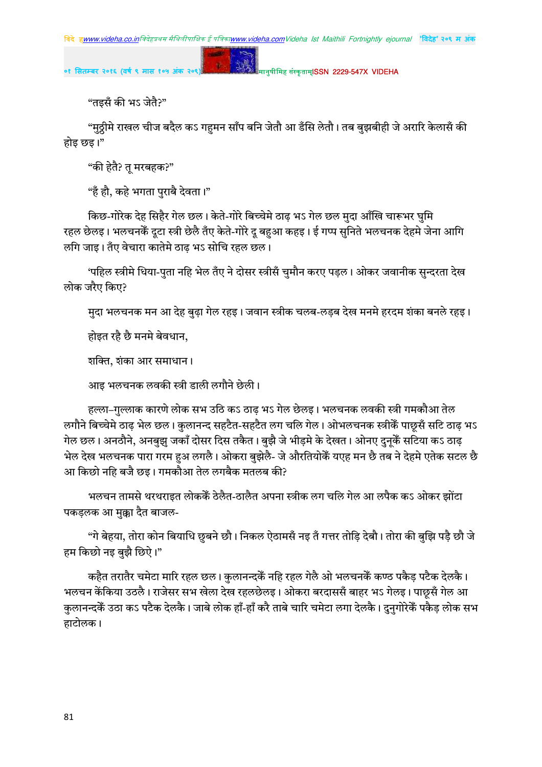मानुषीमिह संस्कृताम्**ISSN 2229-547X VIDEHA** 

"तइसँ की भऽ जेतै?"

"मुठ्ठीमे राखल चीज बदैल कऽ गहुमन साँप बनि जेतौ आ डँसि लेतौ। तब बुझबीही जे अरारि केलासँ की होइ छइ।"

"की हेतै? तु मरबहक?"

"हँ हौ, कहे भगता पुराबै देवता।"

किछ-गोरेक देह सिहैर गेल छल। केते-गोरे बिच्चेमे ठाढ़ भऽ गेल छल मुदा आँखि चारूभर घुमि रहल छेलइ। भलचनकेँ दूटा स्त्री छेलै तँए केते-गोरे दू बहुआ कहइ। ई गप्प सुनिते भलचनक देहमे जेना आगि लगि जाइ। तँए वेचारा कातेमे ठाढ़ भऽ सोचि रहल छल।

'पहिल स्त्रीमे धिया-पुता नहि भेल तँए ने दोसर स्त्रीसँ चुमौन करए पड़ल। ओकर जवानीक सुन्दरता देख लोक जरैए किए?

मुदा भलचनक मन आ देह बुढ़ा गेल रहइ। जवान स्त्रीक चलब-लड़ब देख मनमे हरदम शंका बनले रहइ।

होइत रहै छै मनमे बेवधान,

शक्ति, शंका आर समाधान।

आइ भलचनक लवकी स्त्री डाली लगौने छेली।

हल्ला–गुल्लाक कारणे लोक सभ उठि कऽ ठाढ भऽ गेल छेलइ। भलचनक लवकी स्त्री गमकौआ तेल लगौने बिच्चेमे ठाढ़ भेल छल। कुलानन्द सहटैत-सहटैत लग चलि गेल। ओभलचनक स्त्रीकैं पाछुसँ सटि ठाढ़ भऽ गेल छल। अनठौने, अनबुझु जकाँ दोसर दिस तकैत। बुझै जे भीड़मे के देखत। ओनए दुनूकेँ सटिया कऽ ठाढ़ भेल देख भलचनक पारा गरम हुअ लगलै। ओकरा बुझेलै- जे औरतियोकैं यएह मन छै तब ने देहमे एतेक सटल छै आ किछो नहि बजै छइ। गमकौआ तेल लगबैक मतलब की?

भलचन तामसे थरथराइत लोककेॅ ठेलैत-ठालैत अपना स्त्रीक लग चलि गेल आ लपैक कऽ ओकर झोंटा पकड़लक आ मुक्का दैत बाजल-

"गे बेहया, तोरा कोन बियाधि छुबने छौ। निकल ऐठामसँ नइ तँ गत्तर तोडि देबौ। तोरा की बुझि पड़ै छौ जे हम किछो नइ बुझै छिऐ।"

कहैत तरातैर चमेटा मारि रहल छल। कुलानन्दकैं नहि रहल गेलै ओ भलचनकैं कण्ठ पकैड़ पटैक देलकै। भलचन केंकिया उठलै। राजेसर सभ खेला देख रहलछेलइ। ओकरा बरदाससँ बाहर भऽ गेलइ। पाछूसँ गेल आ कुलानन्दकैं उठा कऽ पटैक देलकै। जाबे लोक हाँ-हाँ करै ताबे चारि चमेटा लगा देलकै। दुनुगोरेकैं पकैड़ लोक सभ हाटोलक।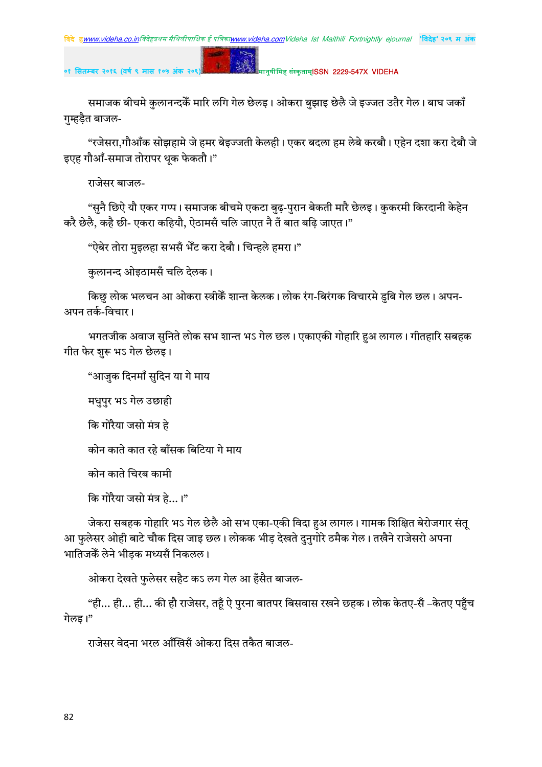#### मानुषीमिह संस्कृताम्**ISSN 2229-547X VIDEHA**

समाजक बीचमे कुलानन्दकैं मारि लगि गेल छेलइ। ओकरा बुझाइ छेलै जे इज्जत उतैर गेल। बाघ जकाँ गुम्हड़ैत बाजल-

p.

"रजेसरा,गौआँक सोझहामे जे हमर बेइज्जती केलही। एकर बदला हम लेबे करबौ। एहेन दशा करा देबौ जे इएह गौआँ-समाज तोरापर थूक फेकतौ।"

राजेसर बाजल-

"सुनै छिऐ यौ एकर गप्प। समाजक बीचमे एकटा बुढ़-पुरान बेकती मारै छेलइ। कुकरमी किरदानी केहेन करै छेलै, कहै छी- एकरा कहियौ, ऐठामसँ चलि जाएत नै तँ बात बढ़ि जाएत।"

"ऐबेर तोरा मुइलहा सभसँ भेँट करा देबौ। चिन्हले हमरा।"

कुलानन्द ओइठामसँ चलि देलक।

किछु लोक भलचन आ ओकरा स्त्रीकैं शान्त केलक। लोक रंग-बिरंगक विचारमे डुबि गेल छल। अपन-अपन तर्क-विचार।

भगतजीक अवाज सुनिते लोक सभ शान्त भऽ गेल छल। एकाएकी गोहारि हुअ लागल। गीतहारि सबहक गीत फेर शुरू भऽ गेल छेलइ।

"आज़ुक दिनमाँ सुदिन या गे माय

मधुपुर भऽ गेल उछाही

कि गोरैया जसो मंत्र हे

कोन काते कात रहे बाँसक बिटिया गे माय

कोन काते चिरब कामी

कि गोरैया जसो मंत्र हे...।"

जेकरा सबहक गोहारि भऽ गेल छेलै ओ सभ एका-एकी विदा हअ लागल। गामक शिक्षित बेरोजगार संत् आ फुलेसर ओही बाटे चौक दिस जाइ छल। लोकक भीड देखते दुनुगोरे ठमैक गेल। तखैने राजेसरो अपना भातिजकेँ लेने भीडक मध्यसँ निकलल।

ओकरा देखते फुलेसर सहैट कऽ लग गेल आ हँसैत बाजल-

"ही… ही… ही… की हौ राजेसर, तहूँ ऐ पुरना बातपर बिसवास रखने छहक। लोक केतए-सँ –केतए पहुँच गेलड।"

राजेसर वेदना भरल आँखिसँ ओकरा दिस तकैत बाजल-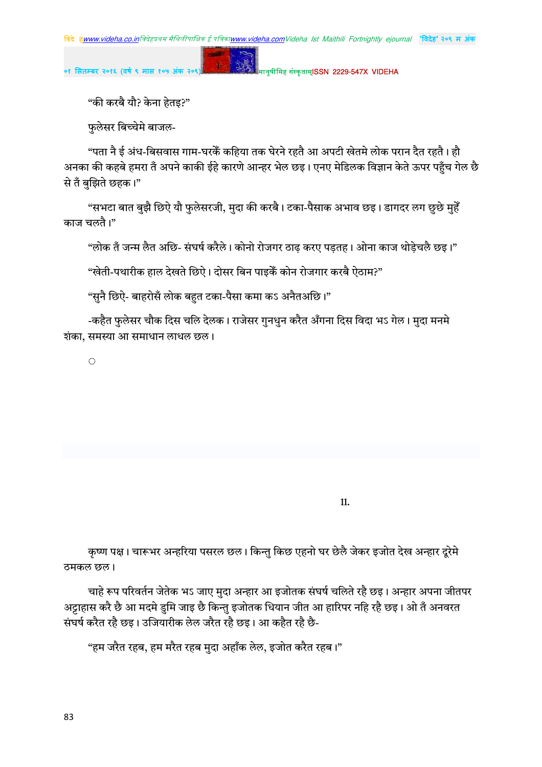मानुषीमिह संस्कृताम्**ISSN 2229-547X VIDEHA** 

"की करबै यौ? केना हेतइ?"

फुलेसर बिच्चेमे बाजल-

"पता नै ई अंध-बिसवास गाम-घरकें कहिया तक घेरने रहतै आ अपटी खेतमे लोक परान दैत रहतै। हौ अनका की कहबे हमरा तँ अपने काकी ईहे कारणे आन्हर भेल छइ। एनए मेडिलक विज्ञान केते ऊपर पहँच गेल छै से तँ बुझिते छहक।"

"सभटा बात बुझै छिऐ यौ फुलेसरजी, मुदा की करबै। टका-पैसाक अभाव छइ। डागदर लग छुछे मुहेँ काज चलतै।"

"लोक तँ जन्म लैत अछि- संघर्ष करैले। कोनो रोजगर ठाढ़ करए पडतह। ओना काज थोडेचलै छइ।"

"खेती-पथारीक हाल देखते छिऐ। दोसर बिन पाइकैं कोन रोजगार करबै ऐठाम?"

"सुनै छिऐ- बाहरोसँ लोक बहत टका-पैसा कमा कऽ अनैतअछि।"

-कहैत फुलेसर चौक दिस चलि देलक। राजेसर गुनधुन करैत अँगना दिस विदा भऽ गेल। मुदा मनमे शंका, समस्या आ समाधान लाधल छल।

 $\langle \cdot \rangle$ 

11.

कृष्ण पक्ष। चारूभर अन्हरिया पसरल छल। किन्तु किछ एहनो घर छेलै जेकर इजोत देख अन्हार दूरेमे ठमकल छल।

चाहे रूप परिवर्तन जेतेक भऽ जाए मुदा अन्हार आ इजोतक संघर्ष चलिते रहै छइ। अन्हार अपना जीतपर अट्टाहास करै छै आ मदमे डुमि जाइ छै किन्तु इजोतक धियान जीत आ हारिपर नहि रहै छइ। ओ तँ अनवरत संघर्ष करैत रहै छड़। उजियारीक लेल जरैत रहै छड़। आ कहैत रहै छै-

"हम जरैत रहब, हम मरैत रहब मुदा अहाँक लेल, इजोत करैत रहब।"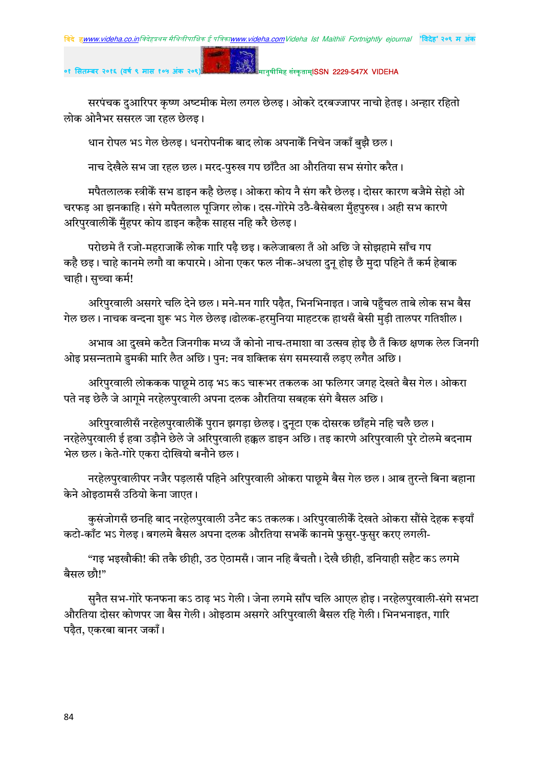#### मानुषीमिह संस्कृताम्**ISSN 2229-547X VIDEHA**

सरपंचक दुआरिपर कृष्ण अष्टमीक मेला लगल छेलइ। ओकरे दरबज्जापर नाचो हेतइ। अन्हार रहितो लोक ओनैभर ससरल जा रहल छेलड़।

धान रोपल भऽ गेल छेलइ। धनरोपनीक बाद लोक अपनाकैं निचेन जकाँ बुझै छल।

 $\mathbf{g}$ 

नाच देखैले सभ जा रहल छल। मरद-पुरुख गप छाँटैत आ औरतिया सभ संगोर करैत।

मपैतलालक स्त्रीकें सभ डाइन कहै छेलइ। ओकरा कोय नै संग करै छेलइ। दोसर कारण बजैमे सेहो ओ चरफड़ आ झनकाहि। संगे मपैतलाल पूजिगर लोक। दस-गोरेमे उठै-बैसेबला मुँहपुरुख। अही सभ कारणे अरिपुरवालीकेँ मुँहपर कोय डाइन कहैक साहस नहि करै छेलइ।

परोछमे तँ रजो-महराजाकेँ लोक गारि पढै छइ। कलेजाबला तँ ओ अछि जे सोझहामे साँच गप कहै छइ। चाहे कानमे लगौ वा कपारमे। ओना एकर फल नीक-अधला दुनू होइ छै मुदा पहिने तँ कर्म हेबाक चाही। सच्चा कर्म!

अरिपुरवाली असगरे चलि देने छल। मने-मन गारि पढैत, भिनभिनाइत। जाबे पहँचल ताबे लोक सभ बैस गेल छल। नाचक वन्दना शुरू भऽ गेल छेलइ।ढोलक-हरमुनिया माहटरक हाथसँ बेसी मुड़ी तालपर गतिशील।

अभाव आ दुखमे कटैत जिनगीक मध्य जँ कोनो नाच-तमाशा वा उत्सव होइ छै तँ किछ क्षणक लेल जिनगी ओइ प्रसन्नतामे डुमकी मारि लैत अछि। पुन: नव शक्तिक संग समस्यासँ लड़ए लगैत अछि।

अरिपुरवाली लोककक पाछूमे ठाढ़ भऽ कऽ चारूभर तकलक आ फलिगर जगह देखते बैस गेल। ओकरा पते नइ छेलै जे आगमे नरहेलपुरवाली अपना दलक औरतिया सबहक संगे बैसल अछि।

अरिपुरवालीसँ नरहेलपुरवालीकैं पुरान झगड़ा छेलइ। दुनृटा एक दोसरक छाँहमे नहि चलै छल। नरहेलेपुरवाली ई हवा उड़ौने छेले जे अरिपुरवाली हक्कल डाइन अछि। तइ कारणे अरिपुरवाली पुरे टोलमे बदनाम भेल छल। केते-गोरे एकरा दोखियो बनौने छल।

नरहेलपुरवालीपर नजैर पड़लासँ पहिने अरिपुरवाली ओकरा पाछूमे बैस गेल छल। आब तुरन्ते बिना बहाना केने ओइठामसँ उठियो केना जाएत।

कुसंजोगसँ छनहि बाद नरहेलपुरवाली उनैट कऽ तकलक। अरिपुरवालीकैं देखते ओकरा सौंसे देहक रूइयाँ कटो-काँट भऽ गेलइ। बगलमे बैसल अपना दलक औरतिया सभकेँ कानमे फसर-फसर करए लगली-

"गइ भइखौकी! की तकै छीही, उठ ऐठामसँ। जान नहि बँचतौ। देखै छीही, डनियाही सहैट कऽ लगमे बैसल छौ!"

सुनैत सभ-गोरे फनफना कऽ ठाढ़ भऽ गेली। जेना लगमे साँप चलि आएल होइ। नरहेलपुरवाली-संगे सभटा औरतिया दोसर कोणपर जा बैस गेली। ओइठाम असगरे अरिपरवाली बैसल रहि गेली। भिनभनाइत, गारि पढ़ैत, एकरबा बानर जकाँ।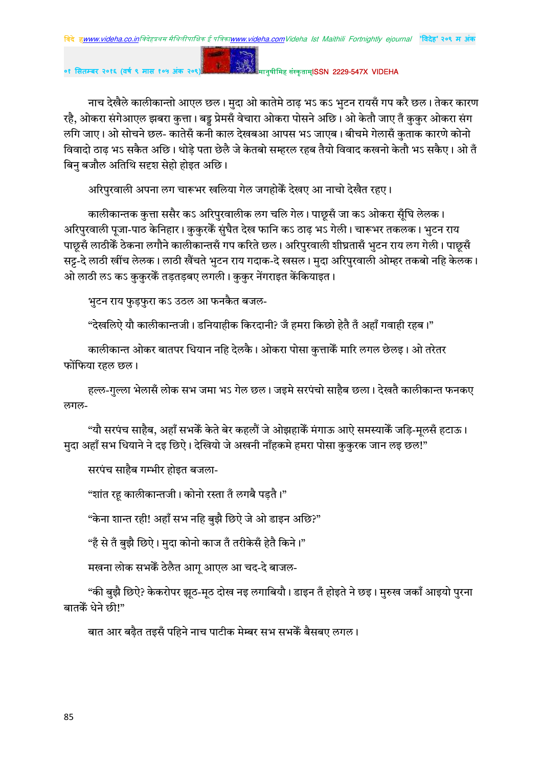।<br>|मानुषीमिह संस्कृताम्**ISSN 2229-547X VIDEHA** 

नाच देखैले कालीकान्तो आएल छल। मुदा ओ कातेमे ठाढ़ भऽ कऽ भुटन रायसँ गप करै छल। तेकर कारण रहै, ओकरा संगेआएल झबरा कुत्ता। बड़ू प्रेमसँ वेचारा ओकरा पोसने अछि। ओ केतौ जाए तँ कुकुर ओकरा संग लगि जाए। ओ सोचने छल- कातेसँ कनी काल देखबआ आपस भऽ जाएब। बीचमे गेलासँ कुताक कारणे कोनो विवादो ठाढ़ भऽ सकैत अछि। थोड़े पता छेलै जे केतबो सम्हरल रहब तैयो विवाद कखनो केतौ भऽ सकैए। ओ तँ बिन बजौल अतिथि सदृश सेहो होइत अछि।

अरिपुरवाली अपना लग चारूभर खलिया गेल जगहोकैं देखए आ नाचो देखैत रहए।

 $\mathbf{g}$  .

कालीकान्तक कुत्ता ससैर कऽ अरिपुरवालीक लग चलि गेल। पाछ्सँ जा कऽ ओकरा सुँघि लेलक। अरिपुरवाली पूजा-पाठ केनिहार। कुकुरकेँ सुंघैत देख फानि कऽ ठाढ़ भऽ गेली। चारूभर तकलक। भुटन राय पाछूसँ लाठीकैँ ठेकना लगौने कालीकान्तसँ गप करिते छल। अरिपुरवाली शीघ्रतासँ भुटन राय लग गेली। पाछूसँ सट्ट-दे लाठी खींच लेलक। लाठी खैंचते भुटन राय गदाक-दे खसल। मुदा अरिपुरवाली ओम्हर तकबो नहि केलक। ओ लाठी लऽ कऽ कुकुरकैं तड़तड़बए लगली। कुकुर नेंगराइत केंकियाइत।

भुटन राय फुड़फुरा कऽ उठल आ फनकैत बजल-

"देखलिऐ यौ कालीकान्तजी। डनियाहीक किरदानी? जँ हमरा किछो हेतै तँ अहाँ गवाही रहब।"

कालीकान्त ओकर बातपर धियान नहि देलकै। ओकरा पोसा कुत्ताकैं मारि लगल छेलइ। ओ तरेतर फोंफिया रहल छल।

हल्ल-गुल्ला भेलासँ लोक सभ जमा भऽ गेल छल। जइमे सरपंचो साहैब छला। देखतै कालीकान्त फनकए लगल-

"यौ सरपंच साहैब, अहाँ सभकेँ केते बेर कहलौं जे ओझहाकेँ मंगाऊ आऐ समस्याकेँ जड़ि-मूलसँ हटाऊ। मुदा अहाँ सभ धियाने ने दइ छिऐ। देखियो जे अखनी नाँहकमे हमरा पोसा कुकुरक जान लइ छल!"

सरपंच साहैब गम्भीर होइत बजला-

"शांत रह कालीकान्तजी। कोनो रस्ता तँ लगबै पडतै।"

"केना शान्त रही! अहाँ सभ नहि बुझै छिऐ जे ओ डाइन अछि?"

"है से तँ बझै छिऐ। मदा कोनो काज तँ तरीकेसँ हेतै किने।"

मखना लोक सभकें ठेलैत आगू आएल आ चद-दे बाजल-

"की बुझै छिऐ? केकरोपर झूठ-मूठ दोख नइ लगाबियौ। डाइन तँ होइते ने छइ। मुरुख जकाँ आइयो पुरना बातकें धेने छी।"

बात आर बढैत तइसँ पहिने नाच पाटीक मेम्बर सभ सभकेँ बैसबए लगल।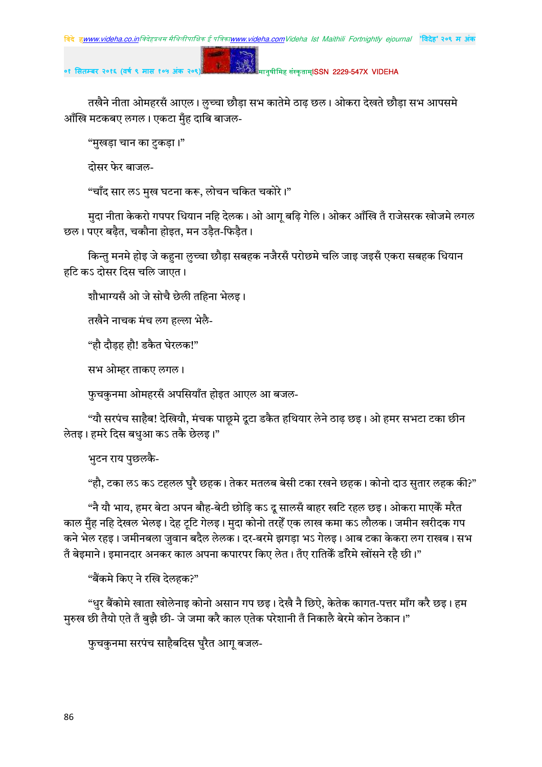मानुषीमिह संस्कृताम्**ISSN 2229-547X VIDEHA** 

तखैने नीता ओमहरसँ आएल। लुच्चा छौड़ा सभ कातेमे ठाढ़ छल। ओकरा देखते छौड़ा सभ आपसमे आँखि मटकबए लगल। एकटा मुँह दाबि बाजल-

"मुखड़ा चान का टुकड़ा।"

तोसर फेर बाजल-

"चाँद सार लऽ मुख घटना करू, लोचन चकित चकोरे।"

मुदा नीता केकरो गपपर धियान नहि देलक। ओ आग् बढ़ि गेलि। ओकर आँखि तँ राजेसरक खोजमे लगल छल। पएर बढैत, चकौना होइत, मन उडैत-फिडैत।

किन्तु मनमे होइ जे कहना लुच्चा छौड़ा सबहक नजैरसँ परोछमे चलि जाइ जइसँ एकरा सबहक धियान हटि कऽ दोसर दिस चलि जाएत।

शौभाग्यसँ ओ जे सोचै छेली तहिना भेलइ।

तखैने नाचक मंच लग हल्ला भेलै-

"हौ दौडह हौ! डकैत घेरलक!"

सभ ओम्हर ताकए लगल।

फुचकुनमा ओमहरसँ अपसियाँत होइत आएल आ बजल-

"यौ सरपंच साहैब! देखियौ, मंचक पाछुमे दूटा डकैत हथियार लेने ठाढ़ छइ। ओ हमर सभटा टका छीन लेतइ। हमरे दिस बधआ कऽ तकै छेलइ।"

भुटन राय पुछलकै-

"हौ, टका लऽ कऽ टहलल घुरै छहक। तेकर मतलब बेसी टका रखने छहक। कोनो दाउ सुतार लहक की?"

"नै यौ भाय, हमर बेटा अपन बौह-बेटी छोड़ि कऽ दू सालसँ बाहर खटि रहल छइ। ओकरा माएकैँ मरैत काल मुँह नहि देखल भेलइ। देह ट्रटि गेलइ। मुदा कोनो तरहेँ एक लाख कमा कऽ लौलक। जमीन खरीदक गप कने भेल रहइ। जमीनबला जुवान बदैल लेलक। दर-बरमे झगड़ा भऽ गेलइ। आब टका केकरा लग राखब। सभ तँ बेइमाने। इमानदार अनकर काल अपना कपारपर किए लेत। तँए रातिकैं डाँरेमे खोंसने रहै छी।"

"बैंकमे किए ने रखि देलहक?"

"धुर बैंकोमे खाता खोलेनाइ कोनो असान गप छइ। देखै नै छिऐ, केतेक कागत-पत्तर माँग करै छइ। हम मुरुख छी तैयो एते तँ बुझै छी- जे जमा करै काल एतेक परेशानी तँ निकालै बेरमे कोन ठेकान।"

फुचकुनमा सरपंच साहैबदिस घुरैत आगु बजल-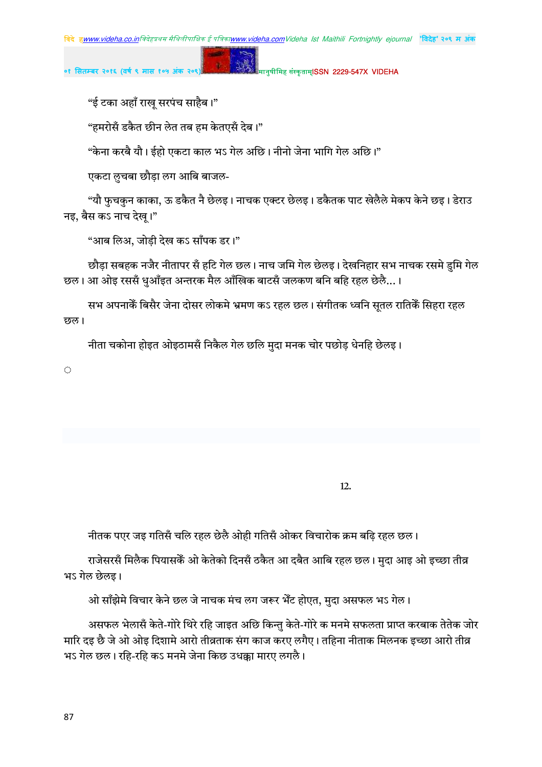मानुषीमिह संस्कृताम्**ISSN 2229-547X VIDEHA** 

"ई टका अहाँ राख् सरपंच साहैब।"

"हमरोसँ डकैत छीन लेत तब हम केतएसँ देब।"

"केना करबै यौ। ईहो एकटा काल भऽ गेल अछि। नीनो जेना भागि गेल अछि।"

एकटा लुचबा छौड़ा लग आबि बाजल-

"यौ फुचकुन काका, ऊ डकैत नै छेलइ। नाचक एक्टर छेलइ। डकैतक पाट खेलैले मेकप केने छइ। डेराउ नइ, बैस कऽ नाच देख।"

"आब लिअ, जोड़ी देख कऽ साँपक डर।"

छौडा सबहक नजैर नीतापर सँ हटि गेल छल। नाच जमि गेल छेलइ। देखनिहार सभ नाचक रसमे डमि गेल छल। आ ओइ रससँ धुआँइत अन्तरक मैल आँखिक बाटसँ जलकण बनि बहि रहल छेलै...।

सभ अपनाकें बिसैर जेना दोसर लोकमे भ्रमण कऽ रहल छल। संगीतक ध्वनि सतल रातिकें सिहरा रहल छल।

नीता चकोना होइत ओइठामसँ निकैल गेल छलि मदा मनक चोर पछोड धेनहि छेलइ।

 $\langle \cdot \rangle$ 

 $12.$ 

नीतक पएर जड़ गतिसँ चलि रहल छेलै ओही गतिसँ ओकर विचारोक क्रम बढि रहल छल।

राजेसरसँ मिलैक पियासकेँ ओ केतेको दिनसँ ठकैत आ दबैत आबि रहल छल। मुदा आइ ओ इच्छा तीव्र भऽ गेल छेलइ।

ओ साँझेमे विचार केने छल जे नाचक मंच लग जरूर भेँट होएत, मुदा असफल भऽ गेल।

असफल भेलासँ केते-गोरे थिरे रहि जाइत अछि किन्तु केते-गोरे क मनमे सफलता प्राप्त करबाक तेतेक जोर मारि दइ छै जे ओ ओइ दिशामे आरो तीव्रताक संग काज करए लगैए। तहिना नीताक मिलनक इच्छा आरो तीव्र भऽ गेल छल। रहि-रहि कऽ मनमे जेना किछ उधक्का मारए लगलै।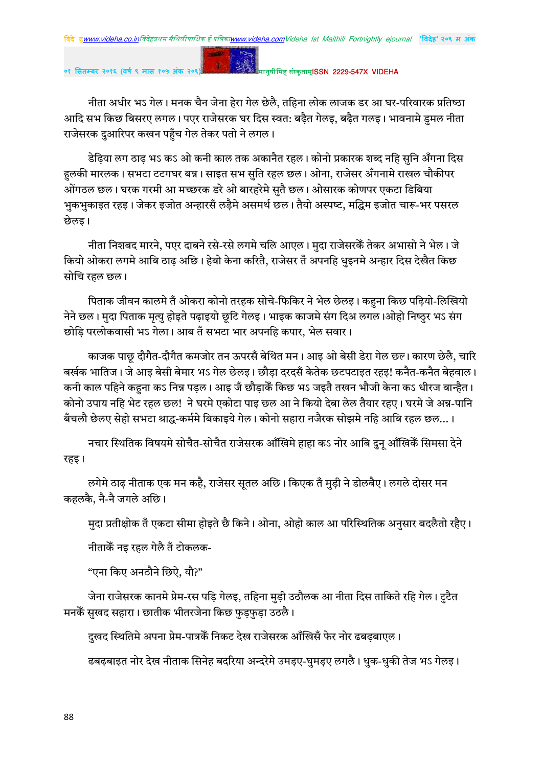$\mathbf{g}$  .

०१ सितम्बर २०१६ (वर्ष ९ मास १

#### मानुषीमिह संस्कृताम्**ISSN 2229-547X VIDFHA**

नीता अधीर भऽ गेल। मनक चैन जेना हेरा गेल छेलै, तहिना लोक लाजक डर आ घर-परिवारक प्रतिष्ठा आदि सभ किछ बिसरए लगल। पएर राजेसरक घर दिस स्वत: बढ़ैत गेलइ, बढ़ैत गलइ। भावनामे डुमल नीता राजेसरक दुआरिपर कखन पहुँच गेल तेकर पतो ने लगल।

डेढ़िया लग ठाढ़ भऽ कऽ ओ कनी काल तक अकानैत रहल। कोनो प्रकारक शब्द नहि सुनि अँगना दिस हलकी मारलक। सभटा टटगघर बन्न। साइत सभ सुति रहल छल। ओना, राजेसर अँगनामे राखल चौकीपर ओंगठल छल। घरक गरमी आ मच्छरक डरे ओ बारहरेमे सुतै छल। ओसारक कोणपर एकटा डिबिया भुकभुकाइत रहइ। जेकर इजोत अन्हारसँ लड़ैमे असमर्थ छल। तैयो अस्पष्ट, मद्धिम इजोत चारू-भर पसरल छेलड ।

नीता निशबद मारने, पएर दाबने रसे-रसे लगमे चलि आएल। मुदा राजेसरकेँ तेकर अभासो ने भेल। जे कियो ओकरा लगमे आबि ठाढ अछि। हेबो केना करितै, राजेसर तँ अपनहि धुइनमे अन्हार दिस देखैत किछ सोचि रहल छल।

पिताक जीवन कालमे तँ ओकरा कोनो तरहक सोचे-फिकिर ने भेल छेलइ। कहुना किछ पढ़ियो-लिखियो नेने छल। मुदा पिताक मृत्यु होइते पढ़ाइयो छुटि गेलइ। भाइक काजमे संग दिअ लगल।ओहो निष्ठुर भऽ संग छोडि परलोकवासी भऽ गेला। आब तँ सभटा भार अपनहि कपार, भेल सवार।

काजक पाछ दौगैत-दौगैत कमजोर तन ऊपरसँ बेथित मन। आइ ओ बेसी डेरा गेल छल। कारण छेलै, चारि बर्खक भातिज। जे आइ बेसी बेमार भऽ गेल छेलइ। छौडा दरदसँ केतेक छटपटाइत रहइ! कनैत-कनैत बेहवाल। कनी काल पहिने कहना कऽ निन्न पड़ल। आइ जँ छौड़ाकेँ किछ भऽ जइतै तखन भौजी केना कऽ धीरज बान्हैत। कोनो उपाय नहि भेट रहल छल! ने घरमे एकोटा पाइ छल आ ने कियो देबा लेल तैयार रहए। घरमे जे अन्न-पानि बँचलौ छेलए सेहो सभटा श्राद्ध-कर्ममे बिकाइये गेल। कोनो सहारा नजैरक सोझमे नहि आबि रहल छल...।

नचार स्थितिक विषयमे सोचैत-सोचैत राजेसरक आँखिमे हाहा कऽ नोर आबि दुन् आँखिकेँ सिमसा देने रहड़।

लगेमे ठाढ नीताक एक मन कहै, राजेसर सुतल अछि। किएक तँ मुड़ी ने डोलबैए। लगले दोसर मन कहलकै, नै-नै जगले अछि।

मदा प्रतीक्षोक तँ एकटा सीमा होइते छै किने। ओना, ओहो काल आ परिस्थितिक अनसार बदलैतो रहैए।

नीताकेँ नइ रहल गेलै तँ टोकलक-

"एना किए अनठौने छिऐ, यौ?"

जेना राजेसरक कानमे प्रेम-रस पडि गेलइ, तहिना मुडी उठौलक आ नीता दिस ताकिते रहि गेल। टुटैत मनकैं सुखद सहारा। छातीक भीतरजेना किछ फुड़फुड़ा उठलै।

दुखद स्थितिमे अपना प्रेम-पात्रकें निकट देख राजेसरक आँखिसँ फेर नोर ढबढ़बाएल।

ढबढ़बाइत नोर देख नीताक सिनेह बदरिया अन्दरेमे उमड़ए-घुमड़ए लगलै। धुक-धुकी तेज भऽ गेलइ।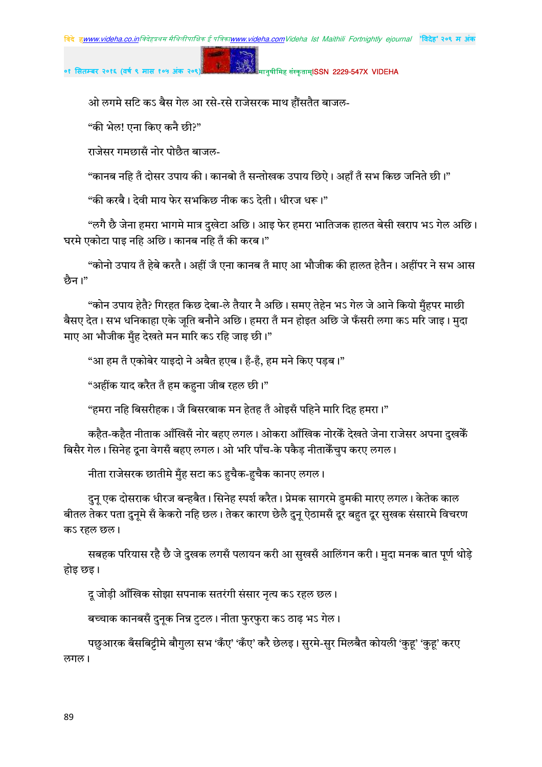मानुषीमिह संस्कृताम्**ISSN 2229-547X VIDEHA** 

ओ लगमे सटि कऽ बैस गेल आ रसे-रसे राजेसरक माथ हौंसतैत बाजल-

"की भेल! एना किए कनै छी?"

राजेसर गमछासँ नोर पोछैत बाजल-

"कानब नहि तँ दोसर उपाय की। कानबो तँ सन्तोखक उपाय छिऐ। अहाँ तँ सभ किछ जनिते छी।

"की करबै। देवी माय फेर सभकिछ नीक कऽ देती। धीरज धरू।"

"लगै छै जेना हमरा भागमे मात्र दुखेटा अछि। आइ फेर हमरा भातिजक हालत बेसी खराप भऽ गेल अछि। घरमे एकोटा पाइ नहि अछि। कानब नहि तँ की करब।"

"कोनो उपाय तँ हेबे करतै। अहीं जँ एना कानब तँ माए आ भौजीक की हालत हेतैन। अहींपर ने सभ आस छैन।"

"कोन उपाय हेतै? गिरहत किछ देबा-ले तैयार नै अछि। समए तेहेन भऽ गेल जे आने कियो मँहपर माछी बैसए देत। सभ धनिकाहा एके जुति बनौने अछि। हमरा तँ मन होइत अछि जे फँसरी लगा कऽ मरि जाइ। मुदा माए आ भौजीक मँह देखते मन मारि कऽ रहि जाइ छी।"

"आ हम तँ एकोबेर याइदो ने अबैत हएब। हँ-हँ, हम मने किए पडब।"

"अहींक याद करैत तँ हम कहना जीब रहल छी।"

"हमरा नहि बिसरीहक। जँ बिसरबाक मन हेतह तँ ओइसँ पहिने मारि दिह हमरा।"

कहैत-कहैत नीताक आँखिसँ नोर बहए लगल। ओकरा आँखिक नोरकैं देखते जेना राजेसर अपना दखकेँ बिसैर गेल। सिनेह दूना वेगसँ बहुए लगल। ओ भरि पाँच-के पकैड़ नीताकैंचुप करए लगल।

नीता राजेसरक छातीमे मुँह सटा कऽ हचैक-हचैक कानए लगल।

दुनू एक दोसराक धीरज बन्हबैत। सिनेह स्पर्श करैत। प्रेमक सागरमे डुमकी मारए लगल। केतेक काल बीतल तेकर पता दुनमे सँ केकरो नहि छल। तेकर कारण छेलै दुन् ऐठामसँ दूर बहत दूर सुखक संसारमे विचरण कऽ रहल छल।

सबहक परियास रहै छै जे दुखक लगसँ पलायन करी आ सखसँ आलिंगन करी। मदा मनक बात पर्ण थोडे होइ छइ।

दु जोडी आँखिक सोझा सपनाक सतरंगी संसार नत्य कऽ रहल छल।

बच्चाक कानबसँ दुनूक निन्न टुटल। नीता फुरफुरा कऽ ठाढ़ भऽ गेल।

पछुआरक बँसबिट्टीमे बौगुला सभ 'कँए' 'कँए' करै छेलइ। सुरमे-सुर मिलबैत कोयली 'कुह' 'कुह' करए लगल।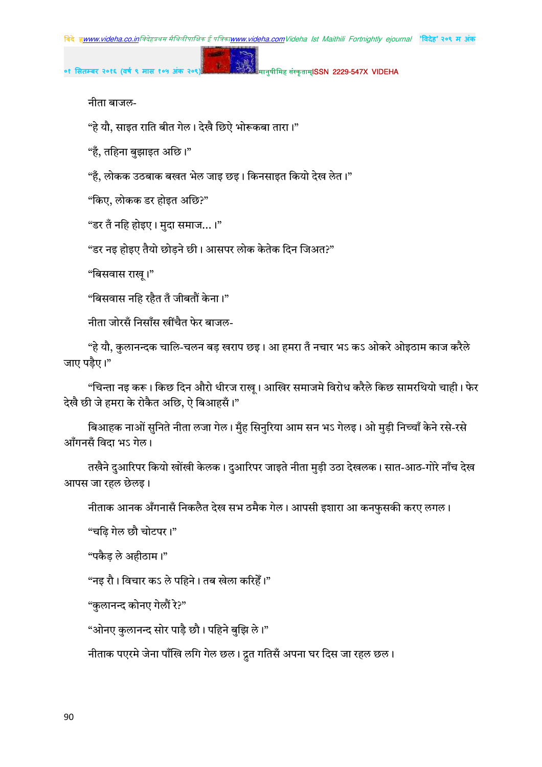मानुषीमिह संस्कृताम्**ISSN 2229-547X VIDEHA** 

नीता बाजल-

"हे यौ, साइत राति बीत गेल। देखै छिऐ भोरूकबा तारा।"

"हँ, तहिना बुझाइत अछि।"

"हँ, लोकक उठबाक बखत भेल जाइ छइ। किनसाइत कियो देख लेत।"

"किए, लोकक डर होइत अछि?"

"डर तँ नहि होइए। मुदा समाज...।"

"डर नइ होइए तैयो छोडने छी। आसपर लोक केतेक दिन जिअत?"

"बिसवास राख् ।"

"बिसवास नहि रहैत तँ जीबतौं केना।"

नीता जोरसँ निसाँस खींचैत फेर बाजल-

"हे यौ, कुलानन्दक चालि-चलन बड़ खराप छइ। आ हमरा तँ नचार भऽ कऽ ओकरे ओइठाम काज करैले जाए पड़ैए।"

"चिन्ता नइ करू। किछ दिन औरो धीरज राख् । आखिर समाजमे विरोध करैले किछ सामरथियो चाही। फेर देखै छी जे हमरा के रोकैत अछि, ऐ बिआहसँ।"

बिआहक नाओं सुनिते नीता लजा गेल। मुँह सिनुरिया आम सन भऽ गेलइ। ओ मुड़ी निच्चाँ केने रसे-रसे आँगनसँ विदा भऽ गेल।

तखैने दुआरिपर कियो खोंखी केलक। दुआरिपर जाइते नीता मुड़ी उठा देखलक। सात-आठ-गोरे नाँच देख आपस जा रहल छेलइ।

नीताक आनक अँगनासँ निकलैत देख सभ ठमैक गेल। आपसी इशारा आ कनफुसकी करए लगल।

"चढ़ि गेल छौ चोटपर।"

"पकैड ले अहीठाम।"

"नइ रौ। विचार कऽ ले पहिने। तब खेला करिहेँ।"

"कलानन्द कोनए गेलौं रे?"

"ओनए कुलानन्द सोर पाड़ै छौ। पहिने बुझि ले।"

नीताक पएरमे जेना पाँखि लगि गेल छल। द्रुत गतिसँ अपना घर दिस जा रहल छल।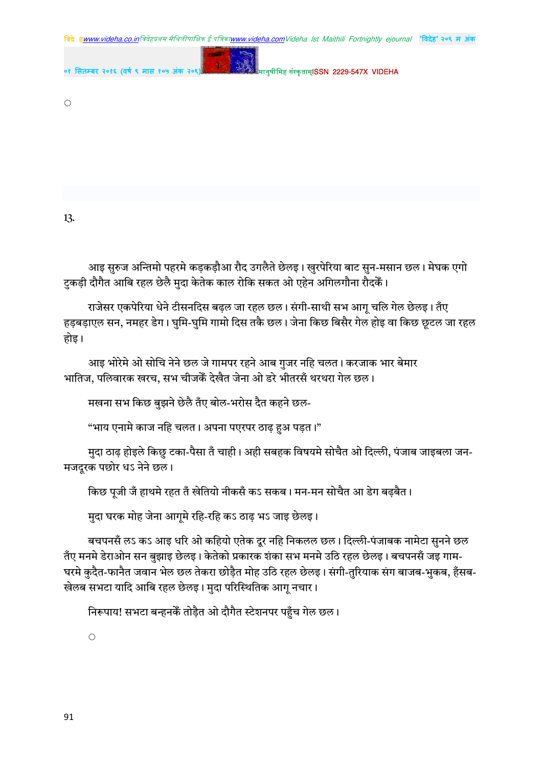विदे हwww.videha.co.inविदेहप्रथम मैथिलीपाक्षिक ई पत्रिका<u>www.videha.com</u>Videha Ist Maithili Fortnightly ejournal "विदेह"२**०९ म अंक** 



०१ सितम्बर २०१६ (वर्ष ९ मास १

 $\langle \cdot \rangle$ 

13.

आइ सुरुज अन्तिमो पहरमे कड़कड़ौआ रौद उगलैते छेलइ। खुरपेरिया बाट सुन-मसान छल। मेघक एगो टुकड़ी दौगैत आबि रहल छेलै मुदा केतेक काल रोकि सकत ओ एहेन अगिलगौना रौदकें।

राजेसर एकपेरिया धेने टीसनदिस बढ़ल जा रहल छल। संगी-साथी सभ आगू चलि गेल छेलइ। तँए हड़बडाएल सन, नमहर डेग। घुमि-घुमि गामो दिस तकै छल। जेना किछ बिसैर गेल होइ वा किछ छुटल जा रहल होड़।

आइ भोरेमे ओ सोचि नेने छल जे गामपर रहने आब गुजर नहि चलत। करजाक भार बेमार भातिज, पलिवारक खरच, सभ चीजकेँ देखैत जेना ओ डरे भीतरसँ थरथरा गेल छल।

मखना सभ किछ बुझने छेलै तँए बोल-भरोस दैत कहने छल-

"भाय एनामे काज नहि चलत। अपना पएरपर ठाढ़ हुअ पड़त।"

मुदा ठाढ़ होइले किछु टका-पैसा तँ चाही। अही सबहक विषयमे सोचैत ओ दिल्ली, पंजाब जाइबला जन-मजदूरक पछोर धऽ नेने छल।

किछ पूजी जँ हाथमे रहत तँ खेतियो नीकसँ कऽ सकब। मन-मन सोचैत आ डेग बढ़बैत।

मुदा घरक मोह जेना आगुमे रहि-रहि कऽ ठाढ़ भऽ जाइ छेलइ।

बचपनसँ लऽ कऽ आइ धरि ओ कहियो एतेक दूर नहि निकलल छल। दिल्ली-पंजाबक नामेटा सुनने छल तँए मनमे डेराओन सन बुझाइ छेलइ। केतेको प्रकारक शंका सभ मनमे उठि रहल छेलइ। बचपनसँ जइ गाम-घरमे कुदैत-फानैत जवान भेल छल तेकरा छोडैत मोह उठि रहल छेलइ। संगी-तुरियाक संग बाजब-भुकब, हँसब-खेलब सभटा यादि आबि रहल छेलइ। मुदा परिस्थितिक आग् नचार।

निरूपाय! सभटा बन्हनकें तोड़ैत ओ दौगैत स्टेशनपर पहुँच गेल छल।

 $\hat{\mathcal{L}}$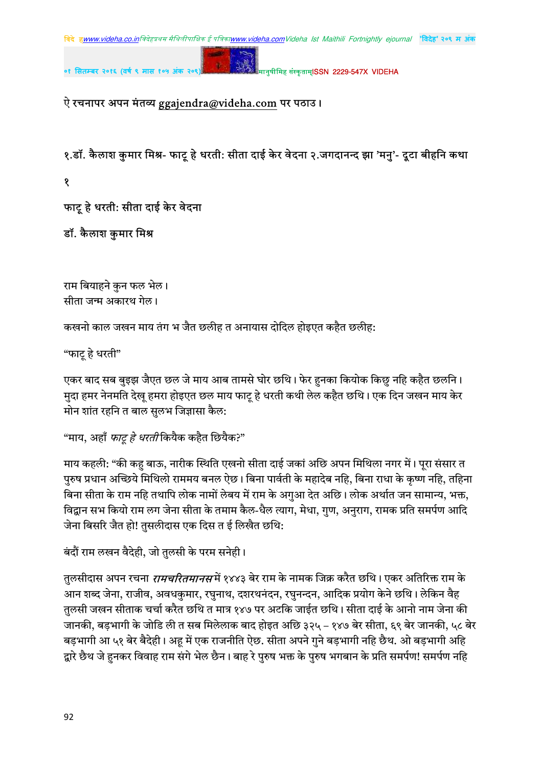मानुषीमिह संस्कृताम्**ISSN 2229-547X VIDEHA** 

## ऐ रचनापर अपन मंतव्य ggajendra@videha.com पर पठाउ।

१.डॉ. कैलाश कुमार मिश्र- फाट् हे धरती: सीता दाई केर वेदना २.जगदानन्द झा 'मनु'- दुटा बीहनि कथा

१

फाटू हे धरती: सीता दाई केर वेदना

डॉ. कैलाश कुमार मिश्र

राम बियाहने कुन फल भेल। सीता जन्म अकारथ गेल।

कखनो काल जखन माय तंग भ जैत छलीह त अनायास दोदिल होइएत कहैत छलीह:

"फाटू हे धरती"

एकर बाद सब बुइझ जैएत छल जे माय आब तामसे घोर छथि। फेर हुनका कियोक किछु नहि कहैत छलनि। मुदा हमर नेनमति देख़ हमरा होइएत छल माय फाट् हे धरती कथी लेल कहैत छथि। एक दिन जखन माय केर मोन शांत रहनि त बाल सुलभ जिज्ञासा कैल:

```
"माय, अहाँ फाट् हे धरती कियैक कहैत छियैक?"
```
माय कहली: "की कह बाऊ, नारीक स्थिति एखनो सीता दाई जकां अछि अपन मिथिला नगर में। पुरा संसार त पुरुष प्रधान अच्छिये मिथिलो राममय बनल ऐछ। बिना पार्वती के महादेब नहि, बिना राधा के कृष्ण नहि, तहिना बिना सीता के राम नहि तथापि लोक नामों लेबय में राम के अगआ देत अछि। लोक अर्थात जन सामान्य, भक्त, विद्वान सभ कियो राम लग जेना सीता के तमाम कैल-धैल त्याग, मेधा, गुण, अनुराग, रामक प्रति समर्पण आदि जेना बिसरि जैत हो! तुसलीदास एक दिस त ई लिखैत छथि:

बंदौं राम लखन वैदेही, जो तुलसी के परम सनेही।

तुलसीदास अपन रचना *रामचरितमानसमें १*४४३ बेर राम के नामक जिक्र करैत छथि। एकर अतिरिक्त राम के आन शब्द जेना, राजीव, अवधकुमार, रघुनाथ, दशरथनंदन, रघुनन्दन, आदिक प्रयोग केने छथि। लेकिन वैह तुलसी जखन सीताक चर्चा करैत छथि त मात्र १४७ पर अटकि जाईत छथि। सीता दाई के आनो नाम जेना की जानकी, बड़भागी के जोडि ली त सब मिलेलाक बाद होइत अछि ३२५ – १४७ बेर सीता, ६९ बेर जानकी, ५८ बेर बड़भागी आ ५१ बेर बैदेही। अहू में एक राजनीति ऐछ. सीता अपने गुने बड़भागी नहि छैथ. ओ बड़भागी अहि द्वारे छैथ जे हनकर विवाह राम संगे भेल छैन। बाह रे पुरुष भक्त के पुरुष भगबान के प्रति समर्पण! समर्पण नहि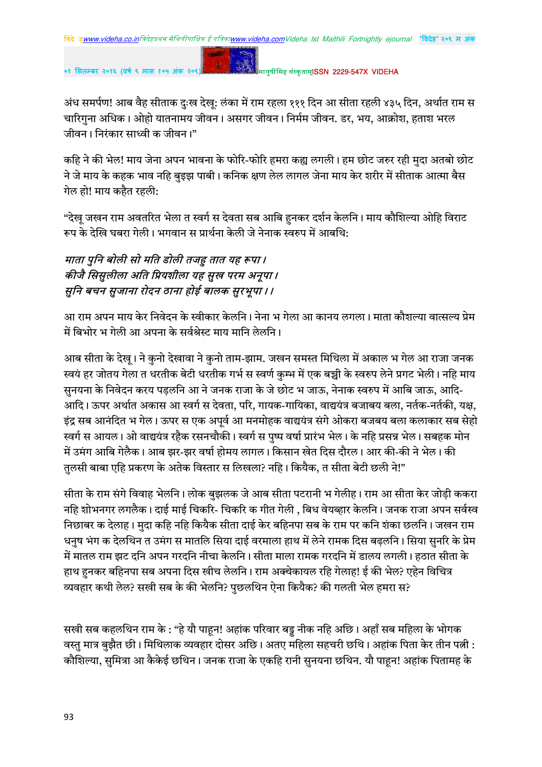मानुषीमिह संस्कृताम्**ISSN 2229-547X VIDEHA** 

अंध समर्पण! आब वैह सीताक दुःख देखू: लंका में राम रहला १११ दिन आ सीता रहली ४३५ दिन, अर्थात राम स चारिगुना अधिक। ओहो यातनामय जीवन। असगर जीवन। निर्मम जीवन. डर, भय, आक्रोश, हताश भरल जीवन। निरंकार साध्वी क जीवन।"

कहि ने की भेल! माय जेना अपन भावना के फोरि-फोरि हमरा कह्य लगली। हम छोट जरुर रही मुदा अतबो छोट .<br>ने जे माय के कहक भाव नहि बुइझ पाबी। कनिक क्षण लेल लागल जेना माय केर शरीर में सीताक आत्मा बैस गेल हो! माय कहैत रहली:

"देख जखन राम अवतरित भेला त स्वर्ग स देवता सब आबि हनकर दर्शन केलनि। माय कौशिल्या ओहि विराट रूप के देखि घबरा गेली। भगवान स प्रार्थना केली जे नेनाक स्वरुप में आबथि:

# माता पुनि बोली सो मति डोली तजहु तात यह रूपा । कीजै सिसुलीला अति प्रियशीला यह सुख परम अनूपा। सुनि बचन सुजाना रोदन ठाना होई बालक सुरभूपा । ।

आ राम अपन माय केर निवेदन के स्वीकार केलनि। नेना भ गेला आ कानय लगला। माता कौशल्या वात्सल्य प्रेम में बिभोर भ गेली आ अपना के सर्वश्रेस्ट माय मानि लेलनि।

आब सीता के देखू। ने कुनो देखावा ने कुनो ताम-झाम. जखन समस्त मिथिला में अकाल भ गेल आ राजा जनक स्वयं हर जोतय गेला त धरतीक बेटी धरतीक गर्भ स स्वर्ण कुम्भ में एक बच्ची के स्वरुप लेने प्रगट भेली। नहि माय सुनयना के निवेदन करय पड़लनि आ ने जनक राजा के जे छोट भ जाऊ, नेनाक स्वरुप में आबि जाऊ, आदि-आदि । ऊपर अर्थात अकास आ स्वर्ग स देवता, परि, गायक-गायिका, वाद्ययंत्र बजाबय बला, नर्तक-नर्तकी, यक्ष, इंद्र सब आनंदित भ गेल। ऊपर स एक अपूर्व आ मनमोहक वाद्ययंत्र संगे ओकरा बजबय बला कलाकार सब सेहो स्वर्ग स आयल। ओ वाद्ययंत्र रहैक रसनचौकी। स्वर्ग स पष्प वर्षा प्रारंभ भेल। के नहि प्रसन्न भेल। सबहक मोन में उमंग आबि गेलैक। आब झर-झर वर्षा होमय लागल। किसान खेत दिस दौरल। आर की-की ने भेल। की तलसी बाबा एहि प्रकरण के अतेक विस्तार स लिखला? नहि। कियैक, त सीता बेटी छली ने!"

सीता के राम संगे विवाह भेलनि। लोक बुझलक जे आब सीता पटरानी भ गेलीह। राम आ सीता केर जोड़ी ककरा नहि शोभनगर लगलैक। दाई माई चिकरि- चिकरि क गीत गेली , बिध वेयव्हार केलनि। जनक राजा अपन सर्वस्व निछाबर क देलाह। मुदा कहि नहि कियैक सीता दाई केर बहिनपा सब के राम पर कनि शंका छलनि। जखन राम धनुष भंग क देलथिन त उमंग स मातलि सिया दाई वरमाला हाथ में लेने रामक दिस बढ़लनि। सिया सुनरि के प्रेम में मातल राम झट दनि अपन गरदनि नीचा केलनि । सीता माला रामक गरदनि में डालय लगली । हठात सीता के हाथ हुनकर बहिनपा सब अपना दिस खीच लेलनि। राम अक्चेकायल रहि गेलाह! ई की भेल? एहेन विचित्र व्यवहार कथी लेल? सखी सब के की भेलनि? पछलथिन ऐना कियैक? की गलती भेल हमरा स?

सखी सब कहलथिन राम के : "हे यौ पाहून! अहांक परिवार बड्डू नीक नहि अछि। अहाँ सब महिला के भोगक वस्तु मात्र बुझैत छी। मिथिलाक व्यवहार दोसर अछि। अतए महिला सहचरी छथि। अहांक पिता केर तीन पत्नी : कौशिल्या, सुमित्रा आ कैकेई छथिन। जनक राजा के एकहि रानी सुनयना छथिन. यौ पाहून! अहांक पितामह के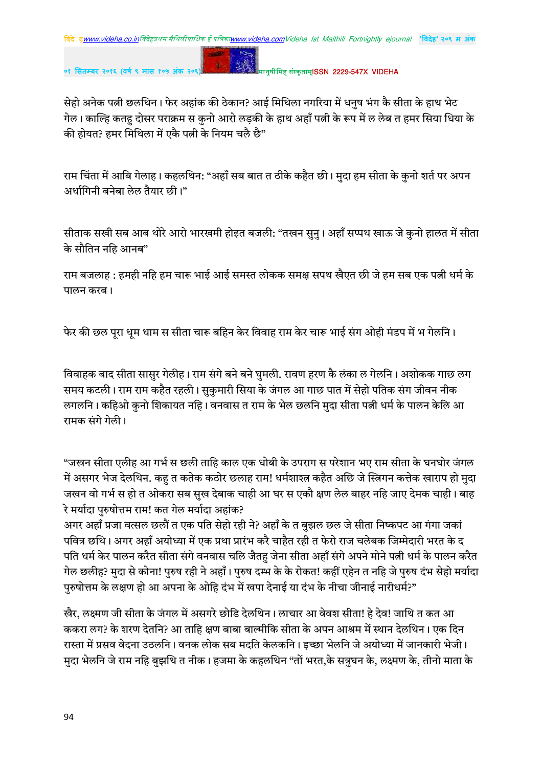**०१ सतबर २०१६ (वष ९ मास १०५ अंक २०९)** !" #\$ISSN 2229-547X VIDEHA

सेहो अनेक पत्नी छलथिन। फेर अहांक की ठेकान? आई मिथिला नगरिया में धनुष भंग कै सीता के हाथ भेट गेल। काल्हि कतह दोसर पराक्रम स कुनो आरो लड़की के हाथ अहाँ पत्नी के रूप में ल लेब त हमर सिया धिया के की होयत? हमर मिथिला में एकै पत्नी के नियम चलै छै"

राम चिंता में आबि गेलाह। कहलथिन: "अहाँ सब बात त ठीके कहैत छी। मुदा हम सीता के कुनो शर्त पर अपन अर्धांगिनी बनेबा लेल तैयार छी।"

सीताक सखी सब आब थोरे आरो भारखमी होइत बजली: "तखन सुनु । अहाँ सप्पथ खाऊ जे कुनो हालत में सीता के सौतिन नहि आनब"

राम बजलाह : हमही नहि हम चारू भाई आई समस्त लोकक समक्ष सपथ खैएत छी जे हम सब एक पत्नी धर्म के पालन करब।

फेर की छल पुरा धुम धाम स सीता चारू बहिन केर विवाह राम केर चारू भाई संग ओही मंडप में भ गेलनि।

विवाहक बाद सीता सासुर गेलीह। राम संगे बने बने घुमली. रावण हरण कै लंका ल गेलनि। अशोकक गाछ लग समय कटली। राम राम कहैत रहली। सुकुमारी सिया के जंगल आ गाछ पात में सेहो पतिक संग जीवन नीक लगलनि। कहिओ कुनो शिकायत नहि। वनवास त राम के भेल छलनि मुदा सीता पत्नी धर्म के पालन केलि आ रामक संगे गेली।

"जखन सीता एलीह आ गर्भ स छली ताहि काल एक धोबी के उपराग स परेशान भए राम सीता के घनघोर जंगल में असगर भेज देलथिन. कह त कतेक कठोर छलाह राम! धर्मशाश्त्र कहैत अछि जे स्त्रिगन कत्तेक खाराप हो मुदा जखन वो गर्भ स हो त ओकरा सब सुख देबाक चाही आ घर स एकौ क्षण लेल बाहर नहि जाए देमक चाही। बाह रे मर्यादा पुरुषोत्तम राम! कत गेल मर्यादा अहांक?

अगर अहाँ प्रजा वत्सल छलौं त एक पति सेहो रही ने? अहाँ के त बुझल छल जे सीता निष्कपट आ गंगा जकां पवित्र छथि। अगर अहाँ अयोध्या में एक प्रथा प्रारंभ करै चाहैत रही त फेरो राज चलेबक जिम्मेदारी भरत के द पति धर्म केर पालन करैत सीता संगे वनवास चलि जैतहु जेना सीता अहाँ संगे अपने मोने पत्नी धर्म के पालन करैत गेल छलीह? मुदा से कोना! पुरुष रही ने अहाँ। पुरुष दम्भ के के रोकत! कहीं एहेन त नहि जे पुरुष दंभ सेहो मर्यादा परुषोत्तम के लक्षण हो आ अपना के ओहि दंभ में खपा देनाई या दंभ के नीचा जीनाई नारीधर्म?"

खैर, लक्ष्मण जी सीता के जंगल में असगरे छोडि देलथिन। लाचार आ वेवश सीता! हे देव! जाथि त कत आ ककरा लग? के शरण देतनि? आ ताहि क्षण बाबा बाल्मीकि सीता के अपन आश्रम में स्थान देलथिन। एक दिन रास्ता में प्रसव वेदना उठलनि । वनक लोक सब मदति केलकनि । इच्छा भेलनि जे अयोध्या में जानकारी भेजी । मुदा भेलनि जे राम नहि बुझथि त नीक। हजमा के कहलथिन "तों भरत,के सत्रुघन के, लक्ष्मण के, तीनो माता के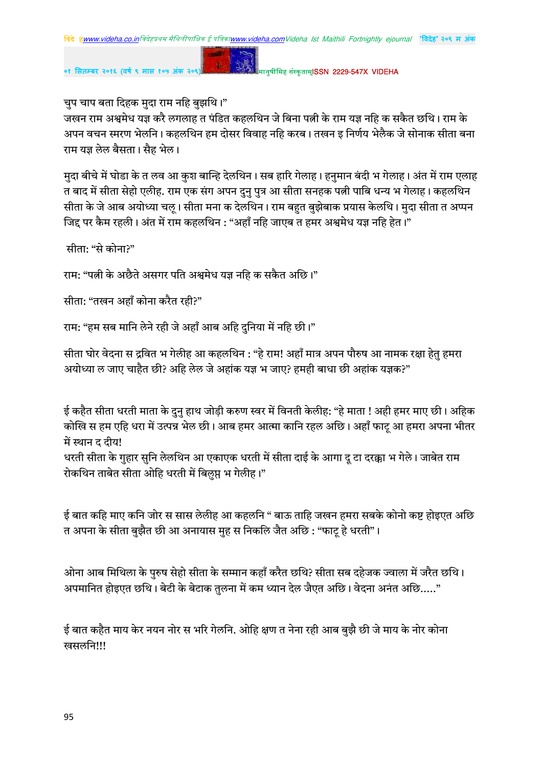

मानुषीमिह संस्कृताम्**ISSN 2229-547X VIDEHA** 

चुप चाप बता दिहक मुदा राम नहि बुझथि।"

जखन राम अश्वमेध यज्ञ करै लगलाह त पंडित कहलथिन जे बिना पत्नी के राम यज्ञ नहि क सकैत छथि। राम के अपन वचन स्मरण भेलनि। कहलथिन हम दोसर विवाह नहि करब। तखन इ निर्णय भेलैक जे सोनाक सीता बना राम यज्ञ लेल बैसता। सैह भेल।

मुदा बीचे में घोडा के त लव आ कुश बान्हि देलथिन। सब हारि गेलाह। हनुमान बंदी भ गेलाह। अंत में राम एलाह त बाद में सीता सेहो एलीह. राम एक संग अपन दुनु पुत्र आ सीता सनहक पत्नी पाबि धन्य भ गेलाह। कहलथिन सीता के जे आब अयोध्या चलू। सीता मना क देलथिन। राम बहुत बुझेबाक प्रयास केलथि। मुदा सीता त अप्पन जिद्द पर कैम रहली। अंत में राम कहलथिन : "अहाँ नहि जाएब त हमर अश्वमेध यज्ञ नहि हेत।"

सीता: "से कोना?"

राम: "पत्नी के अछैते असगर पति अश्वमेध यज्ञ नहि क सकैत अछि।"

सीता: "तखन अहाँ कोना करैत रही?"

राम: "हम सब मानि लेने रही जे अहाँ आब अहि दुनिया में नहि छी।"

सीता घोर वेदना स द्रवित भ गेलीह आ कहलथिन : "हे राम! अहाँ मात्र अपन पौरुष आ नामक रक्षा हेतु हमरा अयोध्या ल जाए चाहैत छी? अहि लेल जे अहांक यज्ञ भ जाए? हमही बाधा छी अहांक यज्ञक?"

ई कहैत सीता धरती माता के दुनु हाथ जोड़ी करुण स्वर में विनती केलीह: "हे माता ! अही हमर माए छी। अहिक कोखि स हम एहि धरा में उत्पन्न भेल छी। आब हमर आत्मा कानि रहल अछि। अहाँ फाट् आ हमरा अपना भीतर में स्थान द दीय!

धरती सीता के गुहार सुनि लेलथिन आ एकाएक धरती में सीता दाई के आगा दू टा दरक्का भ गेले। जाबेत राम रोकथिन ताबेत सीता ओहि धरती में बिलप्त भ गेलीह।"

ई बात कहि माए कनि जोर स सास लेलीह आ कहलनि " बाऊ ताहि जखन हमरा सबके कोनो कष्ट होइएत अछि त अपना के सीता बुझैत छी आ अनायास मुह स निकलि जैत अछि : "फाट् हे धरती"।

ओना आब मिथिला के परुष सेहो सीता के सम्मान कहाँ करैत छथि? सीता सब दहेजक ज्वाला में जरैत छथि। अपमानित होइएत छथि। बेटी के बेटाक तुलना में कम ध्यान देल जैएत अछि। वेदना अनंत अछि....."

ई बात कहैत माय केर नयन नोर स भरि गेलनि. ओहि क्षण त नेना रही आब बुझै छी जे माय के नोर कोना खसलनि!!!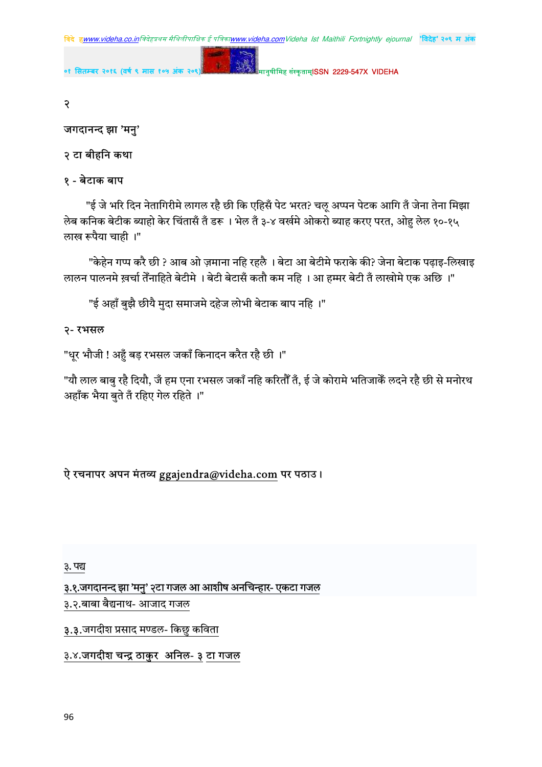

मानुषीमिह संस्कृताम्**ISSN 2229-547X VIDEHA** ०१ सितम्बर २०१६ (वर्ष ९ मास १

२

## जगदानन्द झा 'मनु'

## २ टा बीहनि कथा

## १ - बेटाक बाप

"ई जे भरि दिन नेतागिरीमे लागल रहै छी कि एहिसँ पेट भरत? चलू अप्पन पेटक आगि तँ जेना तेना मिझा लेब कनिक बेटीक ब्याहो केर चिंतासँ तँ डरू । भेल तँ ३-४ वर्खमे ओकरो ब्याह करए परत, ओहु लेल १०-१५ लाख रूपैया चाही ।"

"केहेन गप्प करै छी ? आब ओ ज़माना नहि रहलै । बेटा आ बेटीमे फराके की? जेना बेटाक पढ़ाइ-लिखाइ लालन पालनमे ख़र्चा तेँनाहिते बेटीमे । बेटी बेटासँ कतौ कम नहि । आ हम्मर बेटी तँ लाखोमे एक अछि ।"

"ई अहाँ बुझै छीयै मुदा समाजमे दहेज लोभी बेटाक बाप नहि ।"

## २- रभसल

"धुर भौजी ! अहँ बड़ रभसल जकाँ किनादन करैत रहै छी ।"

"यौ लाल बाबु रहै दियौ, जँ हम एना रभसल जकाँ नहि करितौँ तँ, ई जे कोरामे भतिजाकैँ लदने रहै छी से मनोरथ अहाँक भैया बते तँ रहिए गेल रहिते ।"

# ऐ रचनापर अपन मंतव्य ggajendra@videha.com पर पठाउ।

### ३. पद्य

३.१.जगदानन्द झा 'मनु' २टा गजल आ आशीष अनचिन्हार- एकटा गजल

३.२.बाबा बैद्यनाथ- आजाद गजल

३.३.जगदीश प्रसाद मण्डल- किछु कविता

### ३.४.जगदीश चन्द्र ठाकुर अनिल- ३ टा गजल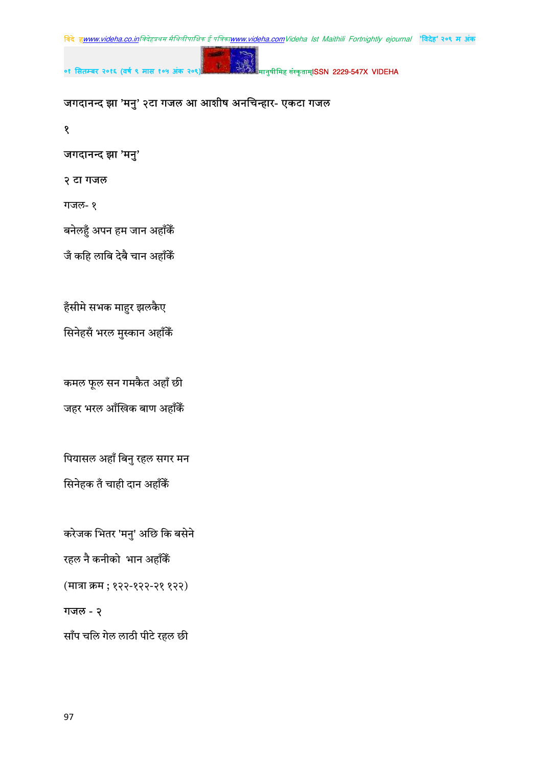$\mathbf{\hat{z}}$ 

जगदानन्द झा 'मनु'

बनेलहुँ अपन हम जान अहाँकैँ

जँ कहि लाबि देबै चान अहाँकैं

हँसीमे सभक माहुर झलकैए

सिनेहसँ भरल मुस्कान अहाँकैं

कमल फूल सन गमकैत अहाँ छी

जहर भरल आँखिक बाण अहाँकैं

पियासल अहाँ बिनु रहल सगर मन

करेजक भितर 'मनु' अछि कि बसेने

(मात्रा क्रम ; १२२-१२२-२१ १२२)

साँप चलि गेल लाठी पीटे रहल छी

सिनेहक तँ चाही दान अहाँकैं

रहल नै कनीको भान अहाँकैं

२ टा गजल

गजल- १

जगदानन्द झा 'मनु' २टा गजल आ आशीष अनचिन्हार- एकटा गजल

०१ सितम्बर २०१६ (वर्ष ९ मास १०

मानुषीमिह संस्कृताम्**ISSN 2229-547X VIDEHA** 

गजल - २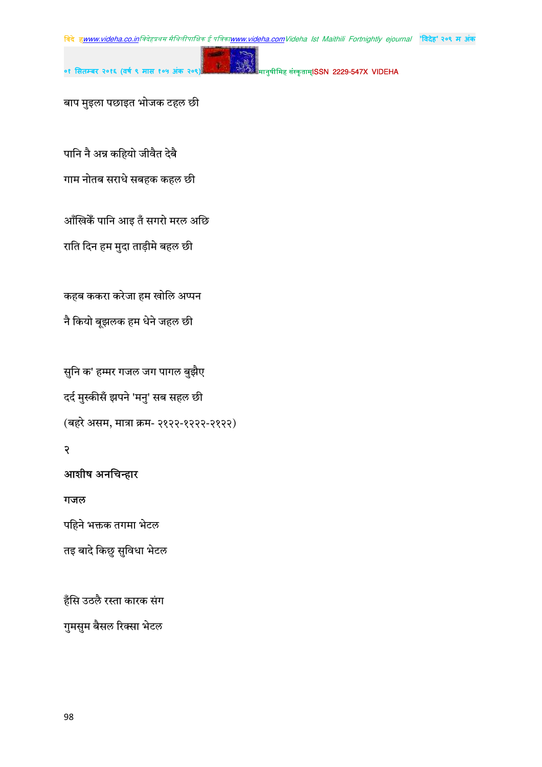मानुषीमिह संस्कृताम्**ISSN 2229-547X VIDEHA** 

बाप मुइला पछाइत भोजक टहल छी

०१ सितम्बर २०१६ (वर्ष ९ मास १

पानि नै अन्न कहियो जीवैत देबै गाम नोतब सराधे सबहक कहल छी

आँखिकेँ पानि आइ तँ सगरो मरल अछि

राति दिन हम मुदा ताड़ीमे बहल छी

कहब ककरा करेजा हम खोलि अप्पन

नै कियो बूझलक हम धेने जहल छी

सुनि क' हम्मर गजल जग पागल बुझैए दर्द मुस्कीसँ झपने 'मनु' सब सहल छी (बहरे असम, मात्रा क्रम- २१२२-१२२२-२१२२)

# $\overline{R}$

# आशीष अनचिन्हार

गजल

पहिने भक्तक तगमा भेटल

तइ बादे किछु सुविधा भेटल

हँसि उठलै रस्ता कारक संग

गुमसुम बैसल रिक्सा भेटल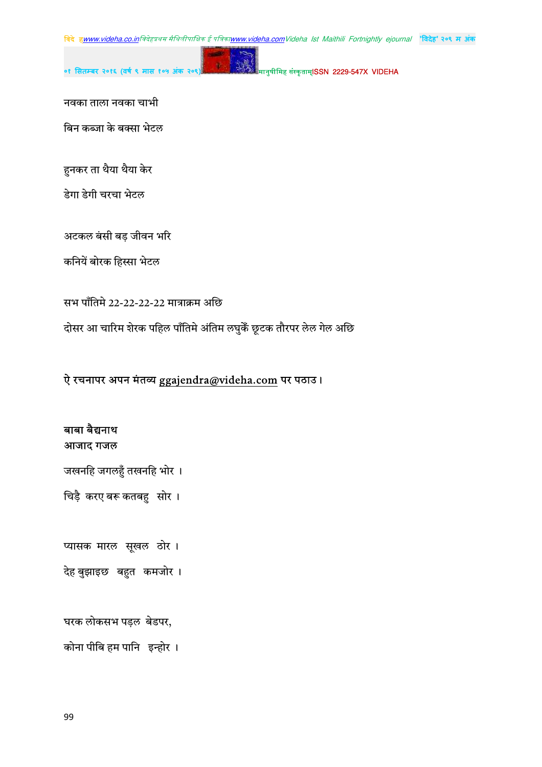मानुषीमिह संस्कृताम्**ISSN 2229-547X VIDEHA** 

नवका ताला नवका चाभी

बिन कब्जा के बक्सा भेटल

हुनकर ता थैया थैया केर

डेगा डेगी चरचा भेटल

अटकल बंसी बड़ जीवन भरि

कनियें बोरक हिस्सा भेटल

सभ पाँतिमे 22-22-22-22 मात्राक्रम अछि

दोसर आ चारिम शेरक पहिल पाँतिमे अंतिम लघुकेँ छूटक तौरपर लेल गेल अछि

## ऐ रचनापर अपन मंतव्य ggajendra@videha.com पर पठाउ।

बाबा बैद्यनाथ आजाद गजल

जखनहि जगलहुँ तखनहि भोर ।

चिड़ै करए बरू कतबहु सोर।

प्यासक मारल सूखल ठोर। देह बुझाइछ बहुत कमजोर।

घरक लोकसभ पड़ल बेडपर,

कोना पीबि हम पानि इन्होर ।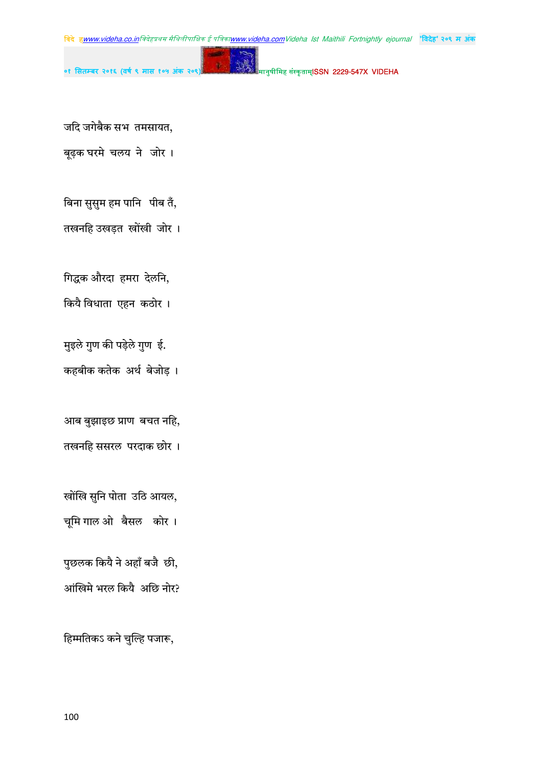मानुषीमिह संस्कृताम्**ISSN 2229-547X VIDEHA** 

जदि जगेबैक सभ तमसायत,

बूढ़क घरमे चलय ने जोर।

बिना सुसुम हम पानि पीब तँ,

तखनहि उखड़त खोंखी जोर।

गिद्धक औरदा हमरा देलनि,

कियै विधाता एहन कठोर।

मुइले गुण की पड़ेले गुण ई.

कहबीक कतेक अर्थ बेजोड़।

आब बुझाइछ प्राण बचत नहि, तखनहि ससरल परदाक छोर ।

खोंखि सुनि पोता उठि आयल,

चूमि गाल ओक्तैसल कोर।

पुछलक कियै ने अहाँ बजै छी, आंखिमे भरल कियै अछि नोर?

हिम्मतिकऽ कने चुल्हि पजारू,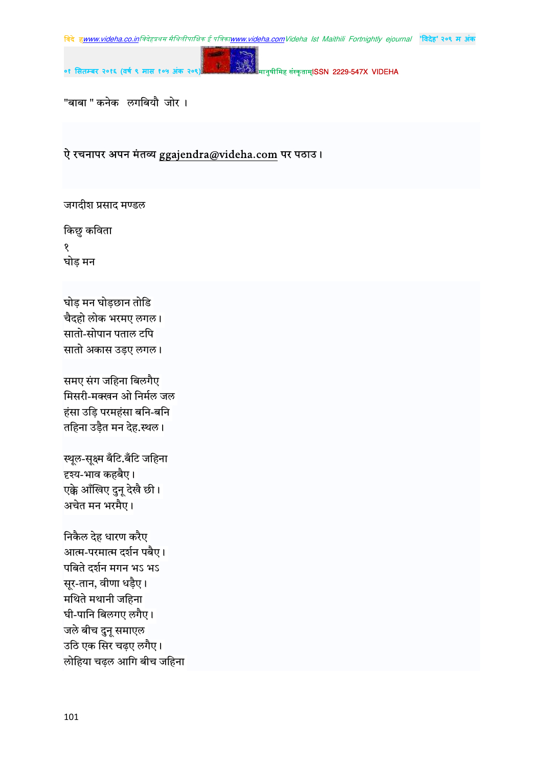

मानुषीमिह संस्कृताम्**ISSN 2229-547X VIDEHA** 

"बाबा " कनेक लगबियौ जोर।

## ऐ रचनापर अपन मंतव्य ggajendra@videha.com पर पठाउ।

 $\mathbf{g}$ 

जगदीश प्रसाद मण्डल

किछु कविता १ घोड़ मन

घोड़ मन घोड़छान तोडि चैदहो लोक भरमए लगल। सातो-सोपान पताल टपि सातो अकास उड़ए लगल।

समए संग जहिना बिलगैए मिसरी-मक्खन ओ निर्मल जल हंसा उड़ि परमहंसा बनि-बनि तहिना उड़ैत मन देह.स्थल।

स्थूल-सूक्ष्म बँटि.बँटि जहिना दृश्य-भाव कहबैए। एक्के आँखिए दुनू देखै छी। अचेत मन भरमैए।

निकैल देह धारण करैए आत्म-परमात्म दर्शन पबैए। पबिते दर्शन मगन भऽ भऽ सूर-तान, वीणा धड़ैए। मथिते मथानी जहिना घी-पानि बिलगए लगैए। जले बीच दुनू समाएल उठि एक सिर चढ़ए लगैए। लोहिया चढ़ल आगि बीच जहिना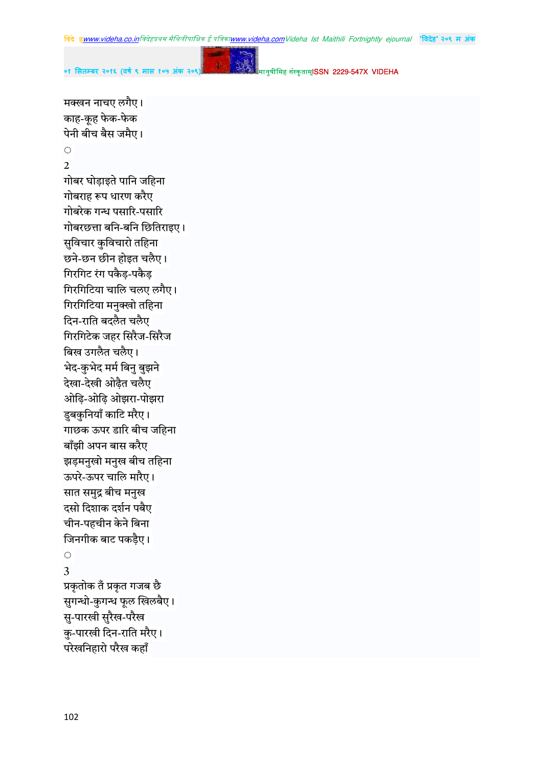मक्खन नाचए लगैए।

**०१ सतबर २०१६ (वष ९ मास १०५ अंक २०९)** !" #\$ISSN 2229-547X VIDEHA

काह-कुह फेक-फेक पेनी बीच बैस जमैए।  $\mathcal{L}_{\mathcal{A}}$ 2  $\overline{\phantom{a}}$ गोबर घोड़ाइते पानि जहिना गोबराह रूप धारण करैए गोबरेक गन्ध पसारि-पसारि  $\overline{\phantom{a}}$ गोबरछत्ता बनि-बनि छितिराइए। सुविचार कुविचारो तहिना छने-छन छीन होइत चलैए। गिरगिट रंग पकैड-पकैड गिरगिटिया चालि चलए लगैए। गिरगिटिया मनुक्खो तहिना दिन-राति बदलैत चलैए गिरगिटेक जहर सिरैज-सिरैज बिख उगलैत चलैए। भेद-कुभेद मर्म बिनु बुझने देखा-देखी ओढ़ैत चलैए ओढ़ि-ओढ़ि ओझरा-पोझरा डूबकुनियाँ काटि मरैए। गाछक ऊपर डारि बीच जहिना बाँझी अपन बास करैए झड़मनुखो मनुख बीच तहिना ऊपरे-ऊपर चालि मारैए। सात समुद्र बीच मनुख दसो दिशाक दर्शन पबैए चीन-पहचीन केने बिना जिनगीक बाट पकडैए।  $\bigcirc$ 3 प्रकृतोक तँ प्रकृत गजब छै सुगन्धो-कुगन्ध फूल खिलबैए। सु-पारखी सुरैख-परैख कु-पारखी दिन-राति मरैए। परेखनिहारो परैख कहाँ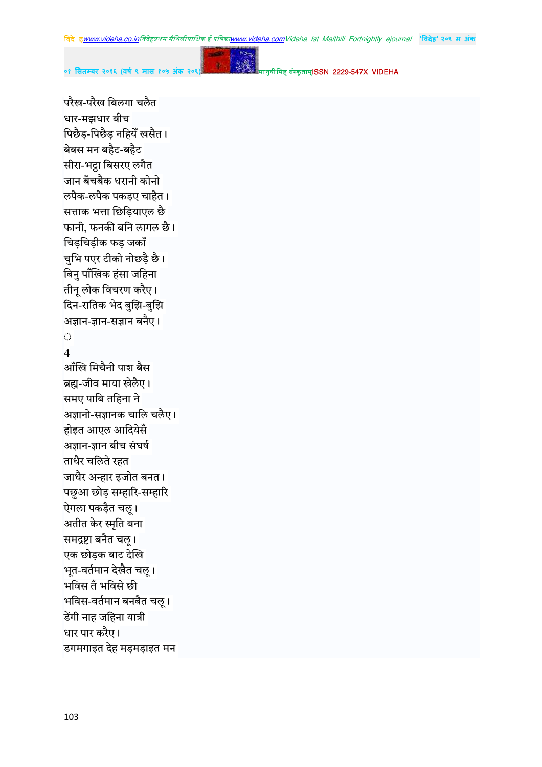$\mathbf{g}$ 

०१ सितम्बर २०१६ (वर्ष ९ मास १

मानुषीमिह संस्कृताम्**ISSN 2229-547X VIDEHA** 

परैख-परैख बिलगा चलैत धार-मझधार बीच पिछैड़-पिछैड़ नहियेँ खसैत। बेबस मन बहैट-बहैट सीरा-भट्टा बिसरए लगैत जान बँचबैक धरानी कोनो लपैक-लपैक पकडए चाहैत। सत्ताक भत्ता छिडियाएल छै फानी, फनकी बनि लागल छै। चिड़चिड़ीक फड़ जकाँ चुभि पएर टीको नोछड़ै छै। बिनु पाँखिक हंसा जहिना तीन् लोक विचरण करैए। दिन-रातिक भेद बुझि-बुझि अज्ञान-ज्ञान-सज्ञान बनैए।  $\mathcal{L}_{\mathcal{A}}$  $\overline{4}$ आँखि मिचैनी पाश बैस ब्रह्म-जीव माया खेलैए। समए पाबि तहिना ने अज्ञानो-सज्ञानक चालि चलैए। होइत आएल आदियेसँ अज्ञान-ज्ञान बीच संघर्ष ताधैर चलिते रहत जाधैर अन्हार इजोत बनत। पछुआ छोड़ सम्हारि-सम्हारि ऐगला पकड़ैत चलू। अतीत केर स्मृति बना समद्रष्टा बनैत चलू। एक छोड़क बाट देखि भूत-वर्तमान देखैत चल् । भविस तँ भविसे छी भविस-वर्तमान बनबैत चलु । डेंगी नाह जहिना यात्री धार पार करैए। डगमगाइत देह मड़मड़ाइत मन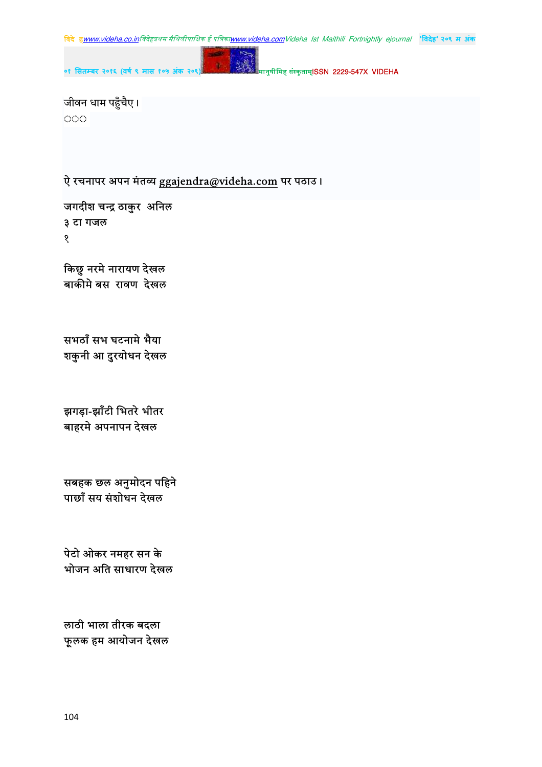

जीवन धाम पहुँचैए। 000

ऐ रचनापर अपन मंतव्य ggajendra@videha.com पर पठाउ।

जगदीश चन्द्र ठाकुर अनिल ३ टा गजल १

किछु नरमे नारायण देखल बाकीमे बस रावण देखल

सभठाँ सभ घटनामे भैया शकुनी आ दुरयोधन देखल

झगड़ा-झाँटी भितरे भीतर बाहरमे अपनापन देखल

सबहक छल अनुमोदन पहिने पाछाँ सय संशोधन देखल

पेटो ओकर नमहर सन के भोजन अति साधारण देखल

लाठी भाला तीरक बदला फूलक हम आयोजन देखल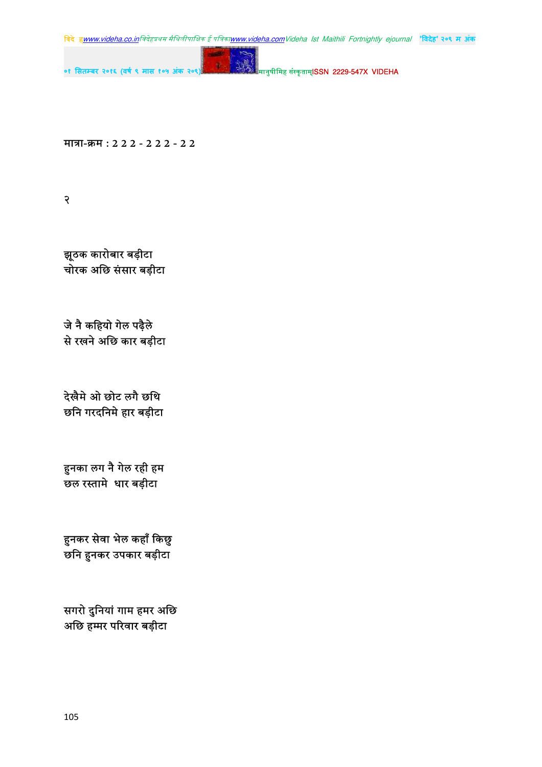**बिदे ह<u>www.videha.co.in</u>बिदेहप्रथम मैथिलीपाक्षिक ई पत्रिका<u>www.videha.com</u>Videha Ist Maithili Fortnightly ejournal "विदेह" २०९ म अंक** 

ú.

**०१ सतबर २०१६ (वष ९ मास १०५ अंक २०९)** !" #\$ISSN 2229-547X VIDEHA

मात्रा-क्रम : 2 2 2 - 2 2 2 - 2 2

 $\overline{\mathcal{R}}$ 

झूठक कारोबार बड़ीटा ्<br>चोरक अछि संसार बड़ीटा

जे नै कहियो गेल पढ़ैले से रखने अछि कार बड़ीटा

देखैमे ओ छोट लगै छथि छनि गरदनिमे हार बड़ीटा

हुनका लग नै गेल रही हम ँ<br>छल रस्तामे धार बड़ीटा

हुनकर सेवा भेल कहाँ किछु छनि हुनकर उपकार बड़ीटा

सगरो दुनियां गाम हमर अछि अछि हम्मर परिवार बड़ीटा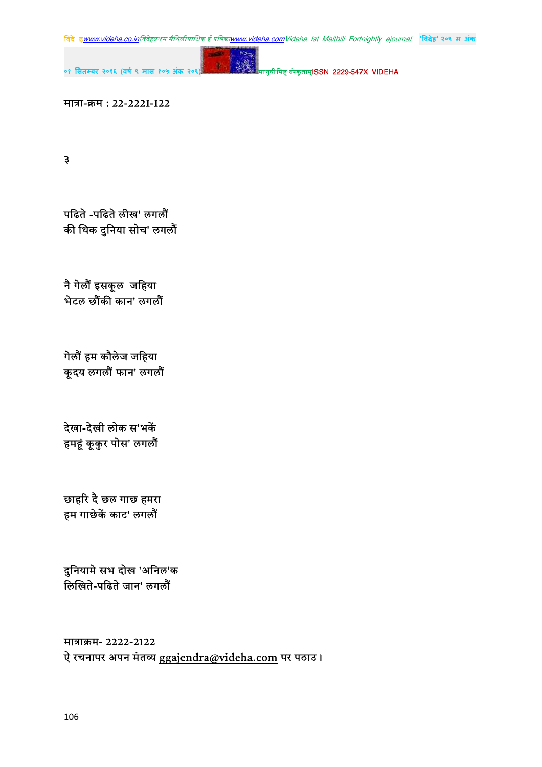**बिदे ह<u>www.videha.co.in</u>बिदेहप्रथम मैथिलीपाक्षिक ई पत्रिका<u>www.videha.com</u>Videha Ist Maithili Fortnightly ejournal "विदेह" २०९ म अंक** 



**०१ सतबर २०१६ (वष ९ मास १०५ अंक २०९)** !" #\$ISSN 2229-547X VIDEHA

मात्रा-क्रम: 22-2221-122

 $\mathfrak{z}$ 

पढिते -पढिते लीख' लगलौं की थिक दुनिया सोच' लगलौं

नै गेलौं इसकूल जहिया भेटल छौंकी कान' लगलौं

गेलौं हम कौलेज जहिया कूदय लगलौं फान' लगलौं

देखा-देखी लोक स'भकें हमहूं कूकुर पोस' लगलौं

छाहरि दै छल गाछ हमरा हम गाछेकें काट' लगलौं

दुनियामे सभ दोख 'अनिल'क \_<br>लिखिते-पढिते जान' लगलौं

मात्राक्रम- 2222-2122 ऐ रचनापर अपन मंतव्य ggajendra@videha.com पर पठाउ।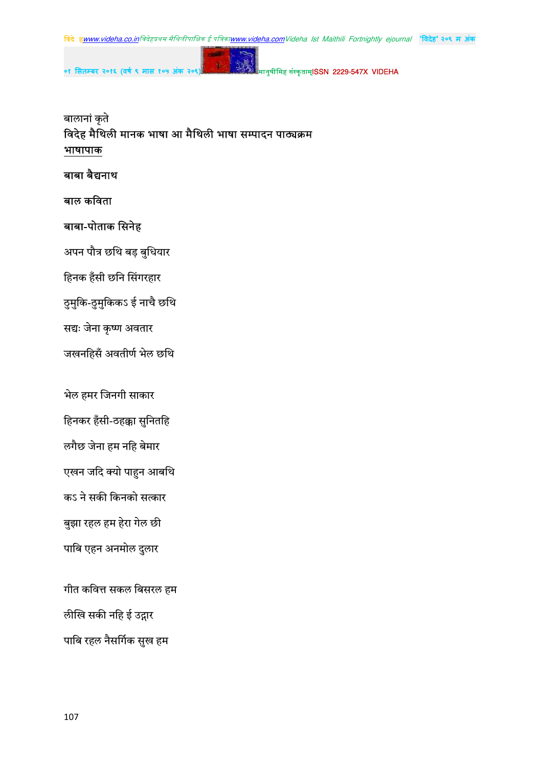



मानुषीमिह संस्कृताम्**ISSN 2229-547X VIDEHA** 

# बालानां कृते विदेह मैथिली मानक भाषा आ मैथिली भाषा सम्पादन पाठ्यक्रम भाषापाक

# बाबा बैद्यनाथ

# बाल कविता

# बाबा-पोताक सिनेह

०१ सितम्बर २०१६ (वर्ष ९ मास १

अपन पौत्र छथि बड़ बुधियार

हिनक हँसी छनि सिंगरहार

ठुमुकि-ठुमुकिकऽ ई नाचै छथि

सद्यः जेना कृष्ण अवतार

जखनहिसँ अवतीर्ण भेल छथि

भेल हमर जिनगी साकार

हिनकर हँसी-ठहक्का सुनितहि

लगैछ जेना हम नहि बेमार

एखन जदि क्यो पाहुन आबथि

कऽ ने सकी किनको सत्कार

बुझा रहल हम हेरा गेल छी

पाबि एहन अनमोल दुलार

गीत कवित्त सकल बिसरल हम

लीखि सकी नहि ई उद्गार

पाबि रहल नैसर्गिक सुख हम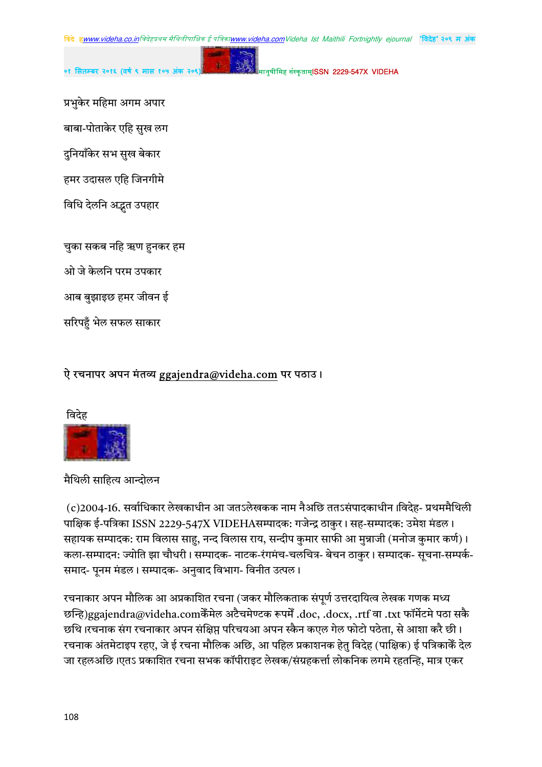मानुषीमिह संस्कृताम्**ISSN 2229-547X VIDEHA** 

प्रभुकेर महिमा अगम अपार

बाबा-पोताकेर एहि सुख लग

दुनियाँकेर सभ सुख बेकार

हमर उदासल एहि जिनगीमे

विधि देलनि अद्भुत उपहार

चुका सकब नहि ऋण हुनकर हम

ओ जे केलनि परम उपकार

आब बुझाइछ हमर जीवन ई

सरिपहुँ भेल सफल साकार

### ऐ रचनापर अपन मंतव्य ggajendra@videha.com पर पठाउ।

विदेह



मैथिली साहित्य आन्दोलन

(c)2004-16. सर्वाधिकार लेखकाधीन आ जतऽलेखकक नाम नैअछि ततऽसंपादकाधीन ।विदेह- प्रथममैथिली पाक्षिक ई-पत्रिका ISSN 2229-547X VIDEHAसम्पादक: गजेन्द्र ठाकुर। सह-सम्पादक: उमेश मंडल। सहायक सम्पादक: राम विलास साहु, नन्द विलास राय, सन्दीप कुमार साफी आ मुन्नाजी (मनोज कुमार कर्ण)। कला-सम्पादन: ज्योति झा चौधरी। सम्पादक- नाटक-रंगमंच-चलचित्र- बेचन ठाकुर। सम्पादक- सूचना-सम्पर्क-समाद- पूनम मंडल। सम्पादक- अनुवाद विभाग- विनीत उत्पल।

रचनाकार अपन मौलिक आ अप्रकाशित रचना (जकर मौलिकताक संपूर्ण उत्तरदायित्व लेखक गणक मध्य छन्हि)ggajendra@videha.comकेंमेल अटैचमेण्टक रूपमें .doc, .docx, .rtf वा .txt फॉर्मेटमे पठा सकै छथि।रचनाक संग रचनाकार अपन संक्षिप्त परिचयआ अपन स्कैन कएल गेल फोटो पठेता, से आशा करै छी। रचनाक अंतमेटाइप रहए, जे ई रचना मौलिक अछि, आ पहिल प्रकाशनक हेतु विदेह (पाक्षिक) ई पत्रिकाकैं देल जा रहलअछि।एतऽ प्रकाशित रचना सभक कॉपीराइट लेखक/संग्रहकर्त्ता लोकनिक लगमे रहतन्हि, मात्र एकर